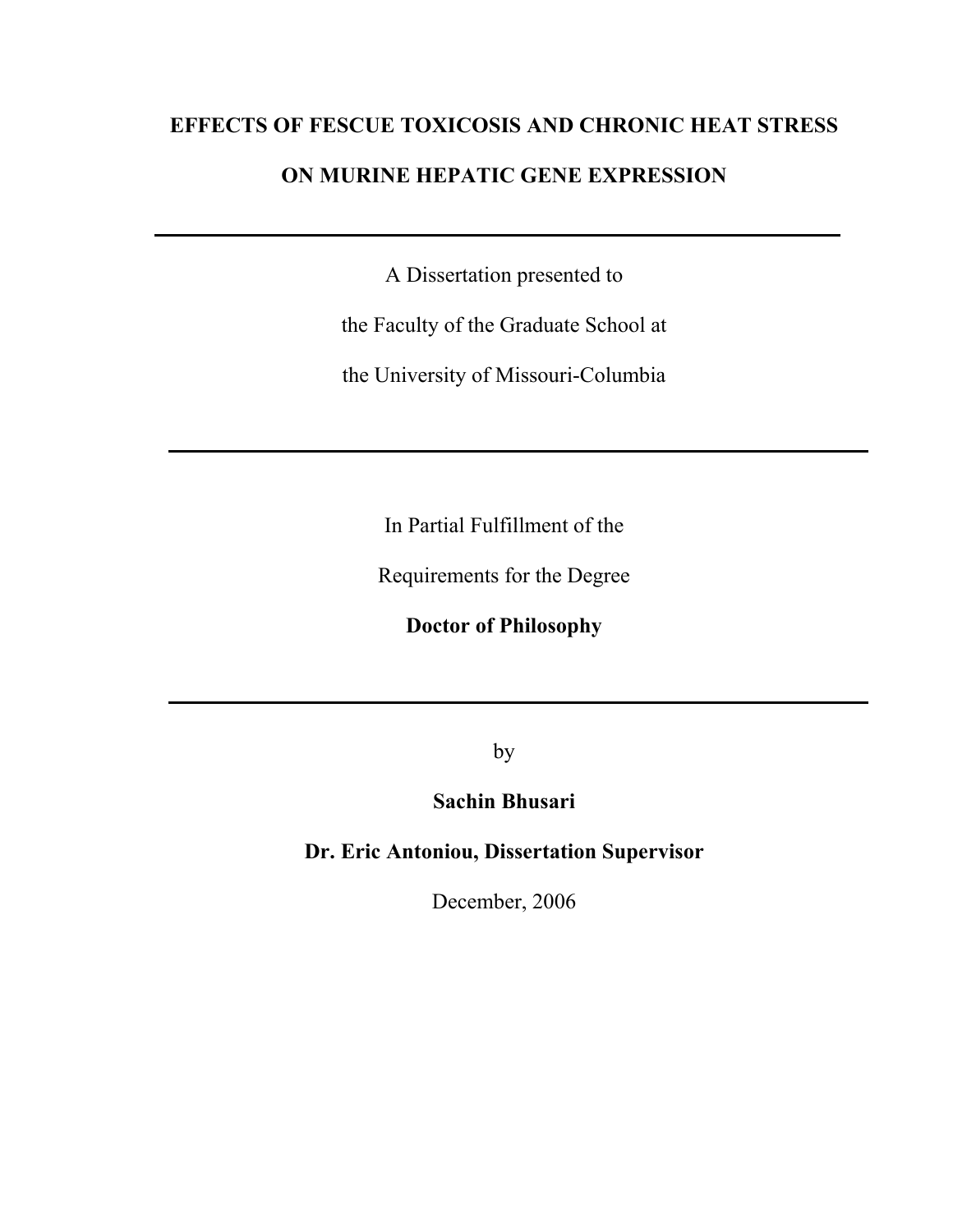# **EFFECTS OF FESCUE TOXICOSIS AND CHRONIC HEAT STRESS**

# **ON MURINE HEPATIC GENE EXPRESSION**

A Dissertation presented to

the Faculty of the Graduate School at

the University of Missouri-Columbia

In Partial Fulfillment of the

Requirements for the Degree

**Doctor of Philosophy** 

by

# **Sachin Bhusari**

**Dr. Eric Antoniou, Dissertation Supervisor** 

December, 2006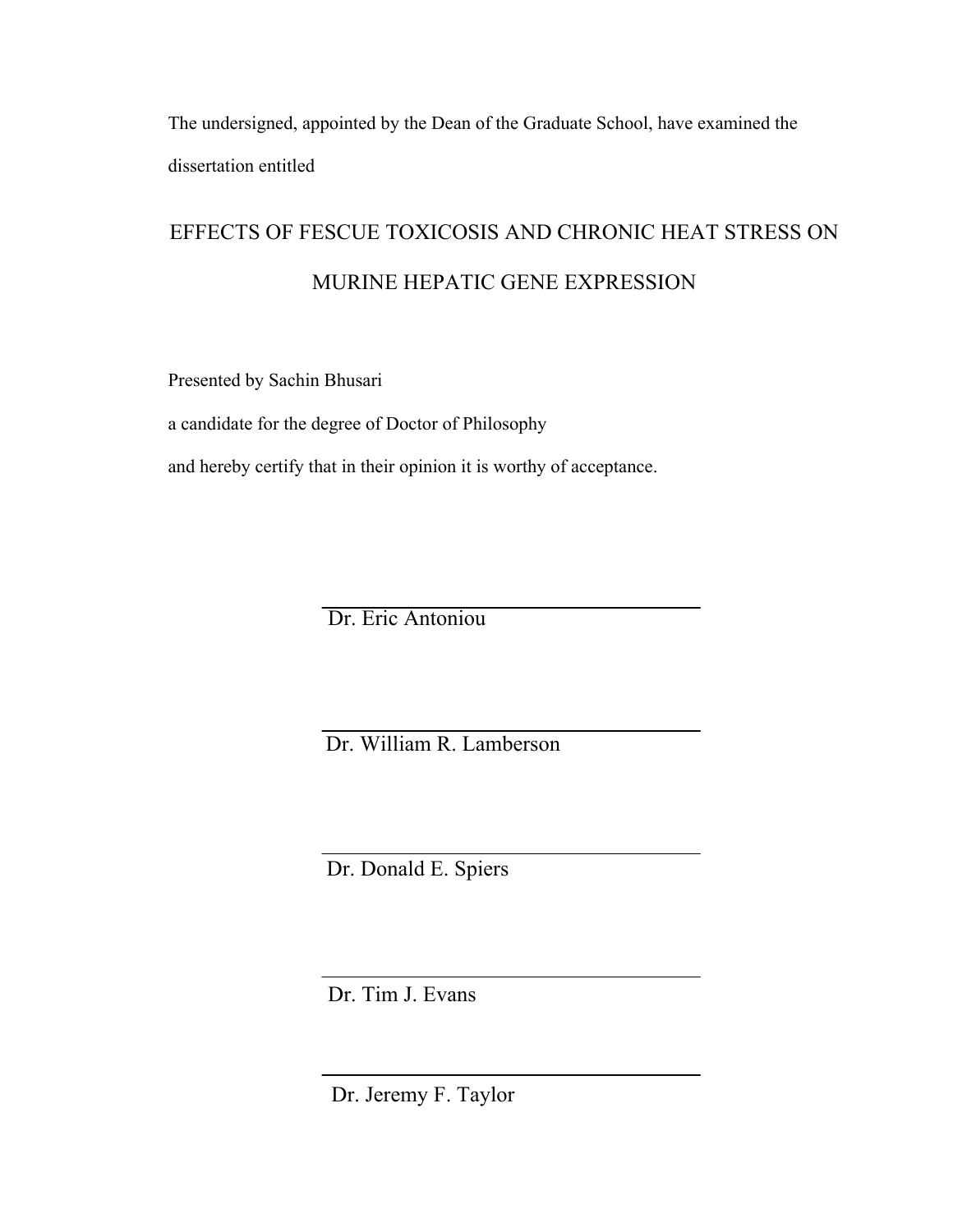The undersigned, appointed by the Dean of the Graduate School, have examined the dissertation entitled

# EFFECTS OF FESCUE TOXICOSIS AND CHRONIC HEAT STRESS ON MURINE HEPATIC GENE EXPRESSION

Presented by Sachin Bhusari

a candidate for the degree of Doctor of Philosophy

and hereby certify that in their opinion it is worthy of acceptance.

Dr. Eric Antoniou

Dr. William R. Lamberson

Dr. Donald E. Spiers

Dr. Tim J. Evans

Dr. Jeremy F. Taylor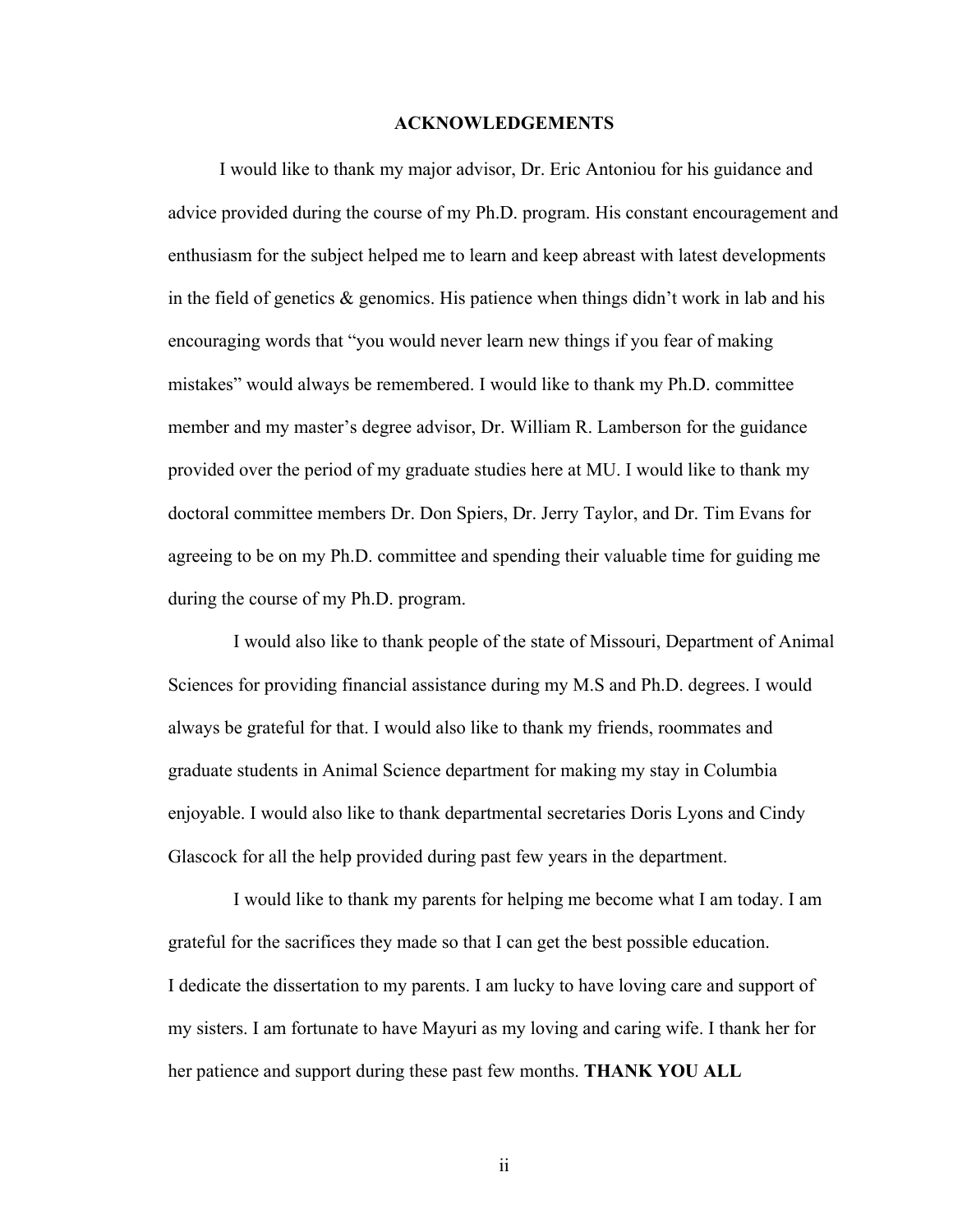#### **ACKNOWLEDGEMENTS**

 I would like to thank my major advisor, Dr. Eric Antoniou for his guidance and advice provided during the course of my Ph.D. program. His constant encouragement and enthusiasm for the subject helped me to learn and keep abreast with latest developments in the field of genetics  $\&$  genomics. His patience when things didn't work in lab and his encouraging words that "you would never learn new things if you fear of making mistakes" would always be remembered. I would like to thank my Ph.D. committee member and my master's degree advisor, Dr. William R. Lamberson for the guidance provided over the period of my graduate studies here at MU. I would like to thank my doctoral committee members Dr. Don Spiers, Dr. Jerry Taylor, and Dr. Tim Evans for agreeing to be on my Ph.D. committee and spending their valuable time for guiding me during the course of my Ph.D. program.

 I would also like to thank people of the state of Missouri, Department of Animal Sciences for providing financial assistance during my M.S and Ph.D. degrees. I would always be grateful for that. I would also like to thank my friends, roommates and graduate students in Animal Science department for making my stay in Columbia enjoyable. I would also like to thank departmental secretaries Doris Lyons and Cindy Glascock for all the help provided during past few years in the department.

 I would like to thank my parents for helping me become what I am today. I am grateful for the sacrifices they made so that I can get the best possible education. I dedicate the dissertation to my parents. I am lucky to have loving care and support of my sisters. I am fortunate to have Mayuri as my loving and caring wife. I thank her for her patience and support during these past few months. **THANK YOU ALL**

ii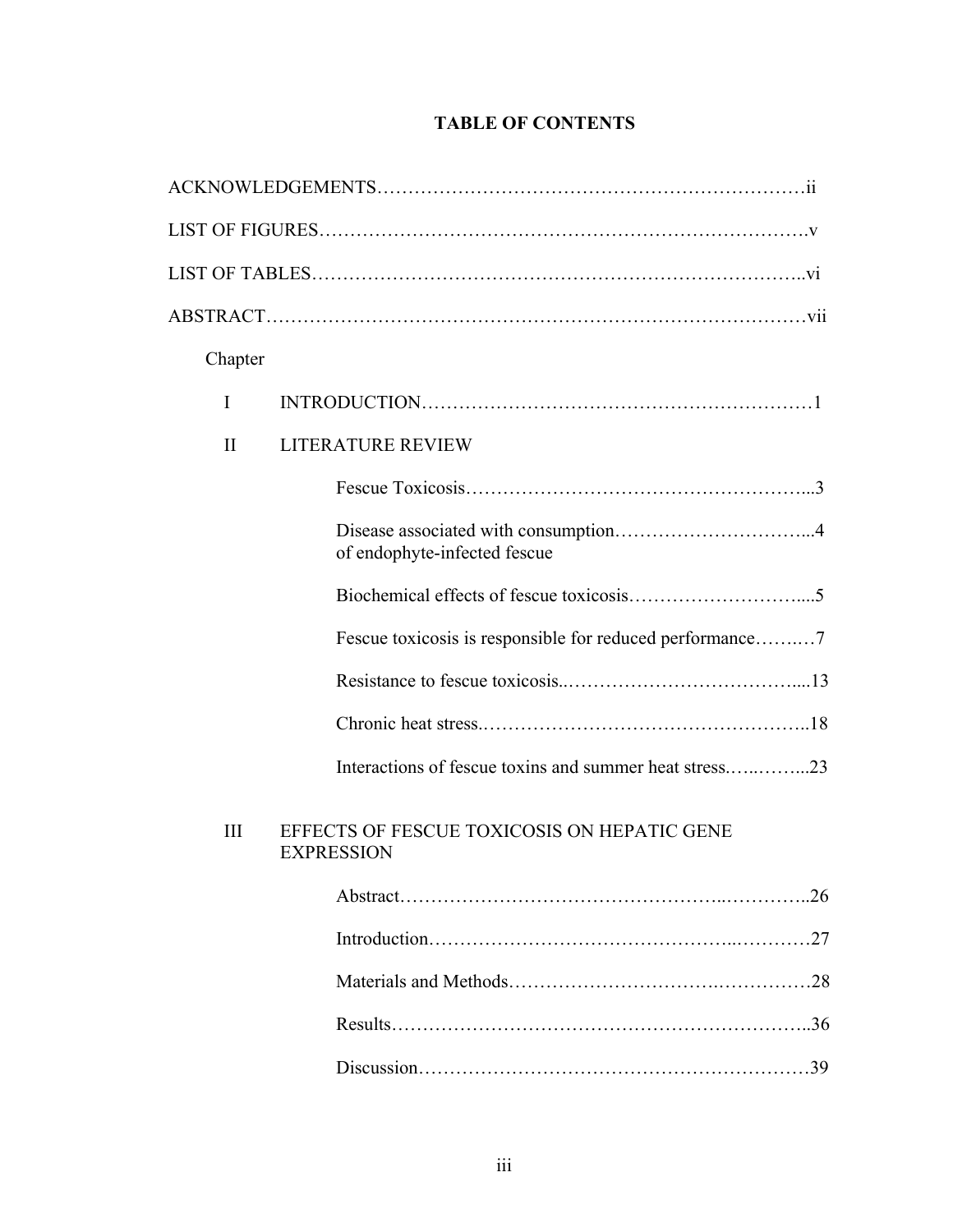| Chapter      |                                                                  |
|--------------|------------------------------------------------------------------|
| I            |                                                                  |
| $\mathbf{I}$ | <b>LITERATURE REVIEW</b>                                         |
|              |                                                                  |
|              | of endophyte-infected fescue                                     |
|              |                                                                  |
|              |                                                                  |
|              |                                                                  |
|              |                                                                  |
|              |                                                                  |
| III          | EFFECTS OF FESCUE TOXICOSIS ON HEPATIC GENE<br><b>EXPRESSION</b> |
|              | .26                                                              |
|              | .27                                                              |
|              |                                                                  |
|              |                                                                  |

# **TABLE OF CONTENTS**

Discussion………………………………………………………39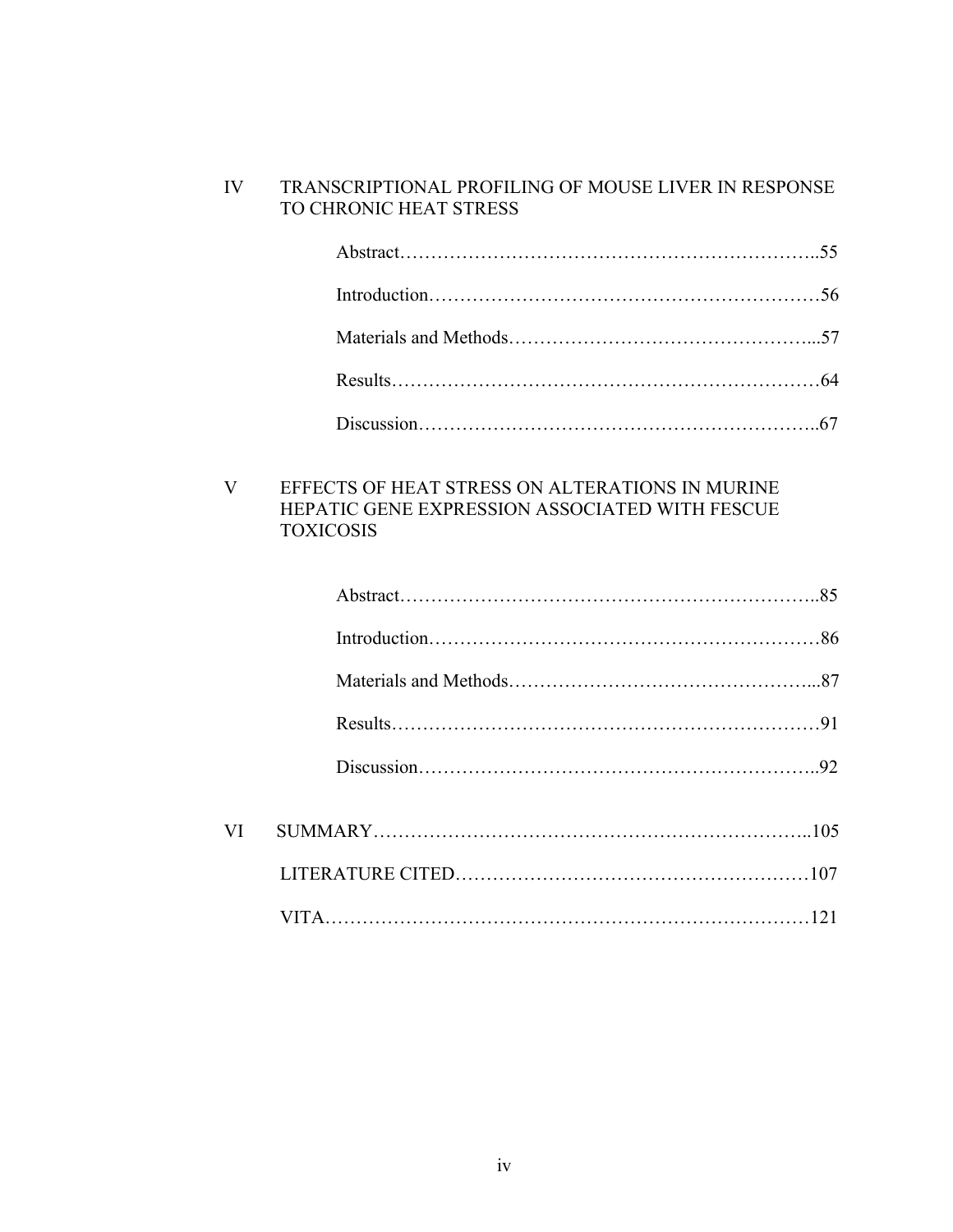## IV TRANSCRIPTIONAL PROFILING OF MOUSE LIVER IN RESPONSE TO CHRONIC HEAT STRESS

## V EFFECTS OF HEAT STRESS ON ALTERATIONS IN MURINE HEPATIC GENE EXPRESSION ASSOCIATED WITH FESCUE TOXICOSIS

| VI |  |
|----|--|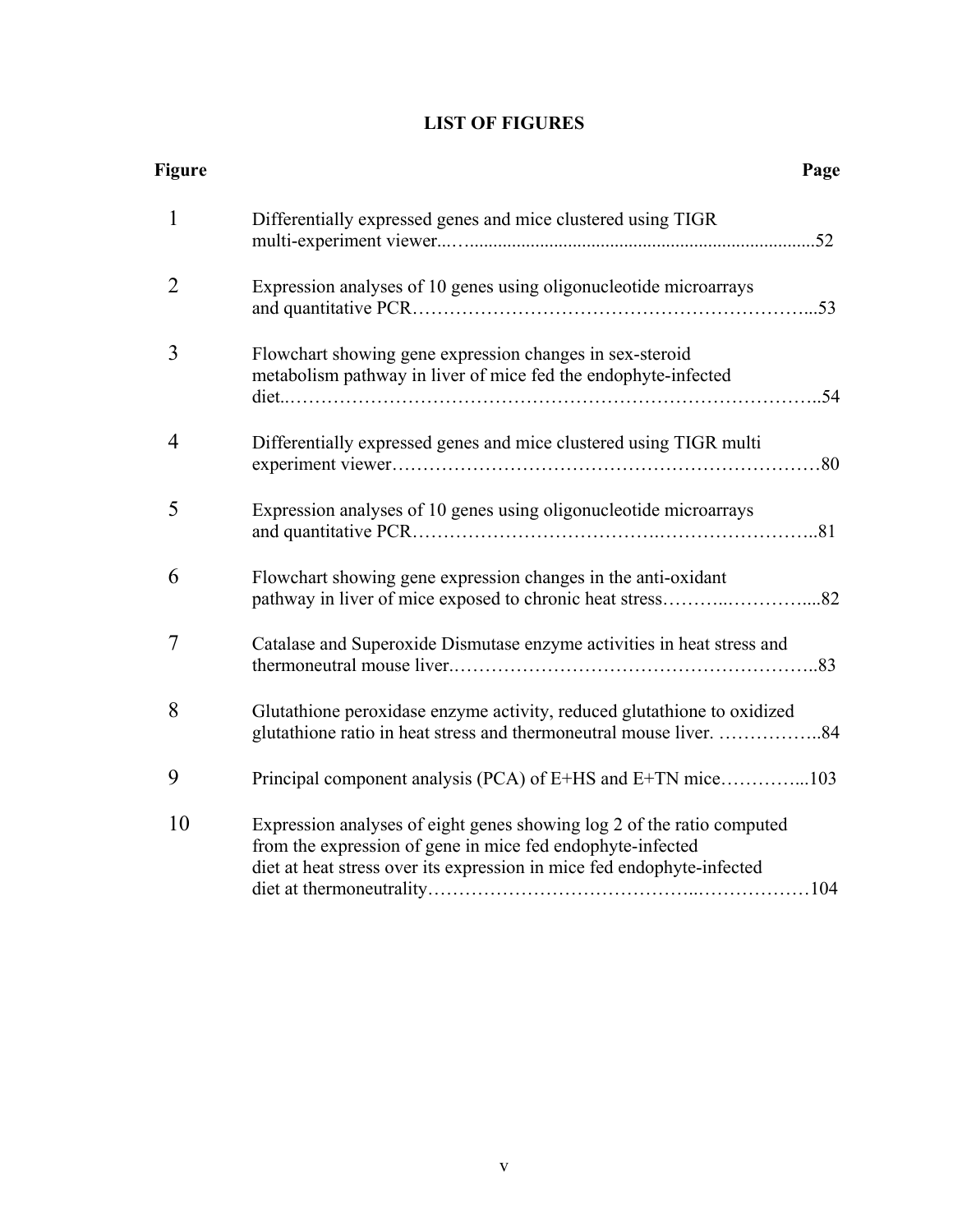# **LIST OF FIGURES**

| <b>Figure</b> |                                                                                                                                                                                                                | Page |
|---------------|----------------------------------------------------------------------------------------------------------------------------------------------------------------------------------------------------------------|------|
| $\mathbf{1}$  | Differentially expressed genes and mice clustered using TIGR                                                                                                                                                   |      |
| 2             | Expression analyses of 10 genes using oligonucleotide microarrays                                                                                                                                              |      |
| 3             | Flowchart showing gene expression changes in sex-steroid<br>metabolism pathway in liver of mice fed the endophyte-infected                                                                                     |      |
| 4             | Differentially expressed genes and mice clustered using TIGR multi                                                                                                                                             |      |
| 5             | Expression analyses of 10 genes using oligonucleotide microarrays                                                                                                                                              |      |
| 6             | Flowchart showing gene expression changes in the anti-oxidant                                                                                                                                                  |      |
| 7             | Catalase and Superoxide Dismutase enzyme activities in heat stress and                                                                                                                                         |      |
| 8             | Glutathione peroxidase enzyme activity, reduced glutathione to oxidized<br>glutathione ratio in heat stress and thermoneutral mouse liver. 84                                                                  |      |
| 9             | Principal component analysis (PCA) of E+HS and E+TN mice103                                                                                                                                                    |      |
| 10            | Expression analyses of eight genes showing log 2 of the ratio computed<br>from the expression of gene in mice fed endophyte-infected<br>diet at heat stress over its expression in mice fed endophyte-infected |      |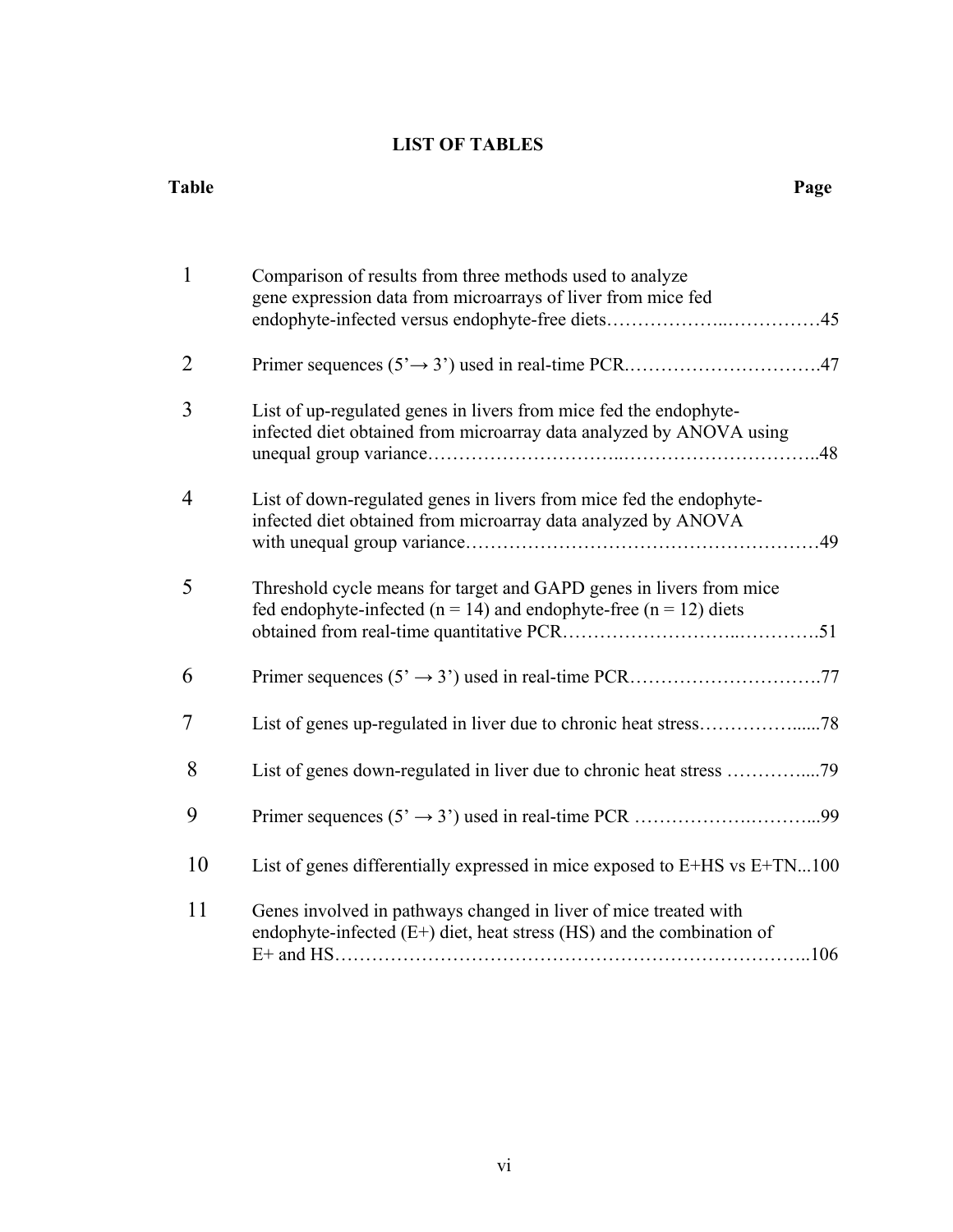# **LIST OF TABLES**

#### **Table** Page

| $\mathbf{1}$   | Comparison of results from three methods used to analyze<br>gene expression data from microarrays of liver from mice fed                         |
|----------------|--------------------------------------------------------------------------------------------------------------------------------------------------|
| $\overline{2}$ |                                                                                                                                                  |
| 3              | List of up-regulated genes in livers from mice fed the endophyte-<br>infected diet obtained from microarray data analyzed by ANOVA using<br>.48  |
| 4              | List of down-regulated genes in livers from mice fed the endophyte-<br>infected diet obtained from microarray data analyzed by ANOVA             |
| 5              | Threshold cycle means for target and GAPD genes in livers from mice<br>fed endophyte-infected ( $n = 14$ ) and endophyte-free ( $n = 12$ ) diets |
| 6              |                                                                                                                                                  |
| 7              |                                                                                                                                                  |
| 8              |                                                                                                                                                  |
| 9              |                                                                                                                                                  |
| 10             | List of genes differentially expressed in mice exposed to E+HS vs E+TN100                                                                        |
| 11             | Genes involved in pathways changed in liver of mice treated with<br>endophyte-infected $(E+)$ diet, heat stress (HS) and the combination of      |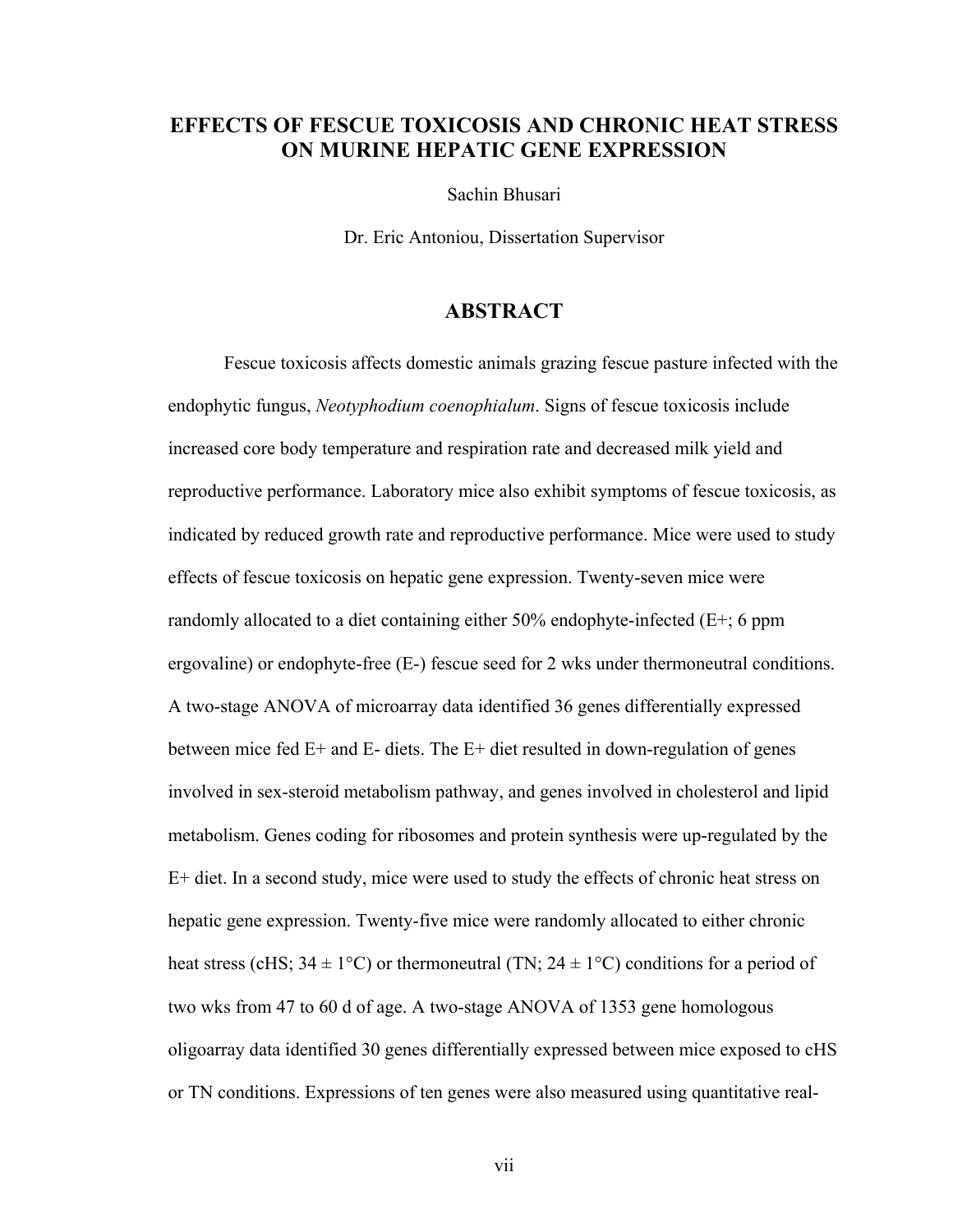# **EFFECTS OF FESCUE TOXICOSIS AND CHRONIC HEAT STRESS ON MURINE HEPATIC GENE EXPRESSION**

Sachin Bhusari

Dr. Eric Antoniou, Dissertation Supervisor

## **ABSTRACT**

Fescue toxicosis affects domestic animals grazing fescue pasture infected with the endophytic fungus, *Neotyphodium coenophialum*. Signs of fescue toxicosis include increased core body temperature and respiration rate and decreased milk yield and reproductive performance. Laboratory mice also exhibit symptoms of fescue toxicosis, as indicated by reduced growth rate and reproductive performance. Mice were used to study effects of fescue toxicosis on hepatic gene expression. Twenty-seven mice were randomly allocated to a diet containing either 50% endophyte-infected (E+; 6 ppm ergovaline) or endophyte-free (E-) fescue seed for 2 wks under thermoneutral conditions. A two-stage ANOVA of microarray data identified 36 genes differentially expressed between mice fed E+ and E- diets. The E+ diet resulted in down-regulation of genes involved in sex-steroid metabolism pathway, and genes involved in cholesterol and lipid metabolism. Genes coding for ribosomes and protein synthesis were up-regulated by the E+ diet. In a second study, mice were used to study the effects of chronic heat stress on hepatic gene expression. Twenty-five mice were randomly allocated to either chronic heat stress (cHS;  $34 \pm 1^{\circ}$ C) or thermoneutral (TN;  $24 \pm 1^{\circ}$ C) conditions for a period of two wks from 47 to 60 d of age. A two-stage ANOVA of 1353 gene homologous oligoarray data identified 30 genes differentially expressed between mice exposed to cHS or TN conditions. Expressions of ten genes were also measured using quantitative real-

vii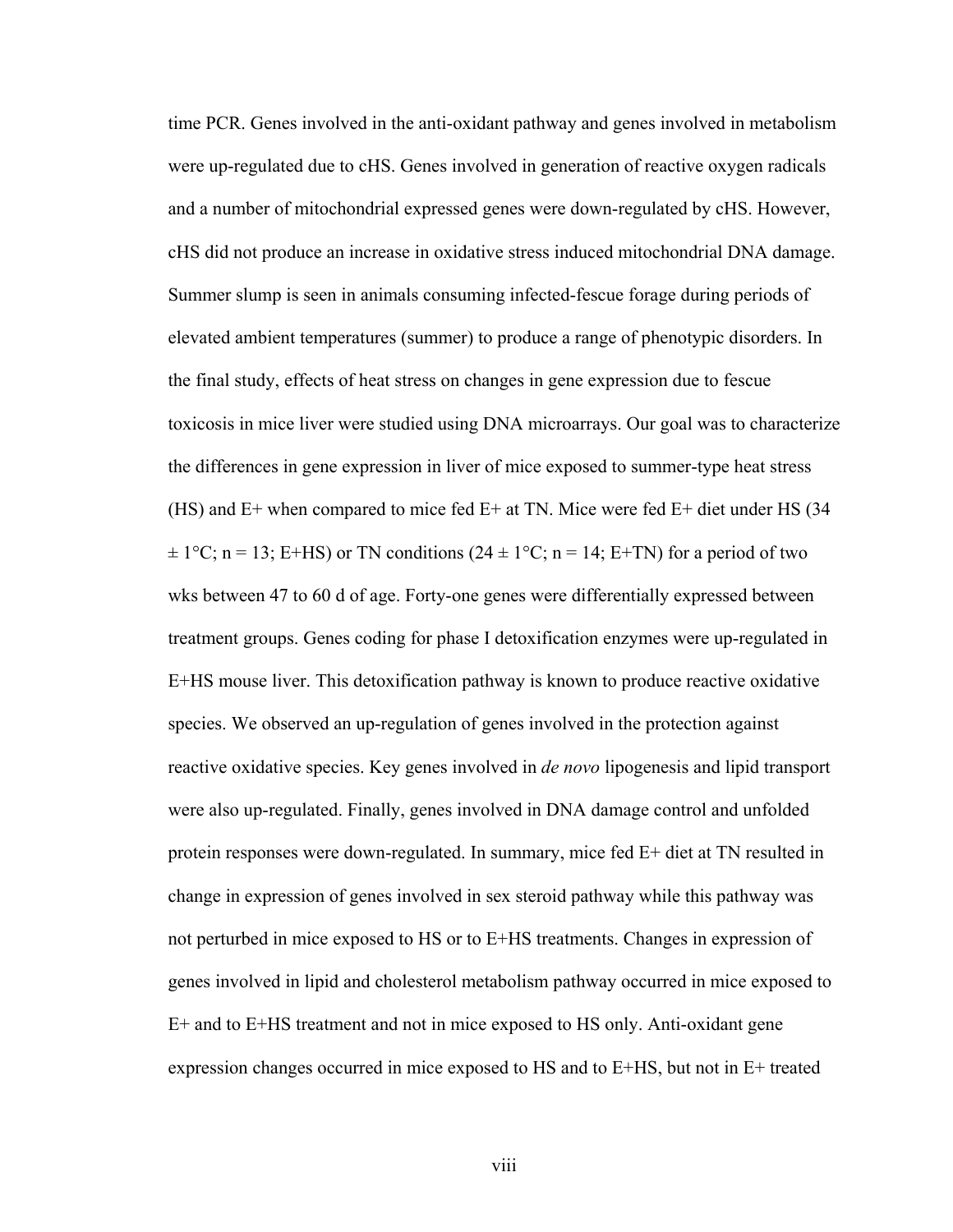time PCR. Genes involved in the anti-oxidant pathway and genes involved in metabolism were up-regulated due to cHS. Genes involved in generation of reactive oxygen radicals and a number of mitochondrial expressed genes were down-regulated by cHS. However, cHS did not produce an increase in oxidative stress induced mitochondrial DNA damage. Summer slump is seen in animals consuming infected-fescue forage during periods of elevated ambient temperatures (summer) to produce a range of phenotypic disorders. In the final study, effects of heat stress on changes in gene expression due to fescue toxicosis in mice liver were studied using DNA microarrays. Our goal was to characterize the differences in gene expression in liver of mice exposed to summer-type heat stress (HS) and E+ when compared to mice fed E+ at TN. Mice were fed E+ diet under HS (34  $\pm 1^{\circ}$ C; n = 13; E+HS) or TN conditions (24  $\pm 1^{\circ}$ C; n = 14; E+TN) for a period of two wks between 47 to 60 d of age. Forty-one genes were differentially expressed between treatment groups. Genes coding for phase I detoxification enzymes were up-regulated in E+HS mouse liver. This detoxification pathway is known to produce reactive oxidative species. We observed an up-regulation of genes involved in the protection against reactive oxidative species. Key genes involved in *de novo* lipogenesis and lipid transport were also up-regulated. Finally, genes involved in DNA damage control and unfolded protein responses were down-regulated. In summary, mice fed E+ diet at TN resulted in change in expression of genes involved in sex steroid pathway while this pathway was not perturbed in mice exposed to HS or to E+HS treatments. Changes in expression of genes involved in lipid and cholesterol metabolism pathway occurred in mice exposed to E+ and to E+HS treatment and not in mice exposed to HS only. Anti-oxidant gene expression changes occurred in mice exposed to HS and to E+HS, but not in E+ treated

viii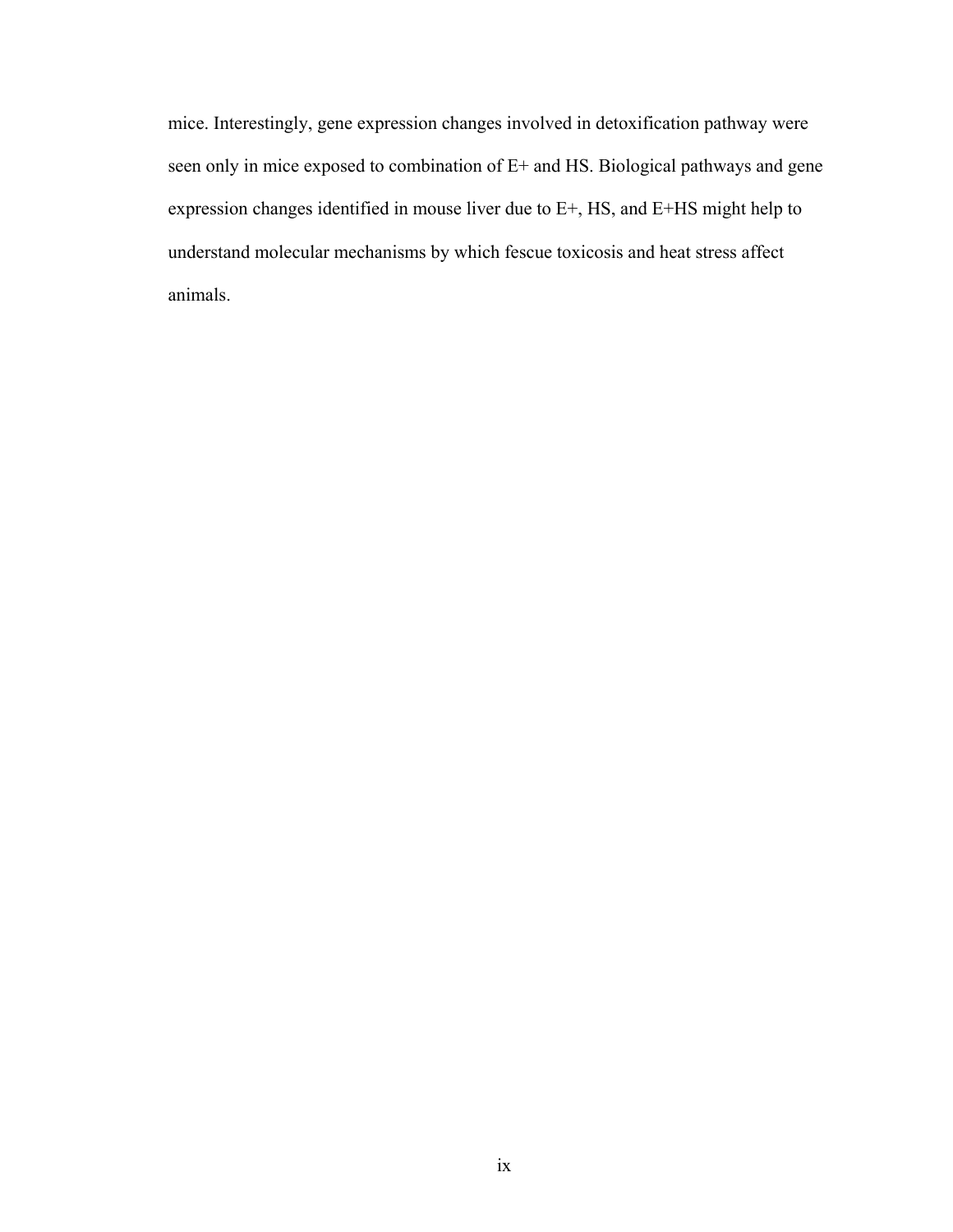mice. Interestingly, gene expression changes involved in detoxification pathway were seen only in mice exposed to combination of E+ and HS. Biological pathways and gene expression changes identified in mouse liver due to E+, HS, and E+HS might help to understand molecular mechanisms by which fescue toxicosis and heat stress affect animals.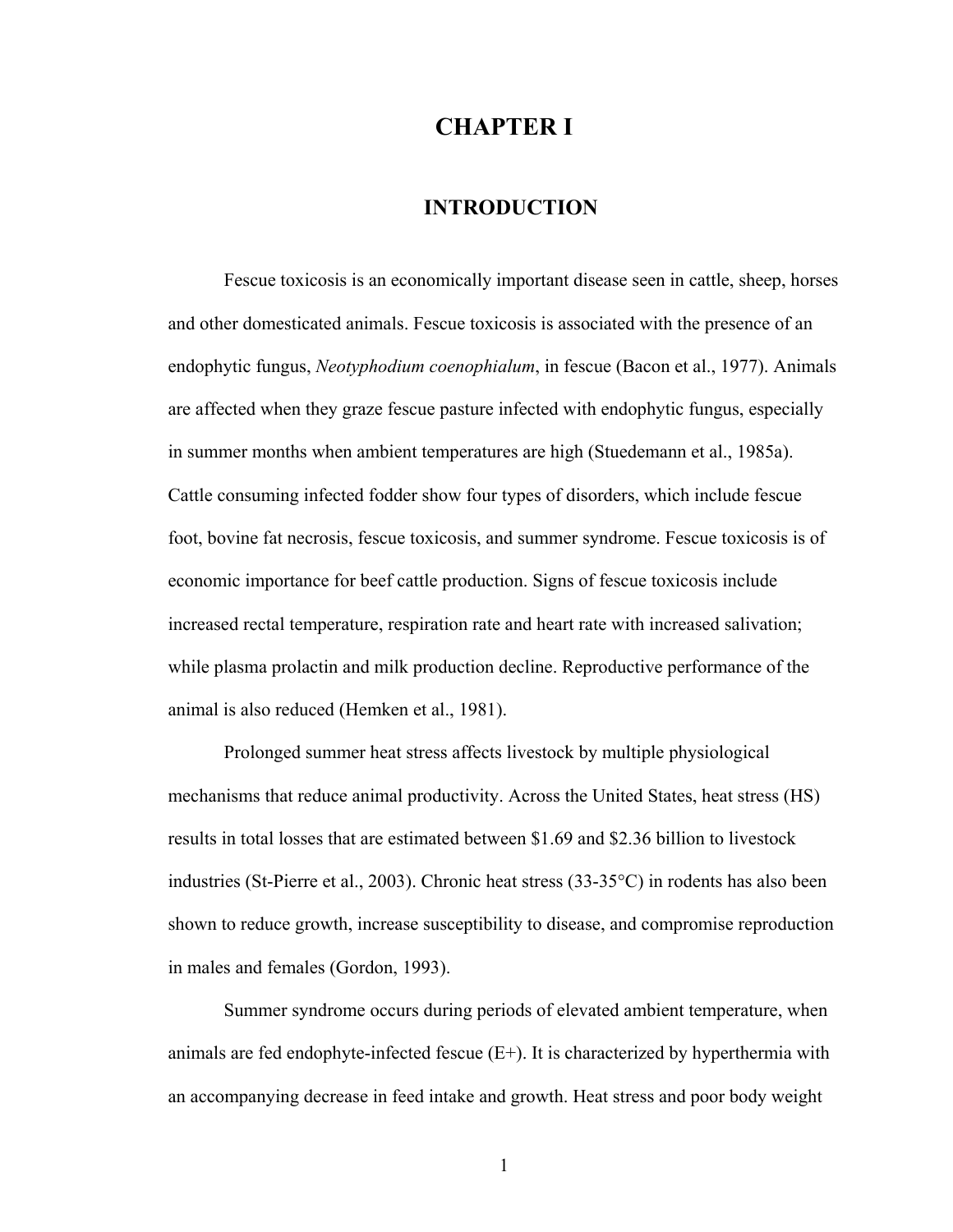# **CHAPTER I**

## **INTRODUCTION**

Fescue toxicosis is an economically important disease seen in cattle, sheep, horses and other domesticated animals. Fescue toxicosis is associated with the presence of an endophytic fungus, *Neotyphodium coenophialum*, in fescue (Bacon et al., 1977). Animals are affected when they graze fescue pasture infected with endophytic fungus, especially in summer months when ambient temperatures are high (Stuedemann et al., 1985a). Cattle consuming infected fodder show four types of disorders, which include fescue foot, bovine fat necrosis, fescue toxicosis, and summer syndrome. Fescue toxicosis is of economic importance for beef cattle production. Signs of fescue toxicosis include increased rectal temperature, respiration rate and heart rate with increased salivation; while plasma prolactin and milk production decline. Reproductive performance of the animal is also reduced (Hemken et al., 1981).

Prolonged summer heat stress affects livestock by multiple physiological mechanisms that reduce animal productivity. Across the United States, heat stress (HS) results in total losses that are estimated between \$1.69 and \$2.36 billion to livestock industries (St-Pierre et al., 2003). Chronic heat stress (33-35°C) in rodents has also been shown to reduce growth, increase susceptibility to disease, and compromise reproduction in males and females (Gordon, 1993).

Summer syndrome occurs during periods of elevated ambient temperature, when animals are fed endophyte-infected fescue  $(E+)$ . It is characterized by hyperthermia with an accompanying decrease in feed intake and growth. Heat stress and poor body weight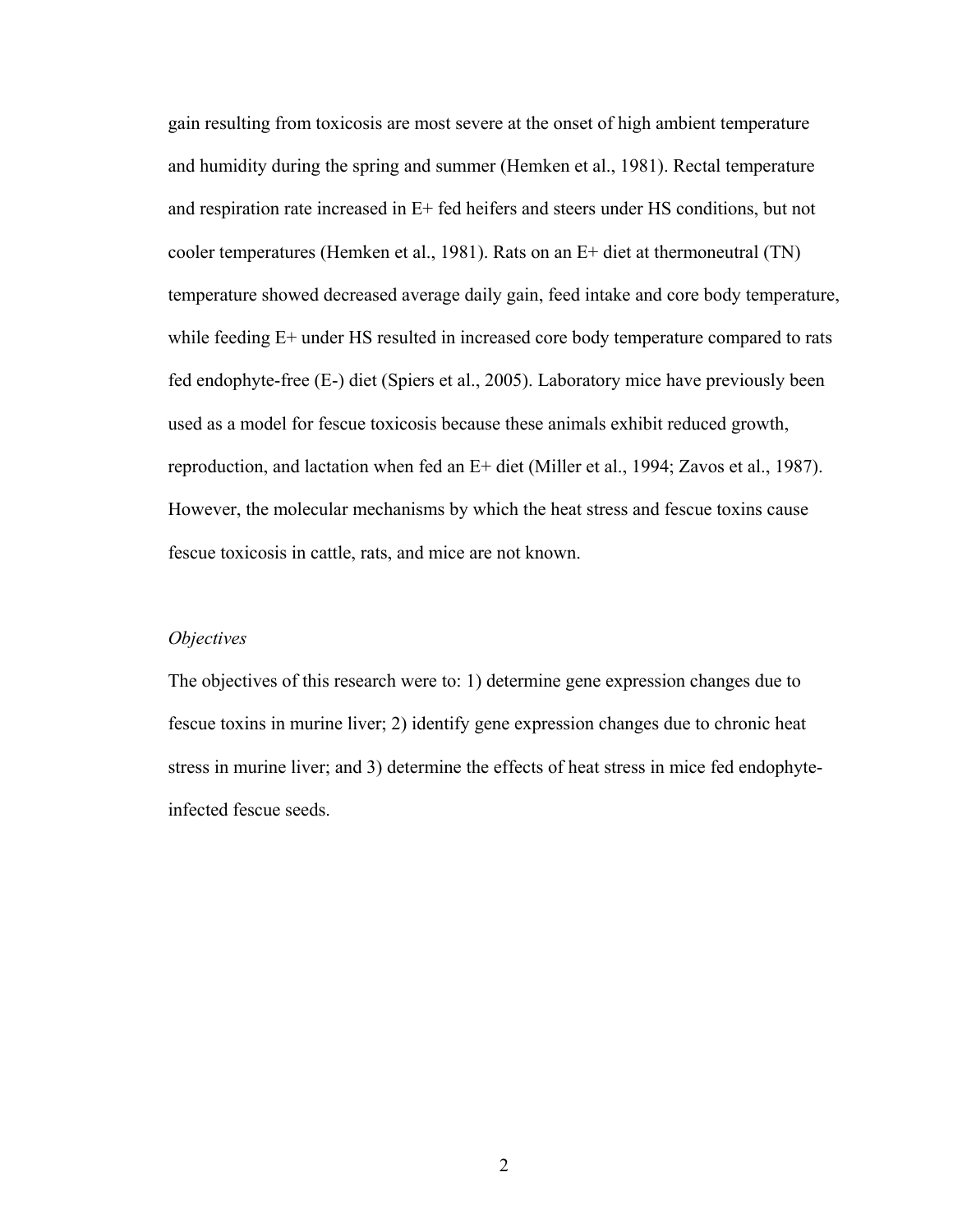gain resulting from toxicosis are most severe at the onset of high ambient temperature and humidity during the spring and summer (Hemken et al., 1981). Rectal temperature and respiration rate increased in E+ fed heifers and steers under HS conditions, but not cooler temperatures (Hemken et al., 1981). Rats on an E+ diet at thermoneutral (TN) temperature showed decreased average daily gain, feed intake and core body temperature, while feeding E+ under HS resulted in increased core body temperature compared to rats fed endophyte-free (E-) diet (Spiers et al., 2005). Laboratory mice have previously been used as a model for fescue toxicosis because these animals exhibit reduced growth, reproduction, and lactation when fed an E+ diet (Miller et al., 1994; Zavos et al., 1987). However, the molecular mechanisms by which the heat stress and fescue toxins cause fescue toxicosis in cattle, rats, and mice are not known.

#### *Objectives*

The objectives of this research were to: 1) determine gene expression changes due to fescue toxins in murine liver; 2) identify gene expression changes due to chronic heat stress in murine liver; and 3) determine the effects of heat stress in mice fed endophyteinfected fescue seeds.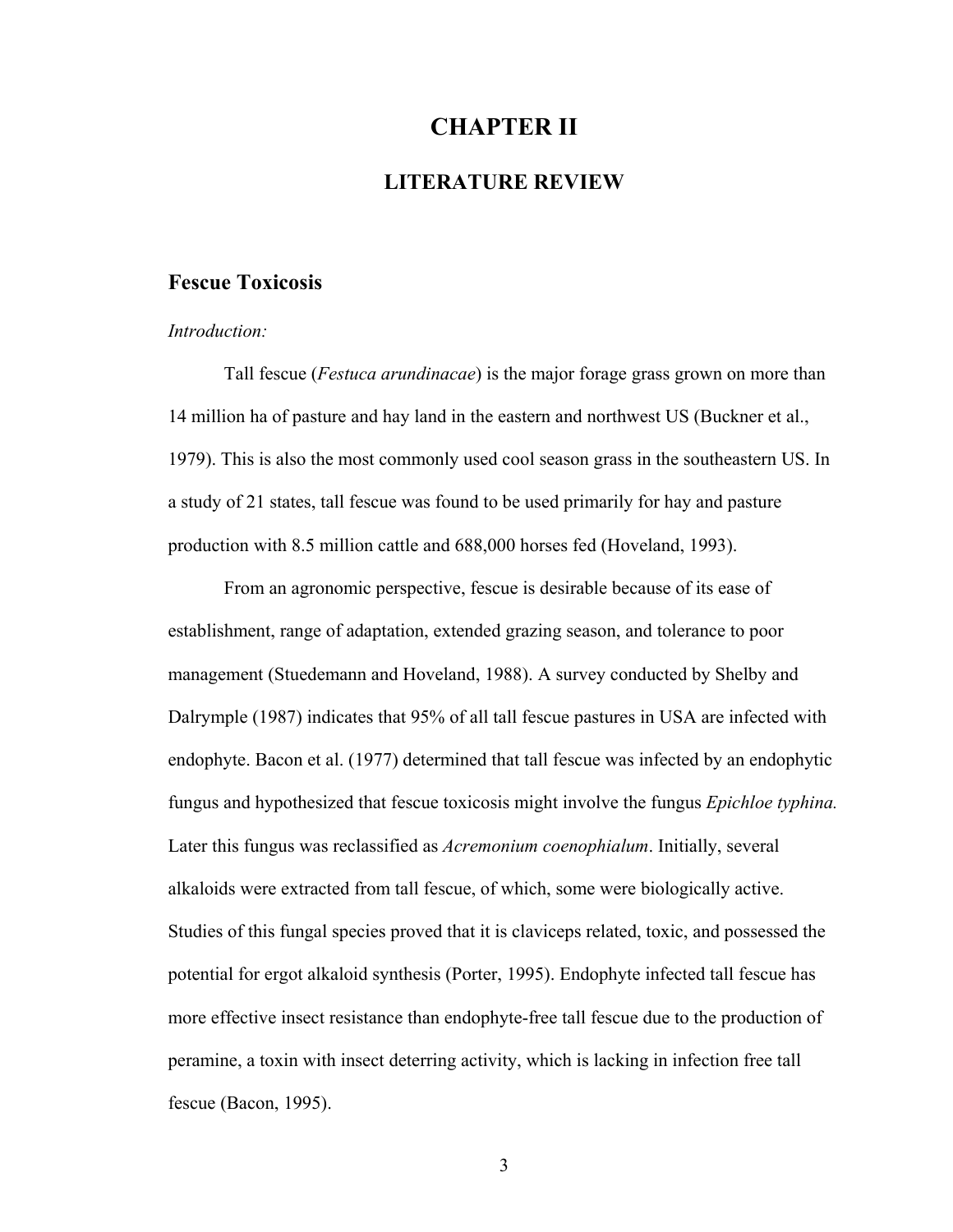# **CHAPTER II**

## **LITERATURE REVIEW**

### **Fescue Toxicosis**

#### *Introduction:*

Tall fescue (*Festuca arundinacae*) is the major forage grass grown on more than 14 million ha of pasture and hay land in the eastern and northwest US (Buckner et al., 1979). This is also the most commonly used cool season grass in the southeastern US. In a study of 21 states, tall fescue was found to be used primarily for hay and pasture production with 8.5 million cattle and 688,000 horses fed (Hoveland, 1993).

From an agronomic perspective, fescue is desirable because of its ease of establishment, range of adaptation, extended grazing season, and tolerance to poor management (Stuedemann and Hoveland, 1988). A survey conducted by Shelby and Dalrymple (1987) indicates that 95% of all tall fescue pastures in USA are infected with endophyte. Bacon et al. (1977) determined that tall fescue was infected by an endophytic fungus and hypothesized that fescue toxicosis might involve the fungus *Epichloe typhina.*  Later this fungus was reclassified as *Acremonium coenophialum*. Initially, several alkaloids were extracted from tall fescue, of which, some were biologically active. Studies of this fungal species proved that it is claviceps related, toxic, and possessed the potential for ergot alkaloid synthesis (Porter, 1995). Endophyte infected tall fescue has more effective insect resistance than endophyte-free tall fescue due to the production of peramine, a toxin with insect deterring activity, which is lacking in infection free tall fescue (Bacon, 1995).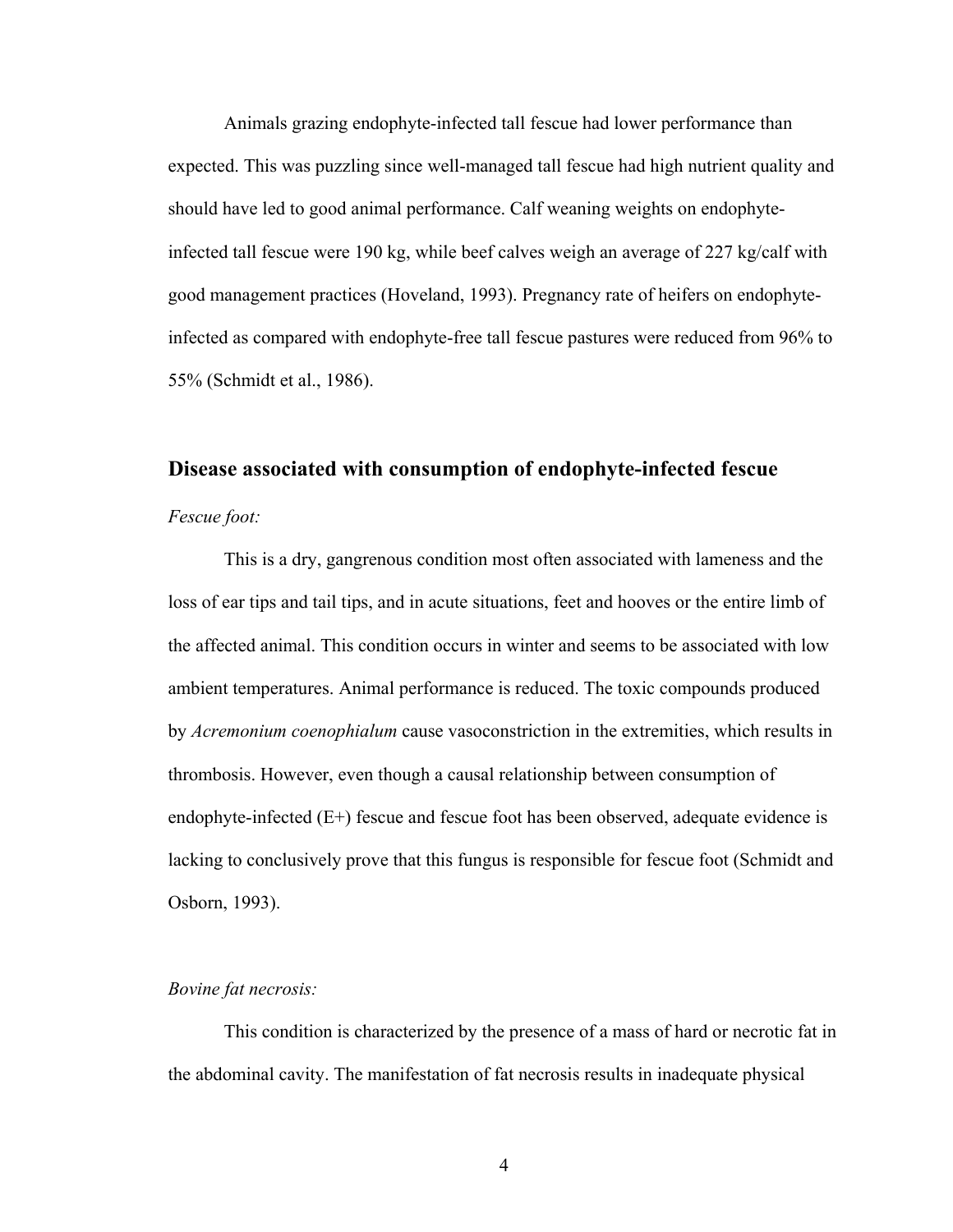Animals grazing endophyte-infected tall fescue had lower performance than expected. This was puzzling since well-managed tall fescue had high nutrient quality and should have led to good animal performance. Calf weaning weights on endophyteinfected tall fescue were 190 kg, while beef calves weigh an average of 227 kg/calf with good management practices (Hoveland, 1993). Pregnancy rate of heifers on endophyteinfected as compared with endophyte-free tall fescue pastures were reduced from 96% to 55% (Schmidt et al., 1986).

#### **Disease associated with consumption of endophyte-infected fescue**

#### *Fescue foot:*

This is a dry, gangrenous condition most often associated with lameness and the loss of ear tips and tail tips, and in acute situations, feet and hooves or the entire limb of the affected animal. This condition occurs in winter and seems to be associated with low ambient temperatures. Animal performance is reduced. The toxic compounds produced by *Acremonium coenophialum* cause vasoconstriction in the extremities, which results in thrombosis. However, even though a causal relationship between consumption of endophyte-infected (E+) fescue and fescue foot has been observed, adequate evidence is lacking to conclusively prove that this fungus is responsible for fescue foot (Schmidt and Osborn, 1993).

#### *Bovine fat necrosis:*

This condition is characterized by the presence of a mass of hard or necrotic fat in the abdominal cavity. The manifestation of fat necrosis results in inadequate physical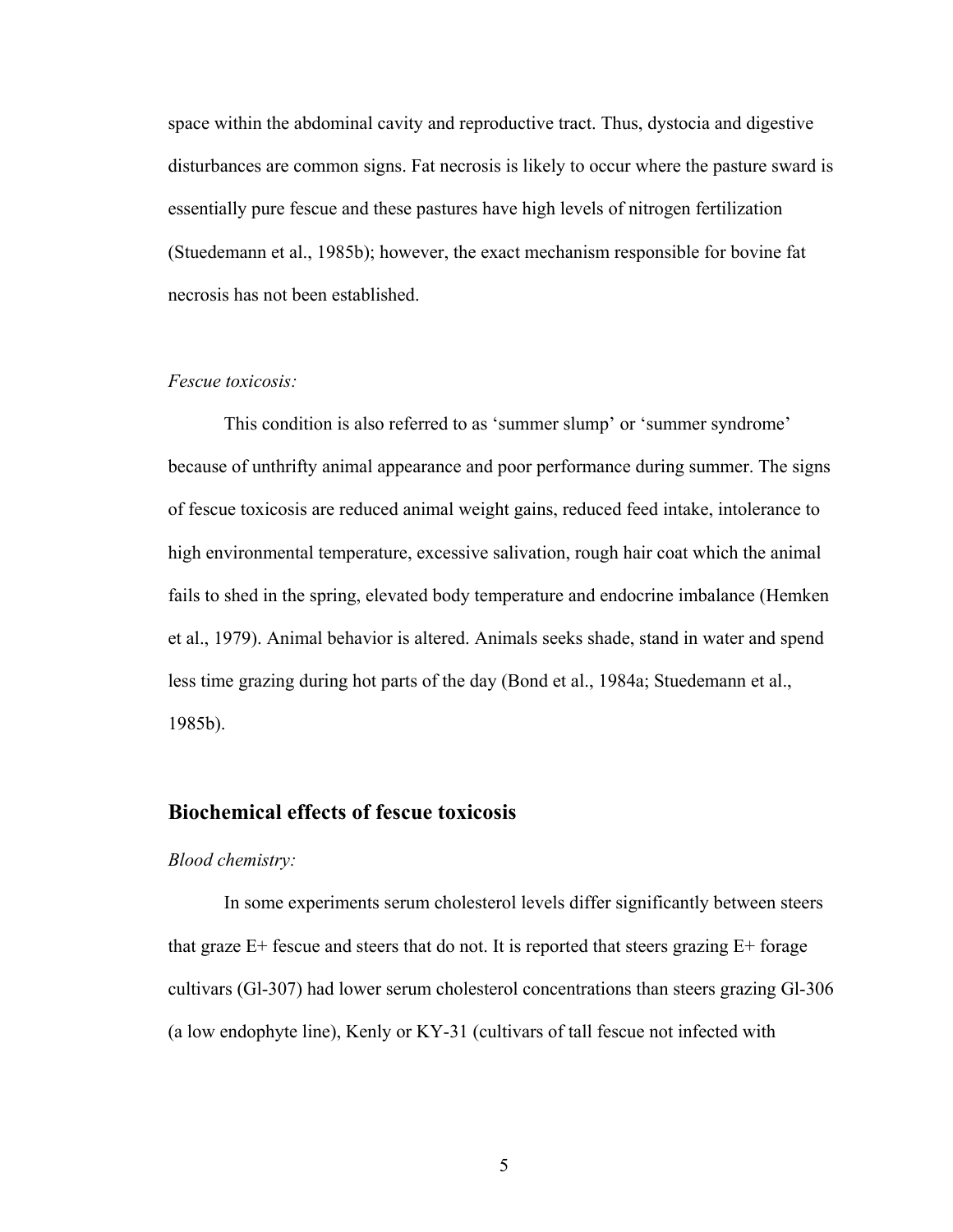space within the abdominal cavity and reproductive tract. Thus, dystocia and digestive disturbances are common signs. Fat necrosis is likely to occur where the pasture sward is essentially pure fescue and these pastures have high levels of nitrogen fertilization (Stuedemann et al., 1985b); however, the exact mechanism responsible for bovine fat necrosis has not been established.

#### *Fescue toxicosis:*

This condition is also referred to as 'summer slump' or 'summer syndrome' because of unthrifty animal appearance and poor performance during summer. The signs of fescue toxicosis are reduced animal weight gains, reduced feed intake, intolerance to high environmental temperature, excessive salivation, rough hair coat which the animal fails to shed in the spring, elevated body temperature and endocrine imbalance (Hemken et al., 1979). Animal behavior is altered. Animals seeks shade, stand in water and spend less time grazing during hot parts of the day (Bond et al., 1984a; Stuedemann et al., 1985b).

#### **Biochemical effects of fescue toxicosis**

#### *Blood chemistry:*

In some experiments serum cholesterol levels differ significantly between steers that graze  $E^+$  fescue and steers that do not. It is reported that steers grazing  $E^+$  forage cultivars (Gl-307) had lower serum cholesterol concentrations than steers grazing Gl-306 (a low endophyte line), Kenly or KY-31 (cultivars of tall fescue not infected with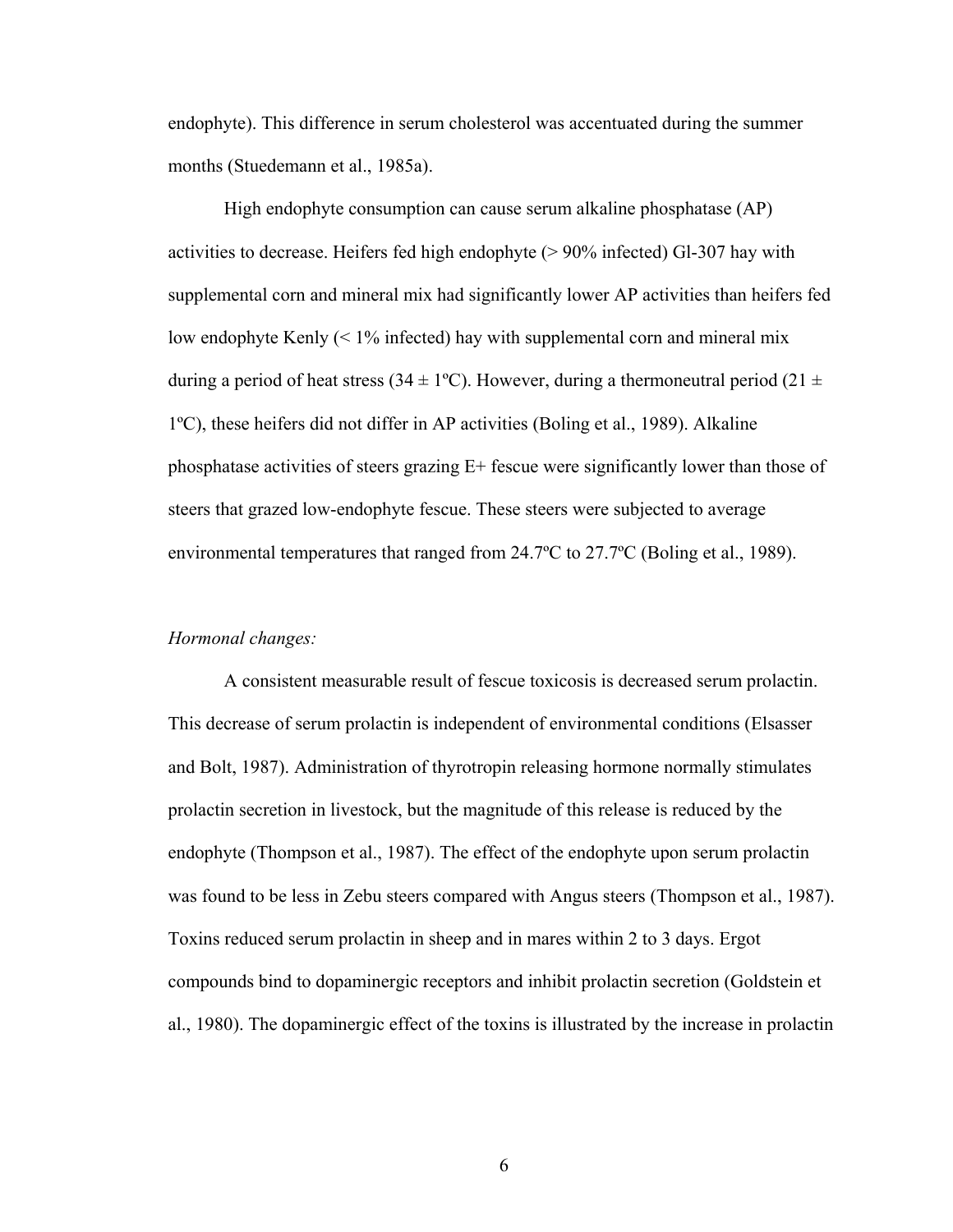endophyte). This difference in serum cholesterol was accentuated during the summer months (Stuedemann et al., 1985a).

High endophyte consumption can cause serum alkaline phosphatase (AP) activities to decrease. Heifers fed high endophyte (> 90% infected) Gl-307 hay with supplemental corn and mineral mix had significantly lower AP activities than heifers fed low endophyte Kenly (< 1% infected) hay with supplemental corn and mineral mix during a period of heat stress (34  $\pm$  1°C). However, during a thermoneutral period (21  $\pm$ 1ºC), these heifers did not differ in AP activities (Boling et al., 1989). Alkaline phosphatase activities of steers grazing E+ fescue were significantly lower than those of steers that grazed low-endophyte fescue. These steers were subjected to average environmental temperatures that ranged from 24.7ºC to 27.7ºC (Boling et al., 1989).

#### *Hormonal changes:*

A consistent measurable result of fescue toxicosis is decreased serum prolactin. This decrease of serum prolactin is independent of environmental conditions (Elsasser and Bolt, 1987). Administration of thyrotropin releasing hormone normally stimulates prolactin secretion in livestock, but the magnitude of this release is reduced by the endophyte (Thompson et al., 1987). The effect of the endophyte upon serum prolactin was found to be less in Zebu steers compared with Angus steers (Thompson et al., 1987). Toxins reduced serum prolactin in sheep and in mares within 2 to 3 days. Ergot compounds bind to dopaminergic receptors and inhibit prolactin secretion (Goldstein et al., 1980). The dopaminergic effect of the toxins is illustrated by the increase in prolactin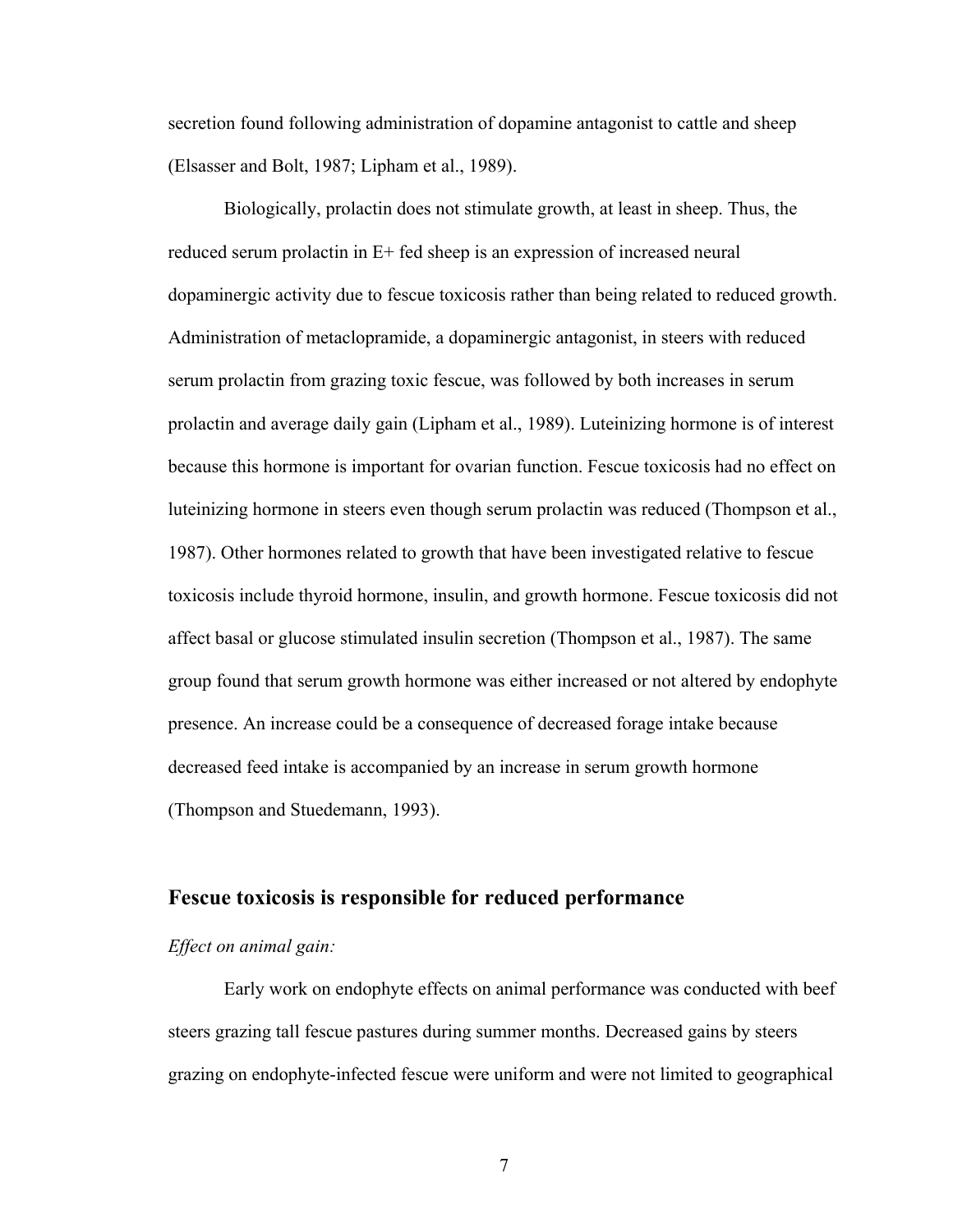secretion found following administration of dopamine antagonist to cattle and sheep (Elsasser and Bolt, 1987; Lipham et al., 1989).

Biologically, prolactin does not stimulate growth, at least in sheep. Thus, the reduced serum prolactin in E+ fed sheep is an expression of increased neural dopaminergic activity due to fescue toxicosis rather than being related to reduced growth. Administration of metaclopramide, a dopaminergic antagonist, in steers with reduced serum prolactin from grazing toxic fescue, was followed by both increases in serum prolactin and average daily gain (Lipham et al., 1989). Luteinizing hormone is of interest because this hormone is important for ovarian function. Fescue toxicosis had no effect on luteinizing hormone in steers even though serum prolactin was reduced (Thompson et al., 1987). Other hormones related to growth that have been investigated relative to fescue toxicosis include thyroid hormone, insulin, and growth hormone. Fescue toxicosis did not affect basal or glucose stimulated insulin secretion (Thompson et al., 1987). The same group found that serum growth hormone was either increased or not altered by endophyte presence. An increase could be a consequence of decreased forage intake because decreased feed intake is accompanied by an increase in serum growth hormone (Thompson and Stuedemann, 1993).

## **Fescue toxicosis is responsible for reduced performance**

#### *Effect on animal gain:*

Early work on endophyte effects on animal performance was conducted with beef steers grazing tall fescue pastures during summer months. Decreased gains by steers grazing on endophyte-infected fescue were uniform and were not limited to geographical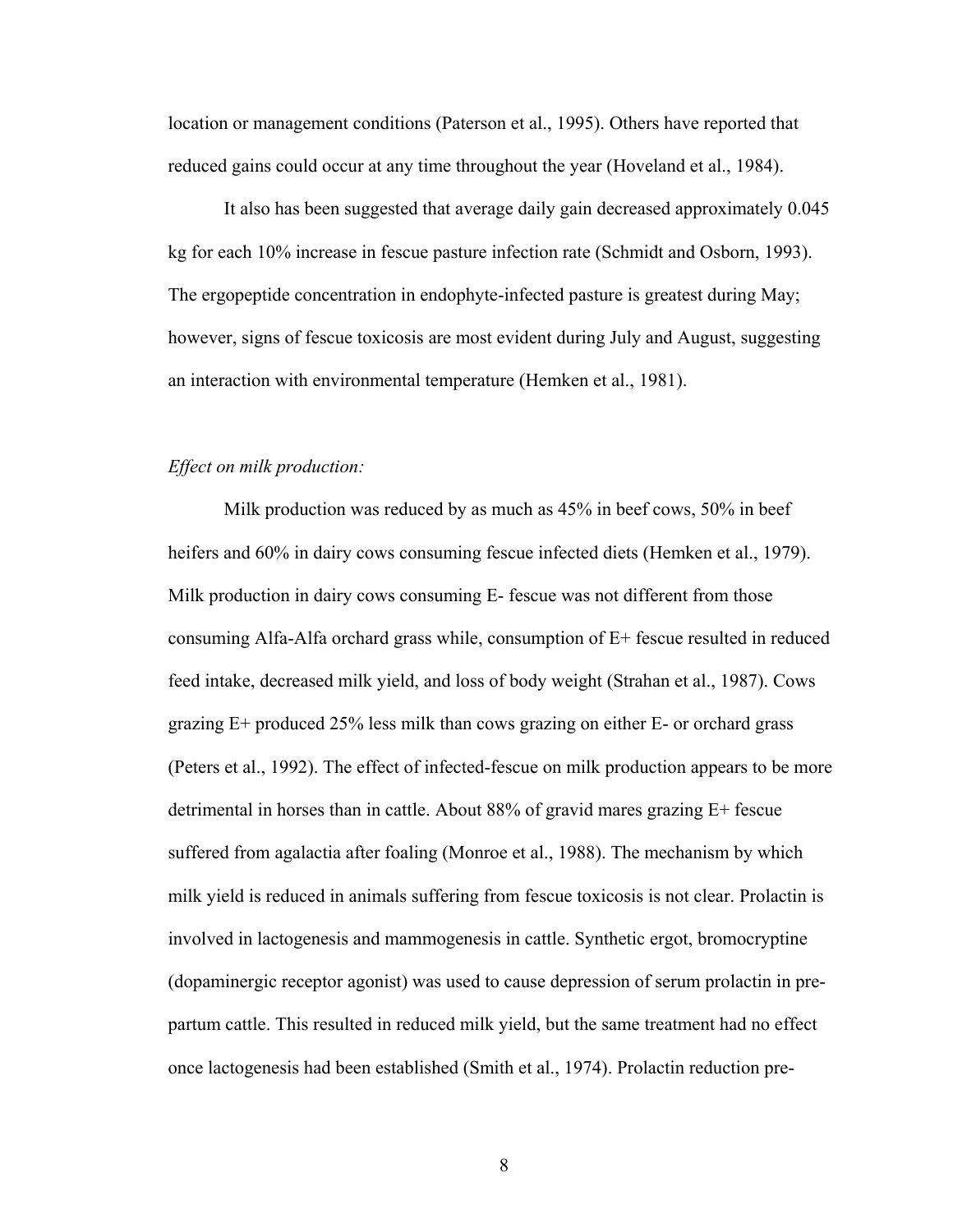location or management conditions (Paterson et al., 1995). Others have reported that reduced gains could occur at any time throughout the year (Hoveland et al., 1984).

It also has been suggested that average daily gain decreased approximately 0.045 kg for each 10% increase in fescue pasture infection rate (Schmidt and Osborn, 1993). The ergopeptide concentration in endophyte-infected pasture is greatest during May; however, signs of fescue toxicosis are most evident during July and August, suggesting an interaction with environmental temperature (Hemken et al., 1981).

#### *Effect on milk production:*

Milk production was reduced by as much as 45% in beef cows, 50% in beef heifers and 60% in dairy cows consuming fescue infected diets (Hemken et al., 1979). Milk production in dairy cows consuming E- fescue was not different from those consuming Alfa-Alfa orchard grass while, consumption of E+ fescue resulted in reduced feed intake, decreased milk yield, and loss of body weight (Strahan et al., 1987). Cows grazing E+ produced 25% less milk than cows grazing on either E- or orchard grass (Peters et al., 1992). The effect of infected-fescue on milk production appears to be more detrimental in horses than in cattle. About 88% of gravid mares grazing E+ fescue suffered from agalactia after foaling (Monroe et al., 1988). The mechanism by which milk yield is reduced in animals suffering from fescue toxicosis is not clear. Prolactin is involved in lactogenesis and mammogenesis in cattle. Synthetic ergot, bromocryptine (dopaminergic receptor agonist) was used to cause depression of serum prolactin in prepartum cattle. This resulted in reduced milk yield, but the same treatment had no effect once lactogenesis had been established (Smith et al., 1974). Prolactin reduction pre-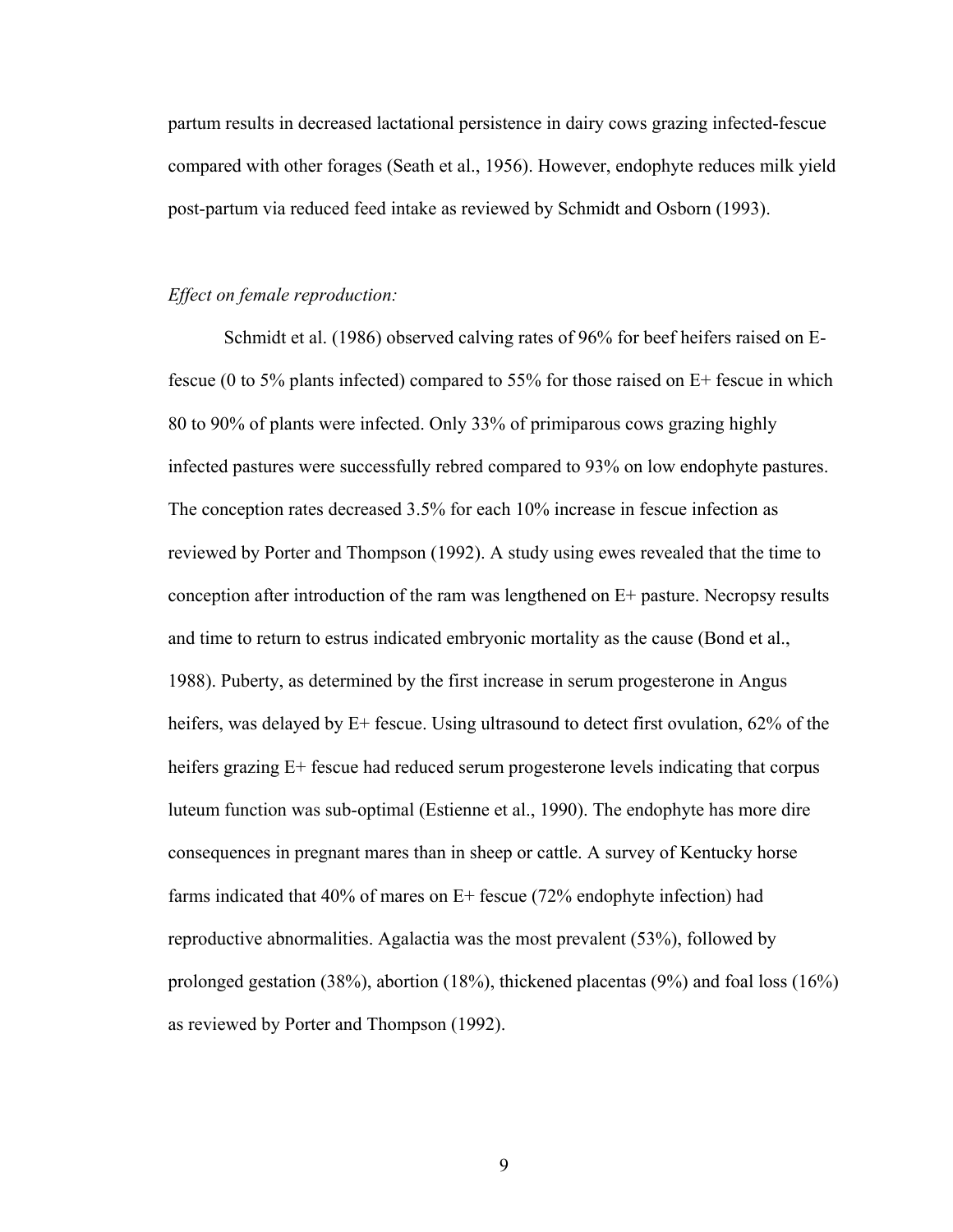partum results in decreased lactational persistence in dairy cows grazing infected-fescue compared with other forages (Seath et al., 1956). However, endophyte reduces milk yield post-partum via reduced feed intake as reviewed by Schmidt and Osborn (1993).

#### *Effect on female reproduction:*

Schmidt et al. (1986) observed calving rates of 96% for beef heifers raised on Efescue (0 to 5% plants infected) compared to 55% for those raised on E+ fescue in which 80 to 90% of plants were infected. Only 33% of primiparous cows grazing highly infected pastures were successfully rebred compared to 93% on low endophyte pastures. The conception rates decreased 3.5% for each 10% increase in fescue infection as reviewed by Porter and Thompson (1992). A study using ewes revealed that the time to conception after introduction of the ram was lengthened on E+ pasture. Necropsy results and time to return to estrus indicated embryonic mortality as the cause (Bond et al., 1988). Puberty, as determined by the first increase in serum progesterone in Angus heifers, was delayed by E+ fescue. Using ultrasound to detect first ovulation, 62% of the heifers grazing E+ fescue had reduced serum progesterone levels indicating that corpus luteum function was sub-optimal (Estienne et al., 1990). The endophyte has more dire consequences in pregnant mares than in sheep or cattle. A survey of Kentucky horse farms indicated that 40% of mares on E+ fescue (72% endophyte infection) had reproductive abnormalities. Agalactia was the most prevalent (53%), followed by prolonged gestation (38%), abortion (18%), thickened placentas (9%) and foal loss (16%) as reviewed by Porter and Thompson (1992).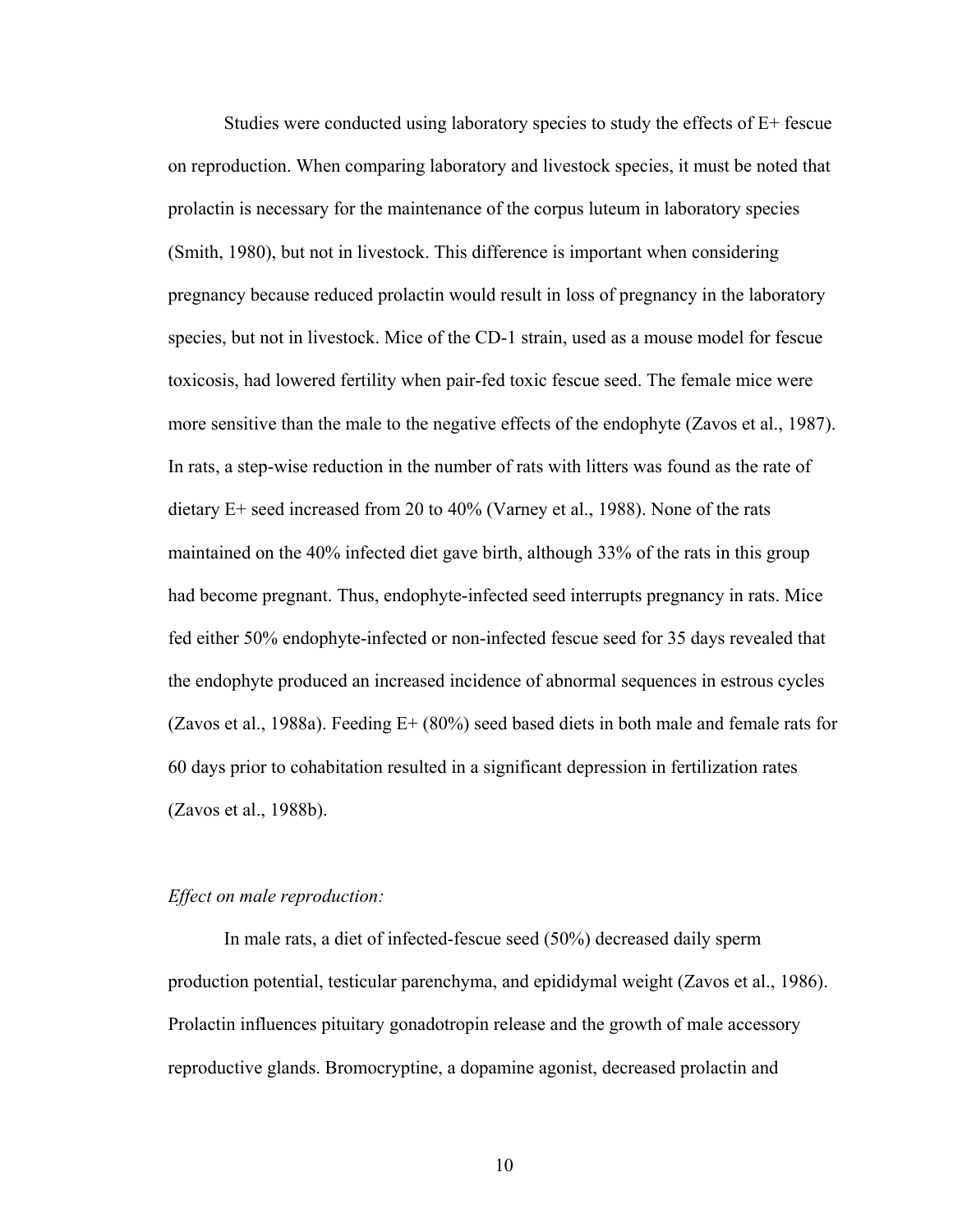Studies were conducted using laboratory species to study the effects of  $E+$  fescue on reproduction. When comparing laboratory and livestock species, it must be noted that prolactin is necessary for the maintenance of the corpus luteum in laboratory species (Smith, 1980), but not in livestock. This difference is important when considering pregnancy because reduced prolactin would result in loss of pregnancy in the laboratory species, but not in livestock. Mice of the CD-1 strain, used as a mouse model for fescue toxicosis, had lowered fertility when pair-fed toxic fescue seed. The female mice were more sensitive than the male to the negative effects of the endophyte (Zavos et al., 1987). In rats, a step-wise reduction in the number of rats with litters was found as the rate of dietary E+ seed increased from 20 to 40% (Varney et al., 1988). None of the rats maintained on the 40% infected diet gave birth, although 33% of the rats in this group had become pregnant. Thus, endophyte-infected seed interrupts pregnancy in rats. Mice fed either 50% endophyte-infected or non-infected fescue seed for 35 days revealed that the endophyte produced an increased incidence of abnormal sequences in estrous cycles (Zavos et al., 1988a). Feeding E+ (80%) seed based diets in both male and female rats for 60 days prior to cohabitation resulted in a significant depression in fertilization rates (Zavos et al., 1988b).

#### *Effect on male reproduction:*

In male rats, a diet of infected-fescue seed (50%) decreased daily sperm production potential, testicular parenchyma, and epididymal weight (Zavos et al., 1986). Prolactin influences pituitary gonadotropin release and the growth of male accessory reproductive glands. Bromocryptine, a dopamine agonist, decreased prolactin and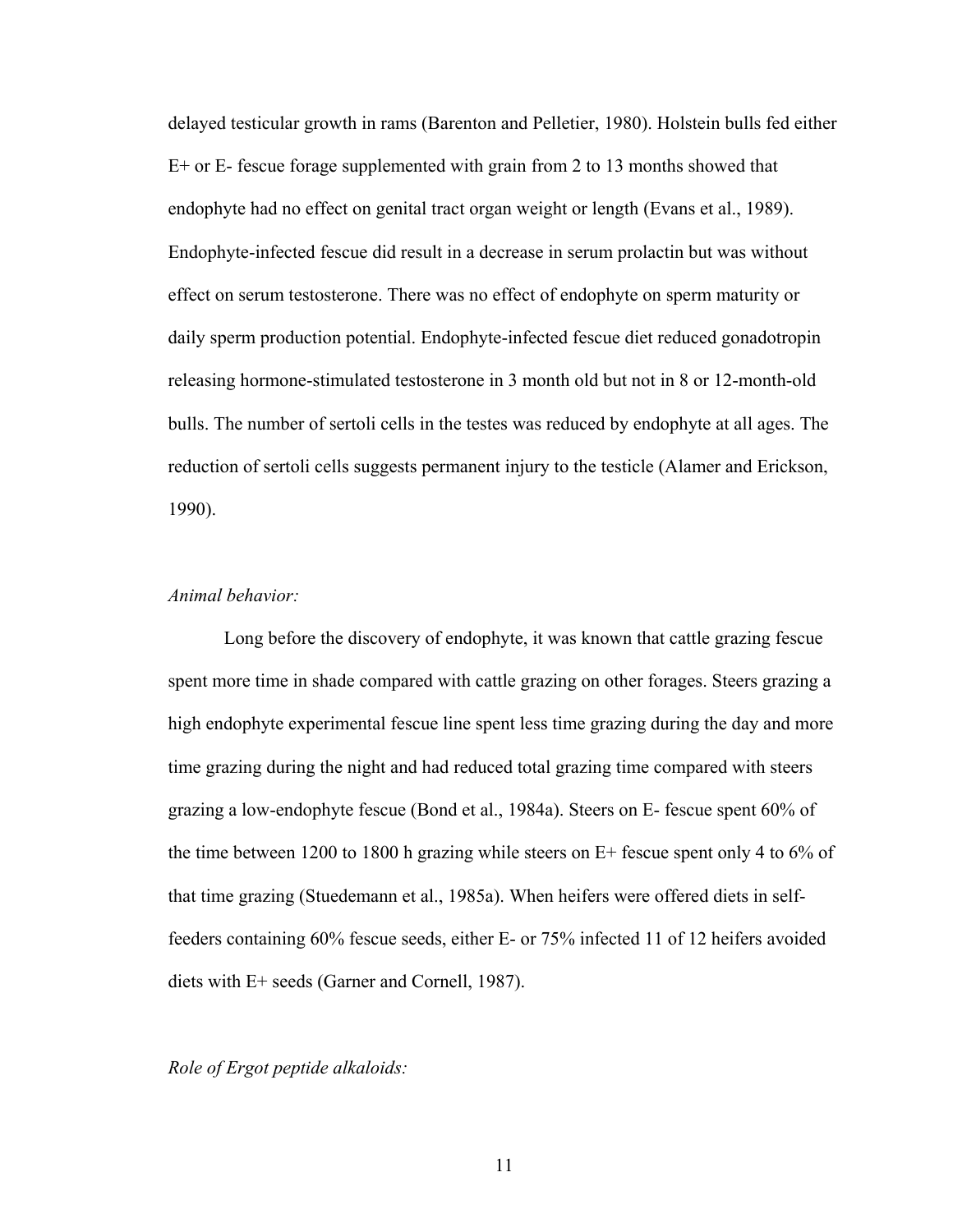delayed testicular growth in rams (Barenton and Pelletier, 1980). Holstein bulls fed either E+ or E- fescue forage supplemented with grain from 2 to 13 months showed that endophyte had no effect on genital tract organ weight or length (Evans et al., 1989). Endophyte-infected fescue did result in a decrease in serum prolactin but was without effect on serum testosterone. There was no effect of endophyte on sperm maturity or daily sperm production potential. Endophyte-infected fescue diet reduced gonadotropin releasing hormone-stimulated testosterone in 3 month old but not in 8 or 12-month-old bulls. The number of sertoli cells in the testes was reduced by endophyte at all ages. The reduction of sertoli cells suggests permanent injury to the testicle (Alamer and Erickson, 1990).

#### *Animal behavior:*

Long before the discovery of endophyte, it was known that cattle grazing fescue spent more time in shade compared with cattle grazing on other forages. Steers grazing a high endophyte experimental fescue line spent less time grazing during the day and more time grazing during the night and had reduced total grazing time compared with steers grazing a low-endophyte fescue (Bond et al., 1984a). Steers on E- fescue spent 60% of the time between 1200 to 1800 h grazing while steers on E+ fescue spent only 4 to 6% of that time grazing (Stuedemann et al., 1985a). When heifers were offered diets in selffeeders containing 60% fescue seeds, either E- or 75% infected 11 of 12 heifers avoided diets with E+ seeds (Garner and Cornell, 1987).

#### *Role of Ergot peptide alkaloids:*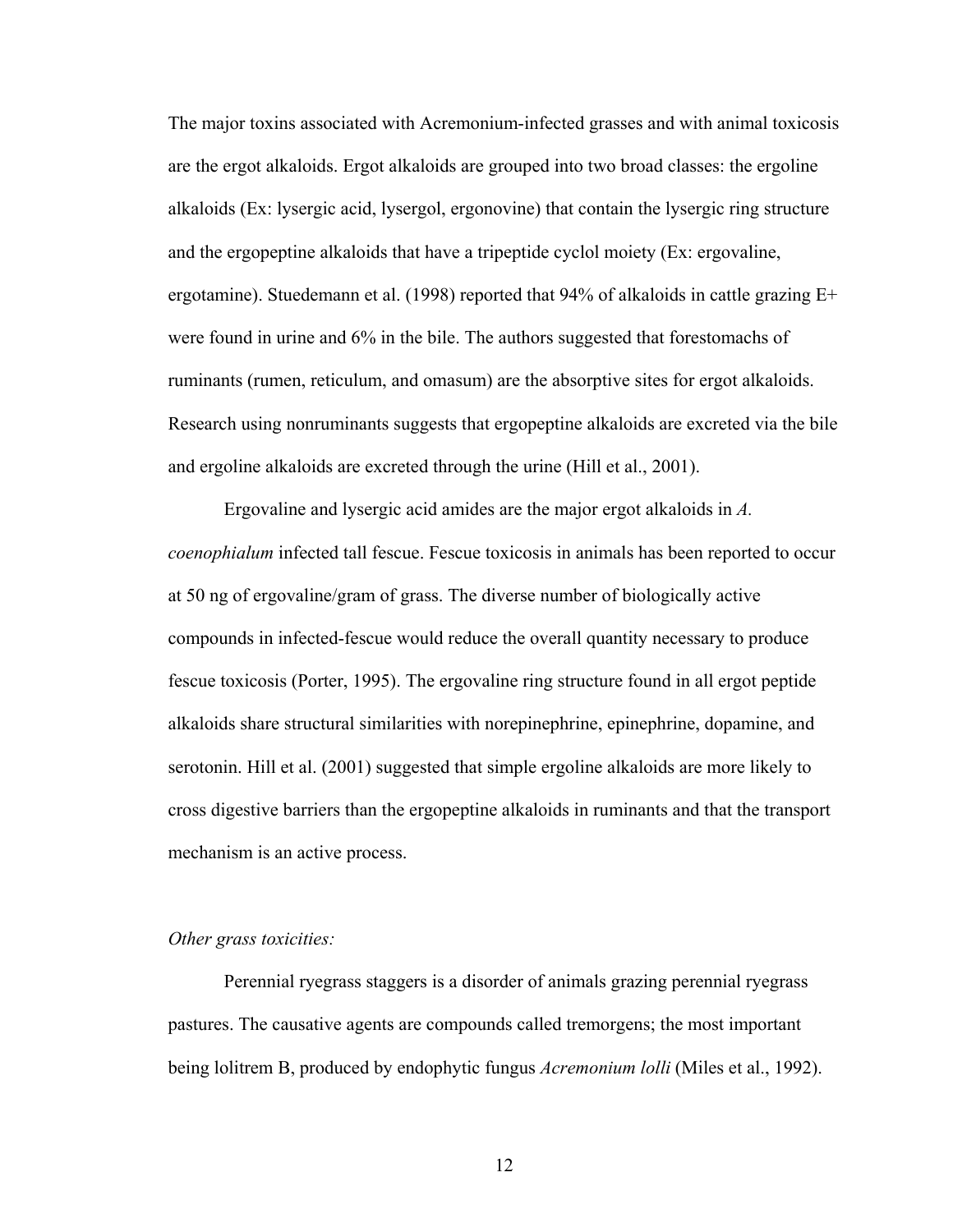The major toxins associated with Acremonium-infected grasses and with animal toxicosis are the ergot alkaloids. Ergot alkaloids are grouped into two broad classes: the ergoline alkaloids (Ex: lysergic acid, lysergol, ergonovine) that contain the lysergic ring structure and the ergopeptine alkaloids that have a tripeptide cyclol moiety (Ex: ergovaline, ergotamine). Stuedemann et al. (1998) reported that 94% of alkaloids in cattle grazing E+ were found in urine and 6% in the bile. The authors suggested that forestomachs of ruminants (rumen, reticulum, and omasum) are the absorptive sites for ergot alkaloids. Research using nonruminants suggests that ergopeptine alkaloids are excreted via the bile and ergoline alkaloids are excreted through the urine (Hill et al., 2001).

Ergovaline and lysergic acid amides are the major ergot alkaloids in *A. coenophialum* infected tall fescue. Fescue toxicosis in animals has been reported to occur at 50 ng of ergovaline/gram of grass. The diverse number of biologically active compounds in infected-fescue would reduce the overall quantity necessary to produce fescue toxicosis (Porter, 1995). The ergovaline ring structure found in all ergot peptide alkaloids share structural similarities with norepinephrine, epinephrine, dopamine, and serotonin. Hill et al. (2001) suggested that simple ergoline alkaloids are more likely to cross digestive barriers than the ergopeptine alkaloids in ruminants and that the transport mechanism is an active process.

#### *Other grass toxicities:*

Perennial ryegrass staggers is a disorder of animals grazing perennial ryegrass pastures. The causative agents are compounds called tremorgens; the most important being lolitrem B, produced by endophytic fungus *Acremonium lolli* (Miles et al., 1992).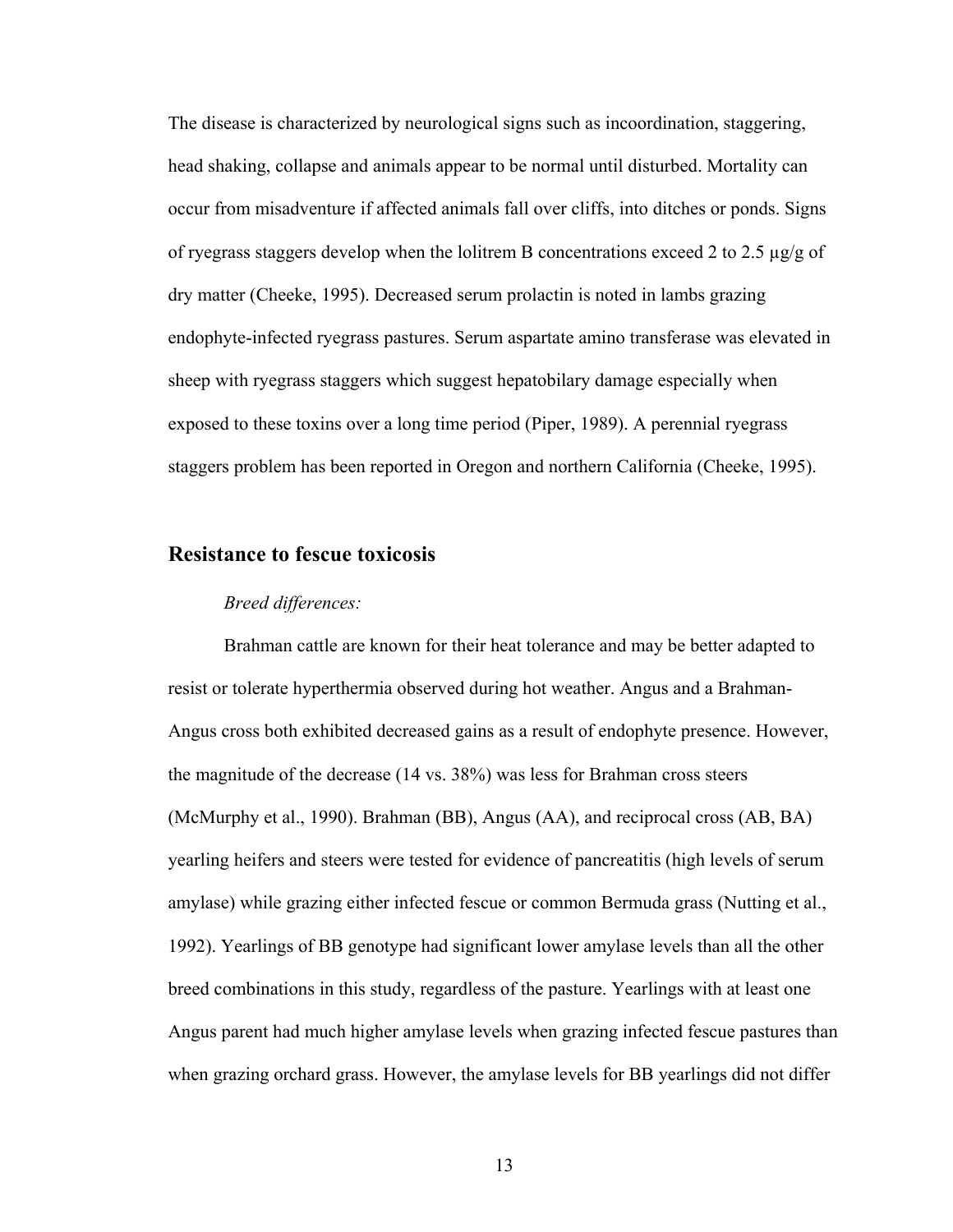The disease is characterized by neurological signs such as incoordination, staggering, head shaking, collapse and animals appear to be normal until disturbed. Mortality can occur from misadventure if affected animals fall over cliffs, into ditches or ponds. Signs of ryegrass staggers develop when the lolitrem B concentrations exceed 2 to 2.5 µg/g of dry matter (Cheeke, 1995). Decreased serum prolactin is noted in lambs grazing endophyte-infected ryegrass pastures. Serum aspartate amino transferase was elevated in sheep with ryegrass staggers which suggest hepatobilary damage especially when exposed to these toxins over a long time period (Piper, 1989). A perennial ryegrass staggers problem has been reported in Oregon and northern California (Cheeke, 1995).

#### **Resistance to fescue toxicosis**

#### *Breed differences:*

Brahman cattle are known for their heat tolerance and may be better adapted to resist or tolerate hyperthermia observed during hot weather. Angus and a Brahman-Angus cross both exhibited decreased gains as a result of endophyte presence. However, the magnitude of the decrease (14 vs. 38%) was less for Brahman cross steers (McMurphy et al., 1990). Brahman (BB), Angus (AA), and reciprocal cross (AB, BA) yearling heifers and steers were tested for evidence of pancreatitis (high levels of serum amylase) while grazing either infected fescue or common Bermuda grass (Nutting et al., 1992). Yearlings of BB genotype had significant lower amylase levels than all the other breed combinations in this study, regardless of the pasture. Yearlings with at least one Angus parent had much higher amylase levels when grazing infected fescue pastures than when grazing orchard grass. However, the amylase levels for BB yearlings did not differ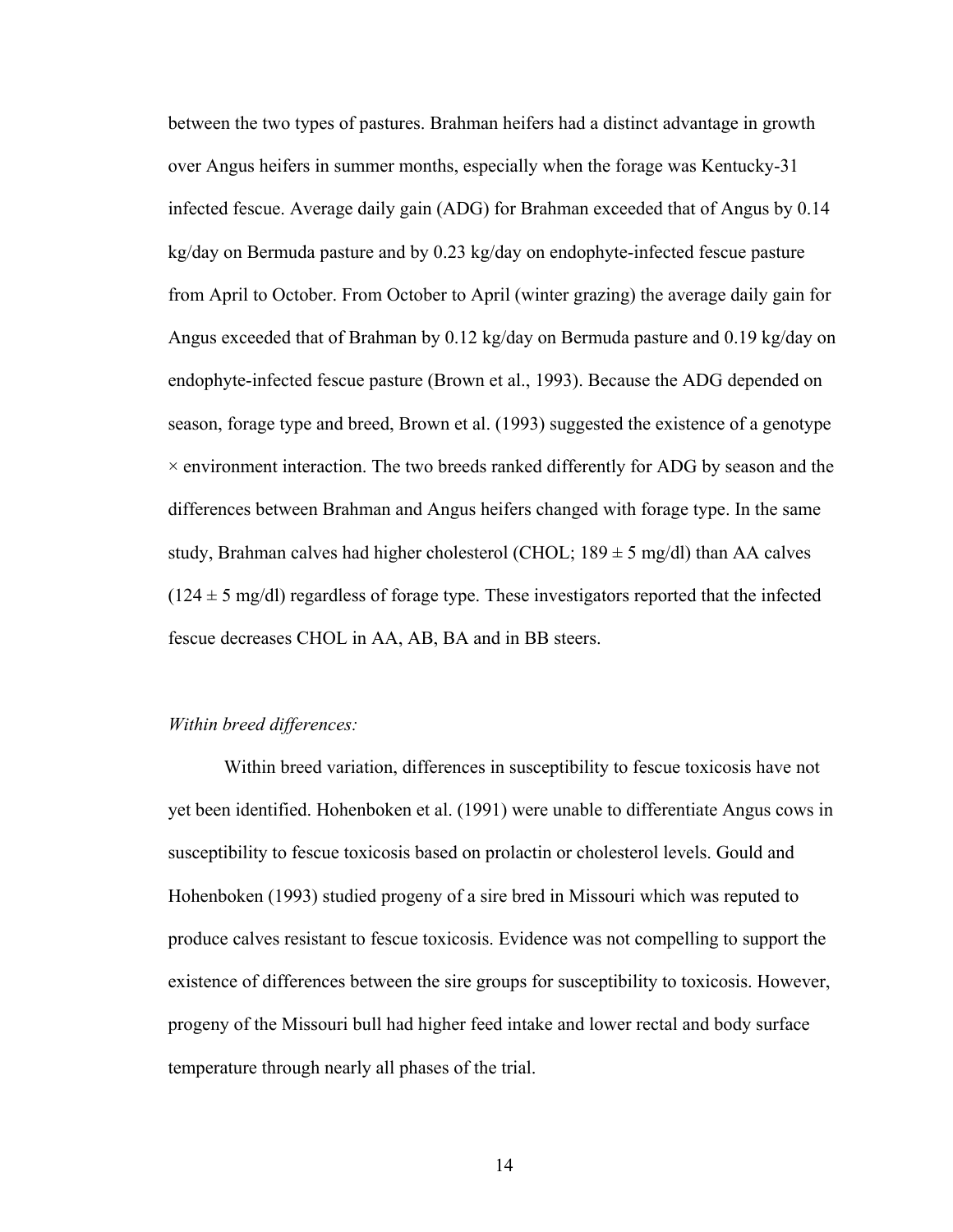between the two types of pastures. Brahman heifers had a distinct advantage in growth over Angus heifers in summer months, especially when the forage was Kentucky-31 infected fescue. Average daily gain (ADG) for Brahman exceeded that of Angus by 0.14 kg/day on Bermuda pasture and by 0.23 kg/day on endophyte-infected fescue pasture from April to October. From October to April (winter grazing) the average daily gain for Angus exceeded that of Brahman by 0.12 kg/day on Bermuda pasture and 0.19 kg/day on endophyte-infected fescue pasture (Brown et al., 1993). Because the ADG depended on season, forage type and breed, Brown et al. (1993) suggested the existence of a genotype  $\times$  environment interaction. The two breeds ranked differently for ADG by season and the differences between Brahman and Angus heifers changed with forage type. In the same study, Brahman calves had higher cholesterol (CHOL;  $189 \pm 5$  mg/dl) than AA calves  $(124 \pm 5 \text{ mg/d})$  regardless of forage type. These investigators reported that the infected fescue decreases CHOL in AA, AB, BA and in BB steers.

#### *Within breed differences:*

Within breed variation, differences in susceptibility to fescue toxicosis have not yet been identified. Hohenboken et al. (1991) were unable to differentiate Angus cows in susceptibility to fescue toxicosis based on prolactin or cholesterol levels. Gould and Hohenboken (1993) studied progeny of a sire bred in Missouri which was reputed to produce calves resistant to fescue toxicosis. Evidence was not compelling to support the existence of differences between the sire groups for susceptibility to toxicosis. However, progeny of the Missouri bull had higher feed intake and lower rectal and body surface temperature through nearly all phases of the trial.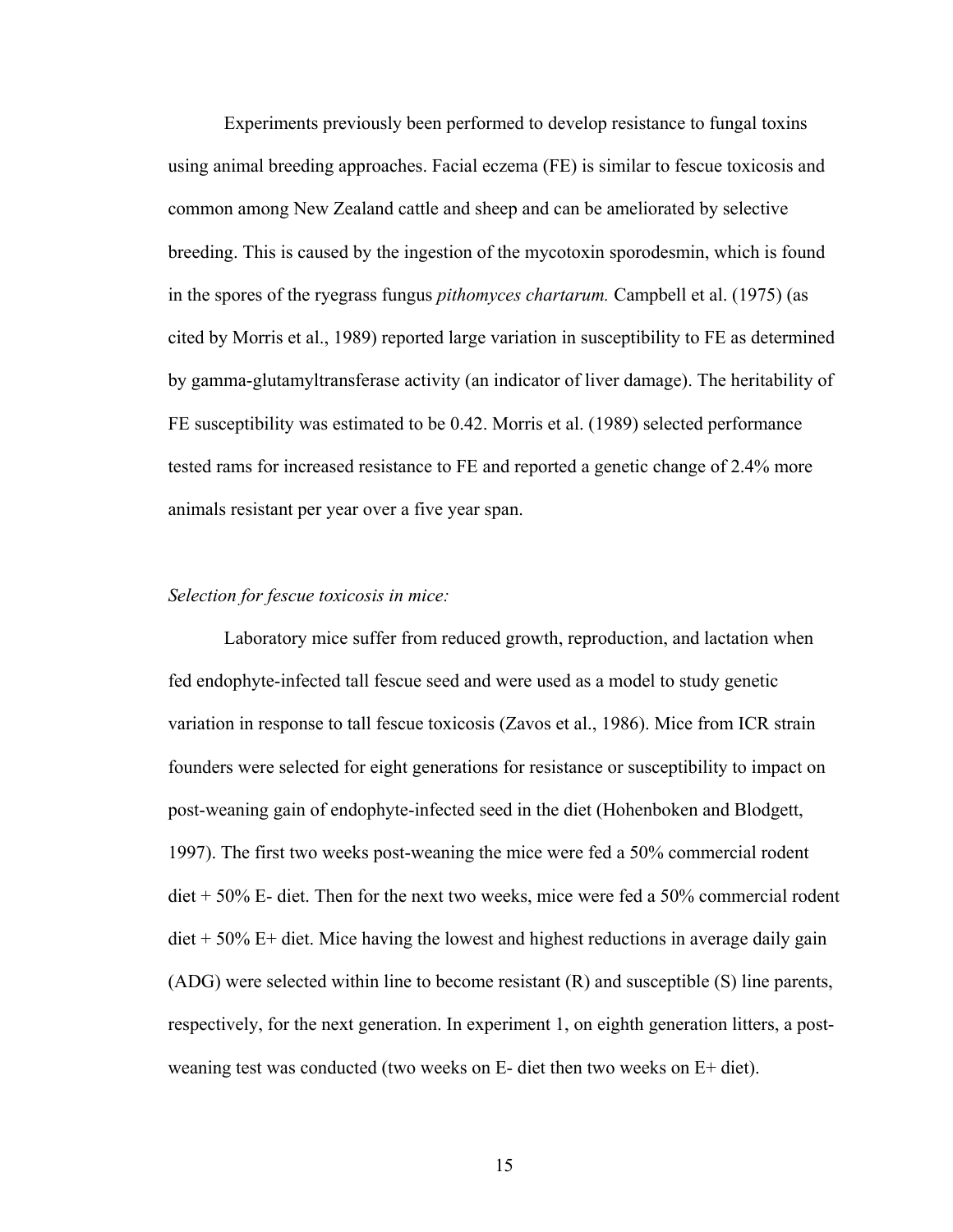Experiments previously been performed to develop resistance to fungal toxins using animal breeding approaches. Facial eczema (FE) is similar to fescue toxicosis and common among New Zealand cattle and sheep and can be ameliorated by selective breeding. This is caused by the ingestion of the mycotoxin sporodesmin, which is found in the spores of the ryegrass fungus *pithomyces chartarum.* Campbell et al. (1975) (as cited by Morris et al., 1989) reported large variation in susceptibility to FE as determined by gamma-glutamyltransferase activity (an indicator of liver damage). The heritability of FE susceptibility was estimated to be 0.42. Morris et al. (1989) selected performance tested rams for increased resistance to FE and reported a genetic change of 2.4% more animals resistant per year over a five year span.

#### *Selection for fescue toxicosis in mice:*

Laboratory mice suffer from reduced growth, reproduction, and lactation when fed endophyte-infected tall fescue seed and were used as a model to study genetic variation in response to tall fescue toxicosis (Zavos et al., 1986). Mice from ICR strain founders were selected for eight generations for resistance or susceptibility to impact on post-weaning gain of endophyte-infected seed in the diet (Hohenboken and Blodgett, 1997). The first two weeks post-weaning the mice were fed a 50% commercial rodent diet + 50% E- diet. Then for the next two weeks, mice were fed a 50% commercial rodent  $\text{det} + 50\%$  E+ diet. Mice having the lowest and highest reductions in average daily gain (ADG) were selected within line to become resistant (R) and susceptible (S) line parents, respectively, for the next generation. In experiment 1, on eighth generation litters, a postweaning test was conducted (two weeks on E- diet then two weeks on E+ diet).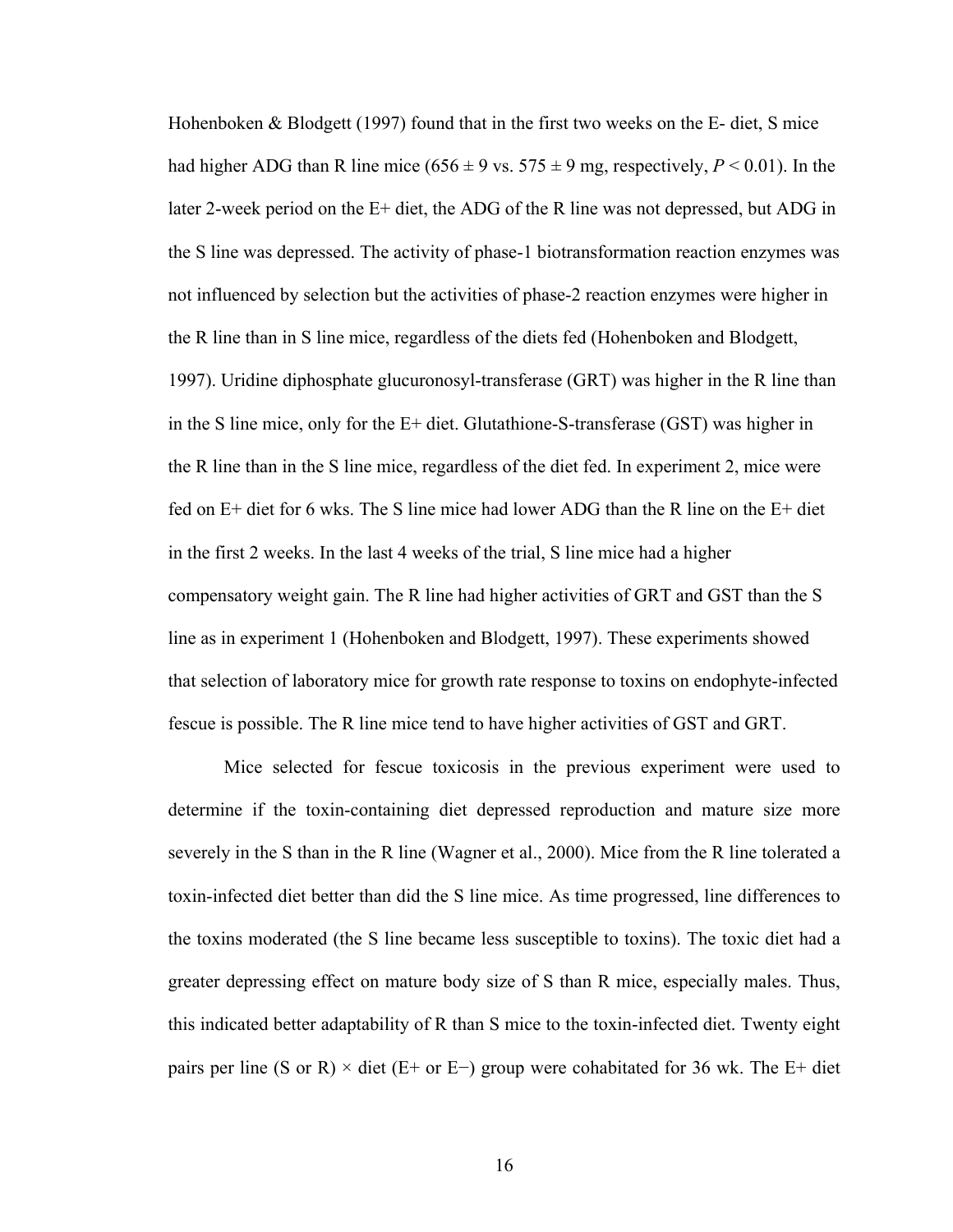Hohenboken & Blodgett (1997) found that in the first two weeks on the E- diet, S mice had higher ADG than R line mice  $(656 \pm 9 \text{ vs. } 575 \pm 9 \text{ mg, respectively}, P < 0.01)$ . In the later 2-week period on the E+ diet, the ADG of the R line was not depressed, but ADG in the S line was depressed. The activity of phase-1 biotransformation reaction enzymes was not influenced by selection but the activities of phase-2 reaction enzymes were higher in the R line than in S line mice, regardless of the diets fed (Hohenboken and Blodgett, 1997). Uridine diphosphate glucuronosyl-transferase (GRT) was higher in the R line than in the S line mice, only for the E+ diet. Glutathione-S-transferase (GST) was higher in the R line than in the S line mice, regardless of the diet fed. In experiment 2, mice were fed on E+ diet for 6 wks. The S line mice had lower ADG than the R line on the E+ diet in the first 2 weeks. In the last 4 weeks of the trial, S line mice had a higher compensatory weight gain. The R line had higher activities of GRT and GST than the S line as in experiment 1 (Hohenboken and Blodgett, 1997). These experiments showed that selection of laboratory mice for growth rate response to toxins on endophyte-infected fescue is possible. The R line mice tend to have higher activities of GST and GRT.

Mice selected for fescue toxicosis in the previous experiment were used to determine if the toxin-containing diet depressed reproduction and mature size more severely in the S than in the R line (Wagner et al., 2000). Mice from the R line tolerated a toxin-infected diet better than did the S line mice. As time progressed, line differences to the toxins moderated (the S line became less susceptible to toxins). The toxic diet had a greater depressing effect on mature body size of S than R mice, especially males. Thus, this indicated better adaptability of R than S mice to the toxin-infected diet. Twenty eight pairs per line (S or R)  $\times$  diet (E+ or E−) group were cohabitated for 36 wk. The E+ diet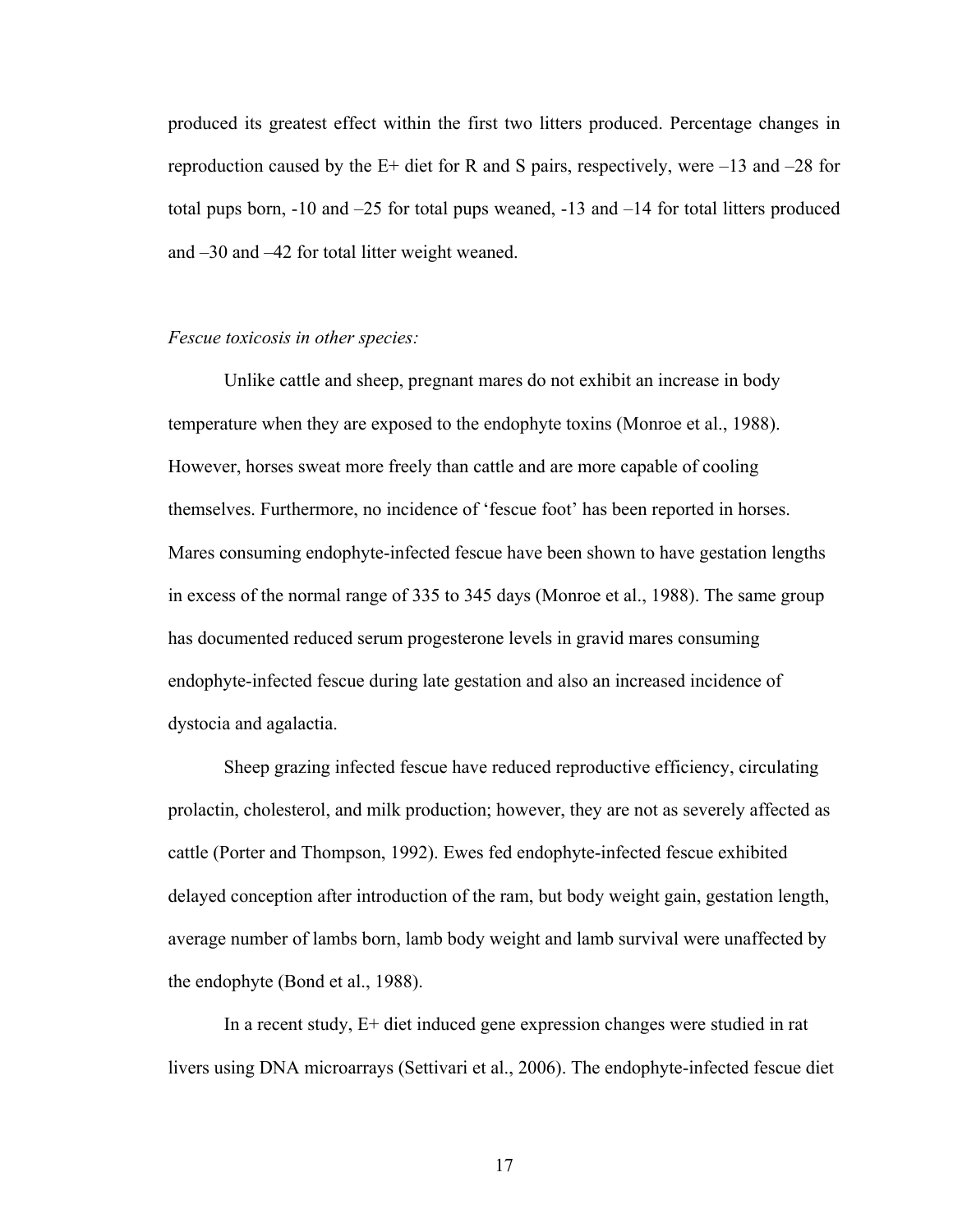produced its greatest effect within the first two litters produced. Percentage changes in reproduction caused by the  $E+$  diet for R and S pairs, respectively, were  $-13$  and  $-28$  for total pups born, -10 and –25 for total pups weaned, -13 and –14 for total litters produced and –30 and –42 for total litter weight weaned.

#### *Fescue toxicosis in other species:*

Unlike cattle and sheep, pregnant mares do not exhibit an increase in body temperature when they are exposed to the endophyte toxins (Monroe et al., 1988). However, horses sweat more freely than cattle and are more capable of cooling themselves. Furthermore, no incidence of 'fescue foot' has been reported in horses. Mares consuming endophyte-infected fescue have been shown to have gestation lengths in excess of the normal range of 335 to 345 days (Monroe et al., 1988). The same group has documented reduced serum progesterone levels in gravid mares consuming endophyte-infected fescue during late gestation and also an increased incidence of dystocia and agalactia.

Sheep grazing infected fescue have reduced reproductive efficiency, circulating prolactin, cholesterol, and milk production; however, they are not as severely affected as cattle (Porter and Thompson, 1992). Ewes fed endophyte-infected fescue exhibited delayed conception after introduction of the ram, but body weight gain, gestation length, average number of lambs born, lamb body weight and lamb survival were unaffected by the endophyte (Bond et al., 1988).

In a recent study, E+ diet induced gene expression changes were studied in rat livers using DNA microarrays (Settivari et al., 2006). The endophyte-infected fescue diet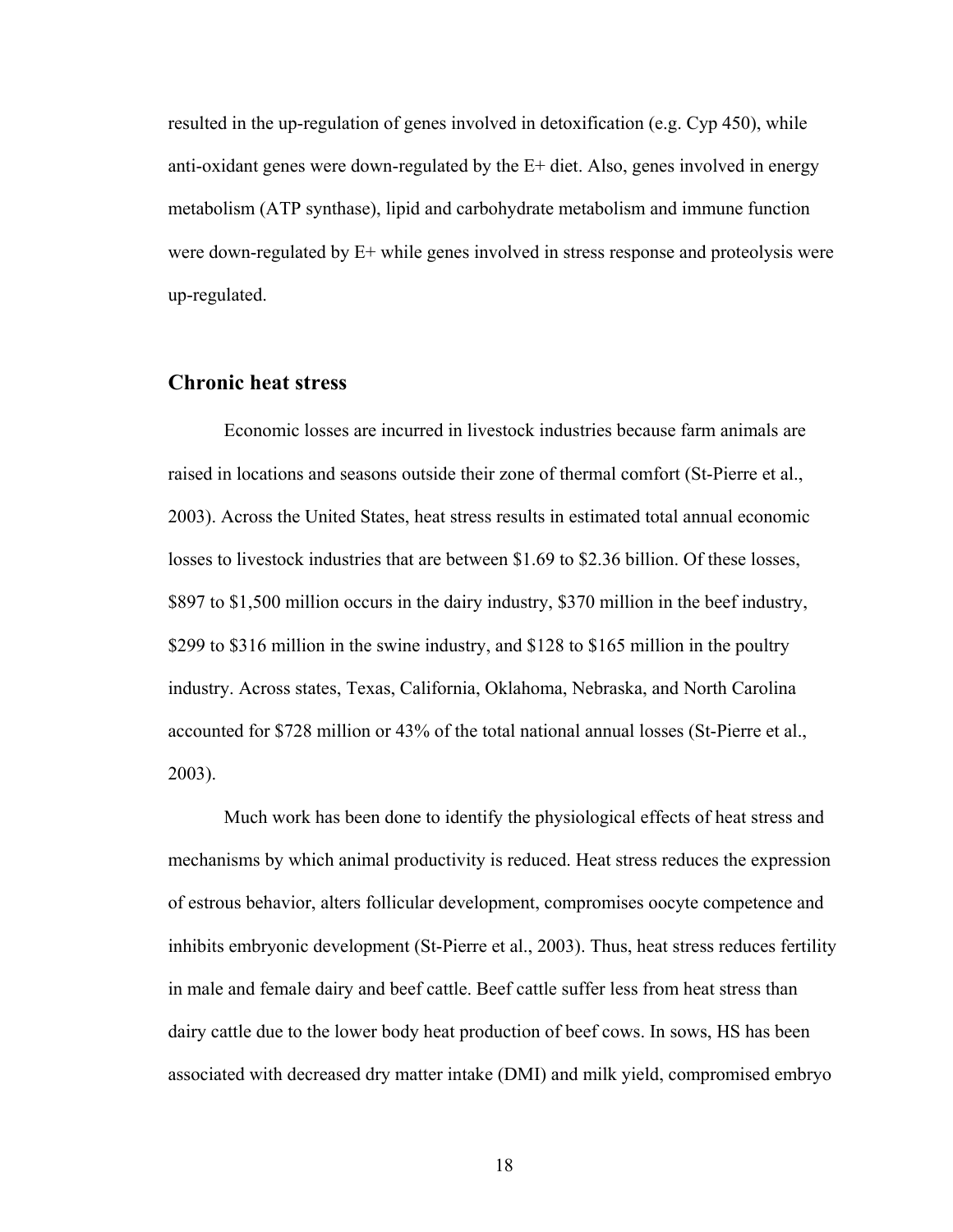resulted in the up-regulation of genes involved in detoxification (e.g. Cyp 450), while anti-oxidant genes were down-regulated by the E+ diet. Also, genes involved in energy metabolism (ATP synthase), lipid and carbohydrate metabolism and immune function were down-regulated by E+ while genes involved in stress response and proteolysis were up-regulated.

### **Chronic heat stress**

Economic losses are incurred in livestock industries because farm animals are raised in locations and seasons outside their zone of thermal comfort (St-Pierre et al., 2003). Across the United States, heat stress results in estimated total annual economic losses to livestock industries that are between \$1.69 to \$2.36 billion. Of these losses, \$897 to \$1,500 million occurs in the dairy industry, \$370 million in the beef industry, \$299 to \$316 million in the swine industry, and \$128 to \$165 million in the poultry industry. Across states, Texas, California, Oklahoma, Nebraska, and North Carolina accounted for \$728 million or 43% of the total national annual losses (St-Pierre et al., 2003).

Much work has been done to identify the physiological effects of heat stress and mechanisms by which animal productivity is reduced. Heat stress reduces the expression of estrous behavior, alters follicular development, compromises oocyte competence and inhibits embryonic development (St-Pierre et al., 2003). Thus, heat stress reduces fertility in male and female dairy and beef cattle. Beef cattle suffer less from heat stress than dairy cattle due to the lower body heat production of beef cows. In sows, HS has been associated with decreased dry matter intake (DMI) and milk yield, compromised embryo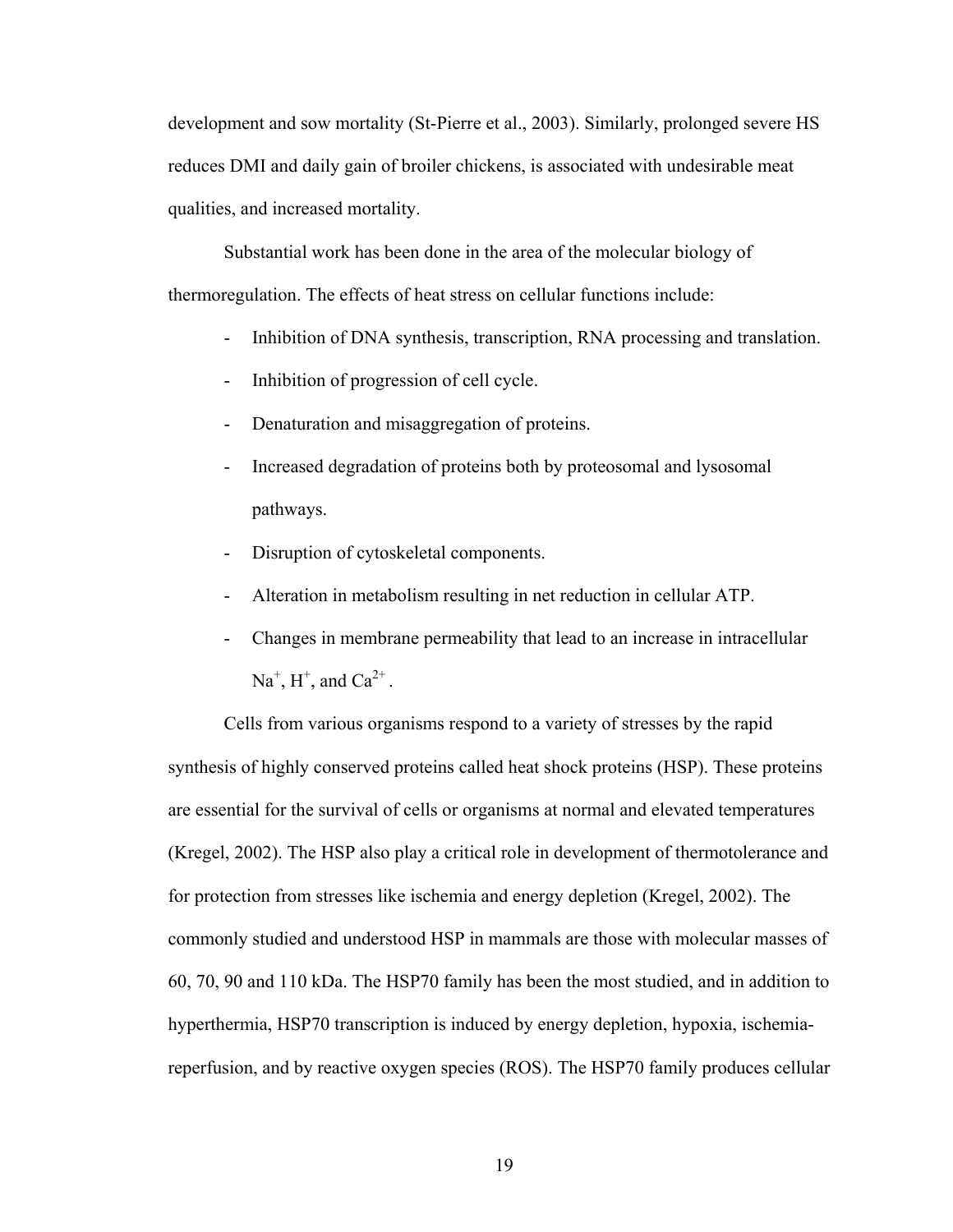development and sow mortality (St-Pierre et al., 2003). Similarly, prolonged severe HS reduces DMI and daily gain of broiler chickens, is associated with undesirable meat qualities, and increased mortality.

Substantial work has been done in the area of the molecular biology of thermoregulation. The effects of heat stress on cellular functions include:

- Inhibition of DNA synthesis, transcription, RNA processing and translation.
- Inhibition of progression of cell cycle.
- Denaturation and misaggregation of proteins.
- Increased degradation of proteins both by proteosomal and lysosomal pathways.
- Disruption of cytoskeletal components.
- Alteration in metabolism resulting in net reduction in cellular ATP.
- Changes in membrane permeability that lead to an increase in intracellular  $\text{Na}^+$ ,  $\text{H}^+$ , and  $\text{Ca}^{2+}$ .

Cells from various organisms respond to a variety of stresses by the rapid synthesis of highly conserved proteins called heat shock proteins (HSP). These proteins are essential for the survival of cells or organisms at normal and elevated temperatures (Kregel, 2002). The HSP also play a critical role in development of thermotolerance and for protection from stresses like ischemia and energy depletion (Kregel, 2002). The commonly studied and understood HSP in mammals are those with molecular masses of 60, 70, 90 and 110 kDa. The HSP70 family has been the most studied, and in addition to hyperthermia, HSP70 transcription is induced by energy depletion, hypoxia, ischemiareperfusion, and by reactive oxygen species (ROS). The HSP70 family produces cellular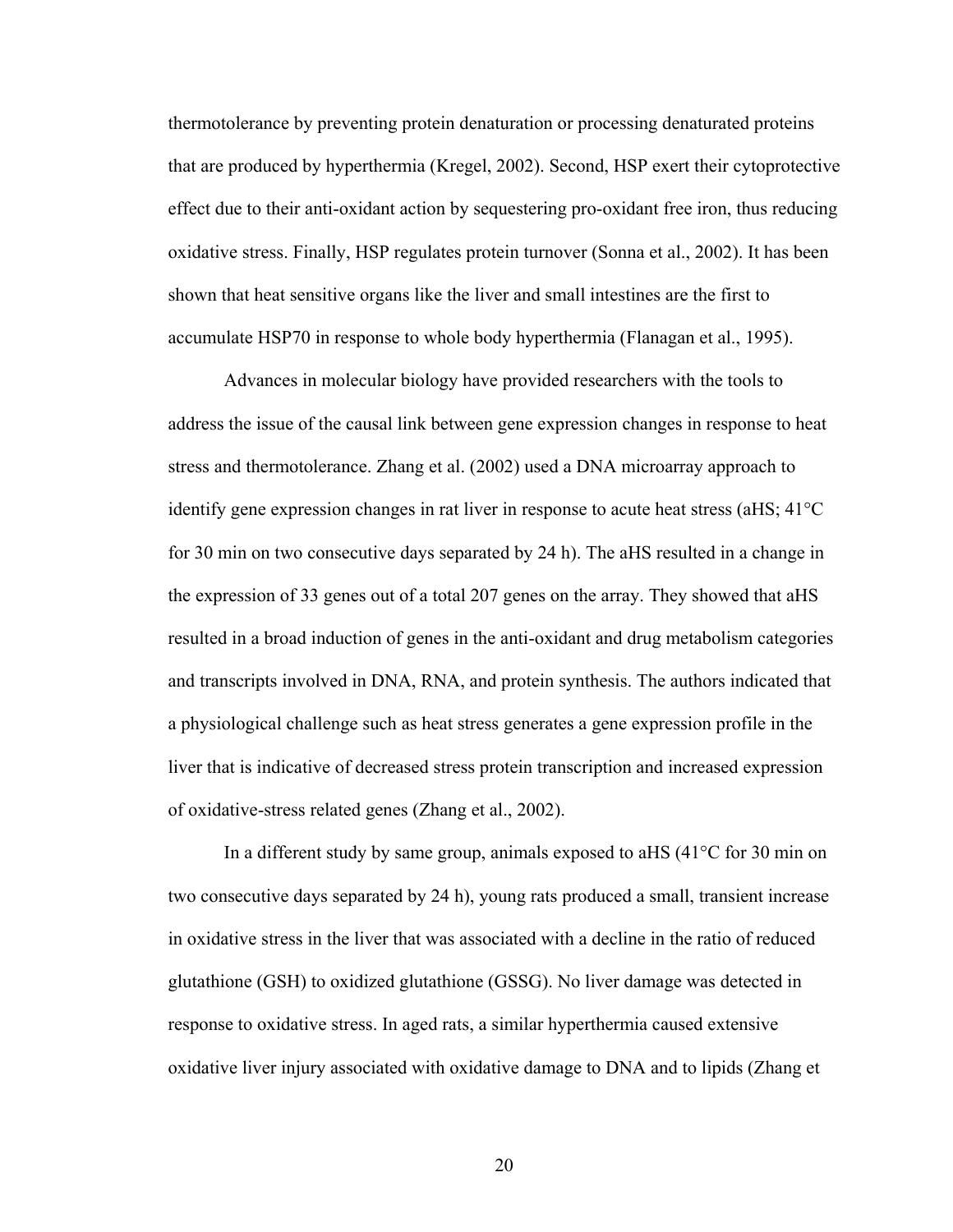thermotolerance by preventing protein denaturation or processing denaturated proteins that are produced by hyperthermia (Kregel, 2002). Second, HSP exert their cytoprotective effect due to their anti-oxidant action by sequestering pro-oxidant free iron, thus reducing oxidative stress. Finally, HSP regulates protein turnover (Sonna et al., 2002). It has been shown that heat sensitive organs like the liver and small intestines are the first to accumulate HSP70 in response to whole body hyperthermia (Flanagan et al., 1995).

Advances in molecular biology have provided researchers with the tools to address the issue of the causal link between gene expression changes in response to heat stress and thermotolerance. Zhang et al. (2002) used a DNA microarray approach to identify gene expression changes in rat liver in response to acute heat stress (aHS; 41°C for 30 min on two consecutive days separated by 24 h). The aHS resulted in a change in the expression of 33 genes out of a total 207 genes on the array. They showed that aHS resulted in a broad induction of genes in the anti-oxidant and drug metabolism categories and transcripts involved in DNA, RNA, and protein synthesis. The authors indicated that a physiological challenge such as heat stress generates a gene expression profile in the liver that is indicative of decreased stress protein transcription and increased expression of oxidative-stress related genes (Zhang et al., 2002).

In a different study by same group, animals exposed to aHS (41°C for 30 min on two consecutive days separated by 24 h), young rats produced a small, transient increase in oxidative stress in the liver that was associated with a decline in the ratio of reduced glutathione (GSH) to oxidized glutathione (GSSG). No liver damage was detected in response to oxidative stress. In aged rats, a similar hyperthermia caused extensive oxidative liver injury associated with oxidative damage to DNA and to lipids (Zhang et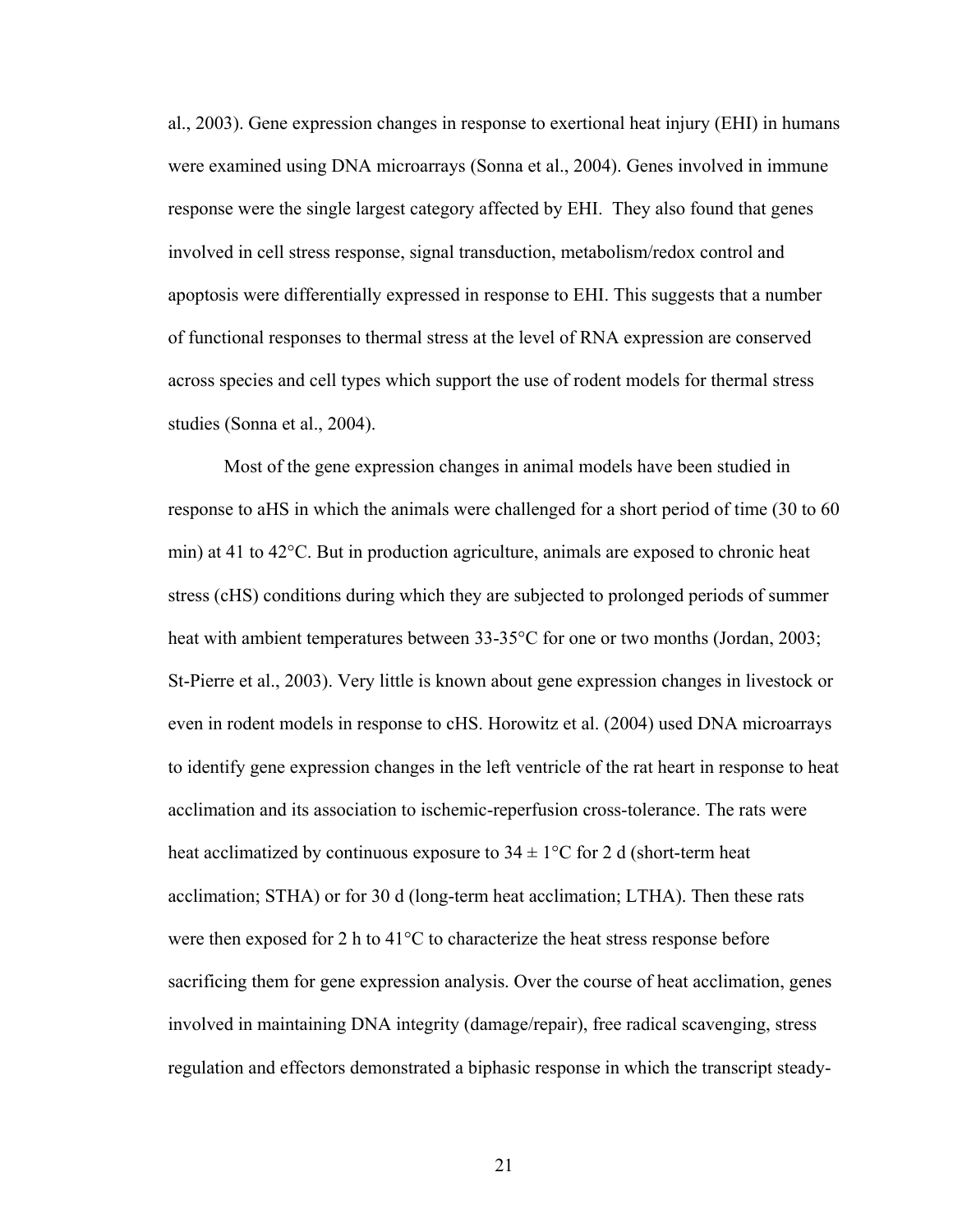al., 2003). Gene expression changes in response to exertional heat injury (EHI) in humans were examined using DNA microarrays (Sonna et al., 2004). Genes involved in immune response were the single largest category affected by EHI. They also found that genes involved in cell stress response, signal transduction, metabolism/redox control and apoptosis were differentially expressed in response to EHI. This suggests that a number of functional responses to thermal stress at the level of RNA expression are conserved across species and cell types which support the use of rodent models for thermal stress studies (Sonna et al., 2004).

Most of the gene expression changes in animal models have been studied in response to aHS in which the animals were challenged for a short period of time (30 to 60 min) at 41 to 42°C. But in production agriculture, animals are exposed to chronic heat stress (cHS) conditions during which they are subjected to prolonged periods of summer heat with ambient temperatures between 33-35<sup>o</sup>C for one or two months (Jordan, 2003; St-Pierre et al., 2003). Very little is known about gene expression changes in livestock or even in rodent models in response to cHS. Horowitz et al. (2004) used DNA microarrays to identify gene expression changes in the left ventricle of the rat heart in response to heat acclimation and its association to ischemic-reperfusion cross-tolerance. The rats were heat acclimatized by continuous exposure to  $34 \pm 1^{\circ}$ C for 2 d (short-term heat acclimation; STHA) or for 30 d (long-term heat acclimation; LTHA). Then these rats were then exposed for 2 h to 41°C to characterize the heat stress response before sacrificing them for gene expression analysis. Over the course of heat acclimation, genes involved in maintaining DNA integrity (damage/repair), free radical scavenging, stress regulation and effectors demonstrated a biphasic response in which the transcript steady-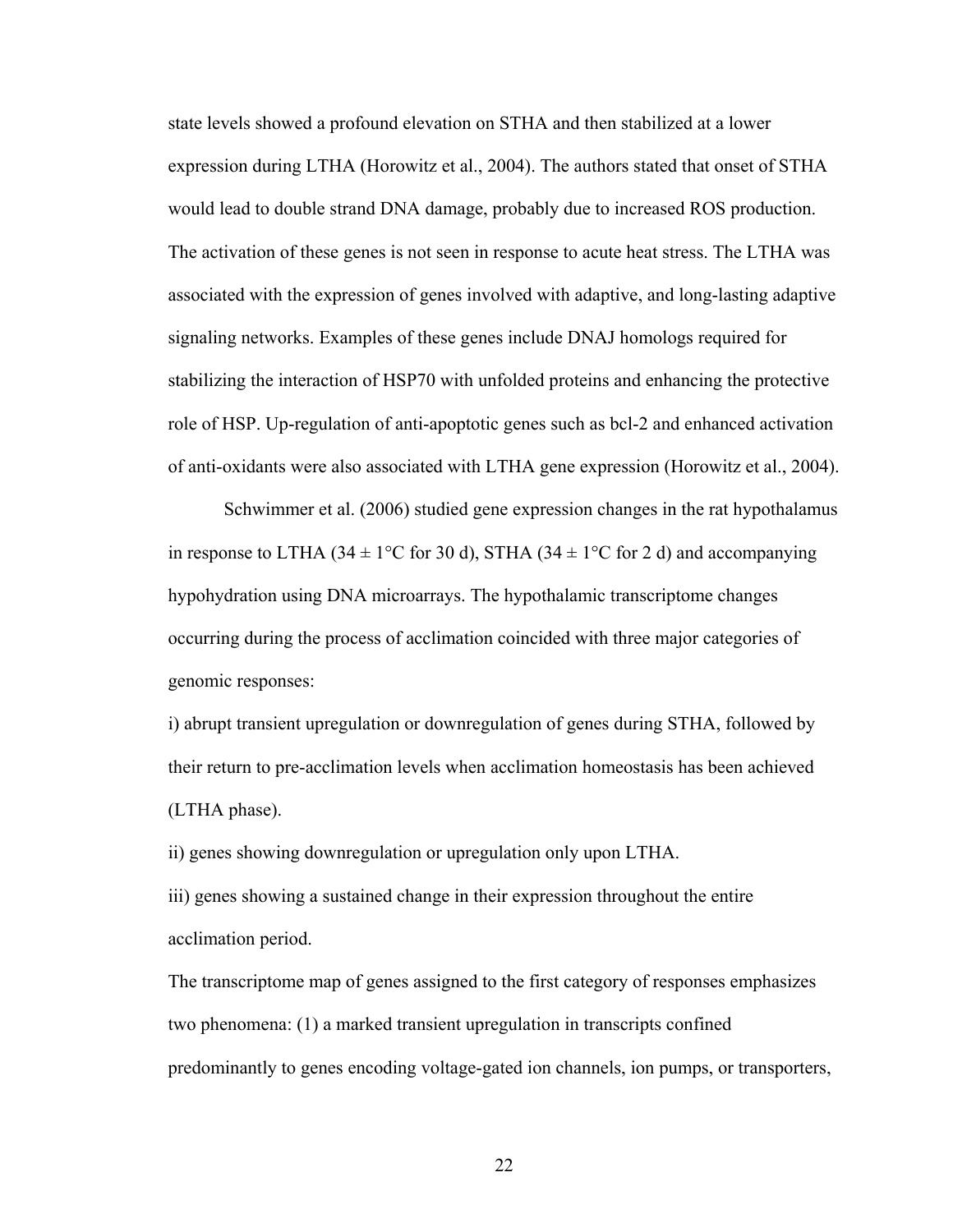state levels showed a profound elevation on STHA and then stabilized at a lower expression during LTHA (Horowitz et al., 2004). The authors stated that onset of STHA would lead to double strand DNA damage, probably due to increased ROS production. The activation of these genes is not seen in response to acute heat stress. The LTHA was associated with the expression of genes involved with adaptive, and long-lasting adaptive signaling networks. Examples of these genes include DNAJ homologs required for stabilizing the interaction of HSP70 with unfolded proteins and enhancing the protective role of HSP. Up-regulation of anti-apoptotic genes such as bcl-2 and enhanced activation of anti-oxidants were also associated with LTHA gene expression (Horowitz et al., 2004).

Schwimmer et al. (2006) studied gene expression changes in the rat hypothalamus in response to LTHA (34  $\pm$  1°C for 30 d), STHA (34  $\pm$  1°C for 2 d) and accompanying hypohydration using DNA microarrays. The hypothalamic transcriptome changes occurring during the process of acclimation coincided with three major categories of genomic responses:

i) abrupt transient upregulation or downregulation of genes during STHA, followed by their return to pre-acclimation levels when acclimation homeostasis has been achieved (LTHA phase).

ii) genes showing downregulation or upregulation only upon LTHA.

iii) genes showing a sustained change in their expression throughout the entire acclimation period.

The transcriptome map of genes assigned to the first category of responses emphasizes two phenomena: (1) a marked transient upregulation in transcripts confined predominantly to genes encoding voltage-gated ion channels, ion pumps, or transporters,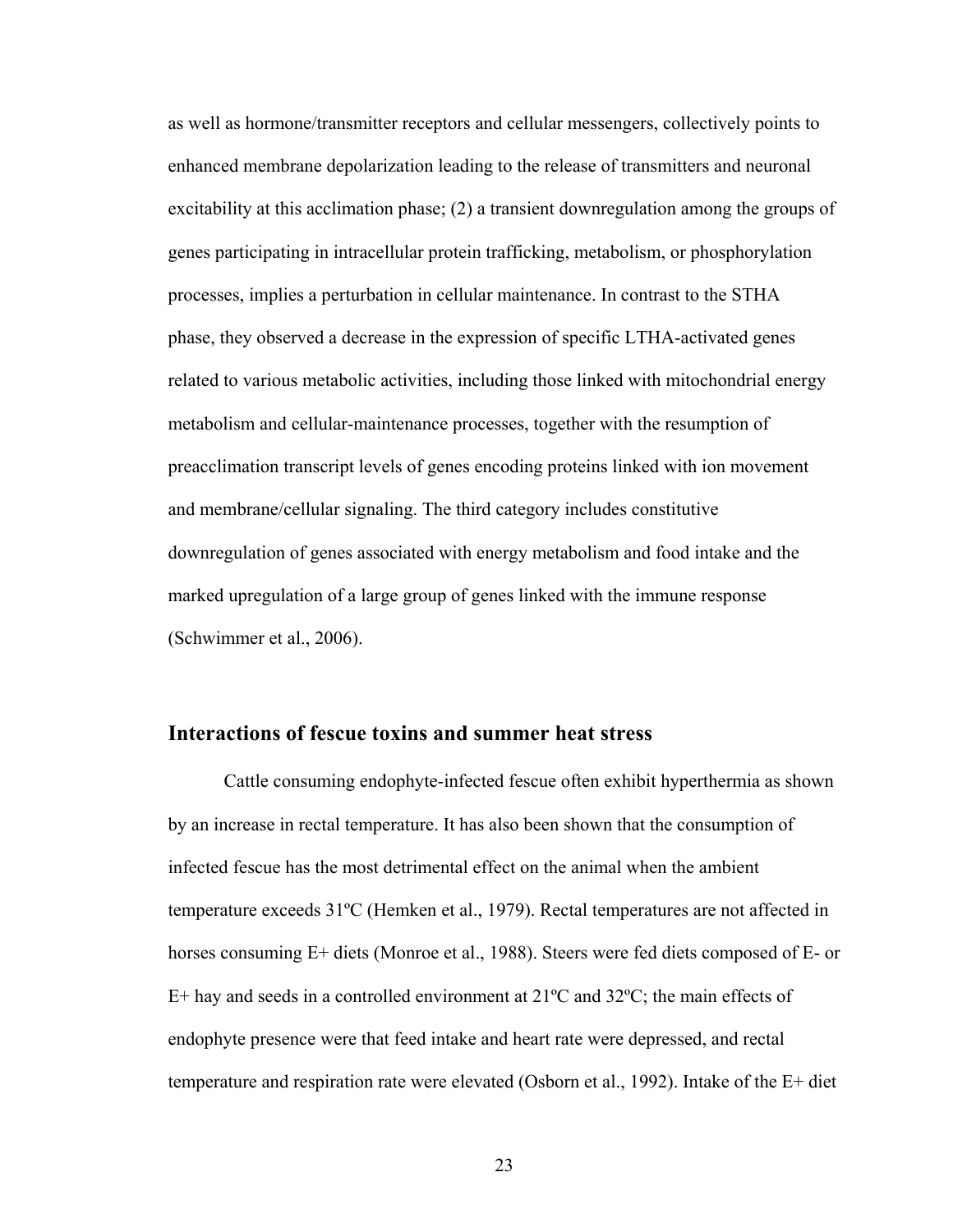as well as hormone/transmitter receptors and cellular messengers, collectively points to enhanced membrane depolarization leading to the release of transmitters and neuronal excitability at this acclimation phase; (2) a transient downregulation among the groups of genes participating in intracellular protein trafficking, metabolism, or phosphorylation processes, implies a perturbation in cellular maintenance. In contrast to the STHA phase, they observed a decrease in the expression of specific LTHA-activated genes related to various metabolic activities, including those linked with mitochondrial energy metabolism and cellular-maintenance processes, together with the resumption of preacclimation transcript levels of genes encoding proteins linked with ion movement and membrane/cellular signaling. The third category includes constitutive downregulation of genes associated with energy metabolism and food intake and the marked upregulation of a large group of genes linked with the immune response (Schwimmer et al., 2006).

## **Interactions of fescue toxins and summer heat stress**

Cattle consuming endophyte-infected fescue often exhibit hyperthermia as shown by an increase in rectal temperature. It has also been shown that the consumption of infected fescue has the most detrimental effect on the animal when the ambient temperature exceeds 31ºC (Hemken et al., 1979). Rectal temperatures are not affected in horses consuming E+ diets (Monroe et al., 1988). Steers were fed diets composed of E- or E+ hay and seeds in a controlled environment at  $21^{\circ}$ C and  $32^{\circ}$ C; the main effects of endophyte presence were that feed intake and heart rate were depressed, and rectal temperature and respiration rate were elevated (Osborn et al., 1992). Intake of the E+ diet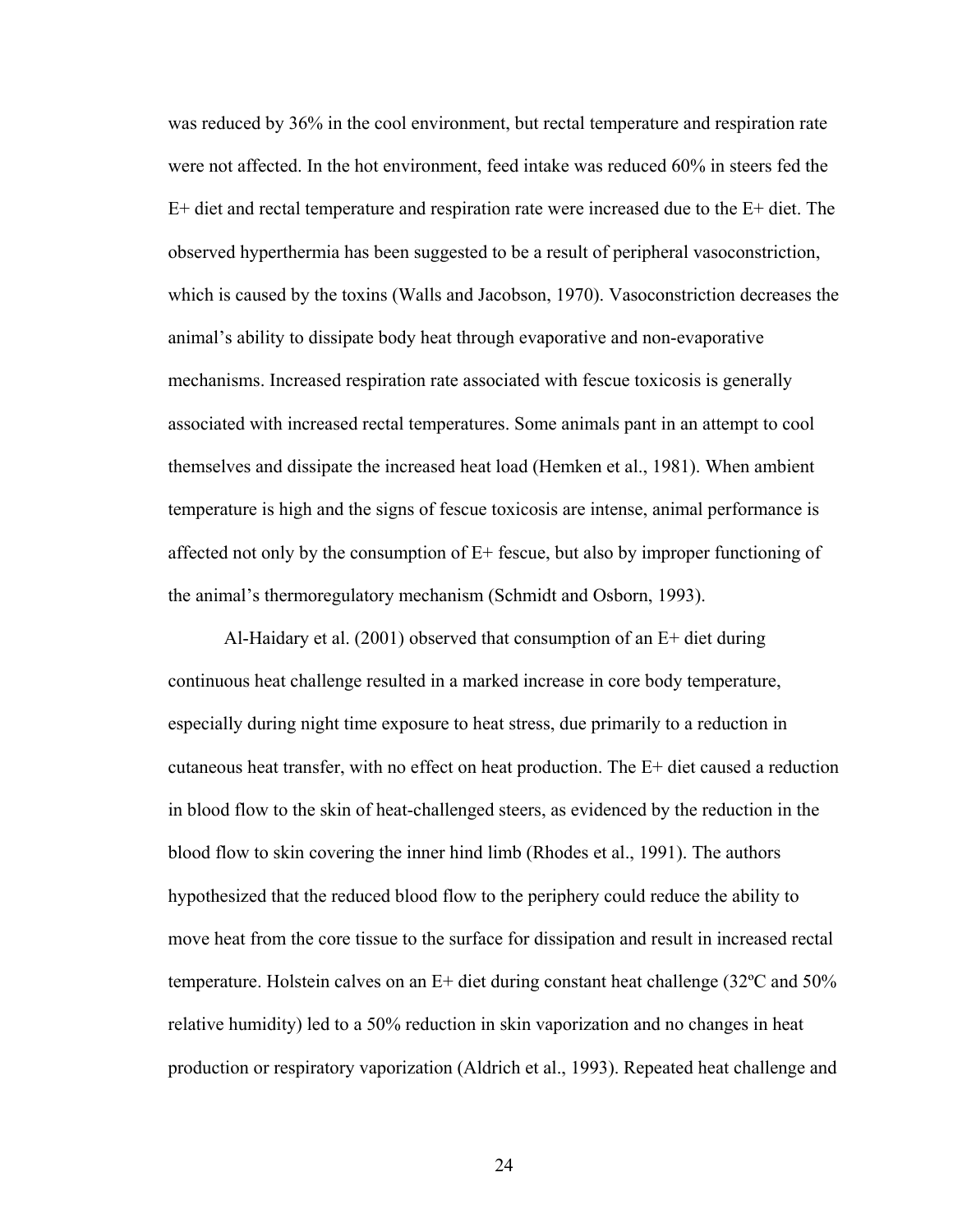was reduced by 36% in the cool environment, but rectal temperature and respiration rate were not affected. In the hot environment, feed intake was reduced 60% in steers fed the E+ diet and rectal temperature and respiration rate were increased due to the E+ diet. The observed hyperthermia has been suggested to be a result of peripheral vasoconstriction, which is caused by the toxins (Walls and Jacobson, 1970). Vasoconstriction decreases the animal's ability to dissipate body heat through evaporative and non-evaporative mechanisms. Increased respiration rate associated with fescue toxicosis is generally associated with increased rectal temperatures. Some animals pant in an attempt to cool themselves and dissipate the increased heat load (Hemken et al., 1981). When ambient temperature is high and the signs of fescue toxicosis are intense, animal performance is affected not only by the consumption of  $E+$  fescue, but also by improper functioning of the animal's thermoregulatory mechanism (Schmidt and Osborn, 1993).

Al-Haidary et al. (2001) observed that consumption of an E+ diet during continuous heat challenge resulted in a marked increase in core body temperature, especially during night time exposure to heat stress, due primarily to a reduction in cutaneous heat transfer, with no effect on heat production. The E+ diet caused a reduction in blood flow to the skin of heat-challenged steers, as evidenced by the reduction in the blood flow to skin covering the inner hind limb (Rhodes et al., 1991). The authors hypothesized that the reduced blood flow to the periphery could reduce the ability to move heat from the core tissue to the surface for dissipation and result in increased rectal temperature. Holstein calves on an E+ diet during constant heat challenge (32ºC and 50% relative humidity) led to a 50% reduction in skin vaporization and no changes in heat production or respiratory vaporization (Aldrich et al., 1993). Repeated heat challenge and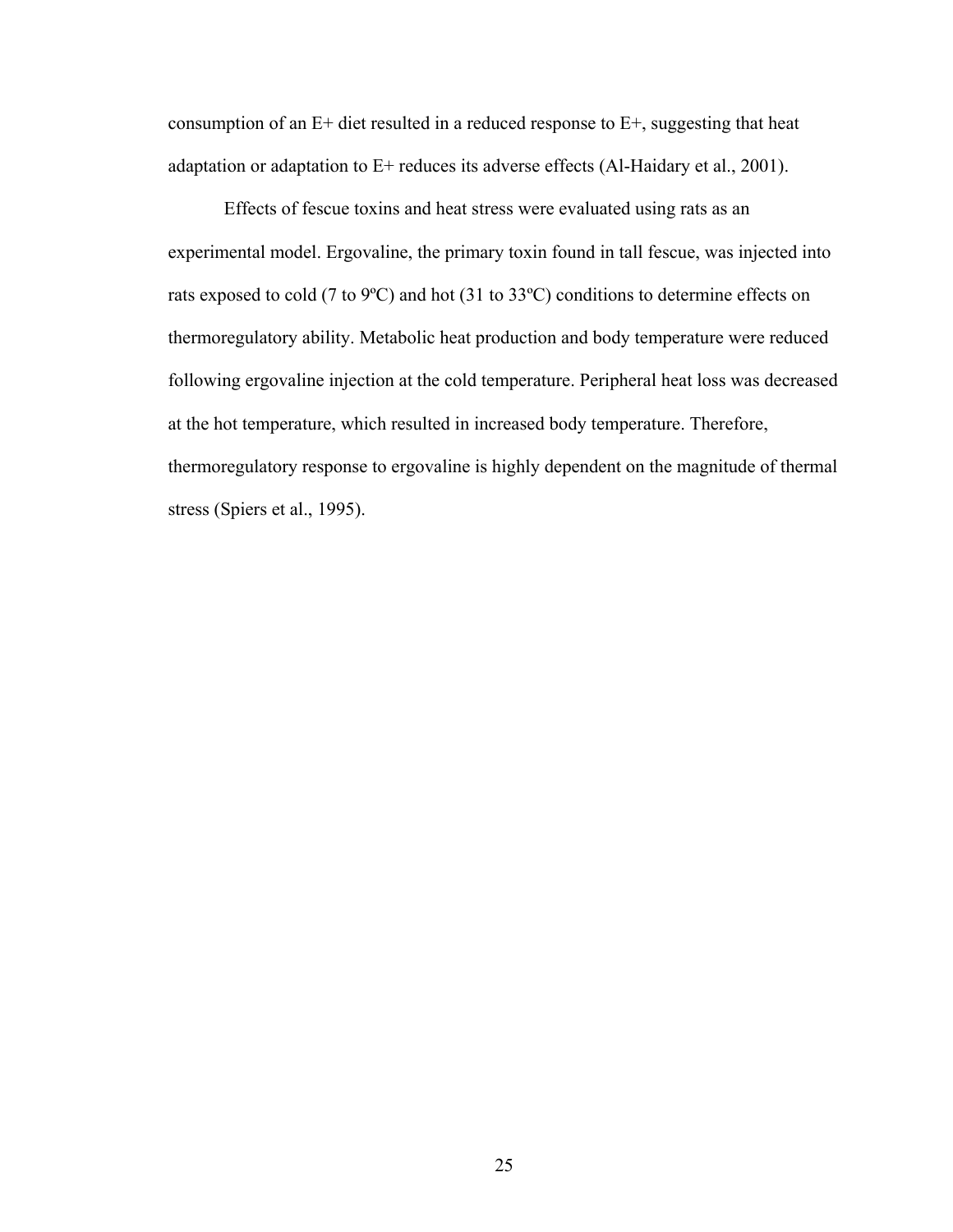consumption of an E+ diet resulted in a reduced response to E+, suggesting that heat adaptation or adaptation to E+ reduces its adverse effects (Al-Haidary et al., 2001).

Effects of fescue toxins and heat stress were evaluated using rats as an experimental model. Ergovaline, the primary toxin found in tall fescue, was injected into rats exposed to cold (7 to 9ºC) and hot (31 to 33ºC) conditions to determine effects on thermoregulatory ability. Metabolic heat production and body temperature were reduced following ergovaline injection at the cold temperature. Peripheral heat loss was decreased at the hot temperature, which resulted in increased body temperature. Therefore, thermoregulatory response to ergovaline is highly dependent on the magnitude of thermal stress (Spiers et al., 1995).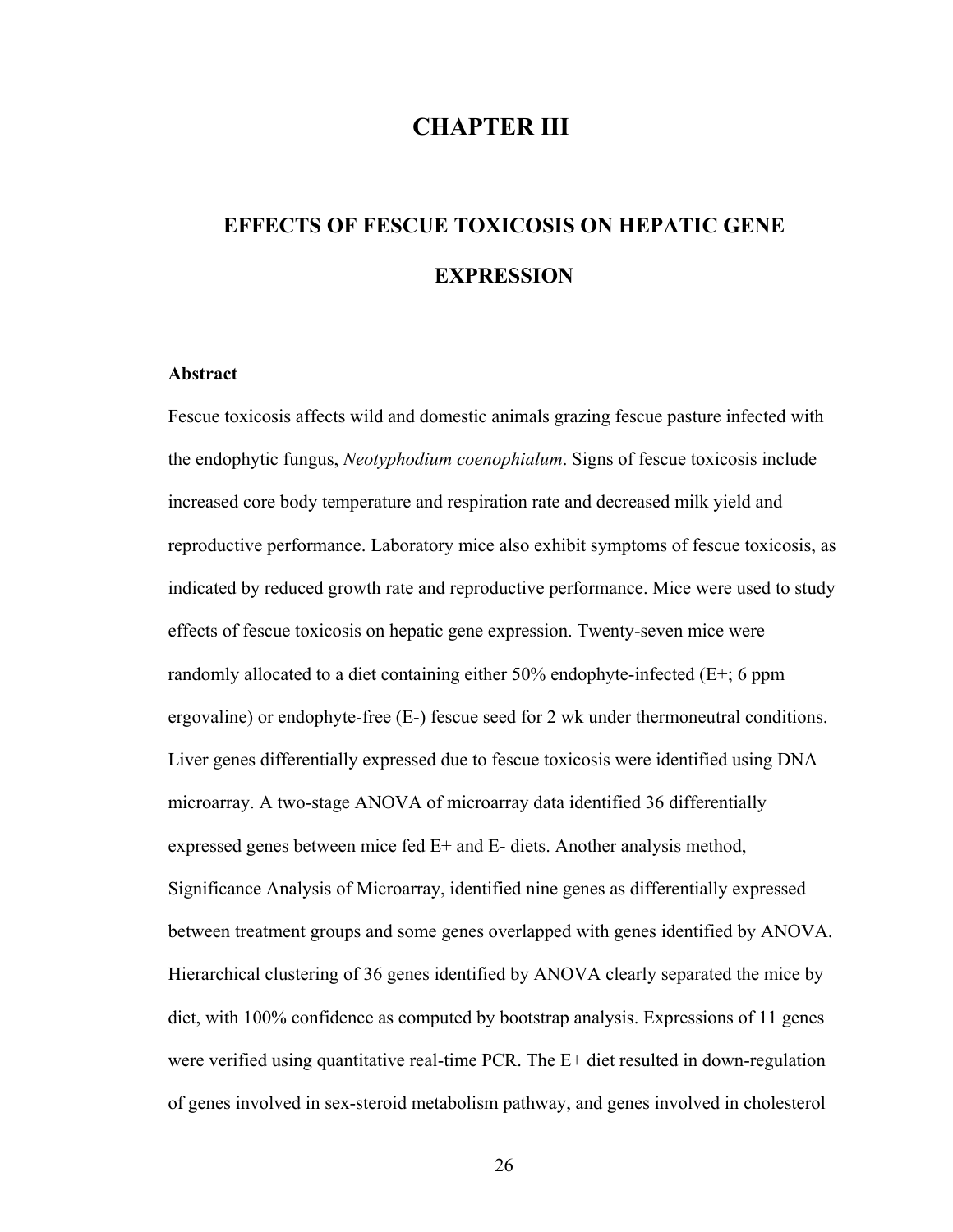## **CHAPTER III**

# **EFFECTS OF FESCUE TOXICOSIS ON HEPATIC GENE EXPRESSION**

#### **Abstract**

Fescue toxicosis affects wild and domestic animals grazing fescue pasture infected with the endophytic fungus, *Neotyphodium coenophialum*. Signs of fescue toxicosis include increased core body temperature and respiration rate and decreased milk yield and reproductive performance. Laboratory mice also exhibit symptoms of fescue toxicosis, as indicated by reduced growth rate and reproductive performance. Mice were used to study effects of fescue toxicosis on hepatic gene expression. Twenty-seven mice were randomly allocated to a diet containing either 50% endophyte-infected (E+; 6 ppm ergovaline) or endophyte-free (E-) fescue seed for 2 wk under thermoneutral conditions. Liver genes differentially expressed due to fescue toxicosis were identified using DNA microarray. A two-stage ANOVA of microarray data identified 36 differentially expressed genes between mice fed E+ and E- diets. Another analysis method, Significance Analysis of Microarray, identified nine genes as differentially expressed between treatment groups and some genes overlapped with genes identified by ANOVA. Hierarchical clustering of 36 genes identified by ANOVA clearly separated the mice by diet, with 100% confidence as computed by bootstrap analysis. Expressions of 11 genes were verified using quantitative real-time PCR. The E+ diet resulted in down-regulation of genes involved in sex-steroid metabolism pathway, and genes involved in cholesterol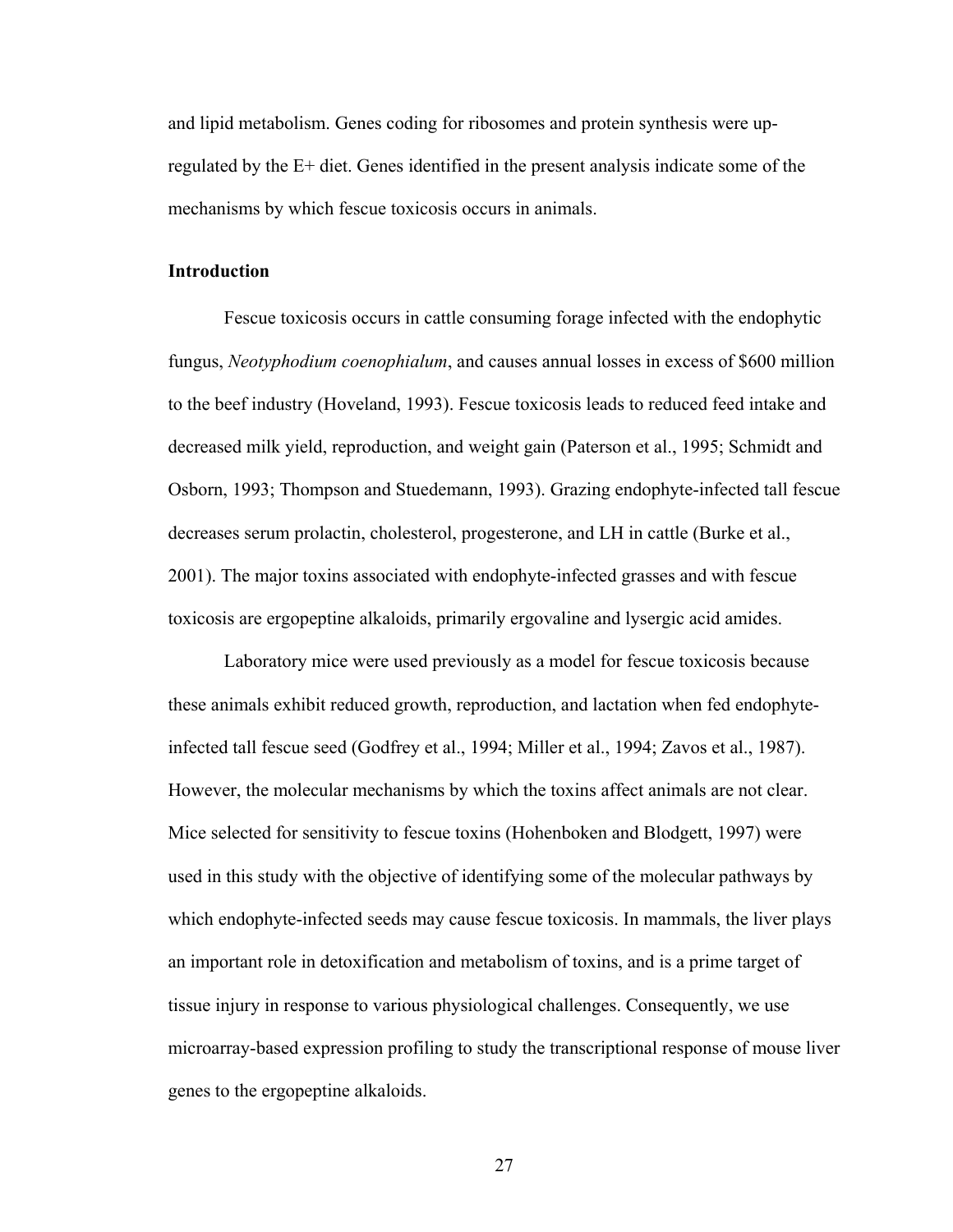and lipid metabolism. Genes coding for ribosomes and protein synthesis were upregulated by the E+ diet. Genes identified in the present analysis indicate some of the mechanisms by which fescue toxicosis occurs in animals.

#### **Introduction**

Fescue toxicosis occurs in cattle consuming forage infected with the endophytic fungus, *Neotyphodium coenophialum*, and causes annual losses in excess of \$600 million to the beef industry (Hoveland, 1993). Fescue toxicosis leads to reduced feed intake and decreased milk yield, reproduction, and weight gain (Paterson et al., 1995; Schmidt and Osborn, 1993; Thompson and Stuedemann, 1993). Grazing endophyte-infected tall fescue decreases serum prolactin, cholesterol, progesterone, and LH in cattle (Burke et al., 2001). The major toxins associated with endophyte-infected grasses and with fescue toxicosis are ergopeptine alkaloids, primarily ergovaline and lysergic acid amides.

Laboratory mice were used previously as a model for fescue toxicosis because these animals exhibit reduced growth, reproduction, and lactation when fed endophyteinfected tall fescue seed (Godfrey et al., 1994; Miller et al., 1994; Zavos et al., 1987). However, the molecular mechanisms by which the toxins affect animals are not clear. Mice selected for sensitivity to fescue toxins (Hohenboken and Blodgett, 1997) were used in this study with the objective of identifying some of the molecular pathways by which endophyte-infected seeds may cause fescue toxicosis. In mammals, the liver plays an important role in detoxification and metabolism of toxins, and is a prime target of tissue injury in response to various physiological challenges. Consequently, we use microarray-based expression profiling to study the transcriptional response of mouse liver genes to the ergopeptine alkaloids.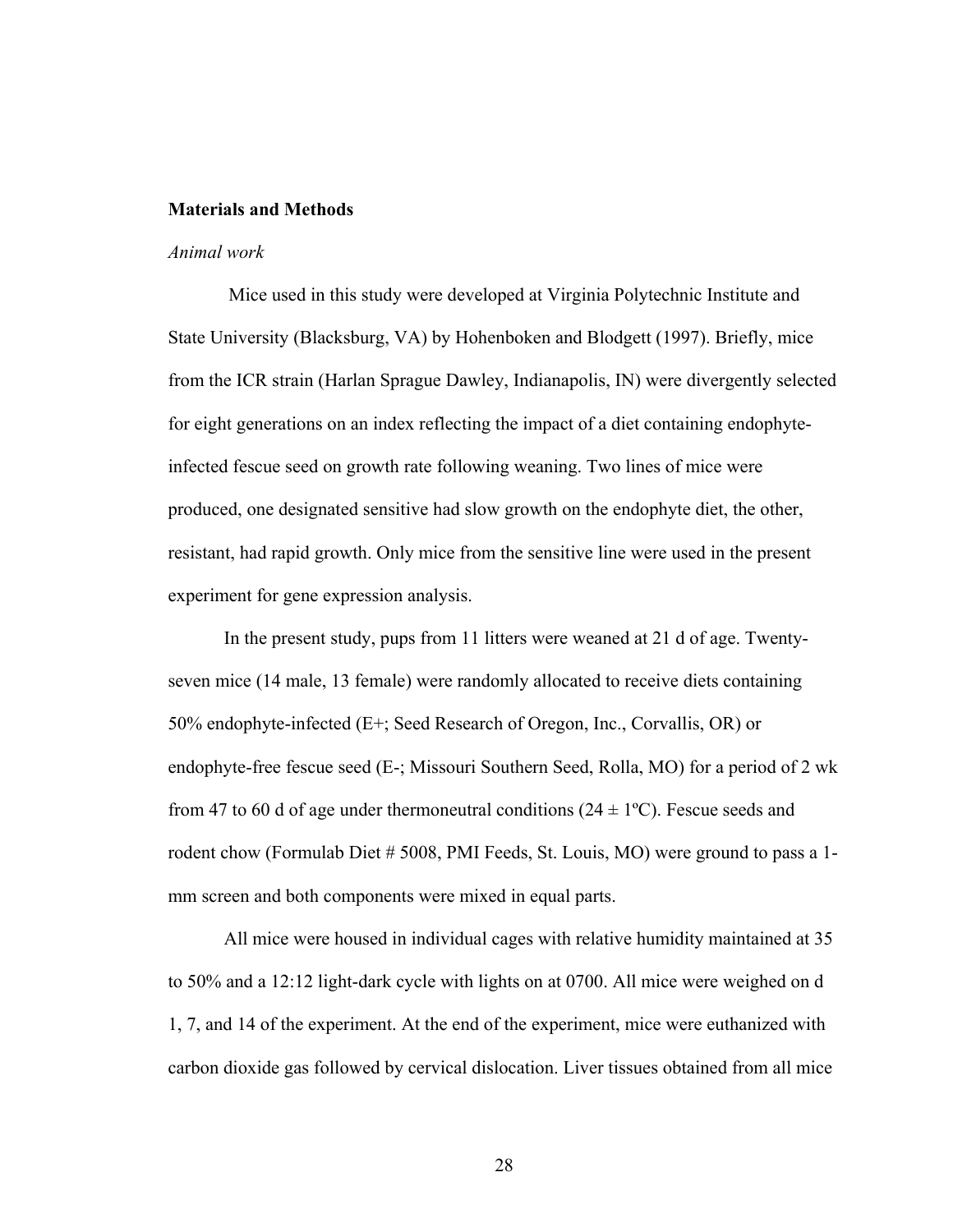#### **Materials and Methods**

#### *Animal work*

Mice used in this study were developed at Virginia Polytechnic Institute and State University (Blacksburg, VA) by Hohenboken and Blodgett (1997). Briefly, mice from the ICR strain (Harlan Sprague Dawley, Indianapolis, IN) were divergently selected for eight generations on an index reflecting the impact of a diet containing endophyteinfected fescue seed on growth rate following weaning. Two lines of mice were produced, one designated sensitive had slow growth on the endophyte diet, the other, resistant, had rapid growth. Only mice from the sensitive line were used in the present experiment for gene expression analysis.

In the present study, pups from 11 litters were weaned at 21 d of age. Twentyseven mice (14 male, 13 female) were randomly allocated to receive diets containing 50% endophyte-infected (E+; Seed Research of Oregon, Inc., Corvallis, OR) or endophyte-free fescue seed (E-; Missouri Southern Seed, Rolla, MO) for a period of 2 wk from 47 to 60 d of age under thermoneutral conditions  $(24 \pm 1^{\circ}C)$ . Fescue seeds and rodent chow (Formulab Diet # 5008, PMI Feeds, St. Louis, MO) were ground to pass a 1 mm screen and both components were mixed in equal parts.

All mice were housed in individual cages with relative humidity maintained at 35 to 50% and a 12:12 light-dark cycle with lights on at 0700. All mice were weighed on d 1, 7, and 14 of the experiment. At the end of the experiment, mice were euthanized with carbon dioxide gas followed by cervical dislocation. Liver tissues obtained from all mice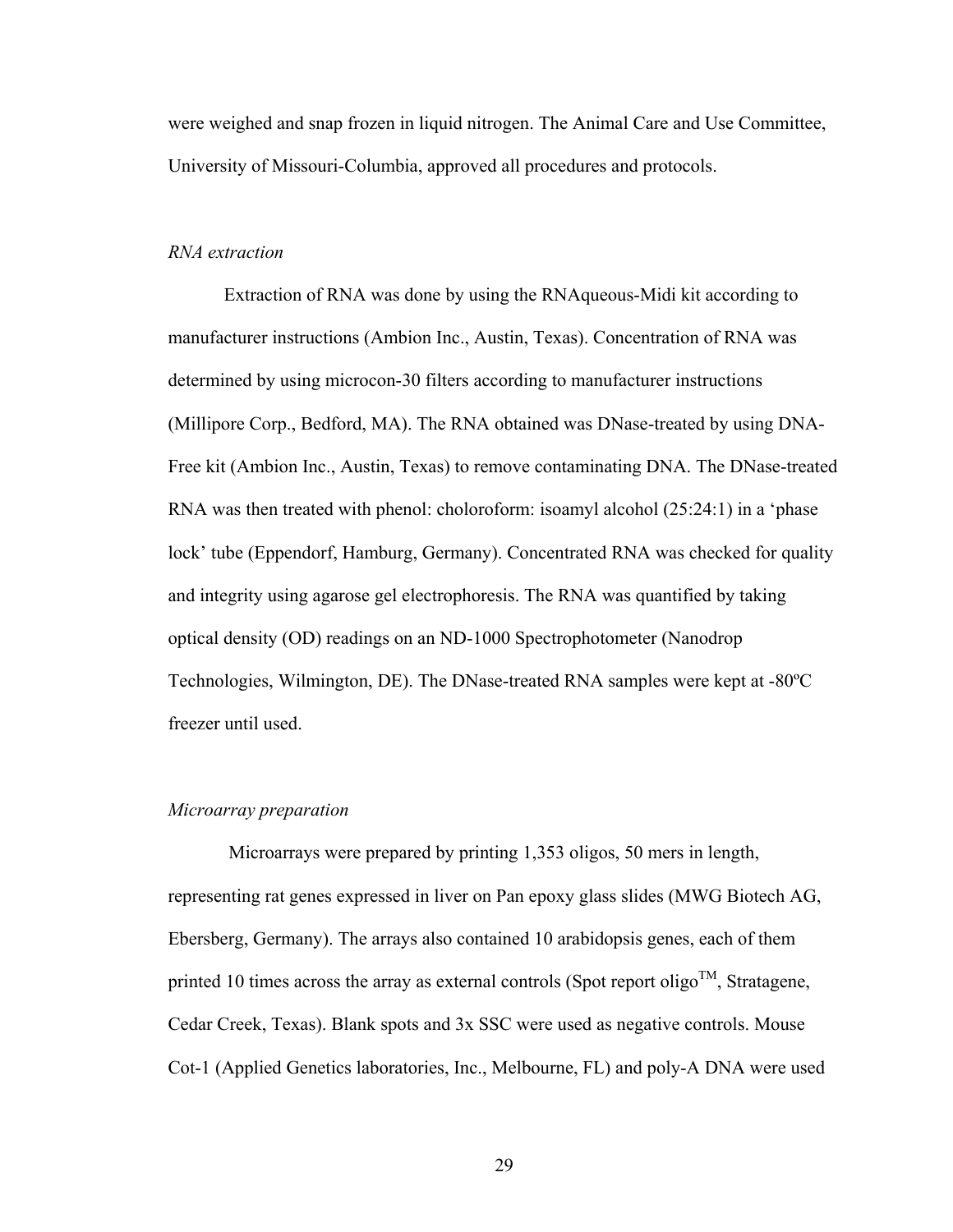were weighed and snap frozen in liquid nitrogen. The Animal Care and Use Committee, University of Missouri-Columbia, approved all procedures and protocols.

# *RNA extraction*

Extraction of RNA was done by using the RNAqueous-Midi kit according to manufacturer instructions (Ambion Inc., Austin, Texas). Concentration of RNA was determined by using microcon-30 filters according to manufacturer instructions (Millipore Corp., Bedford, MA). The RNA obtained was DNase-treated by using DNA-Free kit (Ambion Inc., Austin, Texas) to remove contaminating DNA. The DNase-treated RNA was then treated with phenol: choloroform: isoamyl alcohol (25:24:1) in a 'phase lock' tube (Eppendorf, Hamburg, Germany). Concentrated RNA was checked for quality and integrity using agarose gel electrophoresis. The RNA was quantified by taking optical density (OD) readings on an ND-1000 Spectrophotometer (Nanodrop Technologies, Wilmington, DE). The DNase-treated RNA samples were kept at -80ºC freezer until used.

# *Microarray preparation*

Microarrays were prepared by printing 1,353 oligos, 50 mers in length, representing rat genes expressed in liver on Pan epoxy glass slides (MWG Biotech AG, Ebersberg, Germany). The arrays also contained 10 arabidopsis genes, each of them printed 10 times across the array as external controls (Spot report oligo<sup>TM</sup>, Stratagene, Cedar Creek, Texas). Blank spots and 3x SSC were used as negative controls. Mouse Cot-1 (Applied Genetics laboratories, Inc., Melbourne, FL) and poly-A DNA were used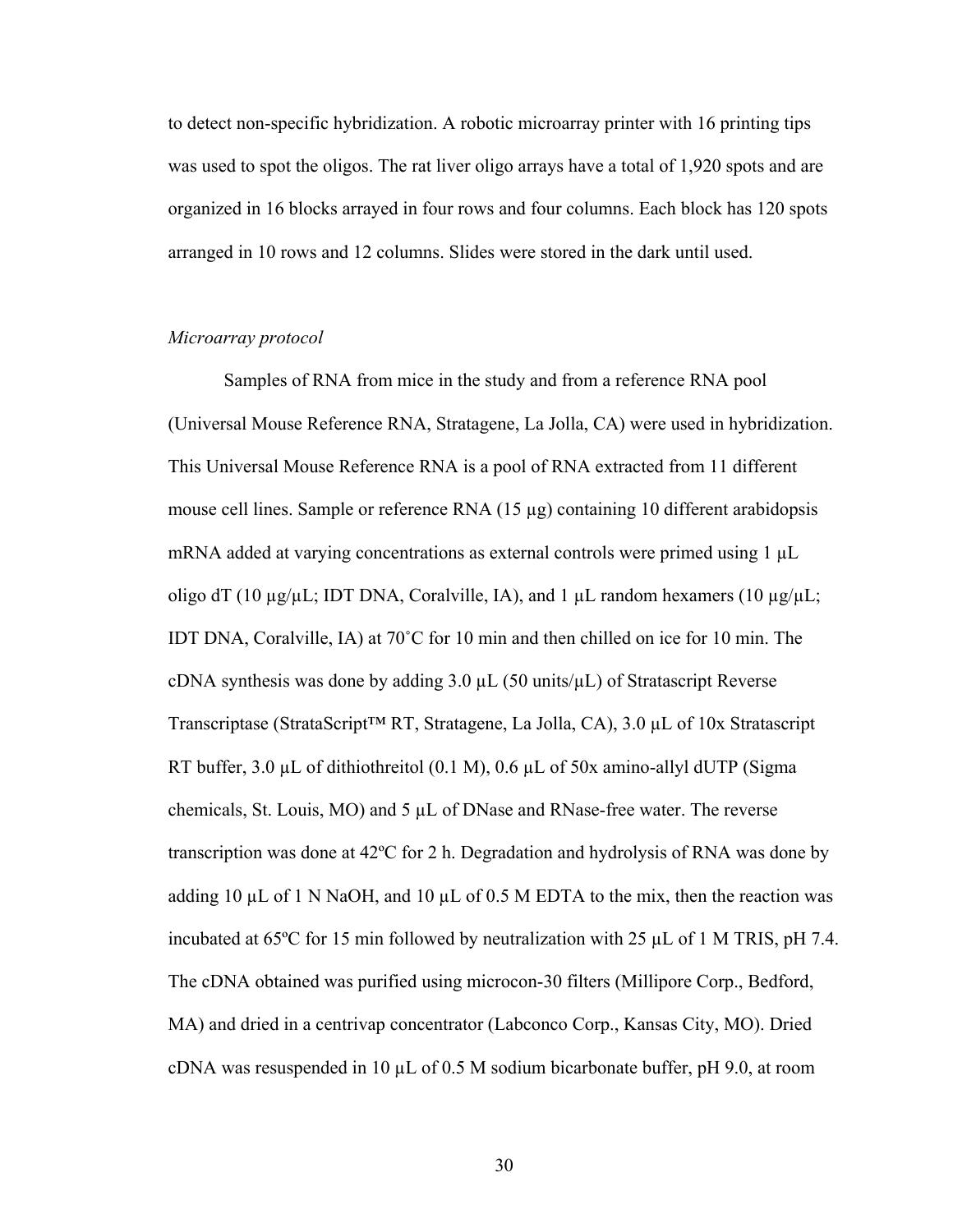to detect non-specific hybridization. A robotic microarray printer with 16 printing tips was used to spot the oligos. The rat liver oligo arrays have a total of 1,920 spots and are organized in 16 blocks arrayed in four rows and four columns. Each block has 120 spots arranged in 10 rows and 12 columns. Slides were stored in the dark until used.

# *Microarray protocol*

Samples of RNA from mice in the study and from a reference RNA pool (Universal Mouse Reference RNA, Stratagene, La Jolla, CA) were used in hybridization. This Universal Mouse Reference RNA is a pool of RNA extracted from 11 different mouse cell lines. Sample or reference RNA (15 µg) containing 10 different arabidopsis mRNA added at varying concentrations as external controls were primed using 1 µL oligo dT (10  $\mu$ g/ $\mu$ L; IDT DNA, Coralville, IA), and 1  $\mu$ L random hexamers (10  $\mu$ g/ $\mu$ L; IDT DNA, Coralville, IA) at 70˚C for 10 min and then chilled on ice for 10 min. The cDNA synthesis was done by adding  $3.0 \mu L$  (50 units/ $\mu L$ ) of Stratascript Reverse Transcriptase (StrataScript™ RT, Stratagene, La Jolla, CA), 3.0 µL of 10x Stratascript RT buffer, 3.0 µL of dithiothreitol (0.1 M), 0.6 µL of 50x amino-allyl dUTP (Sigma chemicals, St. Louis, MO) and 5 µL of DNase and RNase-free water. The reverse transcription was done at 42ºC for 2 h. Degradation and hydrolysis of RNA was done by adding 10  $\mu$ L of 1 N NaOH, and 10  $\mu$ L of 0.5 M EDTA to the mix, then the reaction was incubated at 65ºC for 15 min followed by neutralization with 25 µL of 1 M TRIS, pH 7.4. The cDNA obtained was purified using microcon-30 filters (Millipore Corp., Bedford, MA) and dried in a centrivap concentrator (Labconco Corp., Kansas City, MO). Dried cDNA was resuspended in 10  $\mu$ L of 0.5 M sodium bicarbonate buffer, pH 9.0, at room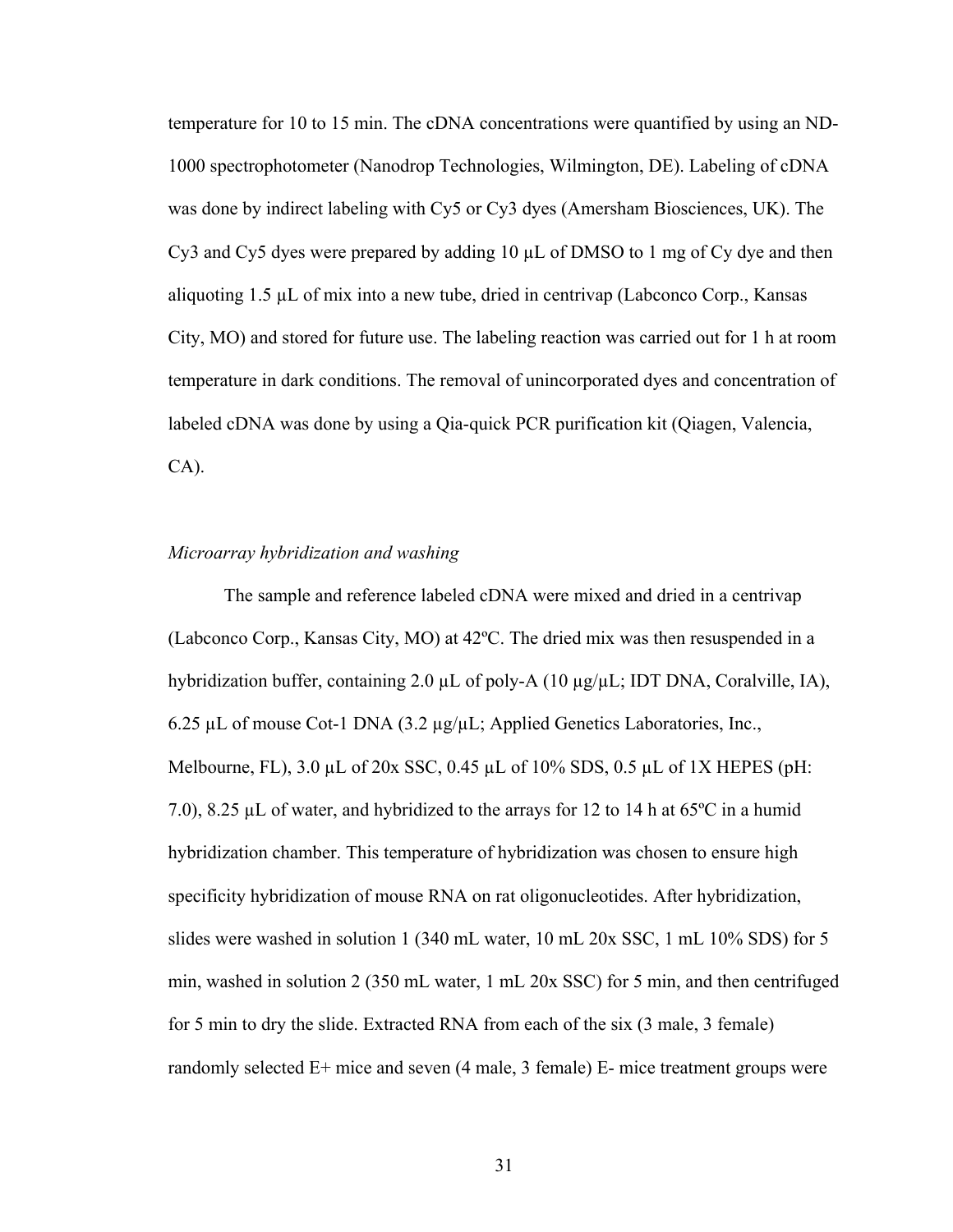temperature for 10 to 15 min. The cDNA concentrations were quantified by using an ND-1000 spectrophotometer (Nanodrop Technologies, Wilmington, DE). Labeling of cDNA was done by indirect labeling with Cy5 or Cy3 dyes (Amersham Biosciences, UK). The Cy3 and Cy5 dyes were prepared by adding 10 µL of DMSO to 1 mg of Cy dye and then aliquoting 1.5 µL of mix into a new tube, dried in centrivap (Labconco Corp., Kansas City, MO) and stored for future use. The labeling reaction was carried out for 1 h at room temperature in dark conditions. The removal of unincorporated dyes and concentration of labeled cDNA was done by using a Qia-quick PCR purification kit (Qiagen, Valencia, CA).

#### *Microarray hybridization and washing*

The sample and reference labeled cDNA were mixed and dried in a centrivap (Labconco Corp., Kansas City, MO) at 42ºC. The dried mix was then resuspended in a hybridization buffer, containing 2.0 µL of poly-A (10 µg/µL; IDT DNA, Coralville, IA), 6.25 µL of mouse Cot-1 DNA (3.2 µg/µL; Applied Genetics Laboratories, Inc., Melbourne, FL),  $3.0 \mu L$  of  $20x$  SSC,  $0.45 \mu L$  of  $10\%$  SDS,  $0.5 \mu L$  of  $1X$  HEPES (pH: 7.0), 8.25  $\mu$ L of water, and hybridized to the arrays for 12 to 14 h at 65 $\degree$ C in a humid hybridization chamber. This temperature of hybridization was chosen to ensure high specificity hybridization of mouse RNA on rat oligonucleotides. After hybridization, slides were washed in solution 1 (340 mL water, 10 mL 20x SSC, 1 mL 10% SDS) for 5 min, washed in solution 2 (350 mL water, 1 mL 20x SSC) for 5 min, and then centrifuged for 5 min to dry the slide. Extracted RNA from each of the six (3 male, 3 female) randomly selected E+ mice and seven (4 male, 3 female) E- mice treatment groups were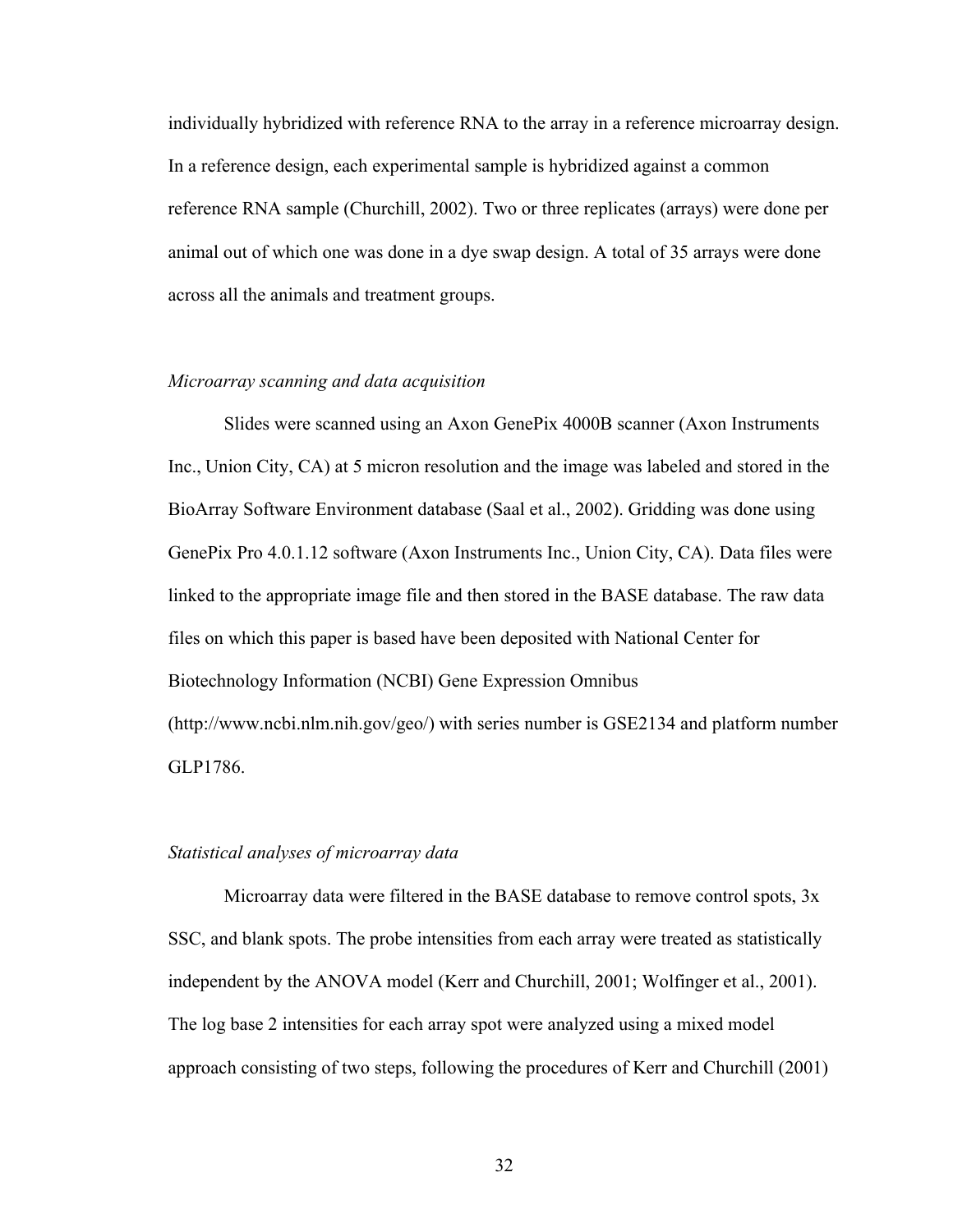individually hybridized with reference RNA to the array in a reference microarray design. In a reference design, each experimental sample is hybridized against a common reference RNA sample (Churchill, 2002). Two or three replicates (arrays) were done per animal out of which one was done in a dye swap design. A total of 35 arrays were done across all the animals and treatment groups.

### *Microarray scanning and data acquisition*

Slides were scanned using an Axon GenePix 4000B scanner (Axon Instruments Inc., Union City, CA) at 5 micron resolution and the image was labeled and stored in the BioArray Software Environment database (Saal et al., 2002). Gridding was done using GenePix Pro 4.0.1.12 software (Axon Instruments Inc., Union City, CA). Data files were linked to the appropriate image file and then stored in the BASE database. The raw data files on which this paper is based have been deposited with National Center for Biotechnology Information (NCBI) Gene Expression Omnibus (http://www.ncbi.nlm.nih.gov/geo/) with series number is GSE2134 and platform number GLP1786.

#### *Statistical analyses of microarray data*

Microarray data were filtered in the BASE database to remove control spots, 3x SSC, and blank spots. The probe intensities from each array were treated as statistically independent by the ANOVA model (Kerr and Churchill, 2001; Wolfinger et al., 2001). The log base 2 intensities for each array spot were analyzed using a mixed model approach consisting of two steps, following the procedures of Kerr and Churchill (2001)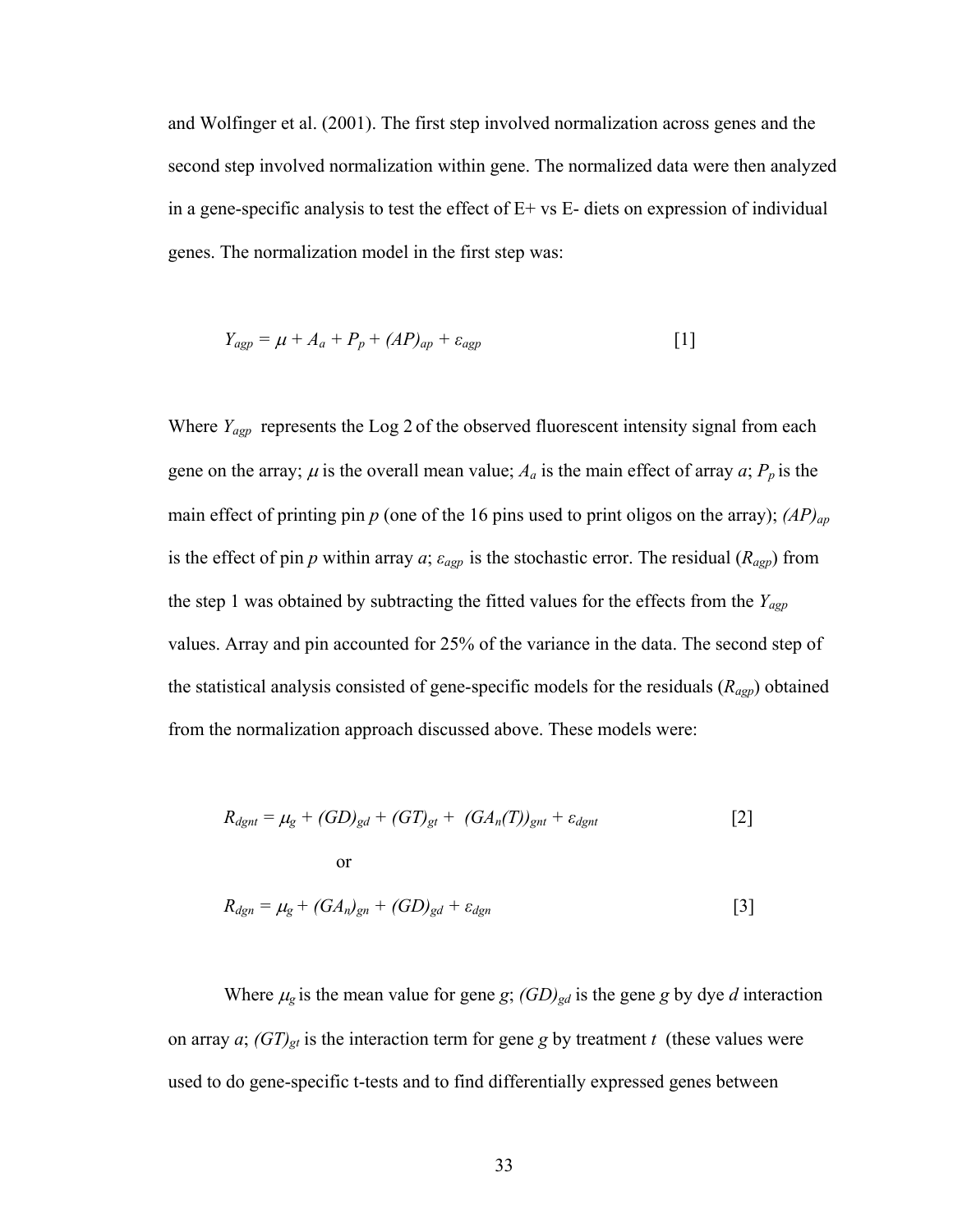and Wolfinger et al. (2001). The first step involved normalization across genes and the second step involved normalization within gene. The normalized data were then analyzed in a gene-specific analysis to test the effect of E+ vs E- diets on expression of individual genes. The normalization model in the first step was:

$$
Y_{\text{agp}} = \mu + A_a + P_p + (AP)_{\text{ap}} + \varepsilon_{\text{agp}} \tag{1}
$$

Where *Y<sub>agp*</sub> represents the Log 2 of the observed fluorescent intensity signal from each gene on the array;  $\mu$  is the overall mean value;  $A_a$  is the main effect of array  $a$ ;  $P_p$  is the main effect of printing pin *p* (one of the 16 pins used to print oligos on the array); *(AP)ap* is the effect of pin *p* within array  $a$ ;  $\varepsilon_{\text{agp}}$  is the stochastic error. The residual ( $R_{\text{agp}}$ ) from the step 1 was obtained by subtracting the fitted values for the effects from the *Yagp*  values. Array and pin accounted for 25% of the variance in the data. The second step of the statistical analysis consisted of gene-specific models for the residuals (*Ragp*) obtained from the normalization approach discussed above. These models were:

$$
R_{dght} = \mu_g + (GD)_{gd} + (GT)_{gt} + (GA_n(T))_{gnt} + \varepsilon_{dgnt}
$$
 [2]

$$
R_{dgn} = \mu_g + (GA_n)_{gn} + (GD)_{gd} + \varepsilon_{dgn}
$$
 [3]

Where  $\mu_g$  is the mean value for gene *g*;  $(GD)_{gd}$  is the gene *g* by dye *d* interaction on array *a*;  $(GT)_{gt}$  is the interaction term for gene *g* by treatment *t* (these values were used to do gene-specific t-tests and to find differentially expressed genes between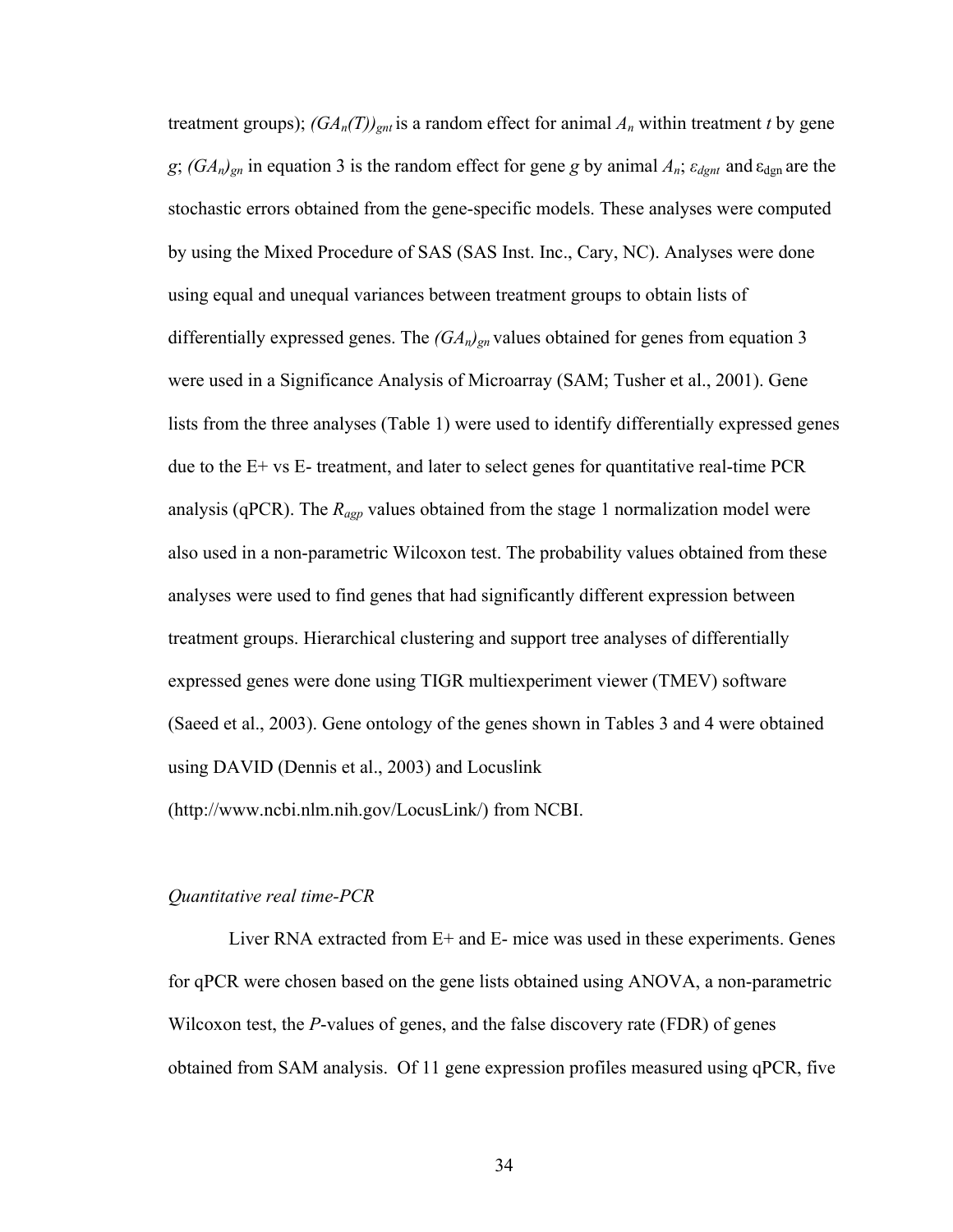treatment groups);  $(GA_n(T))_{gnt}$  is a random effect for animal  $A_n$  within treatment *t* by gene *g*;  $(GA_n)_{gn}$  in equation 3 is the random effect for gene *g* by animal  $A_n$ ;  $\varepsilon_{dgn}$  and  $\varepsilon_{dgn}$  are the stochastic errors obtained from the gene-specific models. These analyses were computed by using the Mixed Procedure of SAS (SAS Inst. Inc., Cary, NC). Analyses were done using equal and unequal variances between treatment groups to obtain lists of differentially expressed genes. The  $(GA_n)_{gn}$  values obtained for genes from equation 3 were used in a Significance Analysis of Microarray (SAM; Tusher et al., 2001). Gene lists from the three analyses (Table 1) were used to identify differentially expressed genes due to the E+ vs E- treatment, and later to select genes for quantitative real-time PCR analysis (qPCR). The *Ragp* values obtained from the stage 1 normalization model were also used in a non-parametric Wilcoxon test. The probability values obtained from these analyses were used to find genes that had significantly different expression between treatment groups. Hierarchical clustering and support tree analyses of differentially expressed genes were done using TIGR multiexperiment viewer (TMEV) software (Saeed et al., 2003). Gene ontology of the genes shown in Tables 3 and 4 were obtained using DAVID (Dennis et al., 2003) and Locuslink (http://www.ncbi.nlm.nih.gov/LocusLink/) from NCBI.

#### *Quantitative real time-PCR*

 Liver RNA extracted from E+ and E- mice was used in these experiments. Genes for qPCR were chosen based on the gene lists obtained using ANOVA, a non-parametric Wilcoxon test, the *P*-values of genes, and the false discovery rate (FDR) of genes obtained from SAM analysis. Of 11 gene expression profiles measured using qPCR, five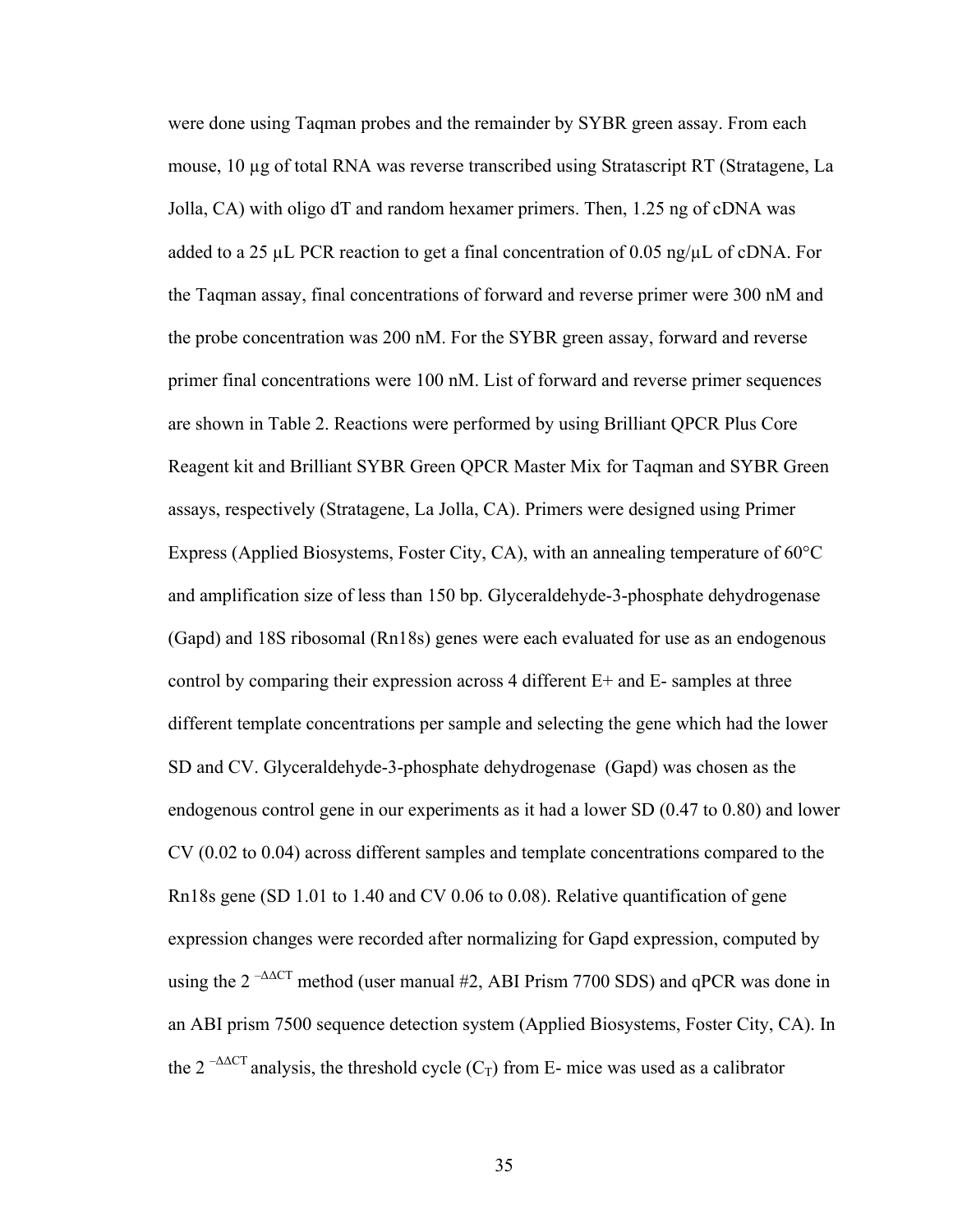were done using Taqman probes and the remainder by SYBR green assay. From each mouse, 10 µg of total RNA was reverse transcribed using Stratascript RT (Stratagene, La Jolla, CA) with oligo dT and random hexamer primers. Then, 1.25 ng of cDNA was added to a 25  $\mu$ L PCR reaction to get a final concentration of 0.05 ng/ $\mu$ L of cDNA. For the Taqman assay, final concentrations of forward and reverse primer were 300 nM and the probe concentration was 200 nM. For the SYBR green assay, forward and reverse primer final concentrations were 100 nM. List of forward and reverse primer sequences are shown in Table 2. Reactions were performed by using Brilliant QPCR Plus Core Reagent kit and Brilliant SYBR Green QPCR Master Mix for Taqman and SYBR Green assays, respectively (Stratagene, La Jolla, CA). Primers were designed using Primer Express (Applied Biosystems, Foster City, CA), with an annealing temperature of 60°C and amplification size of less than 150 bp. Glyceraldehyde-3-phosphate dehydrogenase (Gapd) and 18S ribosomal (Rn18s) genes were each evaluated for use as an endogenous control by comparing their expression across 4 different E+ and E- samples at three different template concentrations per sample and selecting the gene which had the lower SD and CV. Glyceraldehyde-3-phosphate dehydrogenase (Gapd) was chosen as the endogenous control gene in our experiments as it had a lower SD (0.47 to 0.80) and lower CV (0.02 to 0.04) across different samples and template concentrations compared to the Rn18s gene (SD 1.01 to 1.40 and CV 0.06 to 0.08). Relative quantification of gene expression changes were recorded after normalizing for Gapd expression, computed by using the  $2^{-\Delta\Delta CT}$  method (user manual #2, ABI Prism 7700 SDS) and qPCR was done in an ABI prism 7500 sequence detection system (Applied Biosystems, Foster City, CA). In the 2<sup>- $\Delta$  $\alpha$ CT analysis, the threshold cycle (C<sub>T</sub>) from E- mice was used as a calibrator</sup>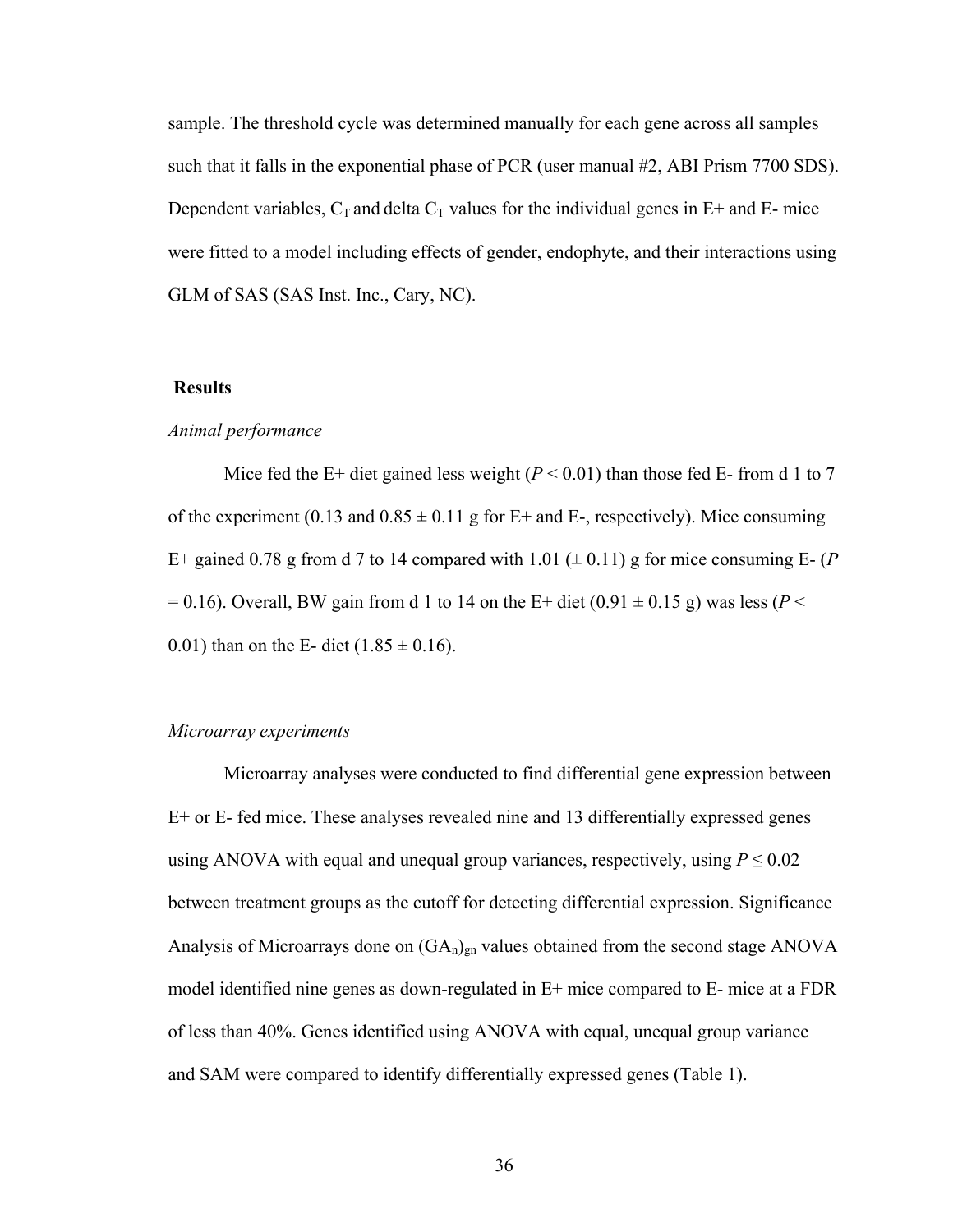sample. The threshold cycle was determined manually for each gene across all samples such that it falls in the exponential phase of PCR (user manual #2, ABI Prism 7700 SDS). Dependent variables,  $C_T$  and delta  $C_T$  values for the individual genes in  $E^+$  and  $E^-$  mice were fitted to a model including effects of gender, endophyte, and their interactions using GLM of SAS (SAS Inst. Inc., Cary, NC).

# **Results**

# *Animal performance*

Mice fed the E+ diet gained less weight  $(P < 0.01)$  than those fed E- from d 1 to 7 of the experiment (0.13 and  $0.85 \pm 0.11$  g for E+ and E-, respectively). Mice consuming E+ gained 0.78 g from d 7 to 14 compared with 1.01 ( $\pm$  0.11) g for mice consuming E- (*P*  $= 0.16$ ). Overall, BW gain from d 1 to 14 on the E+ diet (0.91  $\pm$  0.15 g) was less (*P* < 0.01) than on the E- diet  $(1.85 \pm 0.16)$ .

#### *Microarray experiments*

Microarray analyses were conducted to find differential gene expression between E+ or E- fed mice. These analyses revealed nine and 13 differentially expressed genes using ANOVA with equal and unequal group variances, respectively, using  $P \le 0.02$ between treatment groups as the cutoff for detecting differential expression. Significance Analysis of Microarrays done on  $(GA_n)_{gn}$  values obtained from the second stage ANOVA model identified nine genes as down-regulated in E+ mice compared to E- mice at a FDR of less than 40%. Genes identified using ANOVA with equal, unequal group variance and SAM were compared to identify differentially expressed genes (Table 1).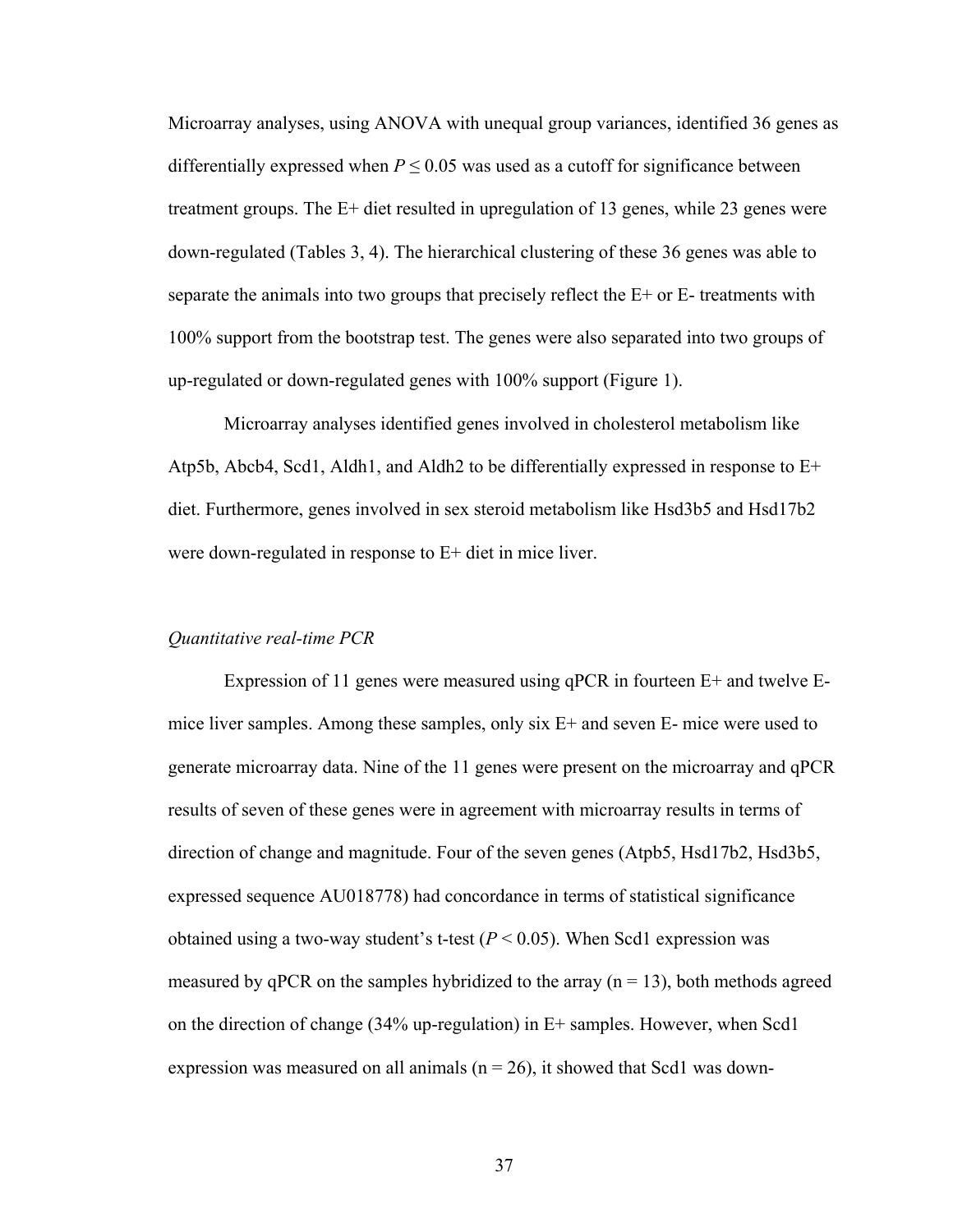Microarray analyses, using ANOVA with unequal group variances, identified 36 genes as differentially expressed when  $P \le 0.05$  was used as a cutoff for significance between treatment groups. The E+ diet resulted in upregulation of 13 genes, while 23 genes were down-regulated (Tables 3, 4). The hierarchical clustering of these 36 genes was able to separate the animals into two groups that precisely reflect the  $E<sup>+</sup>$  or  $E<sup>-</sup>$  treatments with 100% support from the bootstrap test. The genes were also separated into two groups of up-regulated or down-regulated genes with 100% support (Figure 1).

Microarray analyses identified genes involved in cholesterol metabolism like Atp5b, Abcb4, Scd1, Aldh1, and Aldh2 to be differentially expressed in response to E+ diet. Furthermore, genes involved in sex steroid metabolism like Hsd3b5 and Hsd17b2 were down-regulated in response to E+ diet in mice liver.

#### *Quantitative real-time PCR*

Expression of 11 genes were measured using qPCR in fourteen E+ and twelve Emice liver samples. Among these samples, only six E+ and seven E- mice were used to generate microarray data. Nine of the 11 genes were present on the microarray and qPCR results of seven of these genes were in agreement with microarray results in terms of direction of change and magnitude. Four of the seven genes (Atpb5, Hsd17b2, Hsd3b5, expressed sequence AU018778) had concordance in terms of statistical significance obtained using a two-way student's t-test  $(P < 0.05)$ . When Scd1 expression was measured by qPCR on the samples hybridized to the array  $(n = 13)$ , both methods agreed on the direction of change  $(34\%$  up-regulation) in E+ samples. However, when Scd1 expression was measured on all animals ( $n = 26$ ), it showed that Scd1 was down-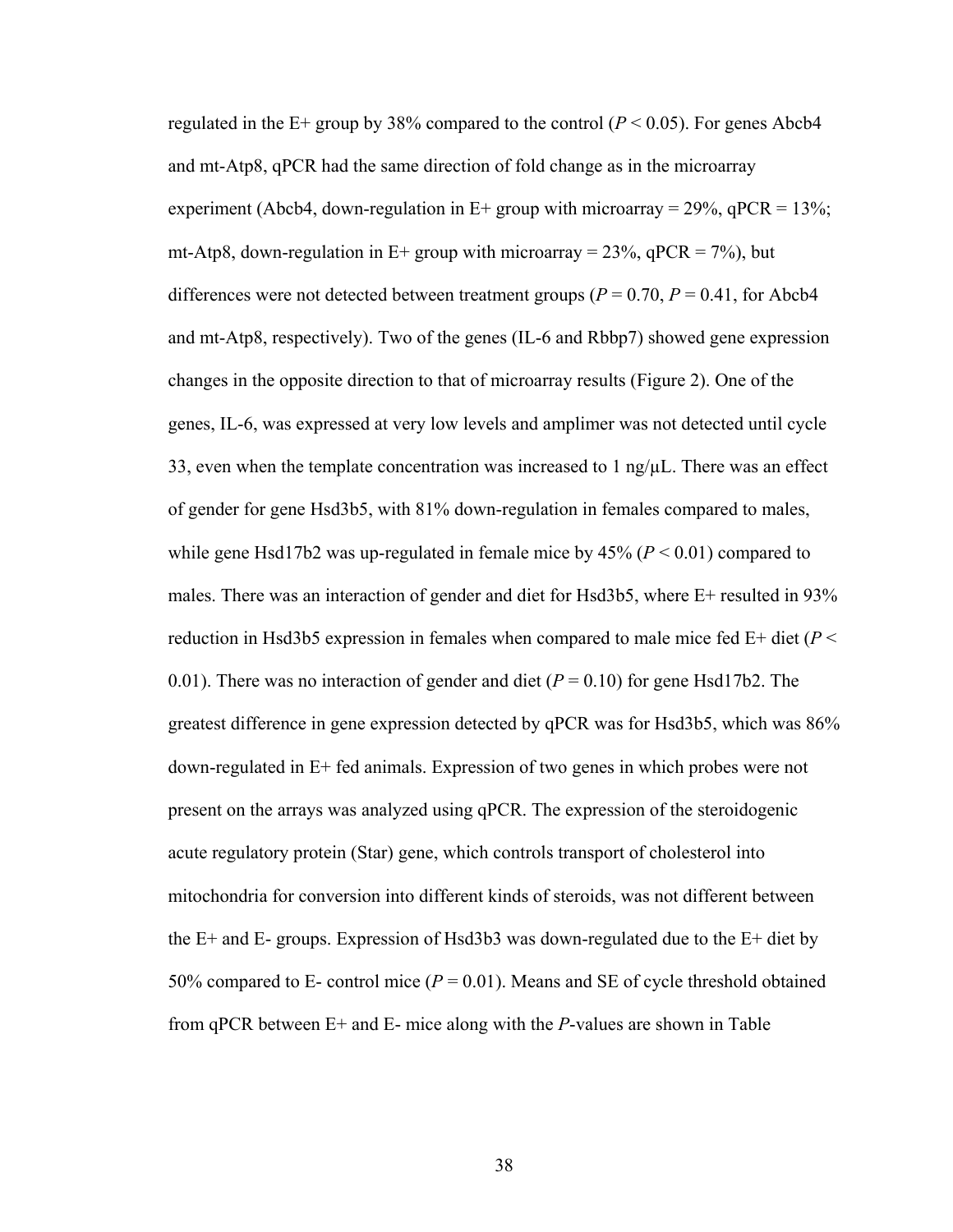regulated in the E+ group by 38% compared to the control  $(P < 0.05)$ . For genes Abcb4 and mt-Atp8, qPCR had the same direction of fold change as in the microarray experiment (Abcb4, down-regulation in  $E+$  group with microarray = 29%, qPCR = 13%; mt-Atp8, down-regulation in E+ group with microarray =  $23\%$ , qPCR =  $7\%$ ), but differences were not detected between treatment groups ( $P = 0.70$ ,  $P = 0.41$ , for Abcb4 and mt-Atp8, respectively). Two of the genes (IL-6 and Rbbp7) showed gene expression changes in the opposite direction to that of microarray results (Figure 2). One of the genes, IL-6, was expressed at very low levels and amplimer was not detected until cycle 33, even when the template concentration was increased to  $1 \text{ ng/µL}$ . There was an effect of gender for gene Hsd3b5, with 81% down-regulation in females compared to males, while gene Hsd17b2 was up-regulated in female mice by  $45\%$  ( $P < 0.01$ ) compared to males. There was an interaction of gender and diet for Hsd3b5, where E+ resulted in 93% reduction in Hsd3b5 expression in females when compared to male mice fed  $E+$  diet ( $P<$ 0.01). There was no interaction of gender and diet  $(P = 0.10)$  for gene Hsd17b2. The greatest difference in gene expression detected by qPCR was for Hsd3b5, which was 86% down-regulated in E+ fed animals. Expression of two genes in which probes were not present on the arrays was analyzed using qPCR. The expression of the steroidogenic acute regulatory protein (Star) gene, which controls transport of cholesterol into mitochondria for conversion into different kinds of steroids, was not different between the  $E+$  and  $E-$  groups. Expression of Hsd3b3 was down-regulated due to the  $E+$  diet by 50% compared to E- control mice  $(P = 0.01)$ . Means and SE of cycle threshold obtained from qPCR between E+ and E- mice along with the *P*-values are shown in Table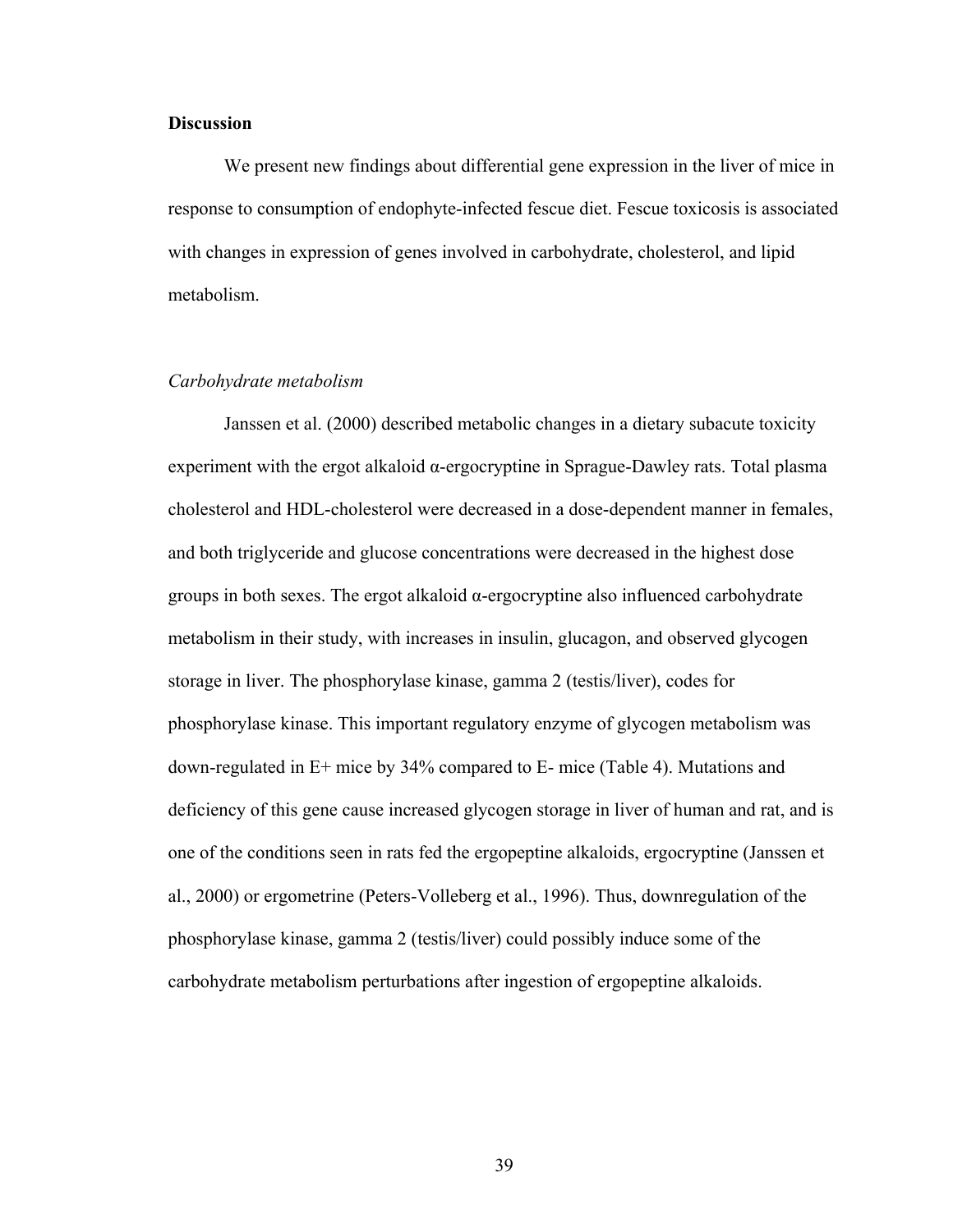#### **Discussion**

We present new findings about differential gene expression in the liver of mice in response to consumption of endophyte-infected fescue diet. Fescue toxicosis is associated with changes in expression of genes involved in carbohydrate, cholesterol, and lipid metabolism.

# *Carbohydrate metabolism*

Janssen et al. (2000) described metabolic changes in a dietary subacute toxicity experiment with the ergot alkaloid α-ergocryptine in Sprague-Dawley rats. Total plasma cholesterol and HDL-cholesterol were decreased in a dose-dependent manner in females, and both triglyceride and glucose concentrations were decreased in the highest dose groups in both sexes. The ergot alkaloid α-ergocryptine also influenced carbohydrate metabolism in their study, with increases in insulin, glucagon, and observed glycogen storage in liver. The phosphorylase kinase, gamma 2 (testis/liver), codes for phosphorylase kinase. This important regulatory enzyme of glycogen metabolism was down-regulated in E+ mice by 34% compared to E- mice (Table 4). Mutations and deficiency of this gene cause increased glycogen storage in liver of human and rat, and is one of the conditions seen in rats fed the ergopeptine alkaloids, ergocryptine (Janssen et al., 2000) or ergometrine (Peters-Volleberg et al., 1996). Thus, downregulation of the phosphorylase kinase, gamma 2 (testis/liver) could possibly induce some of the carbohydrate metabolism perturbations after ingestion of ergopeptine alkaloids.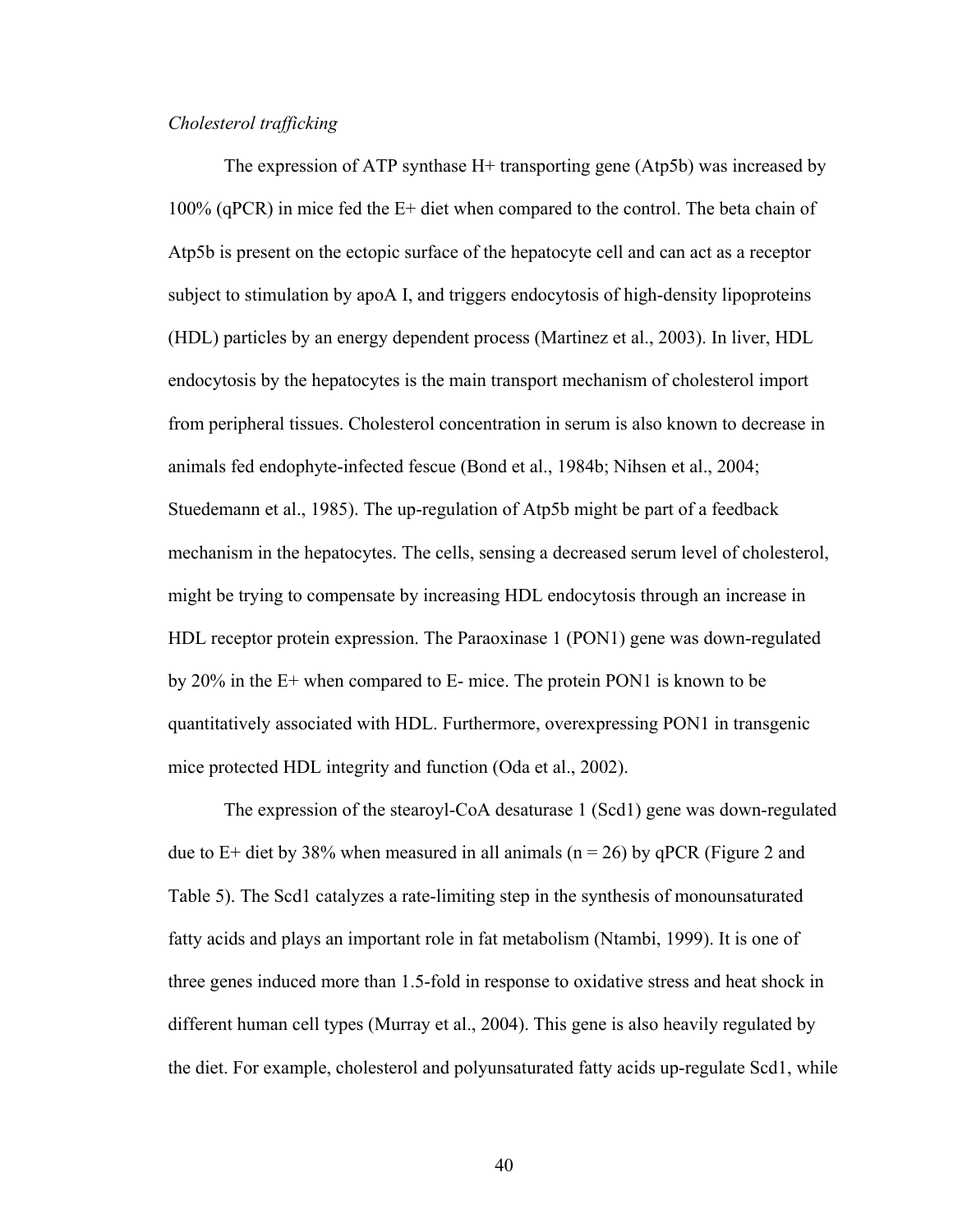# *Cholesterol trafficking*

The expression of ATP synthase H+ transporting gene (Atp5b) was increased by 100% (qPCR) in mice fed the E+ diet when compared to the control. The beta chain of Atp5b is present on the ectopic surface of the hepatocyte cell and can act as a receptor subject to stimulation by apoA I, and triggers endocytosis of high-density lipoproteins (HDL) particles by an energy dependent process (Martinez et al., 2003). In liver, HDL endocytosis by the hepatocytes is the main transport mechanism of cholesterol import from peripheral tissues. Cholesterol concentration in serum is also known to decrease in animals fed endophyte-infected fescue (Bond et al., 1984b; Nihsen et al., 2004; Stuedemann et al., 1985). The up-regulation of Atp5b might be part of a feedback mechanism in the hepatocytes. The cells, sensing a decreased serum level of cholesterol, might be trying to compensate by increasing HDL endocytosis through an increase in HDL receptor protein expression. The Paraoxinase 1 (PON1) gene was down-regulated by 20% in the E+ when compared to E- mice. The protein PON1 is known to be quantitatively associated with HDL. Furthermore, overexpressing PON1 in transgenic mice protected HDL integrity and function (Oda et al., 2002).

The expression of the stearoyl-CoA desaturase 1 (Scd1) gene was down-regulated due to E+ diet by 38% when measured in all animals ( $n = 26$ ) by qPCR (Figure 2 and Table 5). The Scd1 catalyzes a rate-limiting step in the synthesis of monounsaturated fatty acids and plays an important role in fat metabolism (Ntambi, 1999). It is one of three genes induced more than 1.5-fold in response to oxidative stress and heat shock in different human cell types (Murray et al., 2004). This gene is also heavily regulated by the diet. For example, cholesterol and polyunsaturated fatty acids up-regulate Scd1, while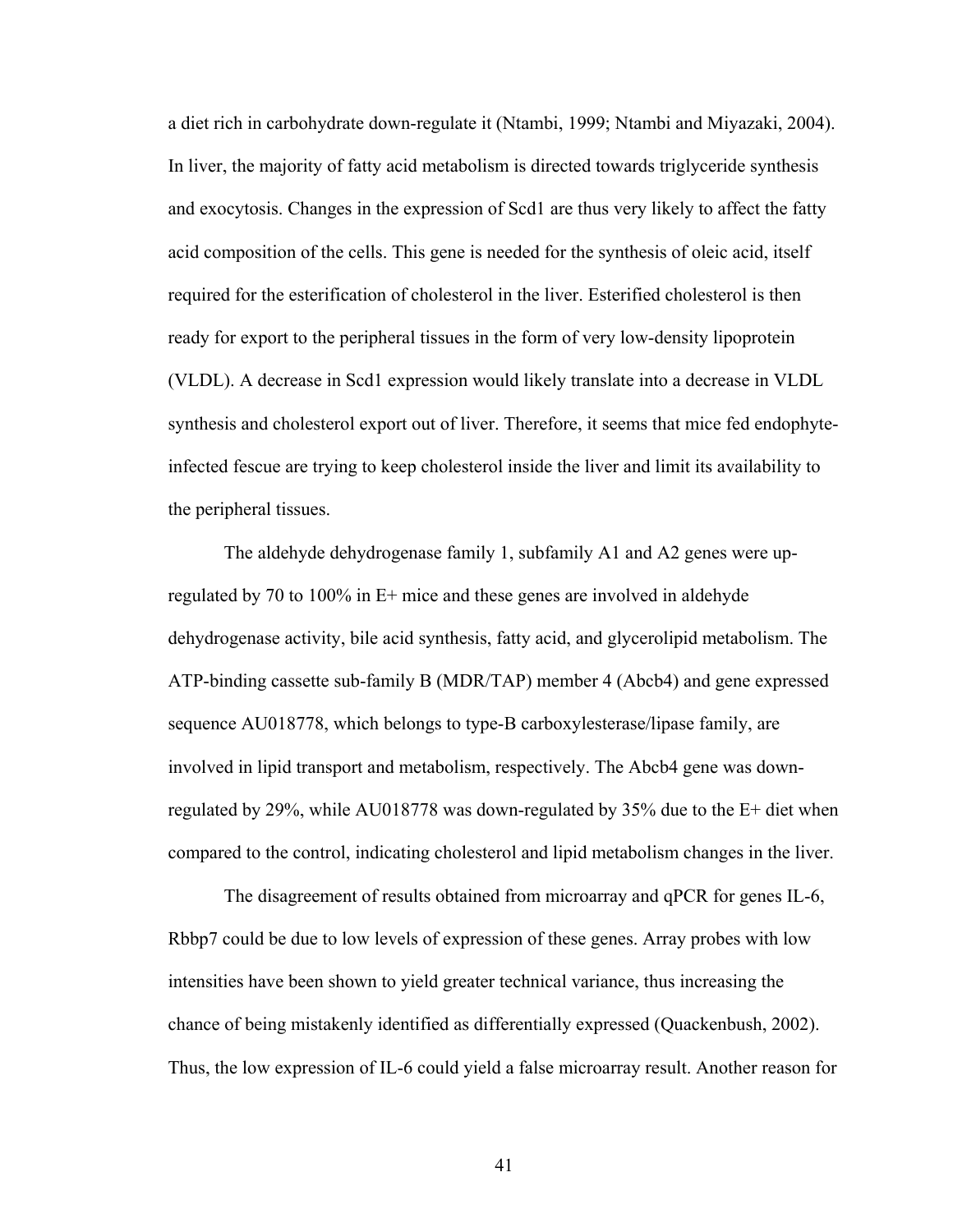a diet rich in carbohydrate down-regulate it (Ntambi, 1999; Ntambi and Miyazaki, 2004). In liver, the majority of fatty acid metabolism is directed towards triglyceride synthesis and exocytosis. Changes in the expression of Scd1 are thus very likely to affect the fatty acid composition of the cells. This gene is needed for the synthesis of oleic acid, itself required for the esterification of cholesterol in the liver. Esterified cholesterol is then ready for export to the peripheral tissues in the form of very low-density lipoprotein (VLDL). A decrease in Scd1 expression would likely translate into a decrease in VLDL synthesis and cholesterol export out of liver. Therefore, it seems that mice fed endophyteinfected fescue are trying to keep cholesterol inside the liver and limit its availability to the peripheral tissues.

The aldehyde dehydrogenase family 1, subfamily A1 and A2 genes were upregulated by 70 to 100% in E+ mice and these genes are involved in aldehyde dehydrogenase activity, bile acid synthesis, fatty acid, and glycerolipid metabolism. The ATP-binding cassette sub-family B (MDR/TAP) member 4 (Abcb4) and gene expressed sequence AU018778, which belongs to type-B carboxylesterase/lipase family, are involved in lipid transport and metabolism, respectively. The Abcb4 gene was downregulated by 29%, while AU018778 was down-regulated by 35% due to the E+ diet when compared to the control, indicating cholesterol and lipid metabolism changes in the liver.

The disagreement of results obtained from microarray and qPCR for genes IL-6, Rbbp7 could be due to low levels of expression of these genes. Array probes with low intensities have been shown to yield greater technical variance, thus increasing the chance of being mistakenly identified as differentially expressed (Quackenbush, 2002). Thus, the low expression of IL-6 could yield a false microarray result. Another reason for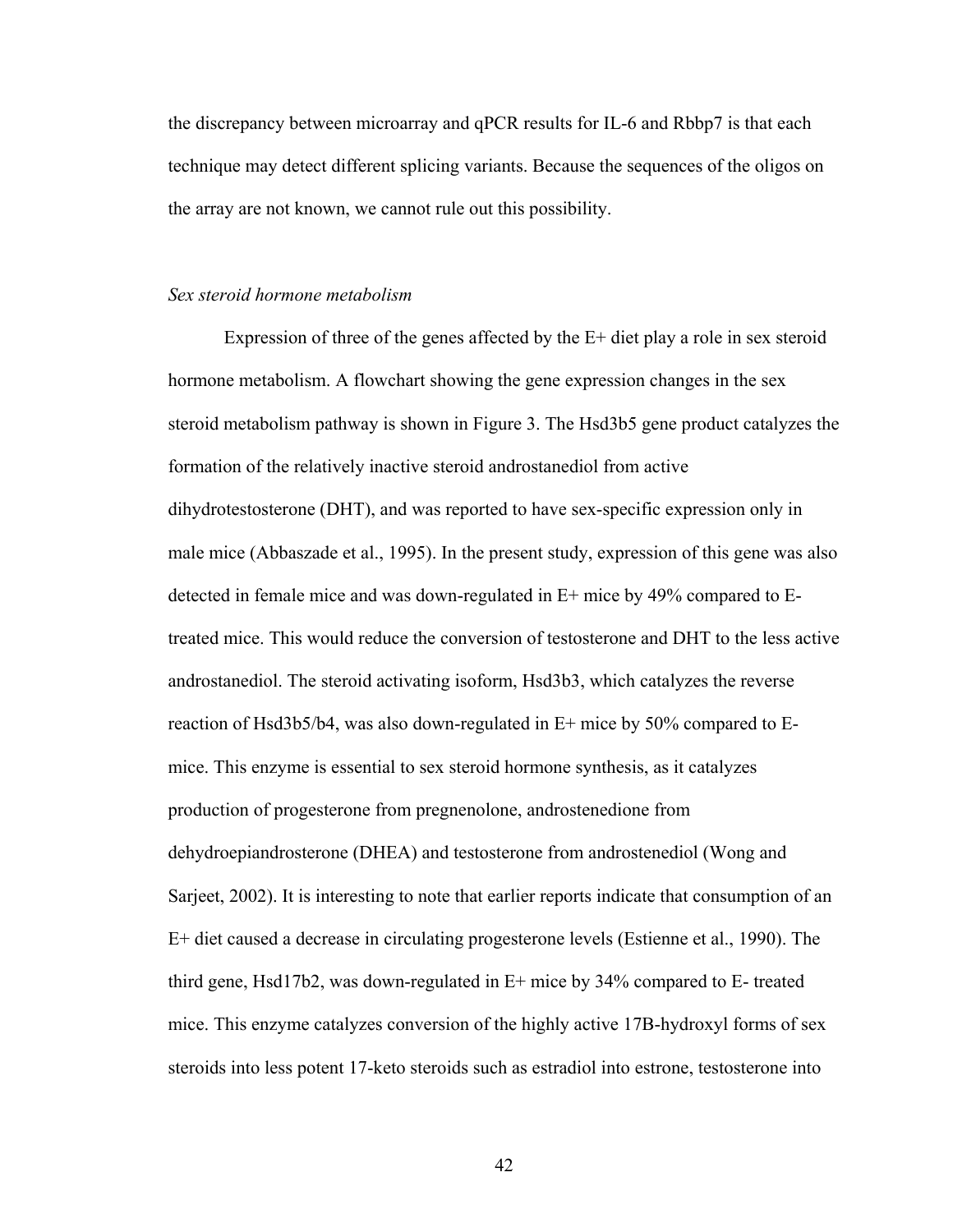the discrepancy between microarray and qPCR results for IL-6 and Rbbp7 is that each technique may detect different splicing variants. Because the sequences of the oligos on the array are not known, we cannot rule out this possibility.

#### *Sex steroid hormone metabolism*

Expression of three of the genes affected by the E+ diet play a role in sex steroid hormone metabolism. A flowchart showing the gene expression changes in the sex steroid metabolism pathway is shown in Figure 3. The Hsd3b5 gene product catalyzes the formation of the relatively inactive steroid androstanediol from active dihydrotestosterone (DHT), and was reported to have sex-specific expression only in male mice (Abbaszade et al., 1995). In the present study, expression of this gene was also detected in female mice and was down-regulated in E+ mice by 49% compared to Etreated mice. This would reduce the conversion of testosterone and DHT to the less active androstanediol. The steroid activating isoform, Hsd3b3, which catalyzes the reverse reaction of Hsd3b5/b4, was also down-regulated in E+ mice by 50% compared to Emice. This enzyme is essential to sex steroid hormone synthesis, as it catalyzes production of progesterone from pregnenolone, androstenedione from dehydroepiandrosterone (DHEA) and testosterone from androstenediol (Wong and Sarjeet, 2002). It is interesting to note that earlier reports indicate that consumption of an E+ diet caused a decrease in circulating progesterone levels (Estienne et al., 1990). The third gene, Hsd17b2, was down-regulated in E+ mice by 34% compared to E- treated mice. This enzyme catalyzes conversion of the highly active 17B-hydroxyl forms of sex steroids into less potent 17-keto steroids such as estradiol into estrone, testosterone into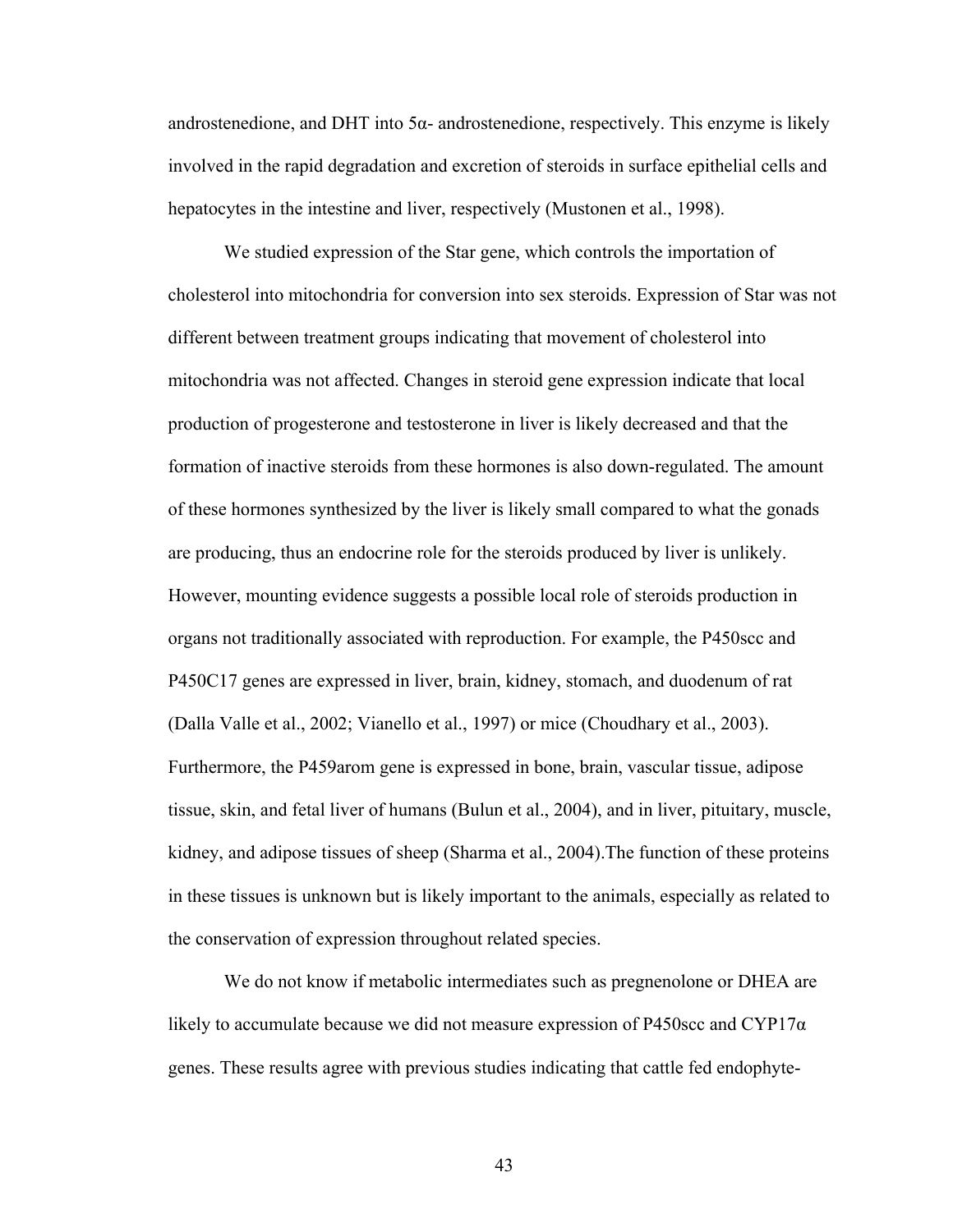androstenedione, and DHT into  $5\alpha$ - androstenedione, respectively. This enzyme is likely involved in the rapid degradation and excretion of steroids in surface epithelial cells and hepatocytes in the intestine and liver, respectively (Mustonen et al., 1998).

We studied expression of the Star gene, which controls the importation of cholesterol into mitochondria for conversion into sex steroids. Expression of Star was not different between treatment groups indicating that movement of cholesterol into mitochondria was not affected. Changes in steroid gene expression indicate that local production of progesterone and testosterone in liver is likely decreased and that the formation of inactive steroids from these hormones is also down-regulated. The amount of these hormones synthesized by the liver is likely small compared to what the gonads are producing, thus an endocrine role for the steroids produced by liver is unlikely. However, mounting evidence suggests a possible local role of steroids production in organs not traditionally associated with reproduction. For example, the P450scc and P450C17 genes are expressed in liver, brain, kidney, stomach, and duodenum of rat (Dalla Valle et al., 2002; Vianello et al., 1997) or mice (Choudhary et al., 2003). Furthermore, the P459arom gene is expressed in bone, brain, vascular tissue, adipose tissue, skin, and fetal liver of humans (Bulun et al., 2004), and in liver, pituitary, muscle, kidney, and adipose tissues of sheep (Sharma et al., 2004).The function of these proteins in these tissues is unknown but is likely important to the animals, especially as related to the conservation of expression throughout related species.

We do not know if metabolic intermediates such as pregnenolone or DHEA are likely to accumulate because we did not measure expression of P450scc and CYP17 $\alpha$ genes. These results agree with previous studies indicating that cattle fed endophyte-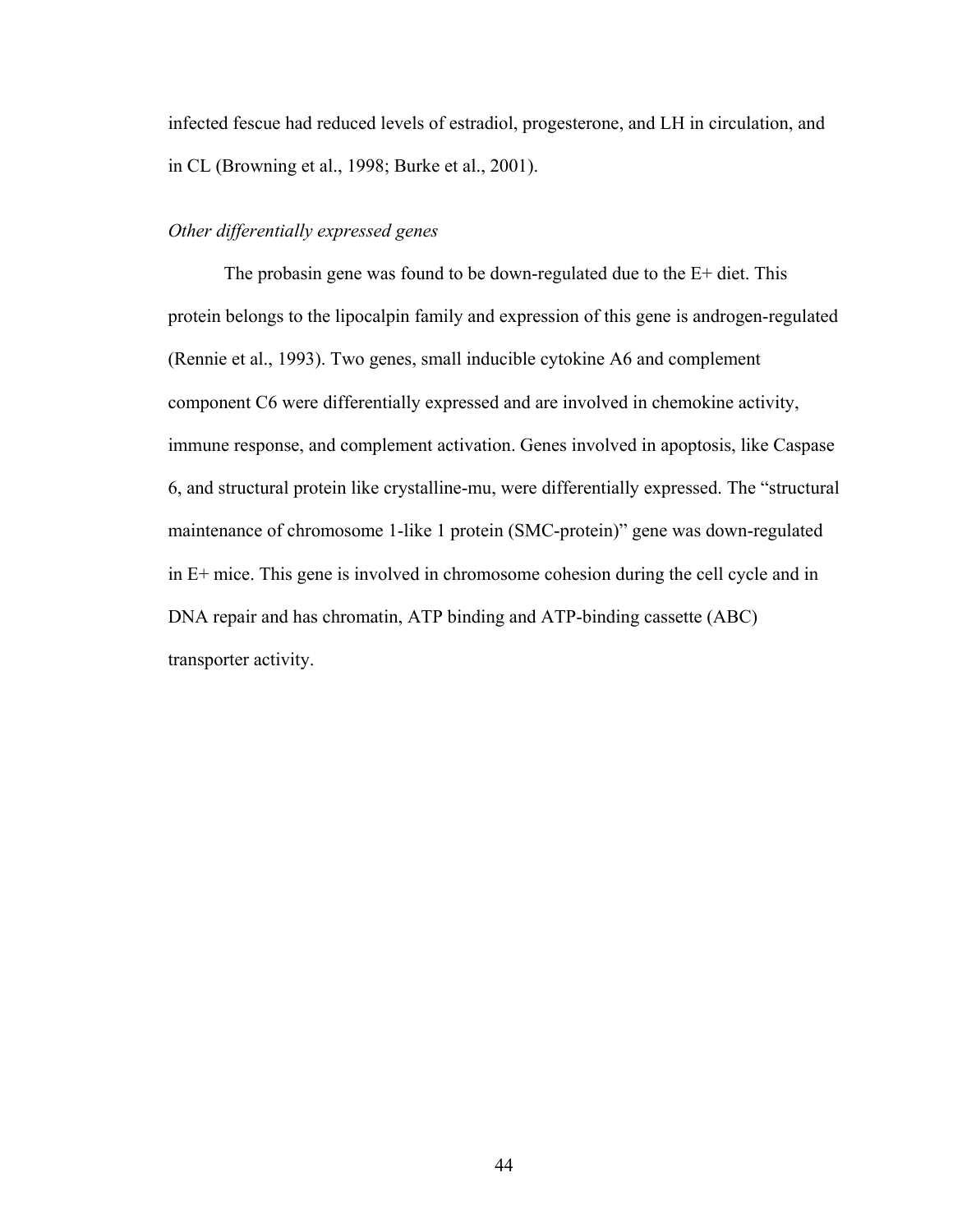infected fescue had reduced levels of estradiol, progesterone, and LH in circulation, and in CL (Browning et al., 1998; Burke et al., 2001).

# *Other differentially expressed genes*

The probasin gene was found to be down-regulated due to the E+ diet. This protein belongs to the lipocalpin family and expression of this gene is androgen-regulated (Rennie et al., 1993). Two genes, small inducible cytokine A6 and complement component C6 were differentially expressed and are involved in chemokine activity, immune response, and complement activation. Genes involved in apoptosis, like Caspase 6, and structural protein like crystalline-mu, were differentially expressed. The "structural maintenance of chromosome 1-like 1 protein (SMC-protein)" gene was down-regulated in E+ mice. This gene is involved in chromosome cohesion during the cell cycle and in DNA repair and has chromatin, ATP binding and ATP-binding cassette (ABC) transporter activity.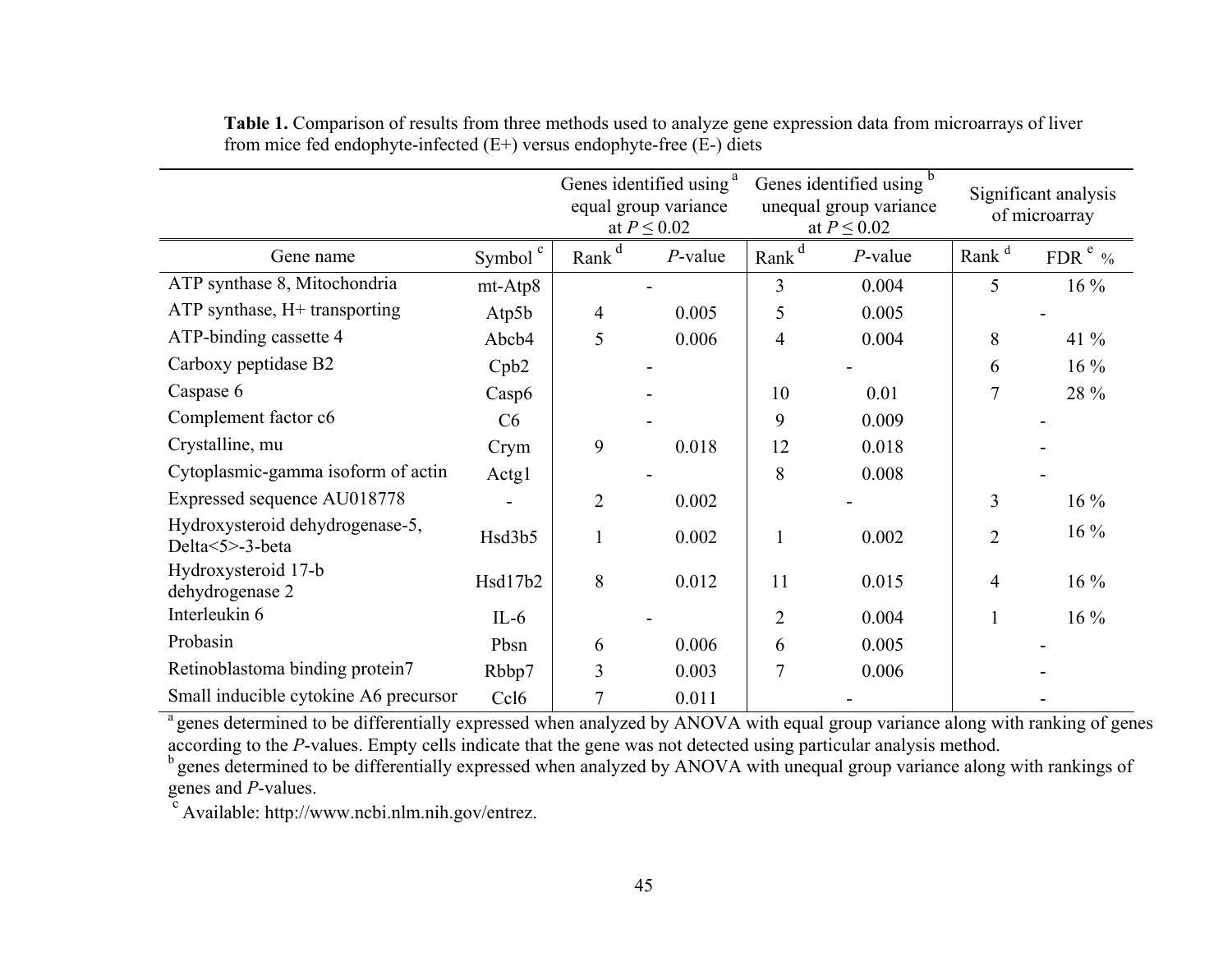|                                                    |                     | Genes identified using <sup>a</sup><br>equal group variance<br>at $P \leq 0.02$ |            | Genes identified using<br>unequal group variance<br>at $P \leq 0.02$ |            | Significant analysis<br>of microarray |              |
|----------------------------------------------------|---------------------|---------------------------------------------------------------------------------|------------|----------------------------------------------------------------------|------------|---------------------------------------|--------------|
| Gene name                                          | Symbol <sup>c</sup> | Rank <sup>d</sup>                                                               | $P$ -value | Rank <sup>d</sup>                                                    | $P$ -value | Rank <sup>d</sup>                     | FDR $e_{\%}$ |
| ATP synthase 8, Mitochondria                       | mt-Atp8             |                                                                                 |            | 3                                                                    | 0.004      | 5                                     | $16\%$       |
| ATP synthase, H+ transporting                      | Atp5 $b$            | 4                                                                               | 0.005      | 5                                                                    | 0.005      |                                       |              |
| ATP-binding cassette 4                             | Abcb4               | 5                                                                               | 0.006      | $\overline{4}$                                                       | 0.004      | 8                                     | $41\%$       |
| Carboxy peptidase B2                               | Cpb2                |                                                                                 |            |                                                                      |            | 6                                     | $16\%$       |
| Caspase 6                                          | Casp6               |                                                                                 |            | 10                                                                   | 0.01       | $\overline{7}$                        | 28 %         |
| Complement factor c6                               | C6                  |                                                                                 |            | 9                                                                    | 0.009      |                                       |              |
| Crystalline, mu                                    | Crym                | 9                                                                               | 0.018      | 12                                                                   | 0.018      |                                       |              |
| Cytoplasmic-gamma isoform of actin                 | Actg1               |                                                                                 |            | 8                                                                    | 0.008      |                                       |              |
| Expressed sequence AU018778                        |                     | $\overline{2}$                                                                  | 0.002      |                                                                      |            | 3                                     | $16\%$       |
| Hydroxysteroid dehydrogenase-5,<br>Delta<5>-3-beta | Hsd3b5              |                                                                                 | 0.002      |                                                                      | 0.002      | $\overline{2}$                        | $16\%$       |
| Hydroxysteroid 17-b<br>dehydrogenase 2             | Hsd17b2             | 8                                                                               | 0.012      | 11                                                                   | 0.015      | 4                                     | $16\%$       |
| Interleukin 6                                      | $IL-6$              |                                                                                 |            | $\overline{2}$                                                       | 0.004      |                                       | $16\%$       |
| Probasin                                           | Pbsn                | 6                                                                               | 0.006      | 6                                                                    | 0.005      |                                       |              |
| Retinoblastoma binding protein7                    | Rbbp7               | 3                                                                               | 0.003      | $\overline{7}$                                                       | 0.006      |                                       |              |
| Small inducible cytokine A6 precursor              | Ccl <sub>6</sub>    | 7                                                                               | 0.011      |                                                                      |            |                                       |              |

**Table 1.** Comparison of results from three methods used to analyze gene expression data from microarrays of liver from mice fed endophyte-infected (E+) versus endophyte-free (E-) diets

<sup>a</sup> genes determined to be differentially expressed when analyzed by ANOVA with equal group variance along with ranking of genes according to the *P*-values. Empty cells indicate that the gene was not detected using particular analysis method.

<sup>b</sup> genes determined to be differentially expressed when analyzed by ANOVA with unequal group variance along with rankings of genes and *P*-values.

c Available: http://www.ncbi.nlm.nih.gov/entrez.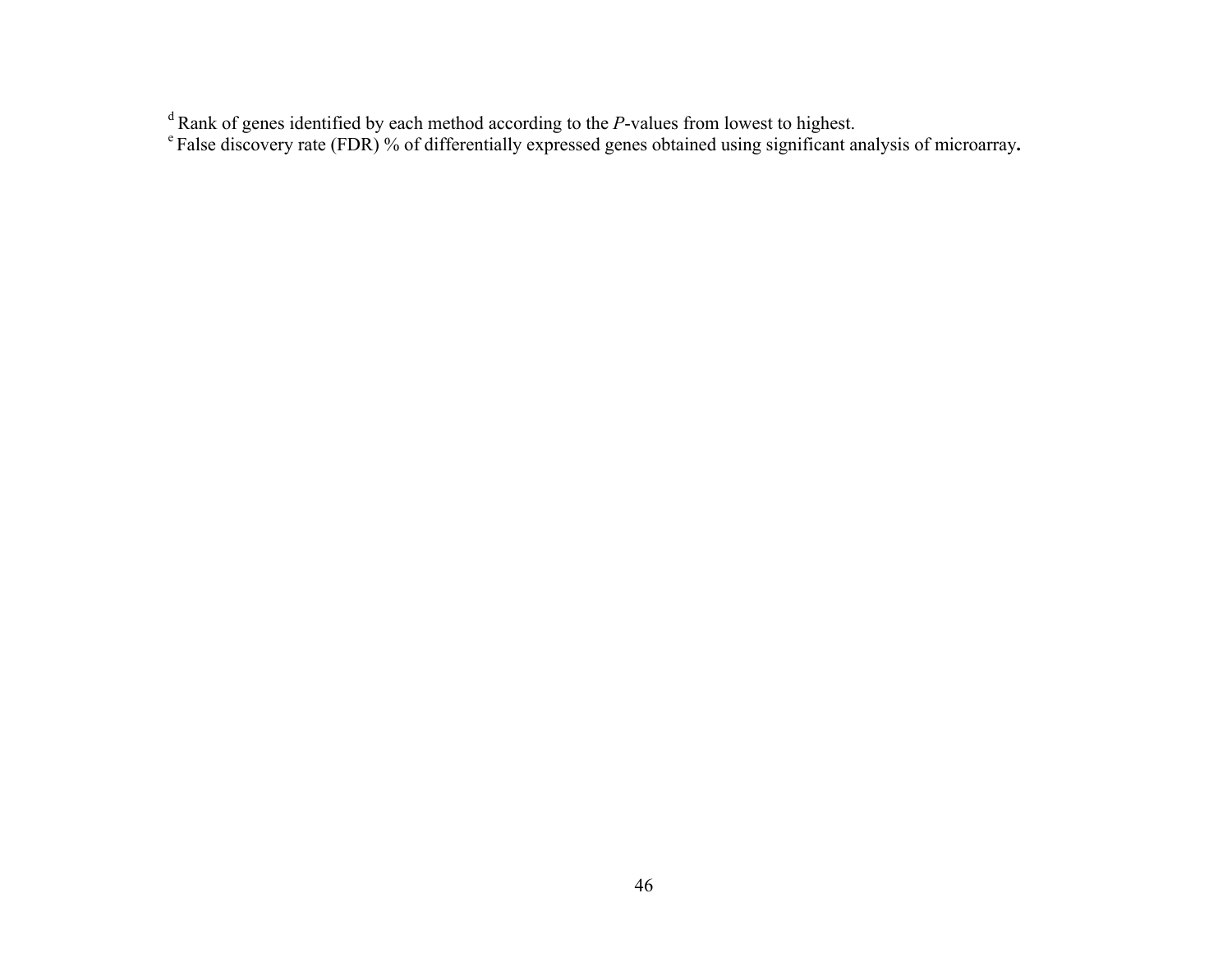d Rank of genes identified by each method according to the *P*-values from lowest to highest.

e False discovery rate (FDR) % of differentially expressed genes obtained using significant analysis of microarray**.**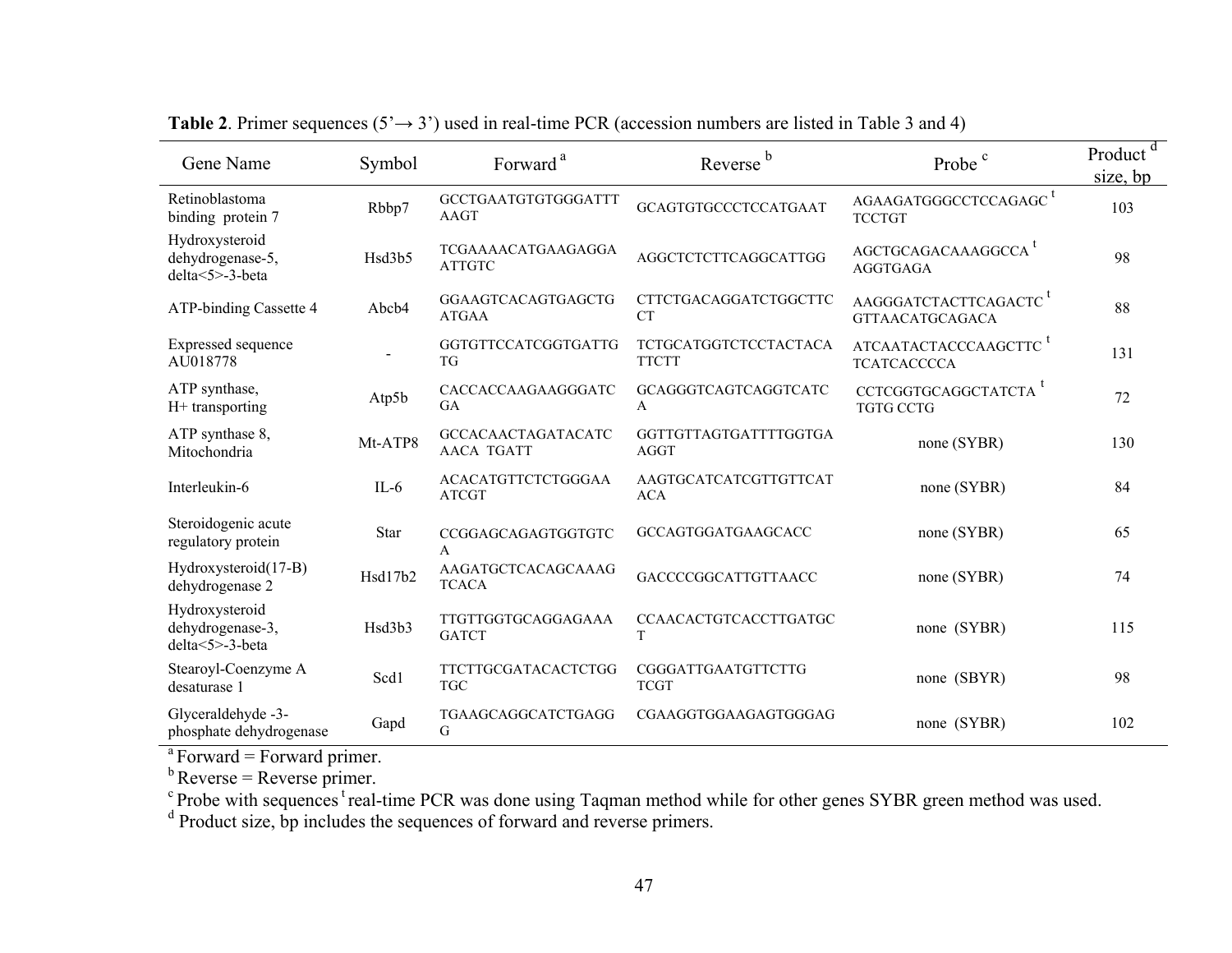| Gene Name                                                    | Symbol  | Forward <sup>a</sup>                           | Reverse <sup>b</sup>                  | Probe <sup>c</sup>                                          | Product <sup>d</sup><br>size, bp |
|--------------------------------------------------------------|---------|------------------------------------------------|---------------------------------------|-------------------------------------------------------------|----------------------------------|
| Retinoblastoma<br>binding protein 7                          | Rbbp7   | GCCTGAATGTGTGGGATTT<br><b>AAGT</b>             | GCAGTGTGCCCTCCATGAAT                  | AGAAGATGGGCCTCCAGAGC <sup>t</sup><br><b>TCCTGT</b>          | 103                              |
| Hydroxysteroid<br>dehydrogenase-5,<br>$delta < 5 > -3$ -beta | Hsd3b5  | <b>TCGAAAACATGAAGAGGA</b><br><b>ATTGTC</b>     | AGGCTCTCTTCAGGCATTGG                  | AGCTGCAGACAAAGGCCA <sup>t</sup><br>AGGTGAGA                 | 98                               |
| ATP-binding Cassette 4                                       | Abcb4   | GGAAGTCACAGTGAGCTG<br><b>ATGAA</b>             | CTTCTGACAGGATCTGGCTTC<br><b>CT</b>    | AAGGGATCTACTTCAGACTC <sup>T</sup><br><b>GTTAACATGCAGACA</b> | 88                               |
| Expressed sequence<br>AU018778                               |         | GGTGTTCCATCGGTGATTG<br><b>TG</b>               | TCTGCATGGTCTCCTACTACA<br><b>TTCTT</b> | ATCAATACTACCCAAGCTTC <sup>t</sup><br><b>TCATCACCCCA</b>     | 131                              |
| ATP synthase,<br>H+ transporting                             | Atp5b   | CACCACCAAGAAGGGATC<br><b>GA</b>                | GCAGGGTCAGTCAGGTCATC<br>A             | CCTCGGTGCAGGCTATCTA <sup>t</sup><br><b>TGTG CCTG</b>        | 72                               |
| ATP synthase 8,<br>Mitochondria                              | Mt-ATP8 | <b>GCCACAACTAGATACATC</b><br><b>AACA TGATT</b> | GGTTGTTAGTGATTTTGGTGA<br><b>AGGT</b>  | none (SYBR)                                                 | 130                              |
| Interleukin-6                                                | $IL-6$  | <b>ACACATGTTCTCTGGGAA</b><br><b>ATCGT</b>      | AAGTGCATCATCGTTGTTCAT<br><b>ACA</b>   | none (SYBR)                                                 | 84                               |
| Steroidogenic acute<br>regulatory protein                    | Star    | CCGGAGCAGAGTGGTGTC<br>A                        | GCCAGTGGATGAAGCACC                    | none (SYBR)                                                 | 65                               |
| Hydroxysteroid(17-B)<br>dehydrogenase 2                      | Hsd17b2 | AAGATGCTCACAGCAAAG<br><b>TCACA</b>             | GACCCCGGCATTGTTAACC                   | none (SYBR)                                                 | 74                               |
| Hydroxysteroid<br>dehydrogenase-3,<br>delta<5>-3-beta        | Hsd3b3  | TTGTTGGTGCAGGAGAAA<br><b>GATCT</b>             | CCAACACTGTCACCTTGATGC<br>T            | none (SYBR)                                                 | 115                              |
| Stearoyl-Coenzyme A<br>desaturase 1                          | Scd1    | TTCTTGCGATACACTCTGG<br><b>TGC</b>              | CGGGATTGAATGTTCTTG<br><b>TCGT</b>     | none (SBYR)                                                 | 98                               |
| Glyceraldehyde -3-<br>phosphate dehydrogenase                | Gapd    | TGAAGCAGGCATCTGAGG<br>G                        | CGAAGGTGGAAGAGTGGGAG                  | none (SYBR)                                                 | 102                              |

**Table 2**. Primer sequences ( $5' \rightarrow 3'$ ) used in real-time PCR (accession numbers are listed in Table 3 and 4)

 $a$  Forward = Forward primer.

 $<sup>b</sup>$  Reverse = Reverse primer.</sup>

 $c$  Probe with sequences  $t$  real-time PCR was done using Taqman method while for other genes SYBR green method was used.

<sup>d</sup> Product size, bp includes the sequences of forward and reverse primers.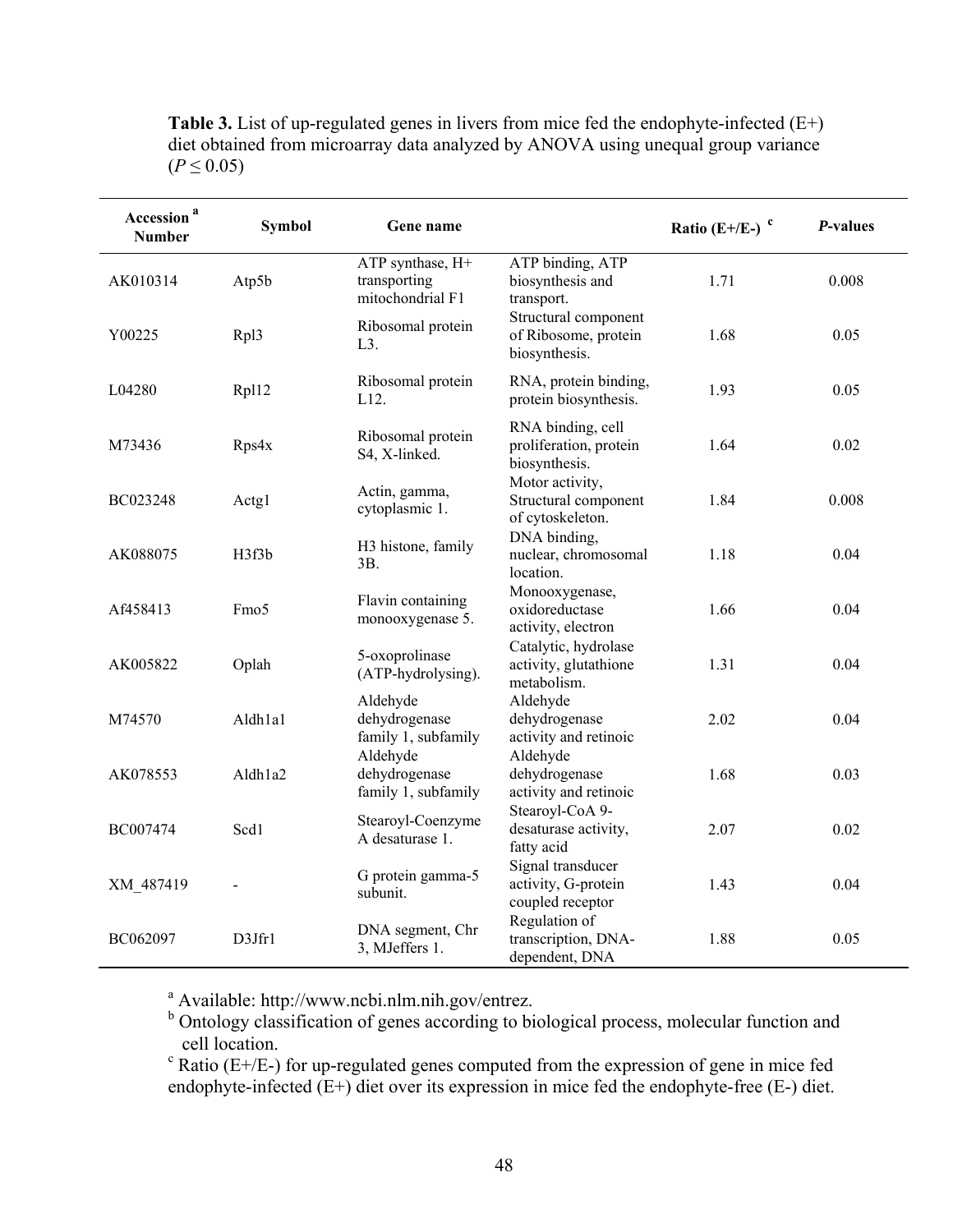**Table 3.** List of up-regulated genes in livers from mice fed the endophyte-infected (E+) diet obtained from microarray data analyzed by ANOVA using unequal group variance  $(P \le 0.05)$ 

| Accession <sup>a</sup><br><b>Number</b> | <b>Symbol</b>    | Gene name                                            |                                                               | Ratio (E+/E-) $\degree$ | P-values |
|-----------------------------------------|------------------|------------------------------------------------------|---------------------------------------------------------------|-------------------------|----------|
| AK010314                                | Atp5b            | ATP synthase, H+<br>transporting<br>mitochondrial F1 | ATP binding, ATP<br>biosynthesis and<br>transport.            | 1.71                    | 0.008    |
| Y00225                                  | Rpl3             | Ribosomal protein<br>$L3$ .                          | Structural component<br>of Ribosome, protein<br>biosynthesis. | 1.68                    | 0.05     |
| L04280                                  | Rpl12            | Ribosomal protein<br>L12.                            | RNA, protein binding,<br>protein biosynthesis.                | 1.93                    | 0.05     |
| M73436                                  | Rps4x            | Ribosomal protein<br>S4, X-linked.                   | RNA binding, cell<br>proliferation, protein<br>biosynthesis.  | 1.64                    | 0.02     |
| BC023248                                | Actg1            | Actin, gamma,<br>cytoplasmic 1.                      | Motor activity,<br>Structural component<br>of cytoskeleton.   | 1.84                    | 0.008    |
| AK088075                                | H3f3b            | H3 histone, family<br>3B.                            | DNA binding,<br>nuclear, chromosomal<br>location.             | 1.18                    | 0.04     |
| Af458413                                | Fmo <sub>5</sub> | Flavin containing<br>monooxygenase 5.                | Monooxygenase,<br>oxidoreductase<br>activity, electron        | 1.66                    | 0.04     |
| AK005822                                | Oplah            | 5-oxoprolinase<br>(ATP-hydrolysing).                 | Catalytic, hydrolase<br>activity, glutathione<br>metabolism.  | 1.31                    | 0.04     |
| M74570                                  | Aldh1a1          | Aldehyde<br>dehydrogenase<br>family 1, subfamily     | Aldehyde<br>dehydrogenase<br>activity and retinoic            | 2.02                    | 0.04     |
| AK078553                                | Aldh1a2          | Aldehyde<br>dehydrogenase<br>family 1, subfamily     | Aldehyde<br>dehydrogenase<br>activity and retinoic            | 1.68                    | 0.03     |
| BC007474                                | Scd1             | Stearoyl-Coenzyme<br>A desaturase 1.                 | Stearoyl-CoA 9-<br>desaturase activity,<br>fatty acid         | 2.07                    | 0.02     |
| XM_487419                               |                  | G protein gamma-5<br>subunit.                        | Signal transducer<br>activity, G-protein<br>coupled receptor  | 1.43                    | 0.04     |
| BC062097                                | D3Jfr1           | DNA segment, Chr<br>3, MJeffers 1.                   | Regulation of<br>transcription, DNA-<br>dependent, DNA        | 1.88                    | 0.05     |

<sup>a</sup> Available: http://www.ncbi.nlm.nih.gov/entrez.<br><sup>b</sup> Ontology classification of genes according to biological process, molecular function and cell location.

 $c$  Ratio (E+/E-) for up-regulated genes computed from the expression of gene in mice fed endophyte-infected (E+) diet over its expression in mice fed the endophyte-free (E-) diet.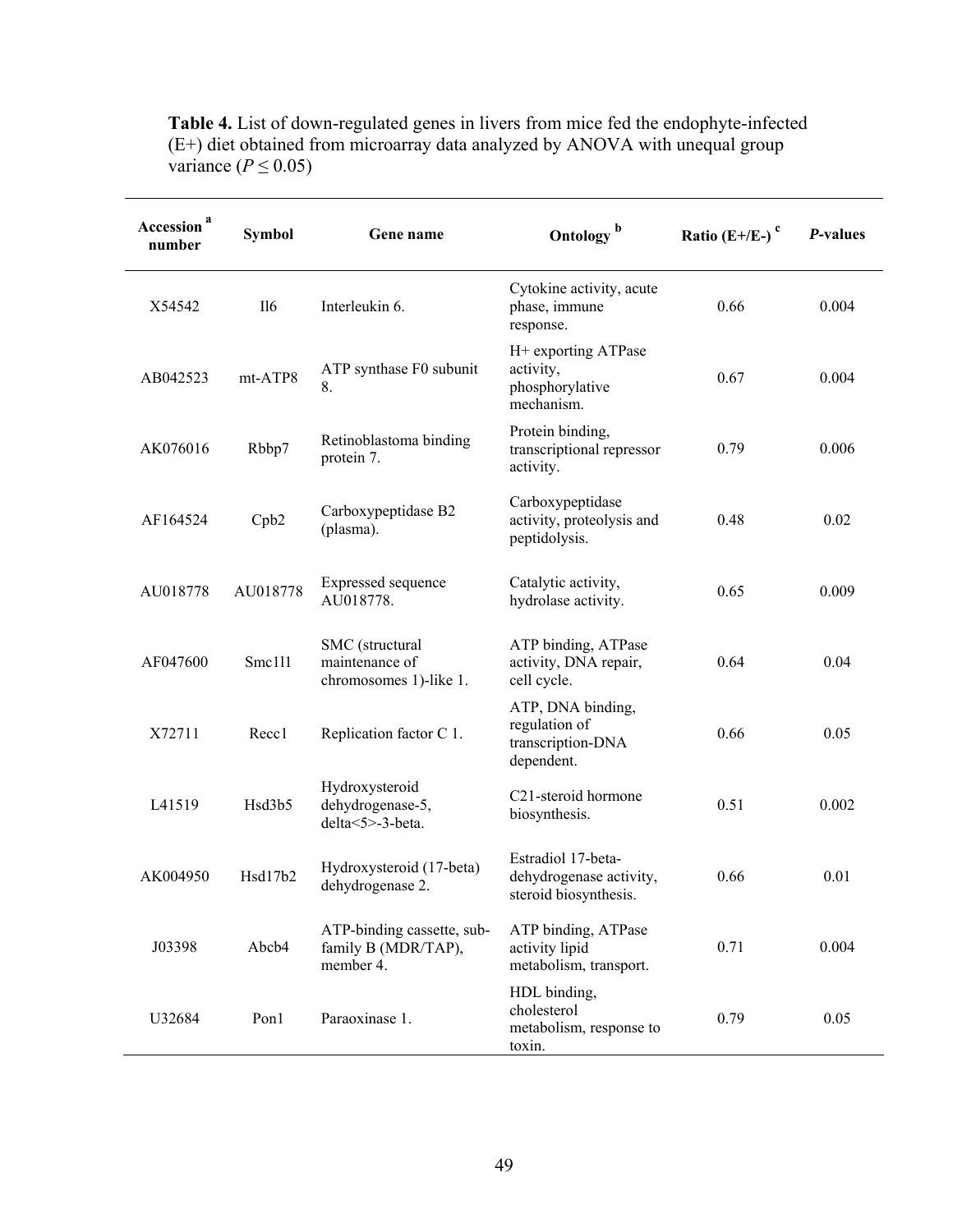**Table 4.** List of down-regulated genes in livers from mice fed the endophyte-infected (E+) diet obtained from microarray data analyzed by ANOVA with unequal group variance ( $P \le 0.05$ )

| Accession <sup>a</sup><br>number | <b>Symbol</b> | Gene name                                                      | Ontology <sup>b</sup>                                                  | Ratio $(E+/E-)$ <sup>c</sup> | P-values |
|----------------------------------|---------------|----------------------------------------------------------------|------------------------------------------------------------------------|------------------------------|----------|
| X54542                           | II6           | Interleukin 6.                                                 | Cytokine activity, acute<br>phase, immune<br>response.                 | 0.66                         | 0.004    |
| AB042523                         | mt-ATP8       | ATP synthase F0 subunit<br>8.                                  | H+ exporting ATPase<br>activity,<br>phosphorylative<br>mechanism.      | 0.67                         | 0.004    |
| AK076016                         | Rbbp7         | Retinoblastoma binding<br>protein 7.                           | Protein binding,<br>transcriptional repressor<br>activity.             | 0.79                         | 0.006    |
| AF164524                         | Cpb2          | Carboxypeptidase B2<br>(plasma).                               | Carboxypeptidase<br>activity, proteolysis and<br>peptidolysis.         | 0.48                         | 0.02     |
| AU018778                         | AU018778      | Expressed sequence<br>AU018778.                                | Catalytic activity,<br>hydrolase activity.                             | 0.65                         | 0.009    |
| AF047600                         | Smc111        | SMC (structural<br>maintenance of<br>chromosomes 1)-like 1.    | ATP binding, ATPase<br>activity, DNA repair,<br>cell cycle.            | 0.64                         | 0.04     |
| X72711                           | Recc1         | Replication factor C 1.                                        | ATP, DNA binding,<br>regulation of<br>transcription-DNA<br>dependent.  | 0.66                         | 0.05     |
| L41519                           | Hsd3b5        | Hydroxysteroid<br>dehydrogenase-5,<br>delta<5>-3-beta.         | C21-steroid hormone<br>biosynthesis.                                   | 0.51                         | 0.002    |
| AK004950                         | Hsd17b2       | Hydroxysteroid (17-beta)<br>dehydrogenase 2.                   | Estradiol 17-beta-<br>dehydrogenase activity,<br>steroid biosynthesis. | 0.66                         | 0.01     |
| J03398                           | Abcb4         | ATP-binding cassette, sub-<br>family B (MDR/TAP),<br>member 4. | ATP binding, ATPase<br>activity lipid<br>metabolism, transport.        | 0.71                         | 0.004    |
| U32684                           | Pon1          | Paraoxinase 1.                                                 | HDL binding,<br>cholesterol<br>metabolism, response to<br>toxin.       | 0.79                         | 0.05     |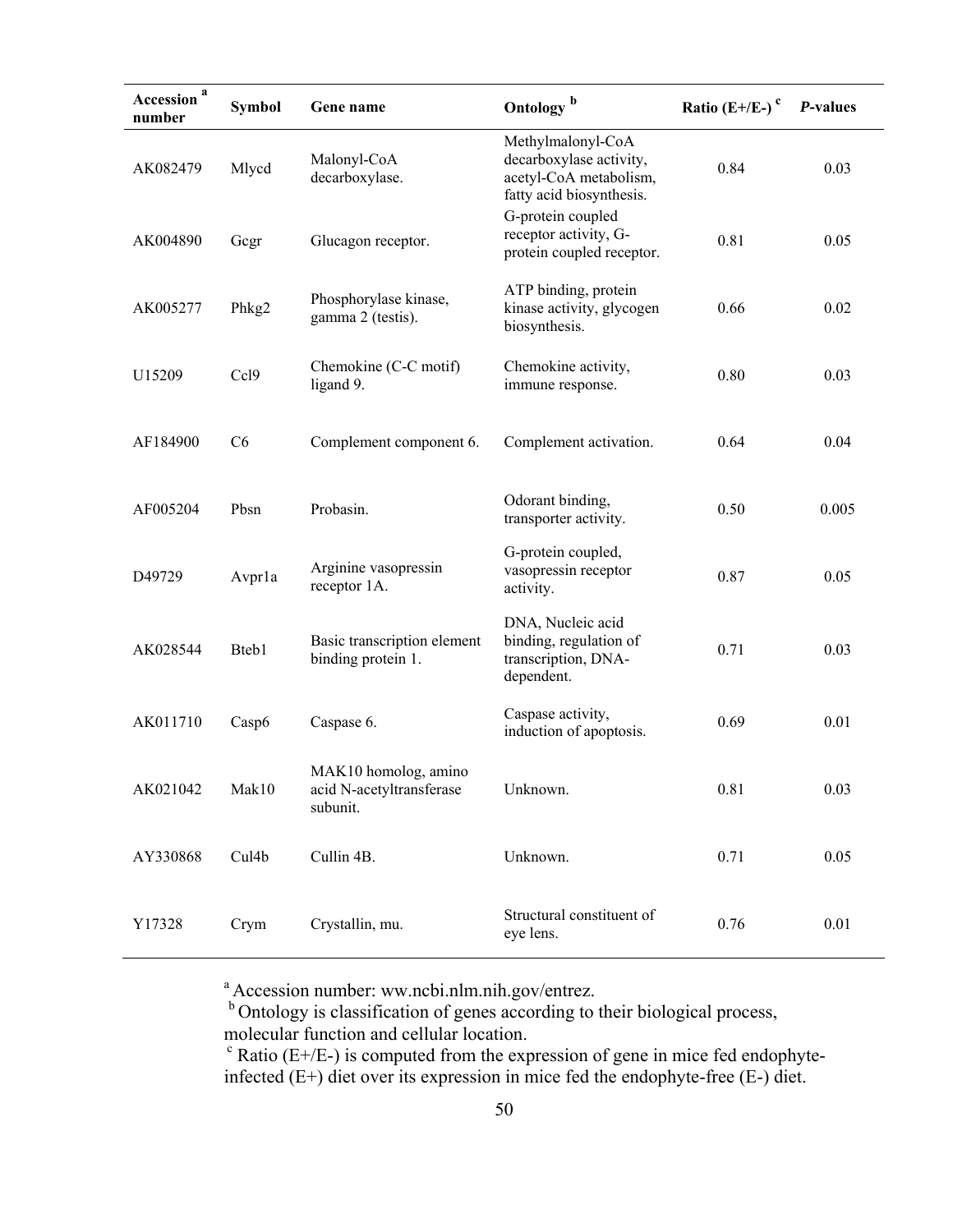| Accession <sup>a</sup><br>number | <b>Symbol</b>  | Gene name                                                    | Ontology <sup>b</sup>                                                                              | Ratio $(E+/E-)$ <sup>c</sup> | P-values |
|----------------------------------|----------------|--------------------------------------------------------------|----------------------------------------------------------------------------------------------------|------------------------------|----------|
| AK082479                         | Mlycd          | Malonyl-CoA<br>decarboxylase.                                | Methylmalonyl-CoA<br>decarboxylase activity,<br>acetyl-CoA metabolism,<br>fatty acid biosynthesis. | 0.84                         | 0.03     |
| AK004890                         | Gegr           | Glucagon receptor.                                           | G-protein coupled<br>receptor activity, G-<br>protein coupled receptor.                            | 0.81                         | 0.05     |
| AK005277                         | Phkg2          | Phosphorylase kinase,<br>gamma 2 (testis).                   | ATP binding, protein<br>kinase activity, glycogen<br>biosynthesis.                                 | 0.66                         | 0.02     |
| U15209                           | Ccl9           | Chemokine (C-C motif)<br>ligand 9.                           | Chemokine activity,<br>immune response.                                                            | 0.80                         | 0.03     |
| AF184900                         | C <sub>6</sub> | Complement component 6.                                      | Complement activation.                                                                             | 0.64                         | 0.04     |
| AF005204                         | Pbsn           | Probasin.                                                    | Odorant binding,<br>transporter activity.                                                          | 0.50                         | 0.005    |
| D49729                           | Avprla         | Arginine vasopressin<br>receptor 1A.                         | G-protein coupled,<br>vasopressin receptor<br>activity.                                            | 0.87                         | 0.05     |
| AK028544                         | Bteb1          | Basic transcription element<br>binding protein 1.            | DNA, Nucleic acid<br>binding, regulation of<br>transcription, DNA-<br>dependent.                   | 0.71                         | 0.03     |
| AK011710                         | Casp6          | Caspase 6.                                                   | Caspase activity,<br>induction of apoptosis.                                                       | 0.69                         | 0.01     |
| AK021042                         | Mak10          | MAK10 homolog, amino<br>acid N-acetyltransferase<br>subunit. | Unknown.                                                                                           | 0.81                         | 0.03     |
| AY330868                         | Cul4b          | Cullin 4B.                                                   | Unknown.                                                                                           | 0.71                         | 0.05     |
| Y17328                           | Crym           | Crystallin, mu.                                              | Structural constituent of<br>eye lens.                                                             | 0.76                         | 0.01     |

<sup>a</sup> Accession number: ww.ncbi.nlm.nih.gov/entrez.

 $b$  Ontology is classification of genes according to their biological process, molecular function and cellular location.<br><sup>c</sup> Ratio (E+/E-) is computed from the expression of gene in mice fed endophyte-

infected (E+) diet over its expression in mice fed the endophyte-free (E-) diet.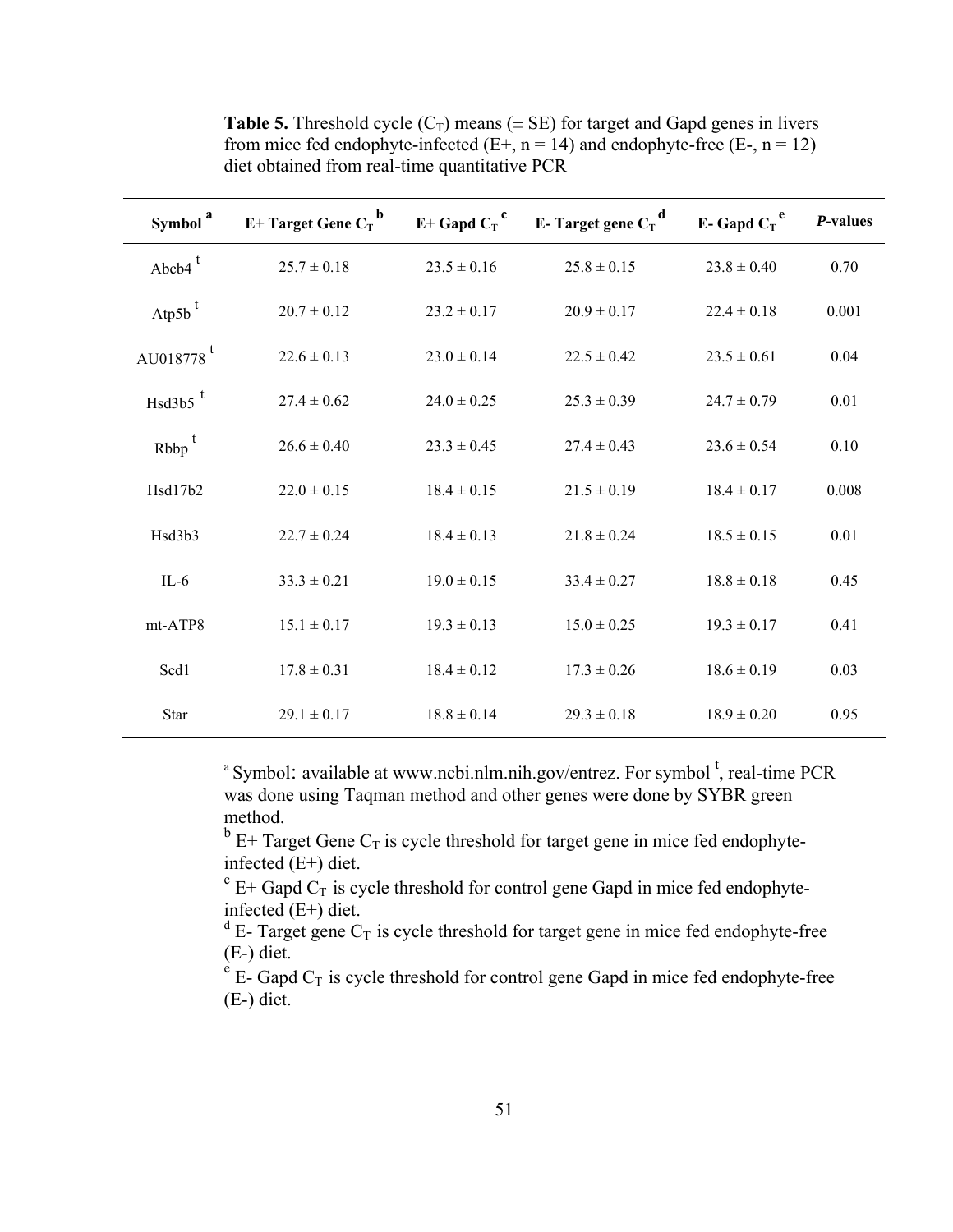| Symbol <sup>a</sup>   | $E+Target$ Gene $C_T$ <sup>b</sup> |                 | E+ Gapd $C_T$ <sup>c</sup> E- Target gene $C_T$ <sup>d</sup> | E-Gapd $C_T$ <sup>e</sup> | P-values |
|-----------------------|------------------------------------|-----------------|--------------------------------------------------------------|---------------------------|----------|
| Abcb $4^t$            | $25.7 \pm 0.18$                    | $23.5 \pm 0.16$ | $25.8 \pm 0.15$                                              | $23.8 \pm 0.40$           | 0.70     |
| Atp <sub>5b</sub> $t$ | $20.7 \pm 0.12$                    | $23.2 \pm 0.17$ | $20.9 \pm 0.17$                                              | $22.4 \pm 0.18$           | 0.001    |
| AU018778 <sup>t</sup> | $22.6 \pm 0.13$                    | $23.0 \pm 0.14$ | $22.5 \pm 0.42$                                              | $23.5 \pm 0.61$           | 0.04     |
| $Hsd3b5$ <sup>t</sup> | $27.4 \pm 0.62$                    | $24.0 \pm 0.25$ | $25.3 \pm 0.39$                                              | $24.7 \pm 0.79$           | 0.01     |
| $Rbbp^t$              | $26.6 \pm 0.40$                    | $23.3 \pm 0.45$ | $27.4 \pm 0.43$                                              | $23.6 \pm 0.54$           | 0.10     |
| Hsd17b2               | $22.0 \pm 0.15$                    | $18.4 \pm 0.15$ | $21.5 \pm 0.19$                                              | $18.4 \pm 0.17$           | 0.008    |
| Hsd3b3                | $22.7 \pm 0.24$                    | $18.4 \pm 0.13$ | $21.8 \pm 0.24$                                              | $18.5 \pm 0.15$           | 0.01     |
| $IL-6$                | $33.3 \pm 0.21$                    | $19.0 \pm 0.15$ | $33.4 \pm 0.27$                                              | $18.8 \pm 0.18$           | 0.45     |
| mt-ATP8               | $15.1 \pm 0.17$                    | $19.3 \pm 0.13$ | $15.0 \pm 0.25$                                              | $19.3 \pm 0.17$           | 0.41     |
| Scd1                  | $17.8 \pm 0.31$                    | $18.4 \pm 0.12$ | $17.3 \pm 0.26$                                              | $18.6 \pm 0.19$           | 0.03     |
| <b>Star</b>           | $29.1 \pm 0.17$                    | $18.8 \pm 0.14$ | $29.3 \pm 0.18$                                              | $18.9 \pm 0.20$           | 0.95     |

**Table 5.** Threshold cycle  $(C_T)$  means ( $\pm$  SE) for target and Gapd genes in livers from mice fed endophyte-infected  $(E+, n = 14)$  and endophyte-free  $(E-, n = 12)$ diet obtained from real-time quantitative PCR

<sup>a</sup> Symbol: available at www.ncbi.nlm.nih.gov/entrez. For symbol  $\frac{t}{t}$ , real-time PCR was done using Taqman method and other genes were done by SYBR green method.

 $b$  E+ Target Gene C<sub>T</sub> is cycle threshold for target gene in mice fed endophyteinfected  $(E+)$  diet.

 $c_{\text{E}}$  E+ Gapd  $C_{\text{T}}$  is cycle threshold for control gene Gapd in mice fed endophyteinfected (E+) diet.

 $d$  E- Target gene  $C_T$  is cycle threshold for target gene in mice fed endophyte-free (E-) diet.

 $e^{e}$  E- Gapd  $C_T$  is cycle threshold for control gene Gapd in mice fed endophyte-free (E-) diet.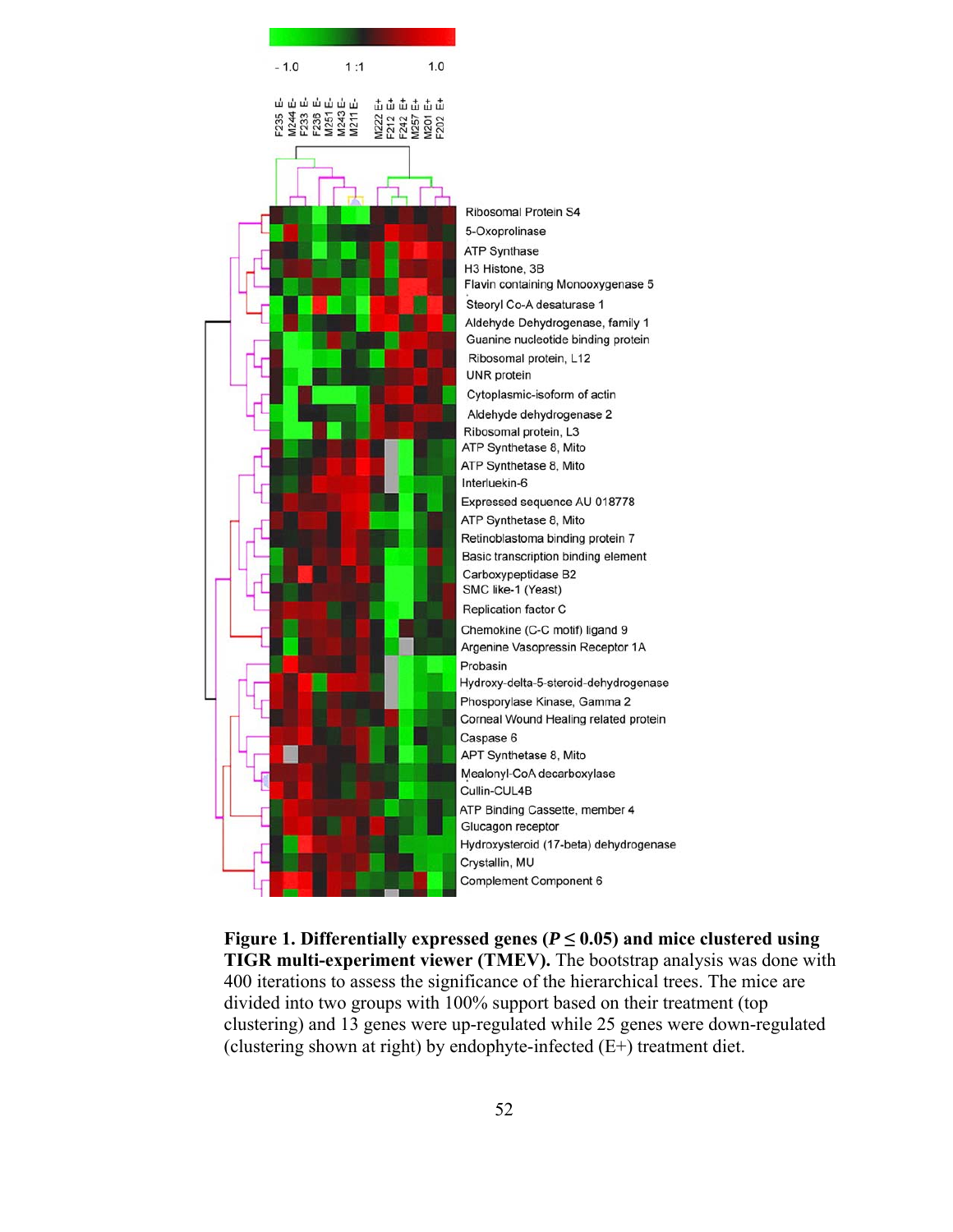

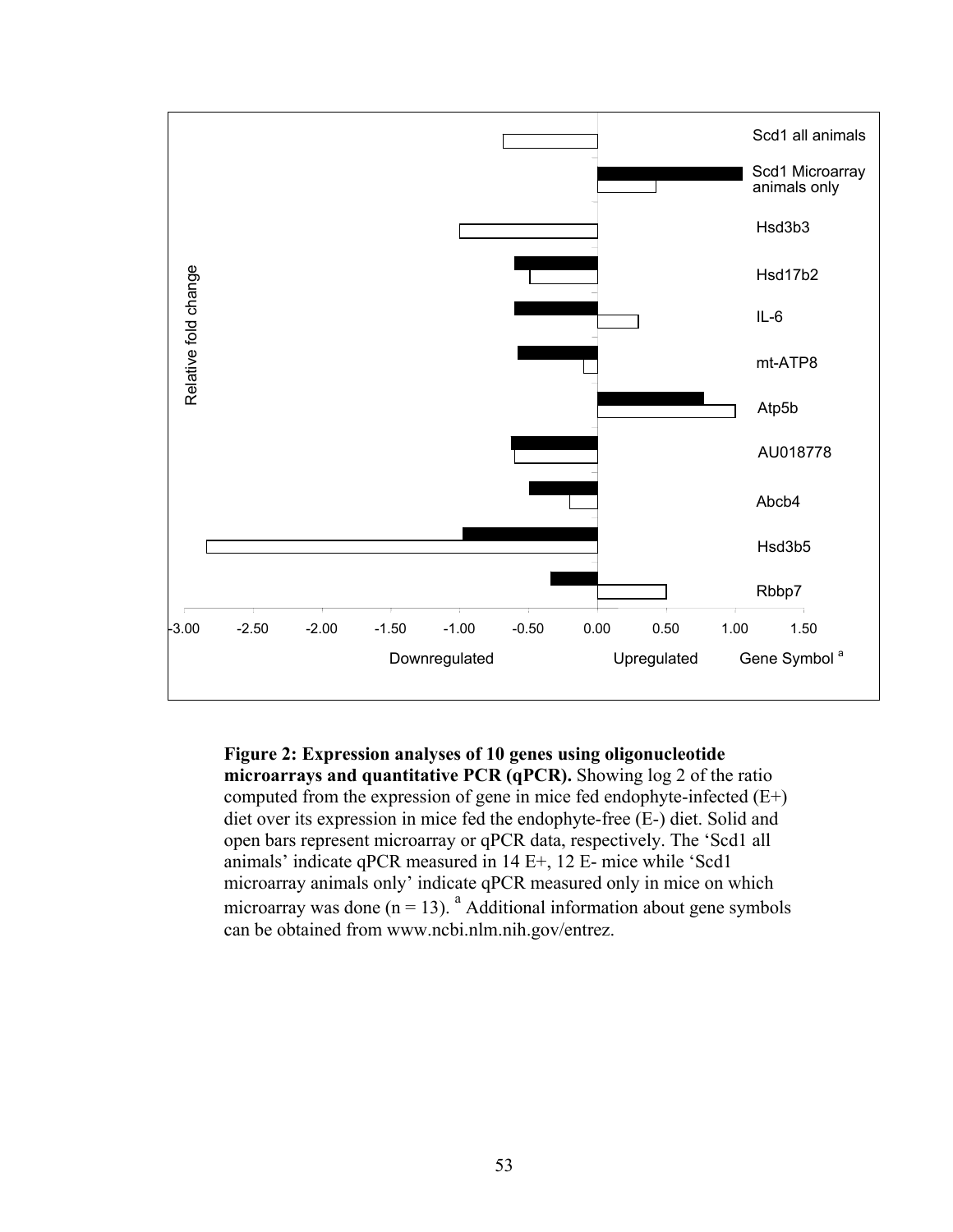

**Figure 2: Expression analyses of 10 genes using oligonucleotide microarrays and quantitative PCR (qPCR).** Showing log 2 of the ratio computed from the expression of gene in mice fed endophyte-infected (E+) diet over its expression in mice fed the endophyte-free (E-) diet. Solid and open bars represent microarray or qPCR data, respectively. The 'Scd1 all animals' indicate qPCR measured in 14 E+, 12 E- mice while 'Scd1 microarray animals only' indicate qPCR measured only in mice on which microarray was done  $(n = 13)$ . <sup>a</sup> Additional information about gene symbols can be obtained from www.ncbi.nlm.nih.gov/entrez.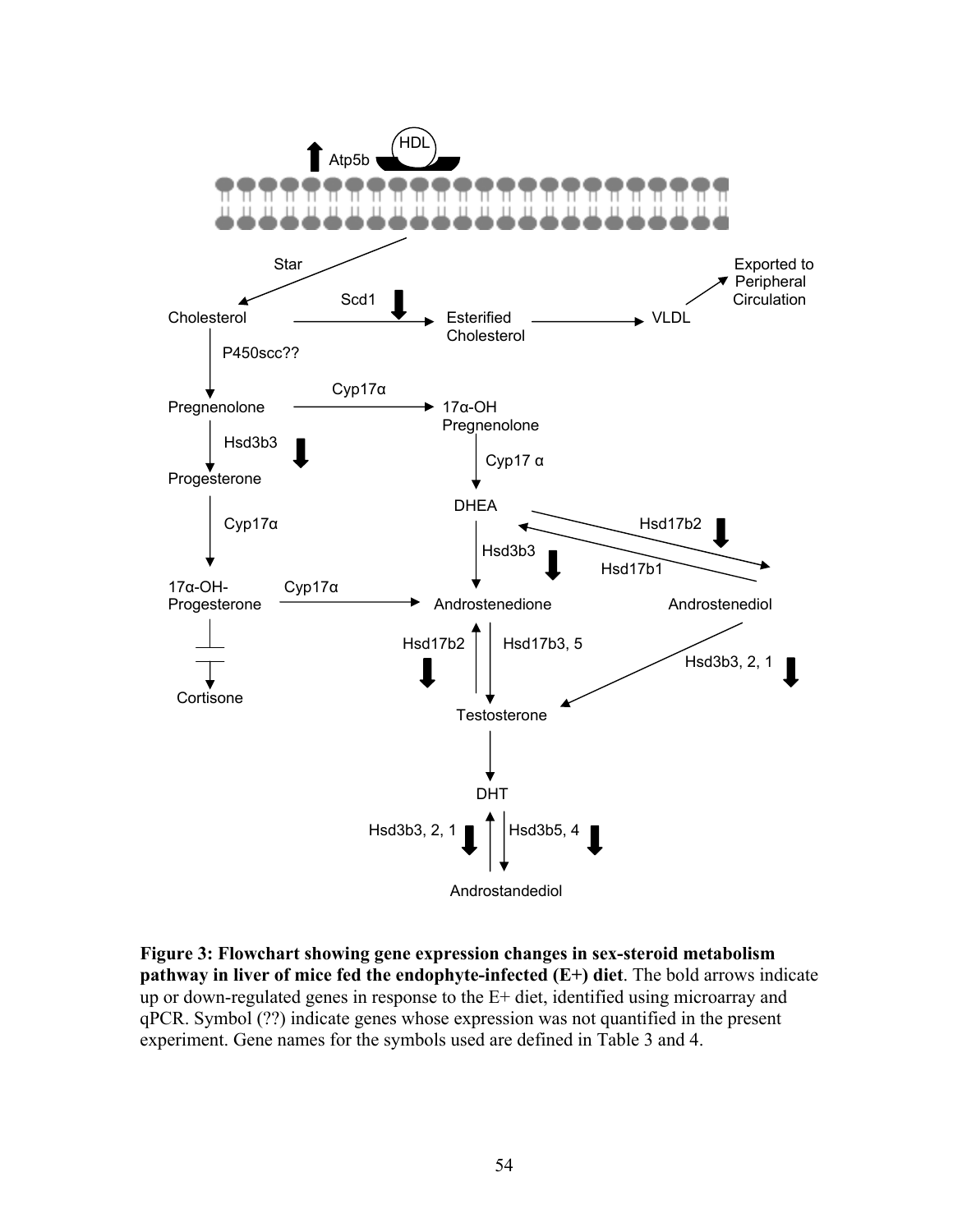

**Figure 3: Flowchart showing gene expression changes in sex-steroid metabolism pathway in liver of mice fed the endophyte-infected (E+) diet**. The bold arrows indicate up or down-regulated genes in response to the E+ diet, identified using microarray and qPCR. Symbol (??) indicate genes whose expression was not quantified in the present experiment. Gene names for the symbols used are defined in Table 3 and 4.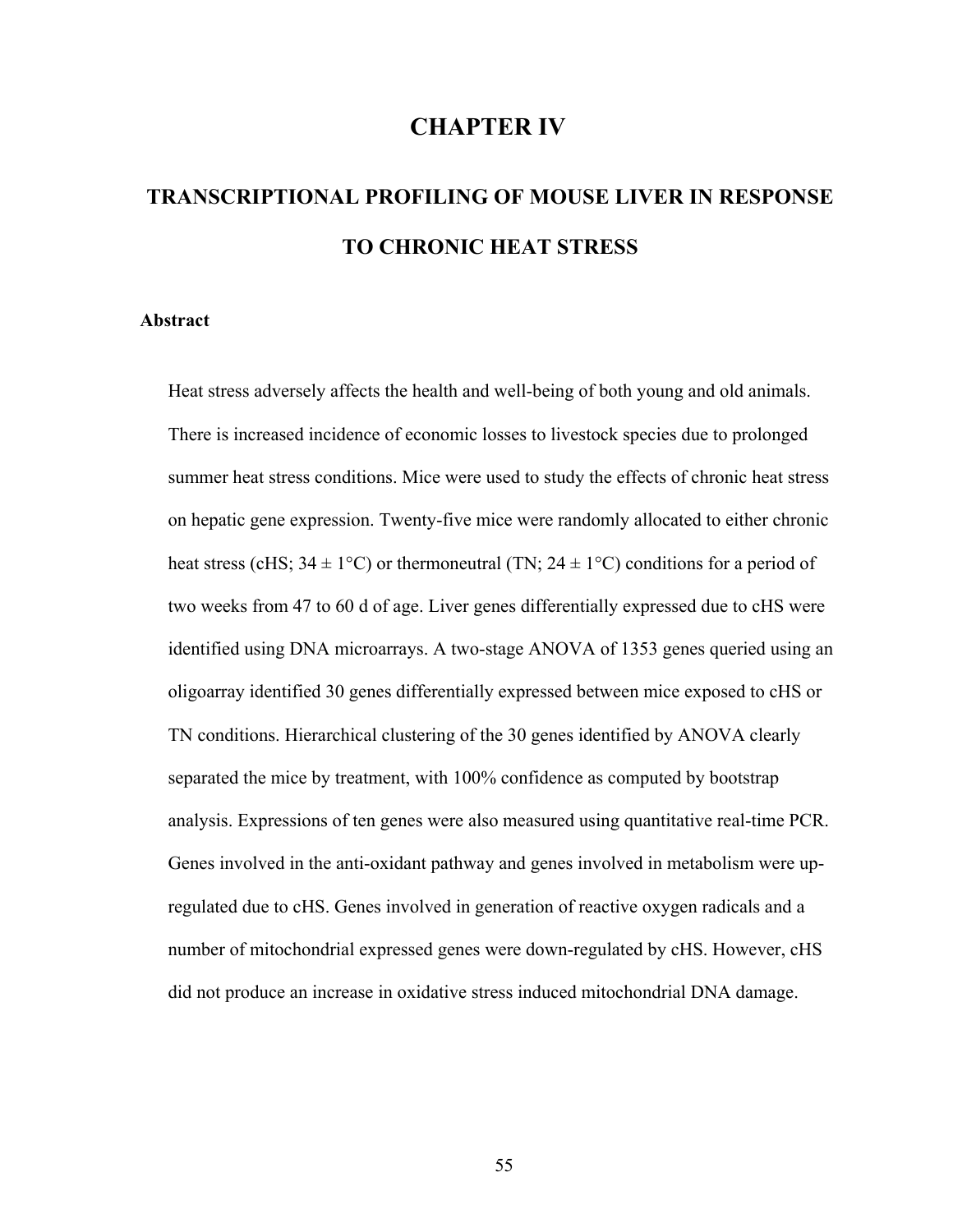# **CHAPTER IV**

# **TRANSCRIPTIONAL PROFILING OF MOUSE LIVER IN RESPONSE TO CHRONIC HEAT STRESS**

# **Abstract**

Heat stress adversely affects the health and well-being of both young and old animals. There is increased incidence of economic losses to livestock species due to prolonged summer heat stress conditions. Mice were used to study the effects of chronic heat stress on hepatic gene expression. Twenty-five mice were randomly allocated to either chronic heat stress (cHS;  $34 \pm 1^{\circ}$ C) or thermoneutral (TN;  $24 \pm 1^{\circ}$ C) conditions for a period of two weeks from 47 to 60 d of age. Liver genes differentially expressed due to cHS were identified using DNA microarrays. A two-stage ANOVA of 1353 genes queried using an oligoarray identified 30 genes differentially expressed between mice exposed to cHS or TN conditions. Hierarchical clustering of the 30 genes identified by ANOVA clearly separated the mice by treatment, with 100% confidence as computed by bootstrap analysis. Expressions of ten genes were also measured using quantitative real-time PCR. Genes involved in the anti-oxidant pathway and genes involved in metabolism were upregulated due to cHS. Genes involved in generation of reactive oxygen radicals and a number of mitochondrial expressed genes were down-regulated by cHS. However, cHS did not produce an increase in oxidative stress induced mitochondrial DNA damage.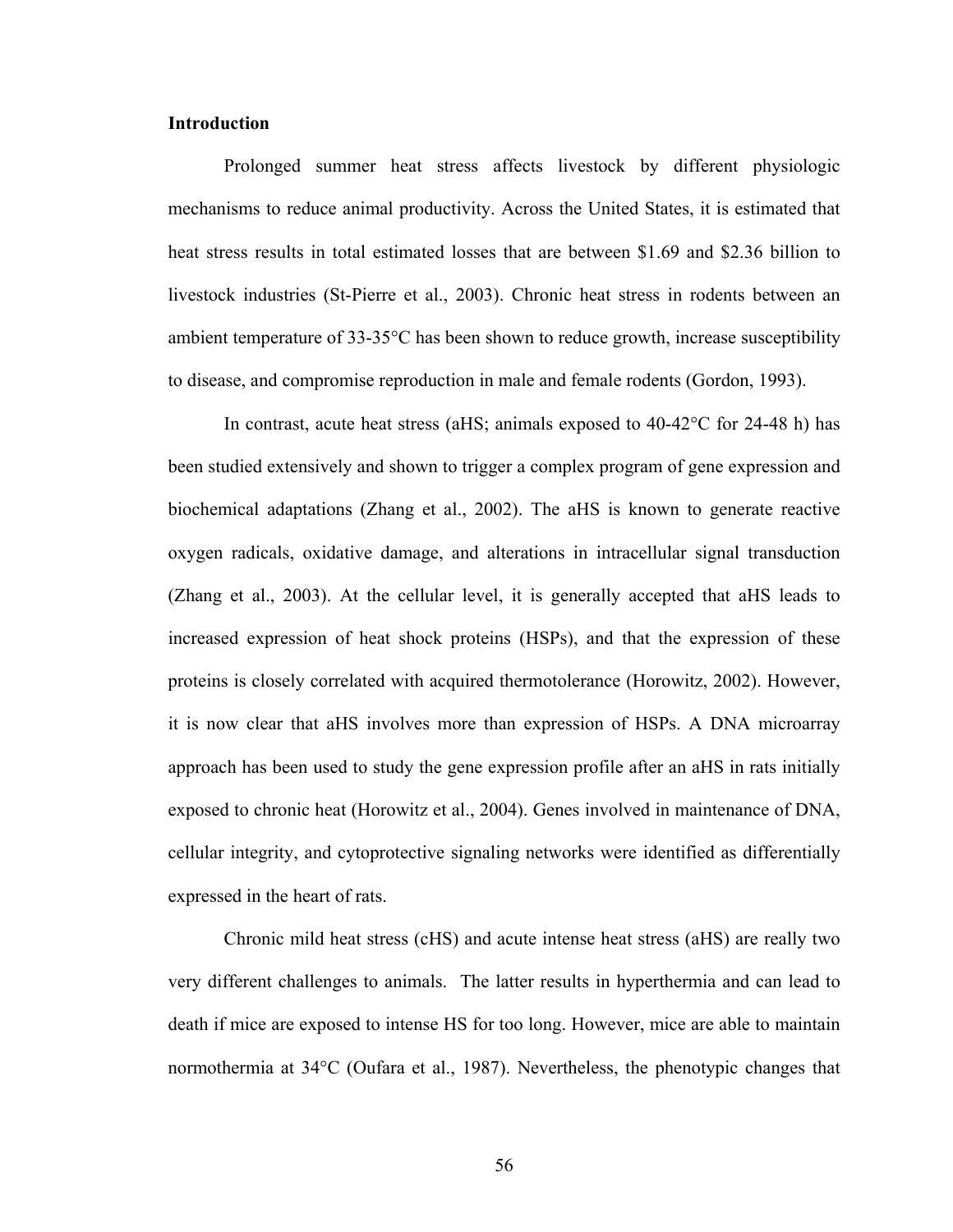# **Introduction**

Prolonged summer heat stress affects livestock by different physiologic mechanisms to reduce animal productivity. Across the United States, it is estimated that heat stress results in total estimated losses that are between \$1.69 and \$2.36 billion to livestock industries (St-Pierre et al., 2003). Chronic heat stress in rodents between an ambient temperature of 33-35°C has been shown to reduce growth, increase susceptibility to disease, and compromise reproduction in male and female rodents (Gordon, 1993).

In contrast, acute heat stress (aHS; animals exposed to 40-42°C for 24-48 h) has been studied extensively and shown to trigger a complex program of gene expression and biochemical adaptations (Zhang et al., 2002). The aHS is known to generate reactive oxygen radicals, oxidative damage, and alterations in intracellular signal transduction (Zhang et al., 2003). At the cellular level, it is generally accepted that aHS leads to increased expression of heat shock proteins (HSPs), and that the expression of these proteins is closely correlated with acquired thermotolerance (Horowitz, 2002). However, it is now clear that aHS involves more than expression of HSPs. A DNA microarray approach has been used to study the gene expression profile after an aHS in rats initially exposed to chronic heat (Horowitz et al., 2004). Genes involved in maintenance of DNA, cellular integrity, and cytoprotective signaling networks were identified as differentially expressed in the heart of rats.

Chronic mild heat stress (cHS) and acute intense heat stress (aHS) are really two very different challenges to animals. The latter results in hyperthermia and can lead to death if mice are exposed to intense HS for too long. However, mice are able to maintain normothermia at 34°C (Oufara et al., 1987). Nevertheless, the phenotypic changes that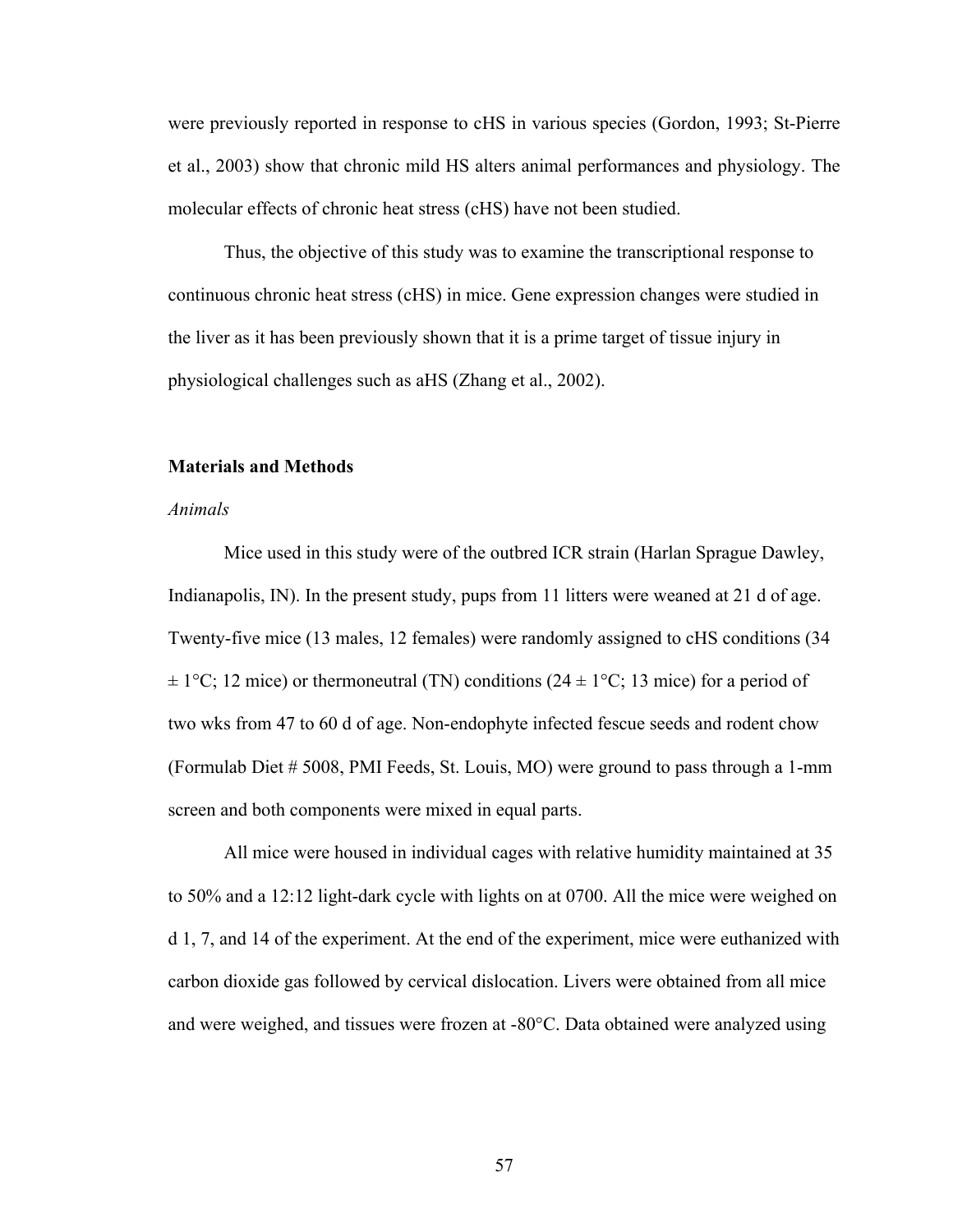were previously reported in response to cHS in various species (Gordon, 1993; St-Pierre et al., 2003) show that chronic mild HS alters animal performances and physiology. The molecular effects of chronic heat stress (cHS) have not been studied.

 Thus, the objective of this study was to examine the transcriptional response to continuous chronic heat stress (cHS) in mice. Gene expression changes were studied in the liver as it has been previously shown that it is a prime target of tissue injury in physiological challenges such as aHS (Zhang et al., 2002).

#### **Materials and Methods**

#### *Animals*

Mice used in this study were of the outbred ICR strain (Harlan Sprague Dawley, Indianapolis, IN). In the present study, pups from 11 litters were weaned at 21 d of age. Twenty-five mice (13 males, 12 females) were randomly assigned to cHS conditions (34  $\pm 1^{\circ}$ C; 12 mice) or thermoneutral (TN) conditions (24  $\pm 1^{\circ}$ C; 13 mice) for a period of two wks from 47 to 60 d of age. Non-endophyte infected fescue seeds and rodent chow (Formulab Diet # 5008, PMI Feeds, St. Louis, MO) were ground to pass through a 1-mm screen and both components were mixed in equal parts.

All mice were housed in individual cages with relative humidity maintained at 35 to 50% and a 12:12 light-dark cycle with lights on at 0700. All the mice were weighed on d 1, 7, and 14 of the experiment. At the end of the experiment, mice were euthanized with carbon dioxide gas followed by cervical dislocation. Livers were obtained from all mice and were weighed, and tissues were frozen at -80°C. Data obtained were analyzed using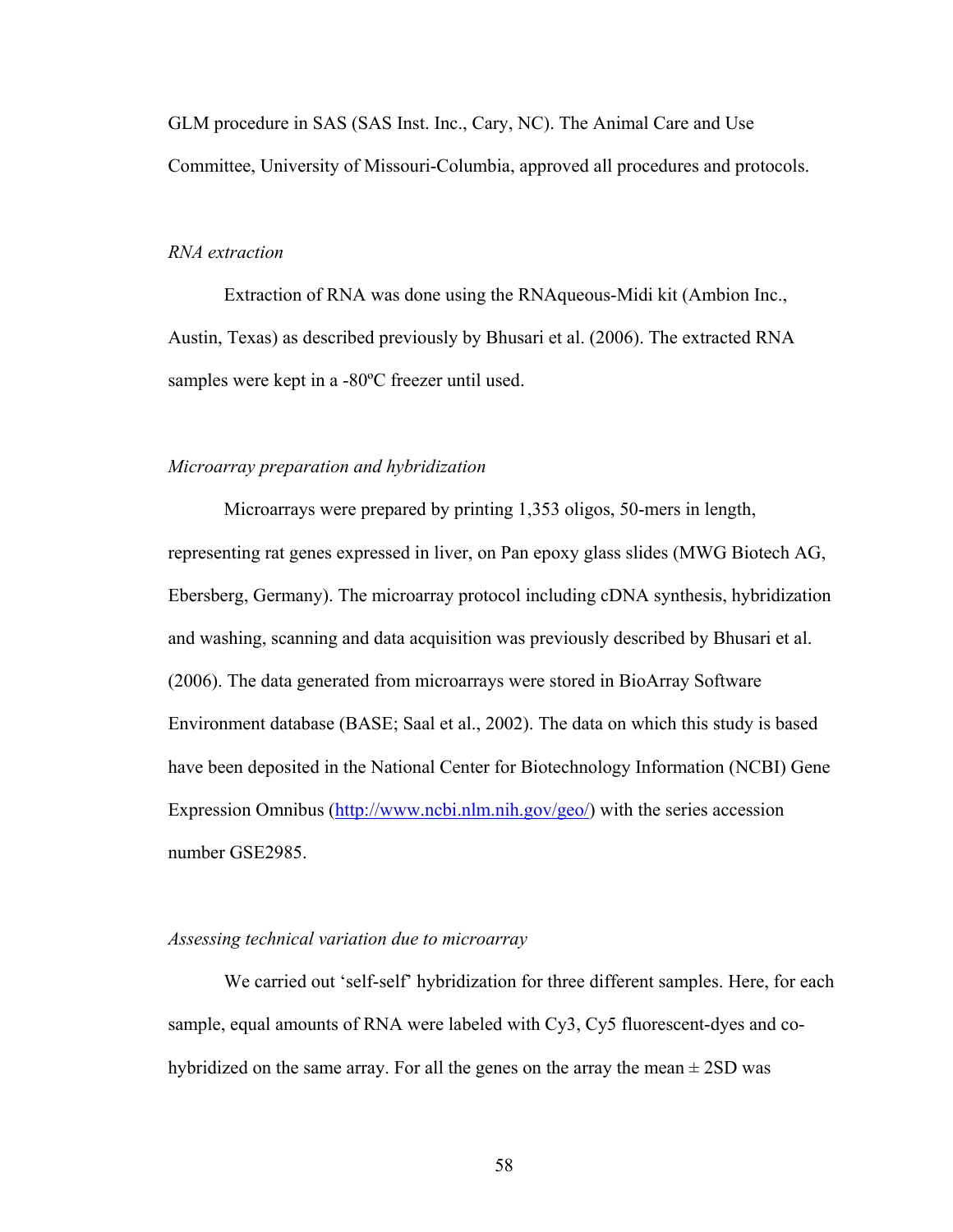GLM procedure in SAS (SAS Inst. Inc., Cary, NC). The Animal Care and Use Committee, University of Missouri-Columbia, approved all procedures and protocols.

# *RNA extraction*

Extraction of RNA was done using the RNAqueous-Midi kit (Ambion Inc., Austin, Texas) as described previously by Bhusari et al. (2006). The extracted RNA samples were kept in a -80ºC freezer until used.

# *Microarray preparation and hybridization*

Microarrays were prepared by printing 1,353 oligos, 50-mers in length, representing rat genes expressed in liver, on Pan epoxy glass slides (MWG Biotech AG, Ebersberg, Germany). The microarray protocol including cDNA synthesis, hybridization and washing, scanning and data acquisition was previously described by Bhusari et al. (2006). The data generated from microarrays were stored in BioArray Software Environment database (BASE; Saal et al., 2002). The data on which this study is based have been deposited in the National Center for Biotechnology Information (NCBI) Gene Expression Omnibus [\(http://www.ncbi.nlm.nih.gov/geo/\)](http://www.ncbi.nlm.nih.gov/geo/) with the series accession number GSE2985.

#### *Assessing technical variation due to microarray*

We carried out 'self-self' hybridization for three different samples. Here, for each sample, equal amounts of RNA were labeled with Cy3, Cy5 fluorescent-dyes and cohybridized on the same array. For all the genes on the array the mean  $\pm$  2SD was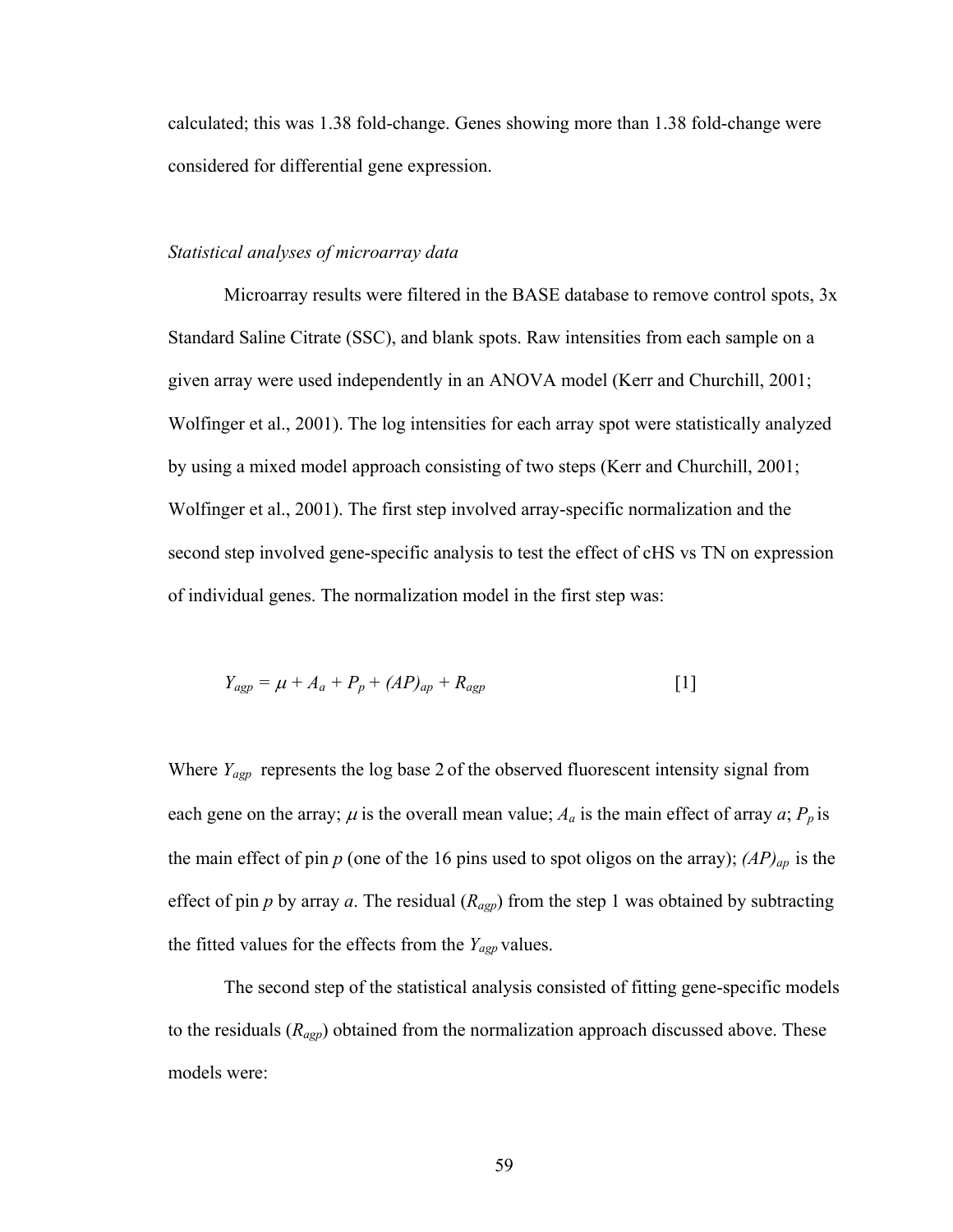calculated; this was 1.38 fold-change. Genes showing more than 1.38 fold-change were considered for differential gene expression.

#### *Statistical analyses of microarray data*

Microarray results were filtered in the BASE database to remove control spots, 3x Standard Saline Citrate (SSC), and blank spots. Raw intensities from each sample on a given array were used independently in an ANOVA model (Kerr and Churchill, 2001; Wolfinger et al., 2001). The log intensities for each array spot were statistically analyzed by using a mixed model approach consisting of two steps (Kerr and Churchill, 2001; Wolfinger et al., 2001). The first step involved array-specific normalization and the second step involved gene-specific analysis to test the effect of cHS vs TN on expression of individual genes. The normalization model in the first step was:

$$
Y_{\text{agp}} = \mu + A_a + P_p + (AP)_{\text{ap}} + R_{\text{agp}} \tag{1}
$$

Where *Yagp* represents the log base 2 of the observed fluorescent intensity signal from each gene on the array;  $\mu$  is the overall mean value;  $A_a$  is the main effect of array  $a$ ;  $P_p$  is the main effect of pin  $p$  (one of the 16 pins used to spot oligos on the array);  $AP)_{ap}$  is the effect of pin  $p$  by array  $a$ . The residual  $(R_{\alpha gp})$  from the step 1 was obtained by subtracting the fitted values for the effects from the *Yagp* values.

The second step of the statistical analysis consisted of fitting gene-specific models to the residuals (*Ragp*) obtained from the normalization approach discussed above. These models were: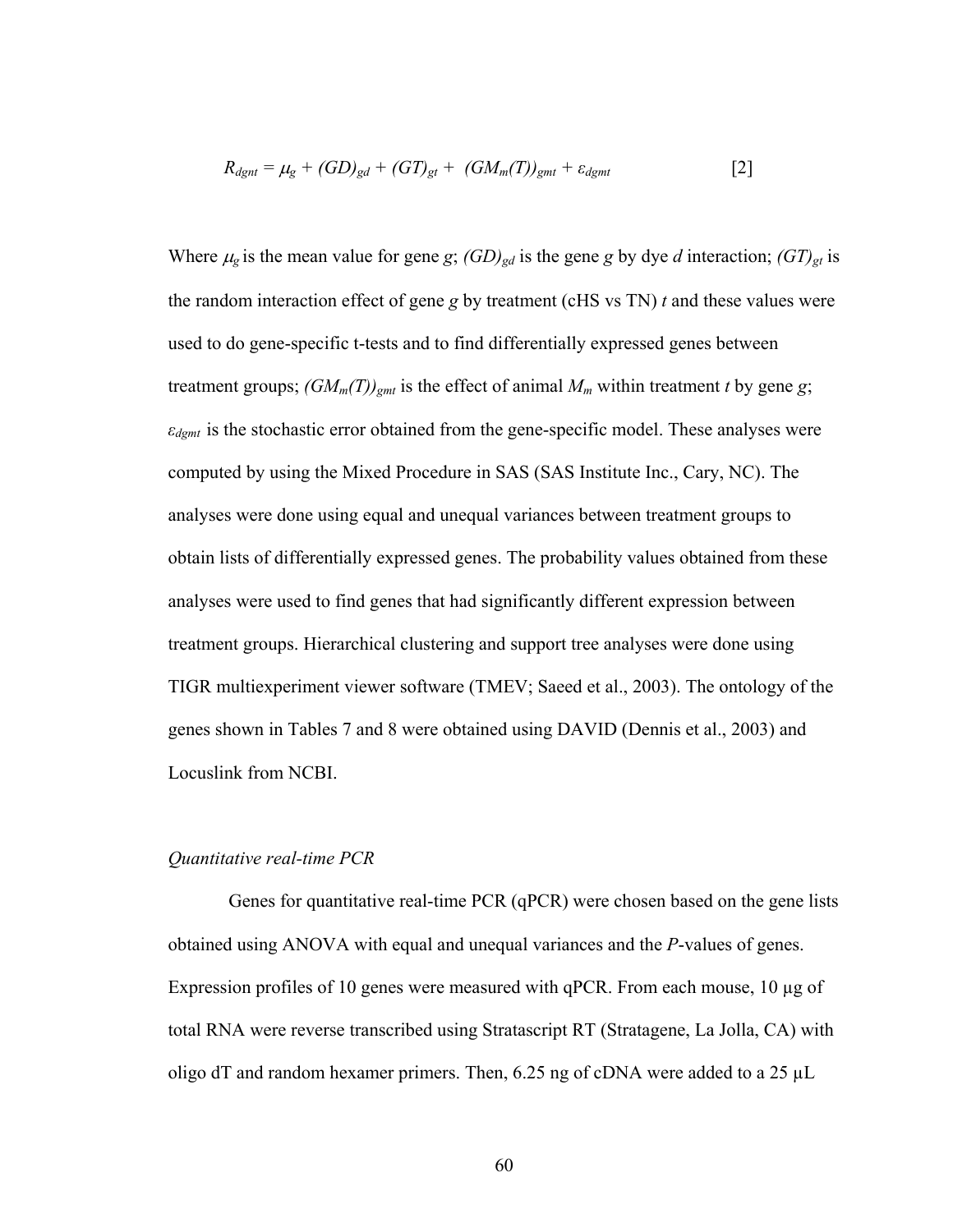$$
R_{dgnt} = \mu_g + (GD)_{gd} + (GT)_{gt} + (GM_m(T))_{gmt} + \varepsilon_{dgmt}
$$
 [2]

Where  $\mu_g$  is the mean value for gene *g*;  $(GD)_{gd}$  is the gene *g* by dye *d* interaction;  $(GT)_{gt}$  is the random interaction effect of gene *g* by treatment (cHS vs TN) *t* and these values were used to do gene-specific t-tests and to find differentially expressed genes between treatment groups;  $(GM_m(T))_{gmt}$  is the effect of animal  $M_m$  within treatment *t* by gene *g*; *εdgmt* is the stochastic error obtained from the gene-specific model. These analyses were computed by using the Mixed Procedure in SAS (SAS Institute Inc., Cary, NC). The analyses were done using equal and unequal variances between treatment groups to obtain lists of differentially expressed genes. The probability values obtained from these analyses were used to find genes that had significantly different expression between treatment groups. Hierarchical clustering and support tree analyses were done using TIGR multiexperiment viewer software (TMEV; Saeed et al., 2003). The ontology of the genes shown in Tables 7 and 8 were obtained using DAVID (Dennis et al., 2003) and Locuslink from NCBI.

#### *Quantitative real-time PCR*

Genes for quantitative real-time PCR (qPCR) were chosen based on the gene lists obtained using ANOVA with equal and unequal variances and the *P*-values of genes. Expression profiles of 10 genes were measured with qPCR. From each mouse, 10 µg of total RNA were reverse transcribed using Stratascript RT (Stratagene, La Jolla, CA) with oligo dT and random hexamer primers. Then, 6.25 ng of cDNA were added to a 25 µL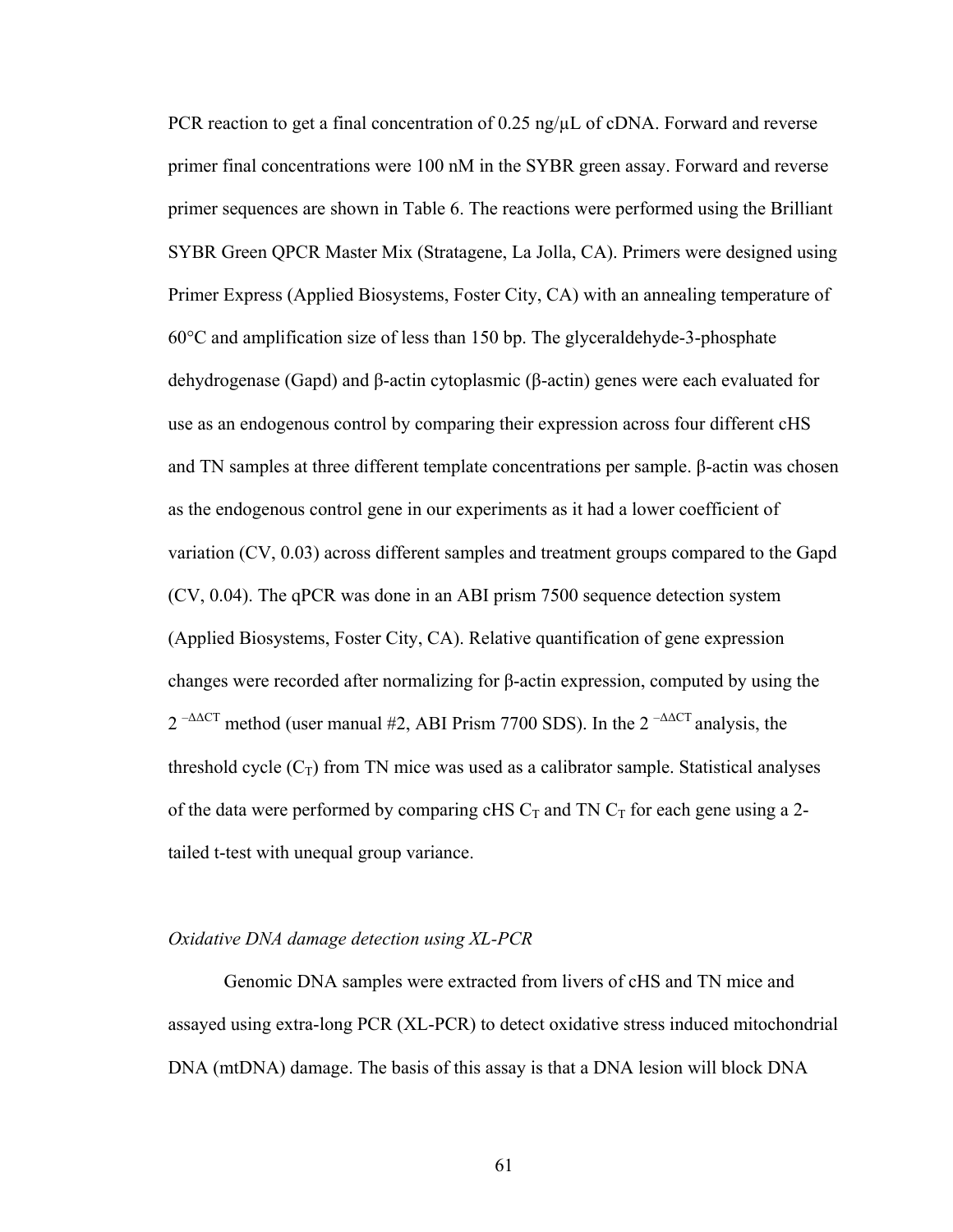PCR reaction to get a final concentration of 0.25 ng/ $\mu$ L of cDNA. Forward and reverse primer final concentrations were 100 nM in the SYBR green assay. Forward and reverse primer sequences are shown in Table 6. The reactions were performed using the Brilliant SYBR Green QPCR Master Mix (Stratagene, La Jolla, CA). Primers were designed using Primer Express (Applied Biosystems, Foster City, CA) with an annealing temperature of 60°C and amplification size of less than 150 bp. The glyceraldehyde-3-phosphate dehydrogenase (Gapd) and β-actin cytoplasmic (β-actin) genes were each evaluated for use as an endogenous control by comparing their expression across four different cHS and TN samples at three different template concentrations per sample. β-actin was chosen as the endogenous control gene in our experiments as it had a lower coefficient of variation (CV, 0.03) across different samples and treatment groups compared to the Gapd (CV, 0.04). The qPCR was done in an ABI prism 7500 sequence detection system (Applied Biosystems, Foster City, CA). Relative quantification of gene expression changes were recorded after normalizing for β-actin expression, computed by using the  $2^{-\Delta\Delta CT}$  method (user manual #2, ABI Prism 7700 SDS). In the  $2^{-\Delta\Delta CT}$  analysis, the threshold cycle  $(C_T)$  from TN mice was used as a calibrator sample. Statistical analyses of the data were performed by comparing cHS  $C_T$  and TN  $C_T$  for each gene using a 2tailed t-test with unequal group variance.

#### *Oxidative DNA damage detection using XL-PCR*

Genomic DNA samples were extracted from livers of cHS and TN mice and assayed using extra-long PCR (XL-PCR) to detect oxidative stress induced mitochondrial DNA (mtDNA) damage. The basis of this assay is that a DNA lesion will block DNA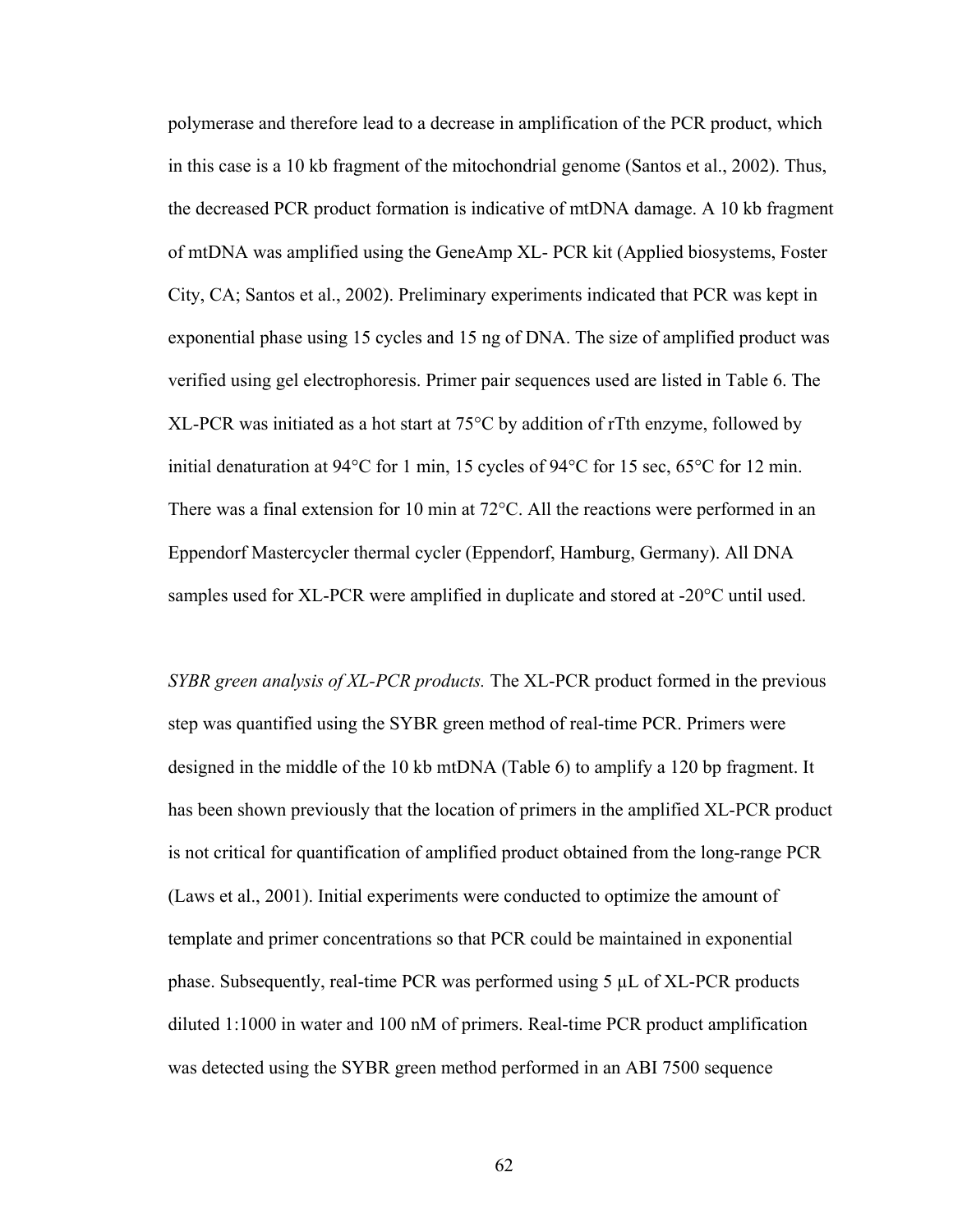polymerase and therefore lead to a decrease in amplification of the PCR product, which in this case is a 10 kb fragment of the mitochondrial genome (Santos et al., 2002). Thus, the decreased PCR product formation is indicative of mtDNA damage. A 10 kb fragment of mtDNA was amplified using the GeneAmp XL- PCR kit (Applied biosystems, Foster City, CA; Santos et al., 2002). Preliminary experiments indicated that PCR was kept in exponential phase using 15 cycles and 15 ng of DNA. The size of amplified product was verified using gel electrophoresis. Primer pair sequences used are listed in Table 6. The XL-PCR was initiated as a hot start at 75°C by addition of rTth enzyme, followed by initial denaturation at 94°C for 1 min, 15 cycles of 94°C for 15 sec, 65°C for 12 min. There was a final extension for 10 min at 72°C. All the reactions were performed in an Eppendorf Mastercycler thermal cycler (Eppendorf, Hamburg, Germany). All DNA samples used for XL-PCR were amplified in duplicate and stored at -20°C until used.

*SYBR green analysis of XL-PCR products.* The XL-PCR product formed in the previous step was quantified using the SYBR green method of real-time PCR. Primers were designed in the middle of the 10 kb mtDNA (Table 6) to amplify a 120 bp fragment. It has been shown previously that the location of primers in the amplified XL-PCR product is not critical for quantification of amplified product obtained from the long-range PCR (Laws et al., 2001). Initial experiments were conducted to optimize the amount of template and primer concentrations so that PCR could be maintained in exponential phase. Subsequently, real-time PCR was performed using 5 µL of XL-PCR products diluted 1:1000 in water and 100 nM of primers. Real-time PCR product amplification was detected using the SYBR green method performed in an ABI 7500 sequence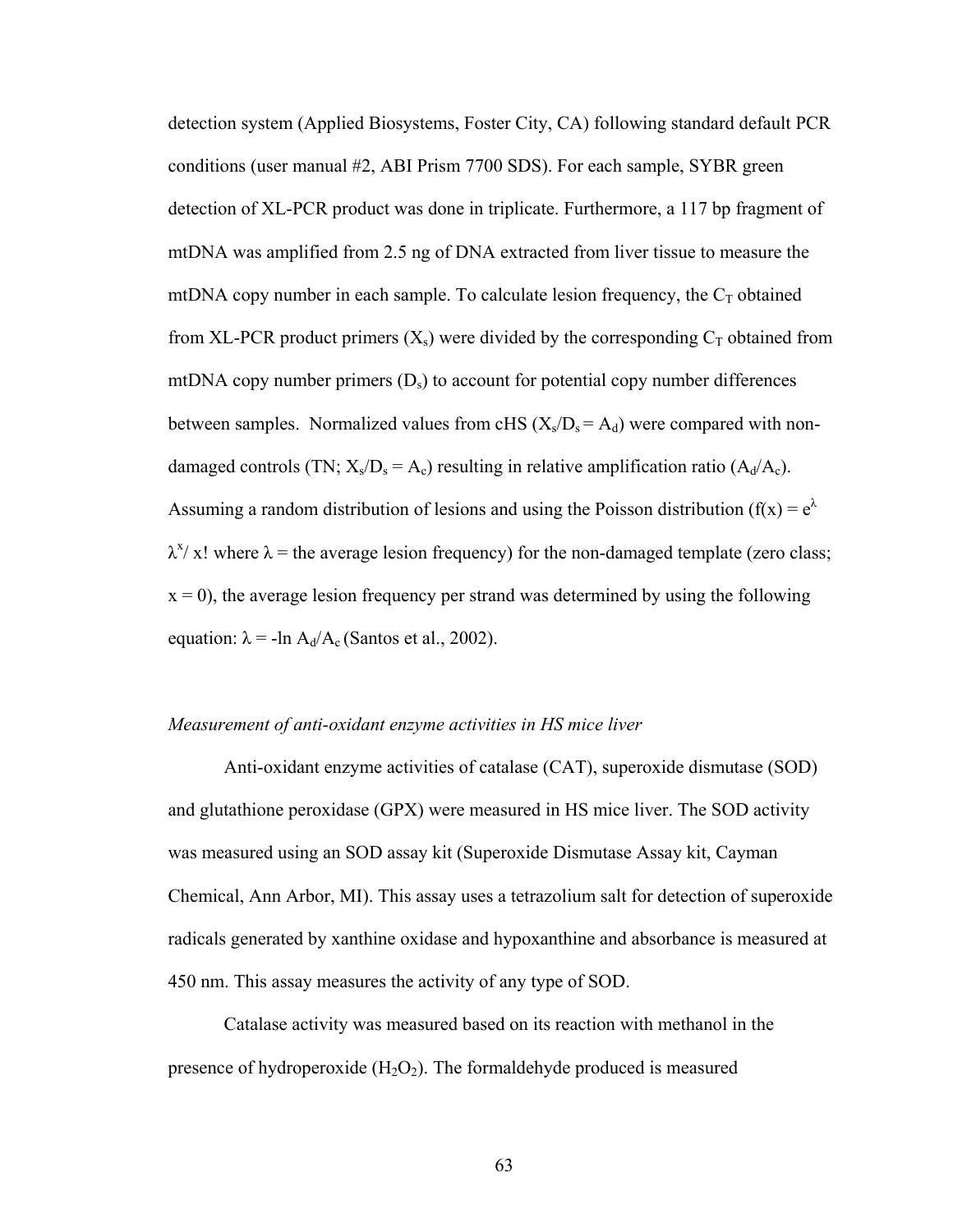detection system (Applied Biosystems, Foster City, CA) following standard default PCR conditions (user manual #2, ABI Prism 7700 SDS). For each sample, SYBR green detection of XL-PCR product was done in triplicate. Furthermore, a 117 bp fragment of mtDNA was amplified from 2.5 ng of DNA extracted from liver tissue to measure the mtDNA copy number in each sample. To calculate lesion frequency, the  $C<sub>T</sub>$  obtained from XL-PCR product primers  $(X_s)$  were divided by the corresponding  $C_T$  obtained from mtDNA copy number primers  $(D<sub>s</sub>)$  to account for potential copy number differences between samples. Normalized values from cHS  $(X_s/D_s = A_d)$  were compared with nondamaged controls (TN;  $X_s/D_s = A_c$ ) resulting in relative amplification ratio ( $A_d/A_c$ ). Assuming a random distribution of lesions and using the Poisson distribution ( $f(x) = e^{\lambda}$ )  $\lambda^x$ / x! where  $\lambda$  = the average lesion frequency) for the non-damaged template (zero class;  $x = 0$ ), the average lesion frequency per strand was determined by using the following equation:  $\lambda = -\ln A_d/A_c$  (Santos et al., 2002).

# *Measurement of anti-oxidant enzyme activities in HS mice liver*

Anti-oxidant enzyme activities of catalase (CAT), superoxide dismutase (SOD) and glutathione peroxidase (GPX) were measured in HS mice liver. The SOD activity was measured using an SOD assay kit (Superoxide Dismutase Assay kit, Cayman Chemical, Ann Arbor, MI). This assay uses a tetrazolium salt for detection of superoxide radicals generated by xanthine oxidase and hypoxanthine and absorbance is measured at 450 nm. This assay measures the activity of any type of SOD.

Catalase activity was measured based on its reaction with methanol in the presence of hydroperoxide  $(H_2O_2)$ . The formaldehyde produced is measured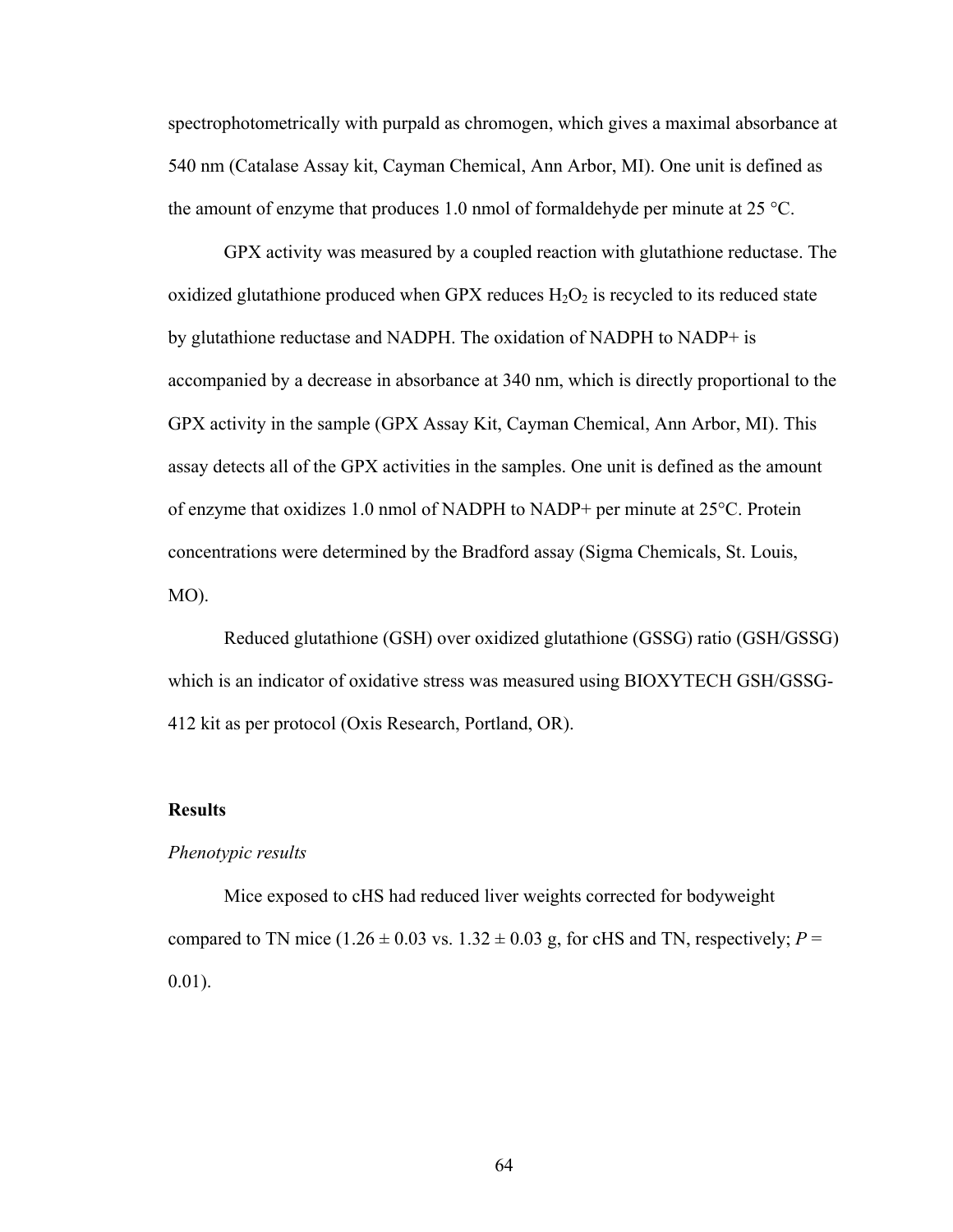spectrophotometrically with purpald as chromogen, which gives a maximal absorbance at 540 nm (Catalase Assay kit, Cayman Chemical, Ann Arbor, MI). One unit is defined as the amount of enzyme that produces 1.0 nmol of formaldehyde per minute at 25 °C.

GPX activity was measured by a coupled reaction with glutathione reductase. The oxidized glutathione produced when GPX reduces  $H_2O_2$  is recycled to its reduced state by glutathione reductase and NADPH. The oxidation of NADPH to NADP+ is accompanied by a decrease in absorbance at 340 nm, which is directly proportional to the GPX activity in the sample (GPX Assay Kit, Cayman Chemical, Ann Arbor, MI). This assay detects all of the GPX activities in the samples. One unit is defined as the amount of enzyme that oxidizes 1.0 nmol of NADPH to NADP+ per minute at 25°C. Protein concentrations were determined by the Bradford assay (Sigma Chemicals, St. Louis, MO).

Reduced glutathione (GSH) over oxidized glutathione (GSSG) ratio (GSH/GSSG) which is an indicator of oxidative stress was measured using BIOXYTECH GSH/GSSG-412 kit as per protocol (Oxis Research, Portland, OR).

#### **Results**

# *Phenotypic results*

Mice exposed to cHS had reduced liver weights corrected for bodyweight compared to TN mice ( $1.26 \pm 0.03$  vs.  $1.32 \pm 0.03$  g, for cHS and TN, respectively;  $P =$ 0.01).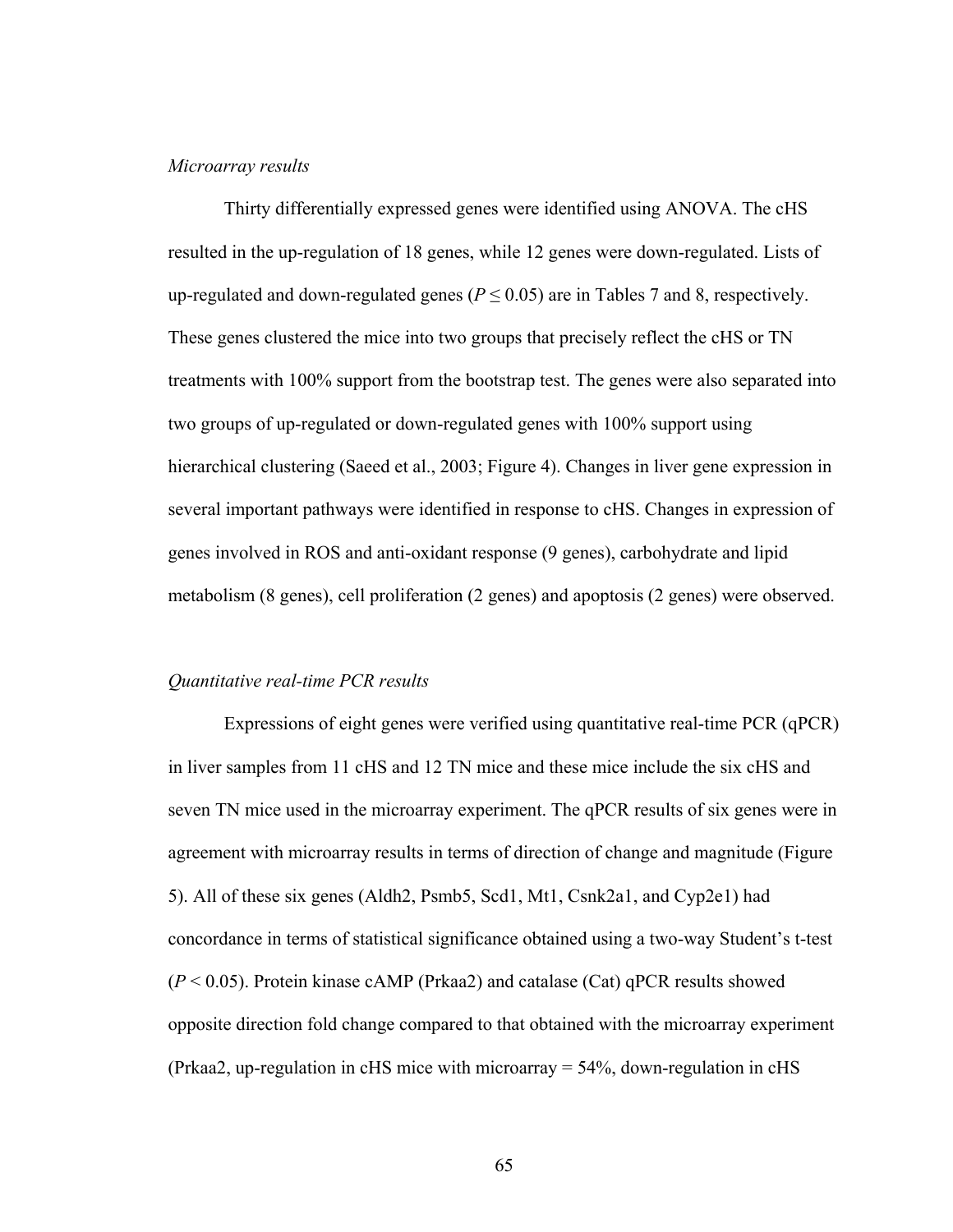# *Microarray results*

Thirty differentially expressed genes were identified using ANOVA. The cHS resulted in the up-regulation of 18 genes, while 12 genes were down-regulated. Lists of up-regulated and down-regulated genes ( $P \le 0.05$ ) are in Tables 7 and 8, respectively. These genes clustered the mice into two groups that precisely reflect the cHS or TN treatments with 100% support from the bootstrap test. The genes were also separated into two groups of up-regulated or down-regulated genes with 100% support using hierarchical clustering (Saeed et al., 2003; Figure 4). Changes in liver gene expression in several important pathways were identified in response to cHS. Changes in expression of genes involved in ROS and anti-oxidant response (9 genes), carbohydrate and lipid metabolism (8 genes), cell proliferation (2 genes) and apoptosis (2 genes) were observed.

#### *Quantitative real-time PCR results*

Expressions of eight genes were verified using quantitative real-time PCR (qPCR) in liver samples from 11 cHS and 12 TN mice and these mice include the six cHS and seven TN mice used in the microarray experiment. The qPCR results of six genes were in agreement with microarray results in terms of direction of change and magnitude (Figure 5). All of these six genes (Aldh2, Psmb5, Scd1, Mt1, Csnk2a1, and Cyp2e1) had concordance in terms of statistical significance obtained using a two-way Student's t-test  $(P < 0.05)$ . Protein kinase cAMP (Prkaa2) and catalase (Cat) qPCR results showed opposite direction fold change compared to that obtained with the microarray experiment (Prkaa2, up-regulation in cHS mice with microarray = 54%, down-regulation in cHS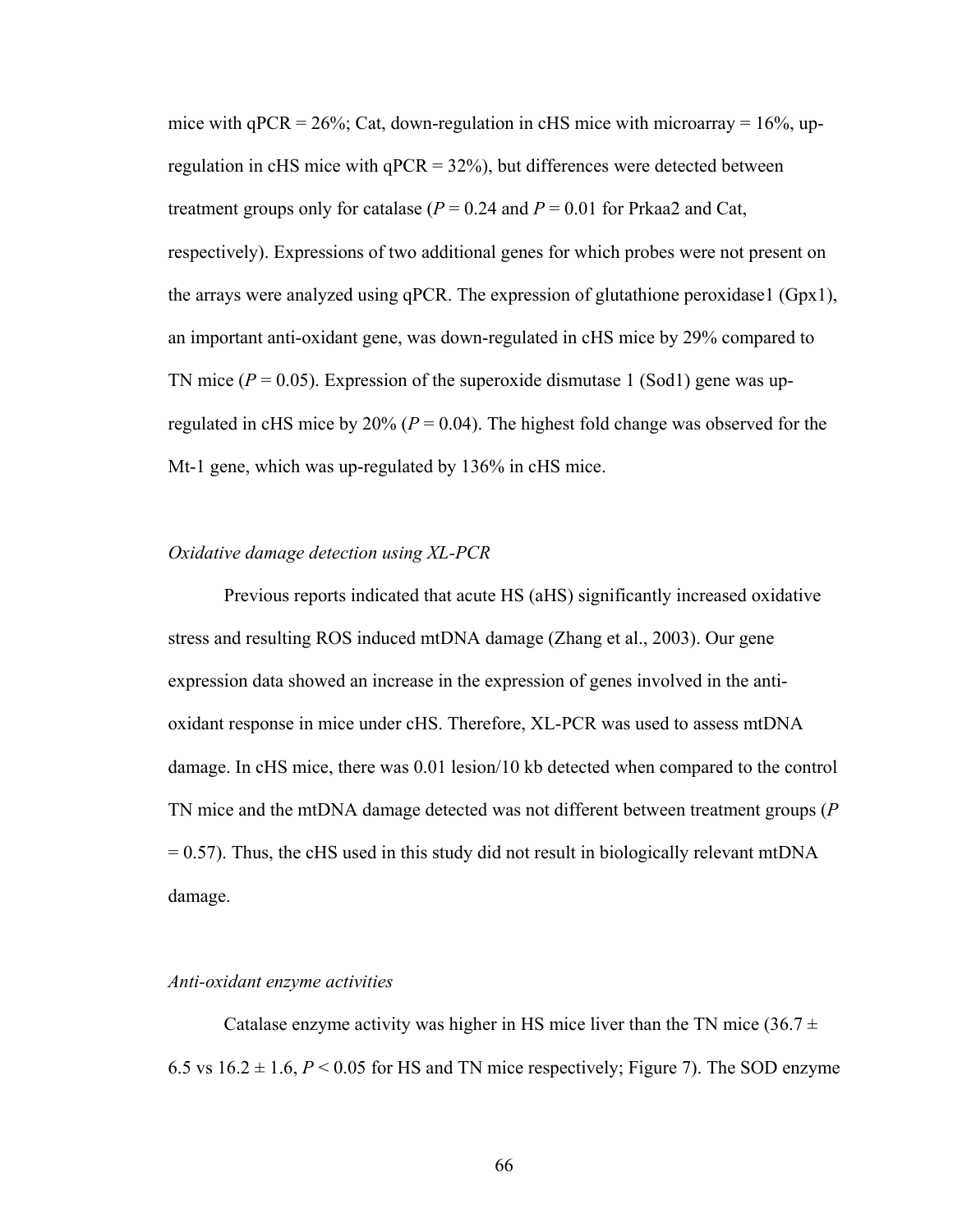mice with  $qPCR = 26\%$ ; Cat, down-regulation in cHS mice with microarray = 16%, upregulation in cHS mice with  $qPCR = 32\%)$ , but differences were detected between treatment groups only for catalase  $(P = 0.24$  and  $P = 0.01$  for Prkaa2 and Cat, respectively). Expressions of two additional genes for which probes were not present on the arrays were analyzed using  $qPCR$ . The expression of glutathione peroxidase1 (Gpx1), an important anti-oxidant gene, was down-regulated in cHS mice by 29% compared to TN mice  $(P = 0.05)$ . Expression of the superoxide dismutase 1 (Sod1) gene was upregulated in cHS mice by  $20\%$  ( $P = 0.04$ ). The highest fold change was observed for the Mt-1 gene, which was up-regulated by 136% in cHS mice.

# *Oxidative damage detection using XL-PCR*

Previous reports indicated that acute HS (aHS) significantly increased oxidative stress and resulting ROS induced mtDNA damage (Zhang et al., 2003). Our gene expression data showed an increase in the expression of genes involved in the antioxidant response in mice under cHS. Therefore, XL-PCR was used to assess mtDNA damage. In cHS mice, there was 0.01 lesion/10 kb detected when compared to the control TN mice and the mtDNA damage detected was not different between treatment groups (*P*  $= 0.57$ ). Thus, the cHS used in this study did not result in biologically relevant mtDNA damage.

#### *Anti-oxidant enzyme activities*

Catalase enzyme activity was higher in HS mice liver than the TN mice (36.7  $\pm$ 6.5 vs  $16.2 \pm 1.6$ ,  $P < 0.05$  for HS and TN mice respectively; Figure 7). The SOD enzyme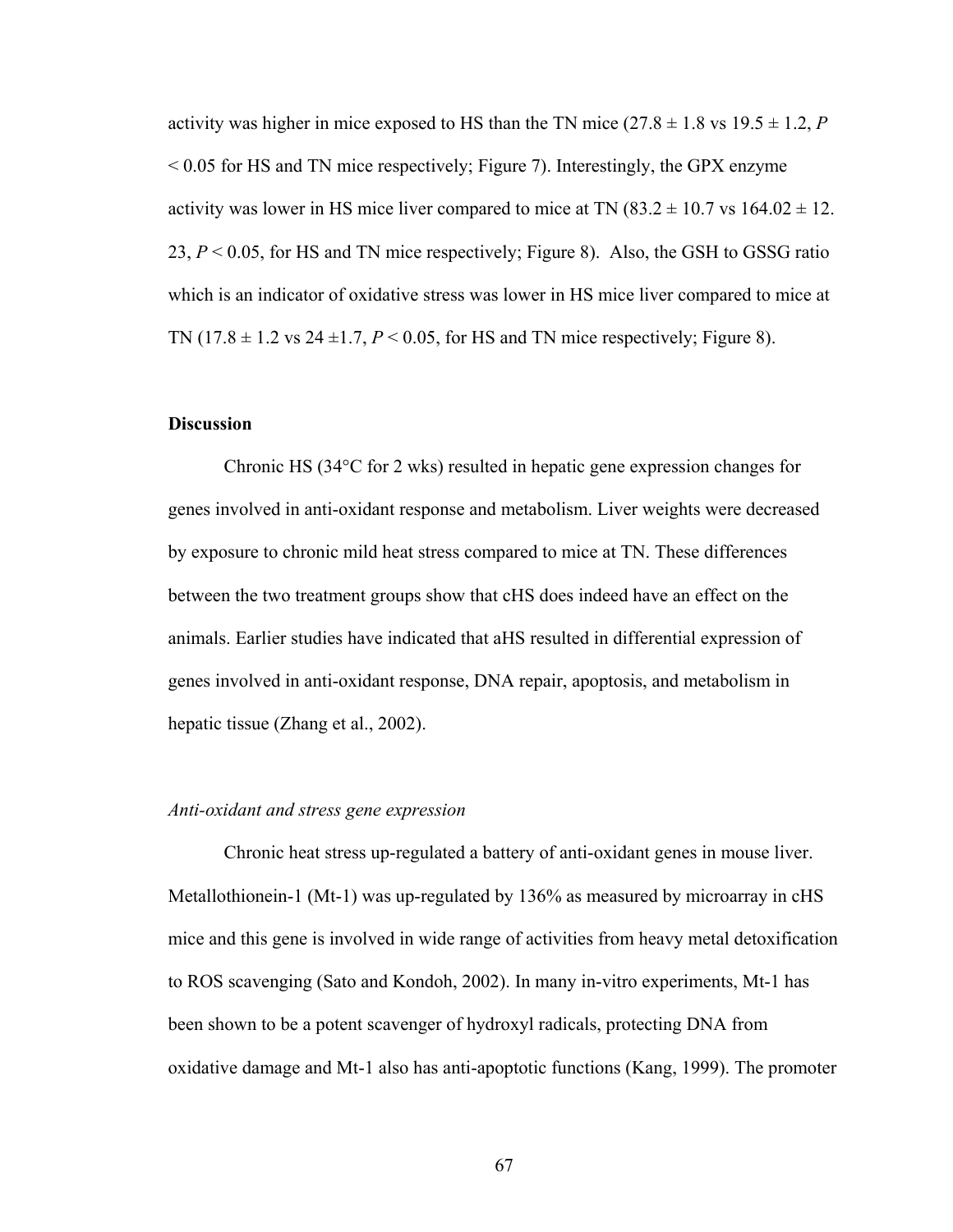activity was higher in mice exposed to HS than the TN mice  $(27.8 \pm 1.8 \text{ vs } 19.5 \pm 1.2, P)$  $< 0.05$  for HS and TN mice respectively; Figure 7). Interestingly, the GPX enzyme activity was lower in HS mice liver compared to mice at TN  $(83.2 \pm 10.7 \text{ vs } 164.02 \pm 12.7 \text{ s})$ 23, *P* < 0.05, for HS and TN mice respectively; Figure 8). Also, the GSH to GSSG ratio which is an indicator of oxidative stress was lower in HS mice liver compared to mice at TN  $(17.8 \pm 1.2 \text{ vs } 24 \pm 1.7, P \le 0.05, \text{ for HS and TN mice respectively; Figure 8).}$ 

# **Discussion**

Chronic HS (34°C for 2 wks) resulted in hepatic gene expression changes for genes involved in anti-oxidant response and metabolism. Liver weights were decreased by exposure to chronic mild heat stress compared to mice at TN. These differences between the two treatment groups show that cHS does indeed have an effect on the animals. Earlier studies have indicated that aHS resulted in differential expression of genes involved in anti-oxidant response, DNA repair, apoptosis, and metabolism in hepatic tissue (Zhang et al., 2002).

# *Anti-oxidant and stress gene expression*

Chronic heat stress up-regulated a battery of anti-oxidant genes in mouse liver. Metallothionein-1 (Mt-1) was up-regulated by 136% as measured by microarray in cHS mice and this gene is involved in wide range of activities from heavy metal detoxification to ROS scavenging (Sato and Kondoh, 2002). In many in-vitro experiments, Mt-1 has been shown to be a potent scavenger of hydroxyl radicals, protecting DNA from oxidative damage and Mt-1 also has anti-apoptotic functions (Kang, 1999). The promoter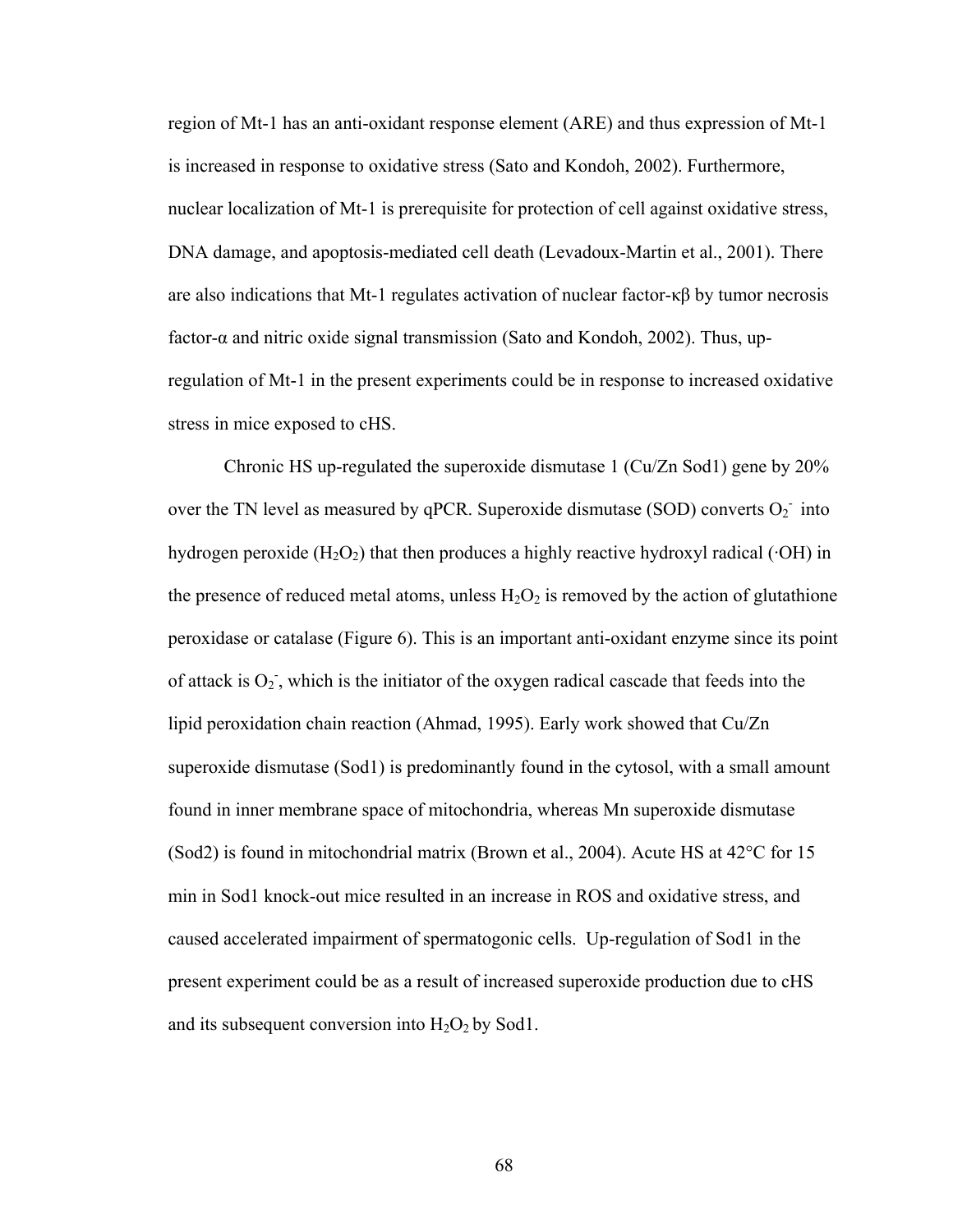region of Mt-1 has an anti-oxidant response element (ARE) and thus expression of Mt-1 is increased in response to oxidative stress (Sato and Kondoh, 2002). Furthermore, nuclear localization of Mt-1 is prerequisite for protection of cell against oxidative stress, DNA damage, and apoptosis-mediated cell death (Levadoux-Martin et al., 2001). There are also indications that Mt-1 regulates activation of nuclear factor-κβ by tumor necrosis factor-α and nitric oxide signal transmission (Sato and Kondoh, 2002). Thus, upregulation of Mt-1 in the present experiments could be in response to increased oxidative stress in mice exposed to cHS.

Chronic HS up-regulated the superoxide dismutase 1 (Cu/Zn Sod1) gene by 20% over the TN level as measured by qPCR. Superoxide dismutase (SOD) converts  $O_2$ <sup>-</sup> into hydrogen peroxide  $(H_2O_2)$  that then produces a highly reactive hydroxyl radical ( $\cdot$ OH) in the presence of reduced metal atoms, unless  $H_2O_2$  is removed by the action of glutathione peroxidase or catalase (Figure 6). This is an important anti-oxidant enzyme since its point of attack is  $O_2$ , which is the initiator of the oxygen radical cascade that feeds into the lipid peroxidation chain reaction (Ahmad, 1995). Early work showed that Cu/Zn superoxide dismutase (Sod1) is predominantly found in the cytosol, with a small amount found in inner membrane space of mitochondria, whereas Mn superoxide dismutase (Sod2) is found in mitochondrial matrix (Brown et al., 2004). Acute HS at 42°C for 15 min in Sod1 knock-out mice resulted in an increase in ROS and oxidative stress, and caused accelerated impairment of spermatogonic cells. Up-regulation of Sod1 in the present experiment could be as a result of increased superoxide production due to cHS and its subsequent conversion into  $H_2O_2$  by Sod1.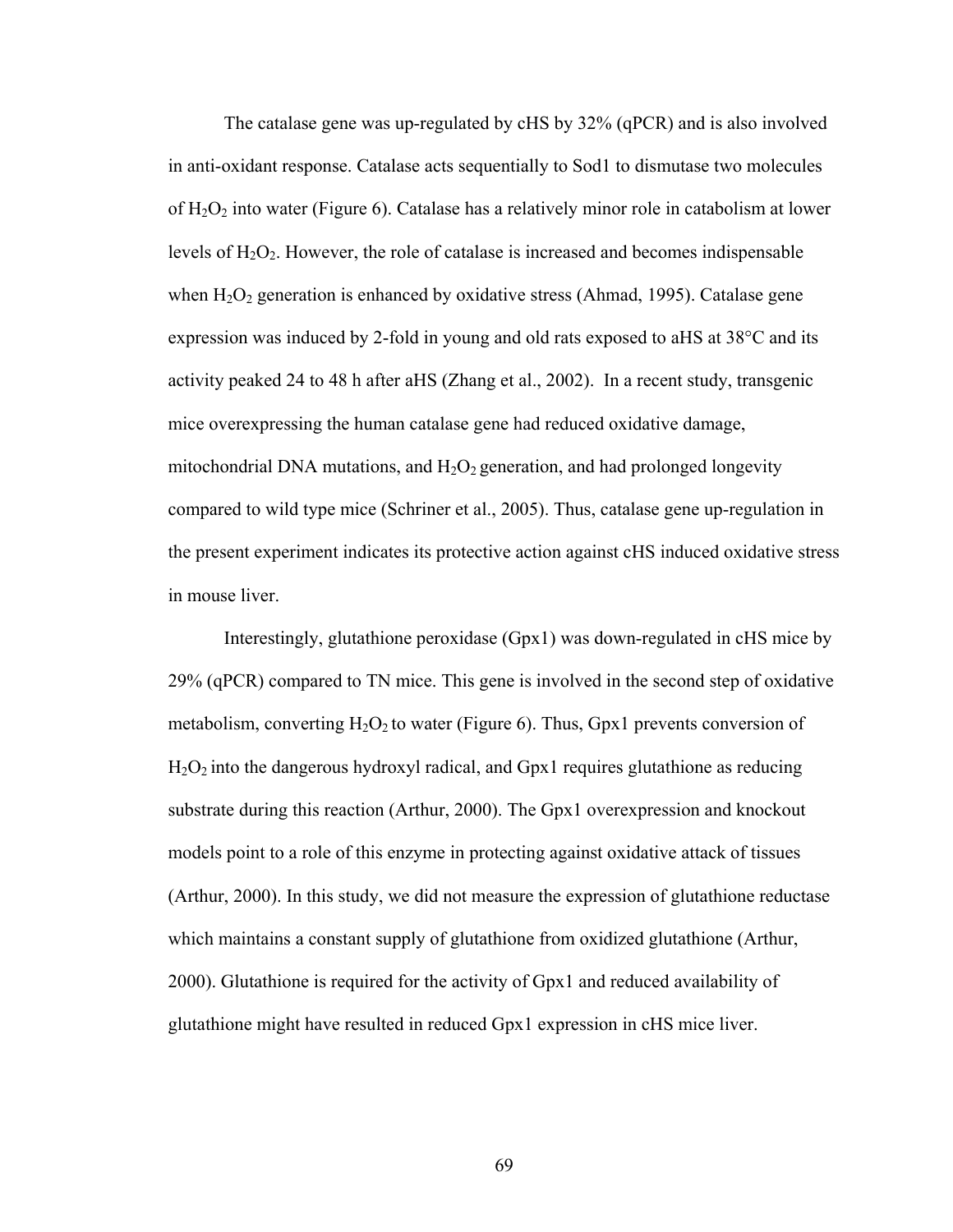The catalase gene was up-regulated by cHS by 32% (qPCR) and is also involved in anti-oxidant response. Catalase acts sequentially to Sod1 to dismutase two molecules of  $H_2O_2$  into water (Figure 6). Catalase has a relatively minor role in catabolism at lower levels of  $H_2O_2$ . However, the role of catalase is increased and becomes indispensable when  $H_2O_2$  generation is enhanced by oxidative stress (Ahmad, 1995). Catalase gene expression was induced by 2-fold in young and old rats exposed to aHS at 38°C and its activity peaked 24 to 48 h after aHS (Zhang et al., 2002). In a recent study, transgenic mice overexpressing the human catalase gene had reduced oxidative damage, mitochondrial DNA mutations, and  $H_2O_2$  generation, and had prolonged longevity compared to wild type mice (Schriner et al., 2005). Thus, catalase gene up-regulation in the present experiment indicates its protective action against cHS induced oxidative stress in mouse liver.

Interestingly, glutathione peroxidase (Gpx1) was down-regulated in cHS mice by 29% (qPCR) compared to TN mice. This gene is involved in the second step of oxidative metabolism, converting  $H_2O_2$  to water (Figure 6). Thus, Gpx1 prevents conversion of  $H<sub>2</sub>O<sub>2</sub>$  into the dangerous hydroxyl radical, and Gpx1 requires glutathione as reducing substrate during this reaction (Arthur, 2000). The Gpx1 overexpression and knockout models point to a role of this enzyme in protecting against oxidative attack of tissues (Arthur, 2000). In this study, we did not measure the expression of glutathione reductase which maintains a constant supply of glutathione from oxidized glutathione (Arthur, 2000). Glutathione is required for the activity of Gpx1 and reduced availability of glutathione might have resulted in reduced Gpx1 expression in cHS mice liver.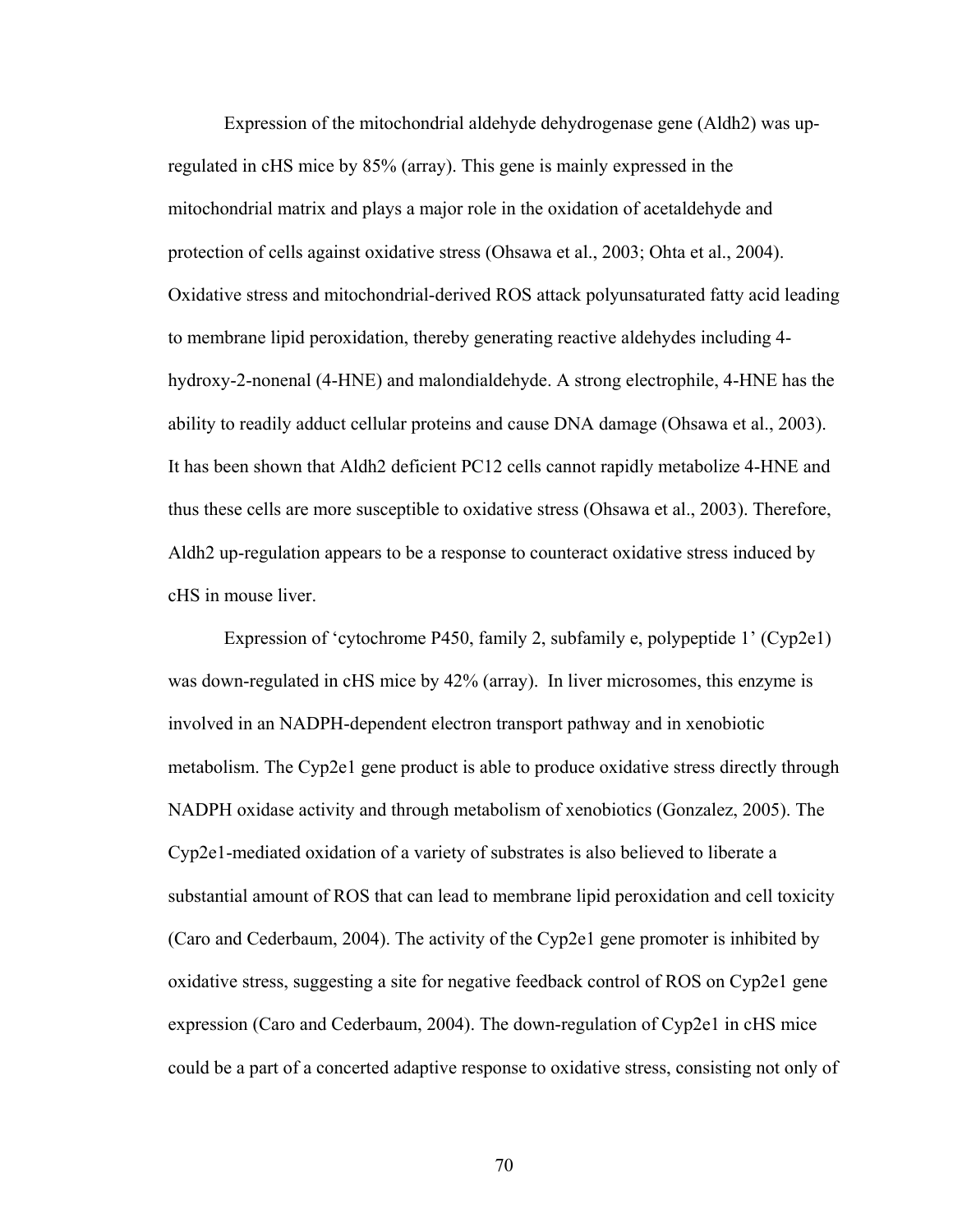Expression of the mitochondrial aldehyde dehydrogenase gene (Aldh2) was upregulated in cHS mice by 85% (array). This gene is mainly expressed in the mitochondrial matrix and plays a major role in the oxidation of acetaldehyde and protection of cells against oxidative stress (Ohsawa et al., 2003; Ohta et al., 2004). Oxidative stress and mitochondrial-derived ROS attack polyunsaturated fatty acid leading to membrane lipid peroxidation, thereby generating reactive aldehydes including 4 hydroxy-2-nonenal (4-HNE) and malondialdehyde. A strong electrophile, 4-HNE has the ability to readily adduct cellular proteins and cause DNA damage (Ohsawa et al., 2003). It has been shown that Aldh2 deficient PC12 cells cannot rapidly metabolize 4-HNE and thus these cells are more susceptible to oxidative stress (Ohsawa et al., 2003). Therefore, Aldh2 up-regulation appears to be a response to counteract oxidative stress induced by cHS in mouse liver.

Expression of 'cytochrome P450, family 2, subfamily e, polypeptide 1' (Cyp2e1) was down-regulated in cHS mice by 42% (array). In liver microsomes, this enzyme is involved in an NADPH-dependent electron transport pathway and in xenobiotic metabolism. The Cyp2e1 gene product is able to produce oxidative stress directly through NADPH oxidase activity and through metabolism of xenobiotics (Gonzalez, 2005). The Cyp2e1-mediated oxidation of a variety of substrates is also believed to liberate a substantial amount of ROS that can lead to membrane lipid peroxidation and cell toxicity (Caro and Cederbaum, 2004). The activity of the Cyp2e1 gene promoter is inhibited by oxidative stress, suggesting a site for negative feedback control of ROS on Cyp2e1 gene expression (Caro and Cederbaum, 2004). The down-regulation of Cyp2e1 in cHS mice could be a part of a concerted adaptive response to oxidative stress, consisting not only of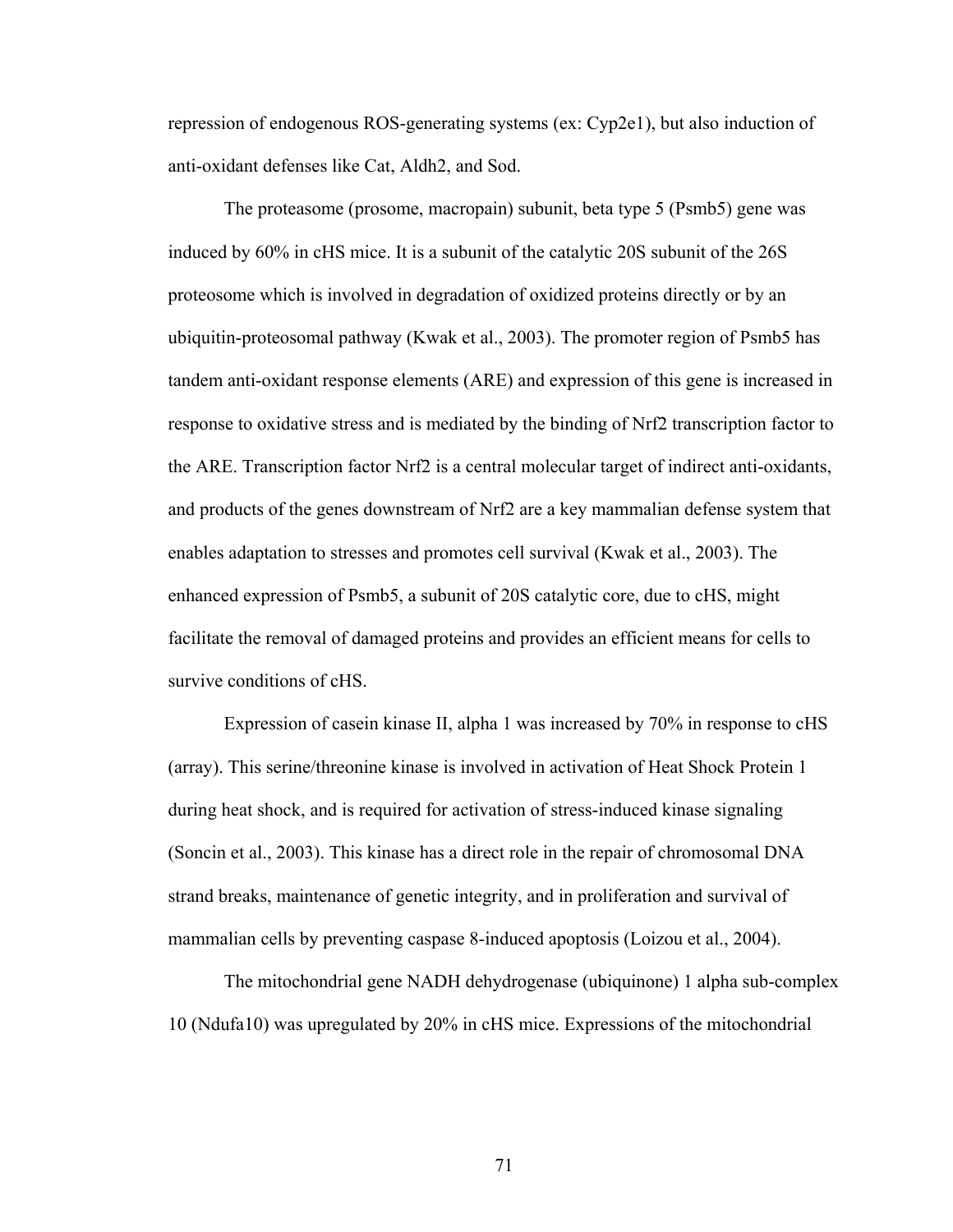repression of endogenous ROS-generating systems (ex: Cyp2e1), but also induction of anti-oxidant defenses like Cat, Aldh2, and Sod.

The proteasome (prosome, macropain) subunit, beta type 5 (Psmb5) gene was induced by 60% in cHS mice. It is a subunit of the catalytic 20S subunit of the 26S proteosome which is involved in degradation of oxidized proteins directly or by an ubiquitin-proteosomal pathway (Kwak et al., 2003). The promoter region of Psmb5 has tandem anti-oxidant response elements (ARE) and expression of this gene is increased in response to oxidative stress and is mediated by the binding of Nrf2 transcription factor to the ARE. Transcription factor Nrf2 is a central molecular target of indirect anti-oxidants, and products of the genes downstream of Nrf2 are a key mammalian defense system that enables adaptation to stresses and promotes cell survival (Kwak et al., 2003). The enhanced expression of Psmb5, a subunit of 20S catalytic core, due to cHS, might facilitate the removal of damaged proteins and provides an efficient means for cells to survive conditions of cHS.

Expression of casein kinase II, alpha 1 was increased by 70% in response to cHS (array). This serine/threonine kinase is involved in activation of Heat Shock Protein 1 during heat shock, and is required for activation of stress-induced kinase signaling (Soncin et al., 2003). This kinase has a direct role in the repair of chromosomal DNA strand breaks, maintenance of genetic integrity, and in proliferation and survival of mammalian cells by preventing caspase 8-induced apoptosis (Loizou et al., 2004).

The mitochondrial gene NADH dehydrogenase (ubiquinone) 1 alpha sub-complex 10 (Ndufa10) was upregulated by 20% in cHS mice. Expressions of the mitochondrial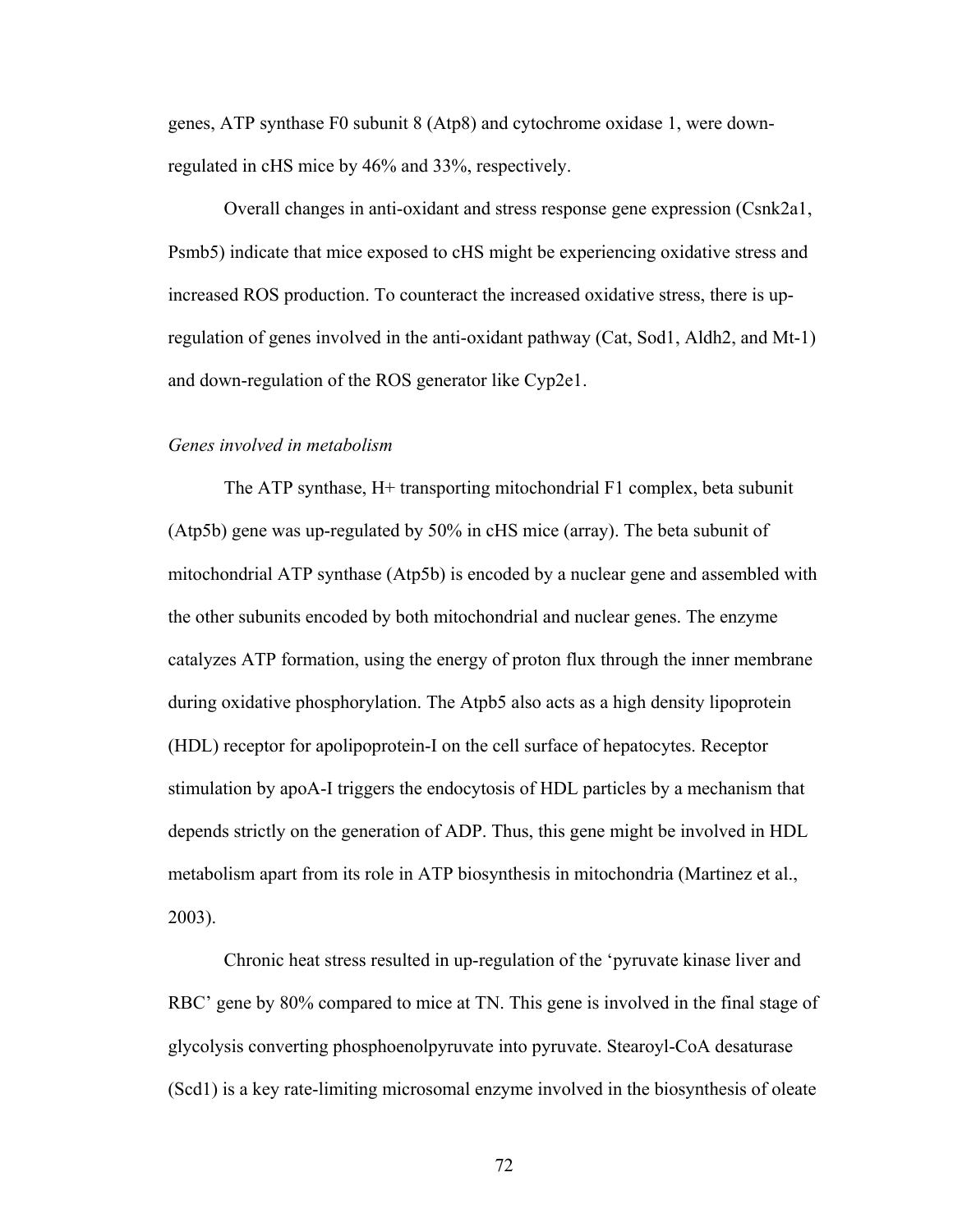genes, ATP synthase F0 subunit 8 (Atp8) and cytochrome oxidase 1, were downregulated in cHS mice by 46% and 33%, respectively.

Overall changes in anti-oxidant and stress response gene expression (Csnk2a1, Psmb5) indicate that mice exposed to cHS might be experiencing oxidative stress and increased ROS production. To counteract the increased oxidative stress, there is upregulation of genes involved in the anti-oxidant pathway (Cat, Sod1, Aldh2, and Mt-1) and down-regulation of the ROS generator like Cyp2e1.

# *Genes involved in metabolism*

The ATP synthase, H+ transporting mitochondrial F1 complex, beta subunit (Atp5b) gene was up-regulated by 50% in cHS mice (array). The beta subunit of mitochondrial ATP synthase (Atp5b) is encoded by a nuclear gene and assembled with the other subunits encoded by both mitochondrial and nuclear genes. The enzyme catalyzes ATP formation, using the energy of proton flux through the inner membrane during oxidative phosphorylation. The Atpb5 also acts as a high density lipoprotein (HDL) receptor for apolipoprotein-I on the cell surface of hepatocytes. Receptor stimulation by apoA-I triggers the endocytosis of HDL particles by a mechanism that depends strictly on the generation of ADP. Thus, this gene might be involved in HDL metabolism apart from its role in ATP biosynthesis in mitochondria (Martinez et al., 2003).

Chronic heat stress resulted in up-regulation of the 'pyruvate kinase liver and RBC' gene by 80% compared to mice at TN. This gene is involved in the final stage of glycolysis converting phosphoenolpyruvate into pyruvate. Stearoyl-CoA desaturase (Scd1) is a key rate-limiting microsomal enzyme involved in the biosynthesis of oleate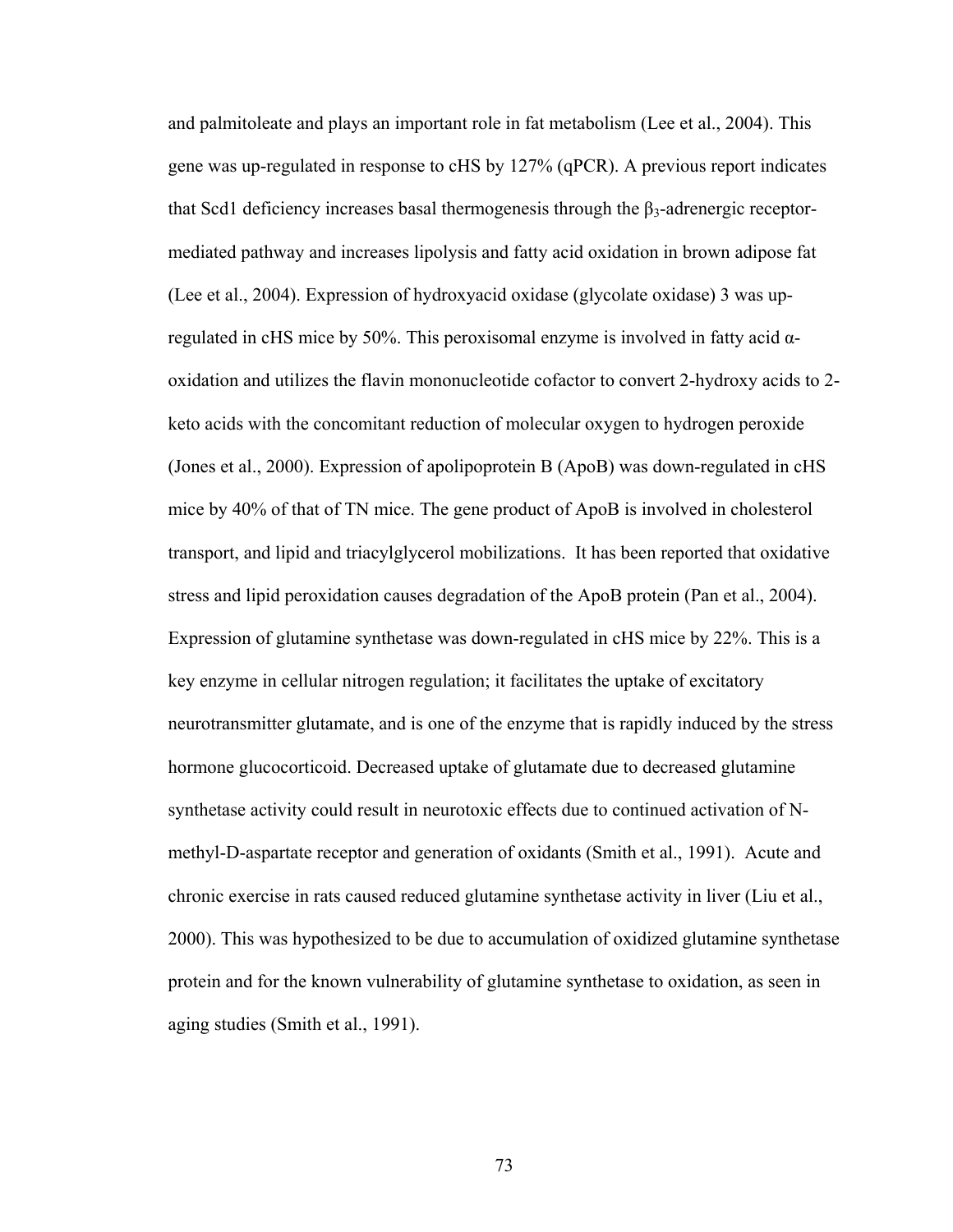and palmitoleate and plays an important role in fat metabolism (Lee et al., 2004). This gene was up-regulated in response to cHS by 127% (qPCR). A previous report indicates that Scd1 deficiency increases basal thermogenesis through the  $β_3$ -adrenergic receptormediated pathway and increases lipolysis and fatty acid oxidation in brown adipose fat (Lee et al., 2004). Expression of hydroxyacid oxidase (glycolate oxidase) 3 was upregulated in cHS mice by 50%. This peroxisomal enzyme is involved in fatty acid αoxidation and utilizes the flavin mononucleotide cofactor to convert 2-hydroxy acids to 2 keto acids with the concomitant reduction of molecular oxygen to hydrogen peroxide (Jones et al., 2000). Expression of apolipoprotein B (ApoB) was down-regulated in cHS mice by 40% of that of TN mice. The gene product of ApoB is involved in cholesterol transport, and lipid and triacylglycerol mobilizations. It has been reported that oxidative stress and lipid peroxidation causes degradation of the ApoB protein (Pan et al., 2004). Expression of glutamine synthetase was down-regulated in cHS mice by 22%. This is a key enzyme in cellular nitrogen regulation; it facilitates the uptake of excitatory neurotransmitter glutamate, and is one of the enzyme that is rapidly induced by the stress hormone glucocorticoid. Decreased uptake of glutamate due to decreased glutamine synthetase activity could result in neurotoxic effects due to continued activation of Nmethyl-D-aspartate receptor and generation of oxidants (Smith et al., 1991). Acute and chronic exercise in rats caused reduced glutamine synthetase activity in liver (Liu et al., 2000). This was hypothesized to be due to accumulation of oxidized glutamine synthetase protein and for the known vulnerability of glutamine synthetase to oxidation, as seen in aging studies (Smith et al., 1991).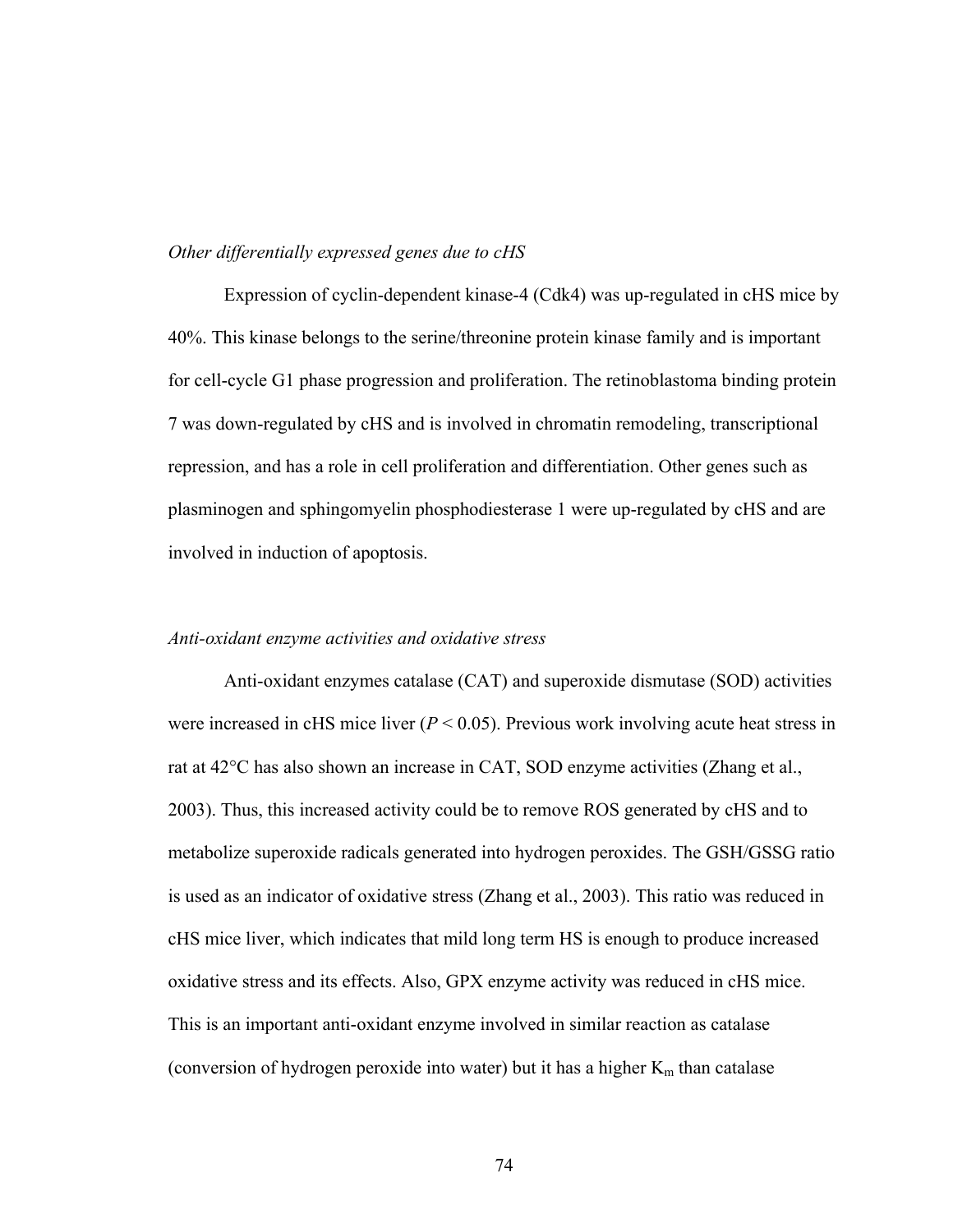# *Other differentially expressed genes due to cHS*

Expression of cyclin-dependent kinase-4 (Cdk4) was up-regulated in cHS mice by 40%. This kinase belongs to the serine/threonine protein kinase family and is important for cell-cycle G1 phase progression and proliferation. The retinoblastoma binding protein 7 was down-regulated by cHS and is involved in chromatin remodeling, transcriptional repression, and has a role in cell proliferation and differentiation. Other genes such as plasminogen and sphingomyelin phosphodiesterase 1 were up-regulated by cHS and are involved in induction of apoptosis.

#### *Anti-oxidant enzyme activities and oxidative stress*

 Anti-oxidant enzymes catalase (CAT) and superoxide dismutase (SOD) activities were increased in cHS mice liver  $(P < 0.05)$ . Previous work involving acute heat stress in rat at 42°C has also shown an increase in CAT, SOD enzyme activities (Zhang et al., 2003). Thus, this increased activity could be to remove ROS generated by cHS and to metabolize superoxide radicals generated into hydrogen peroxides. The GSH/GSSG ratio is used as an indicator of oxidative stress (Zhang et al., 2003). This ratio was reduced in cHS mice liver, which indicates that mild long term HS is enough to produce increased oxidative stress and its effects. Also, GPX enzyme activity was reduced in cHS mice. This is an important anti-oxidant enzyme involved in similar reaction as catalase (conversion of hydrogen peroxide into water) but it has a higher  $K_m$  than catalase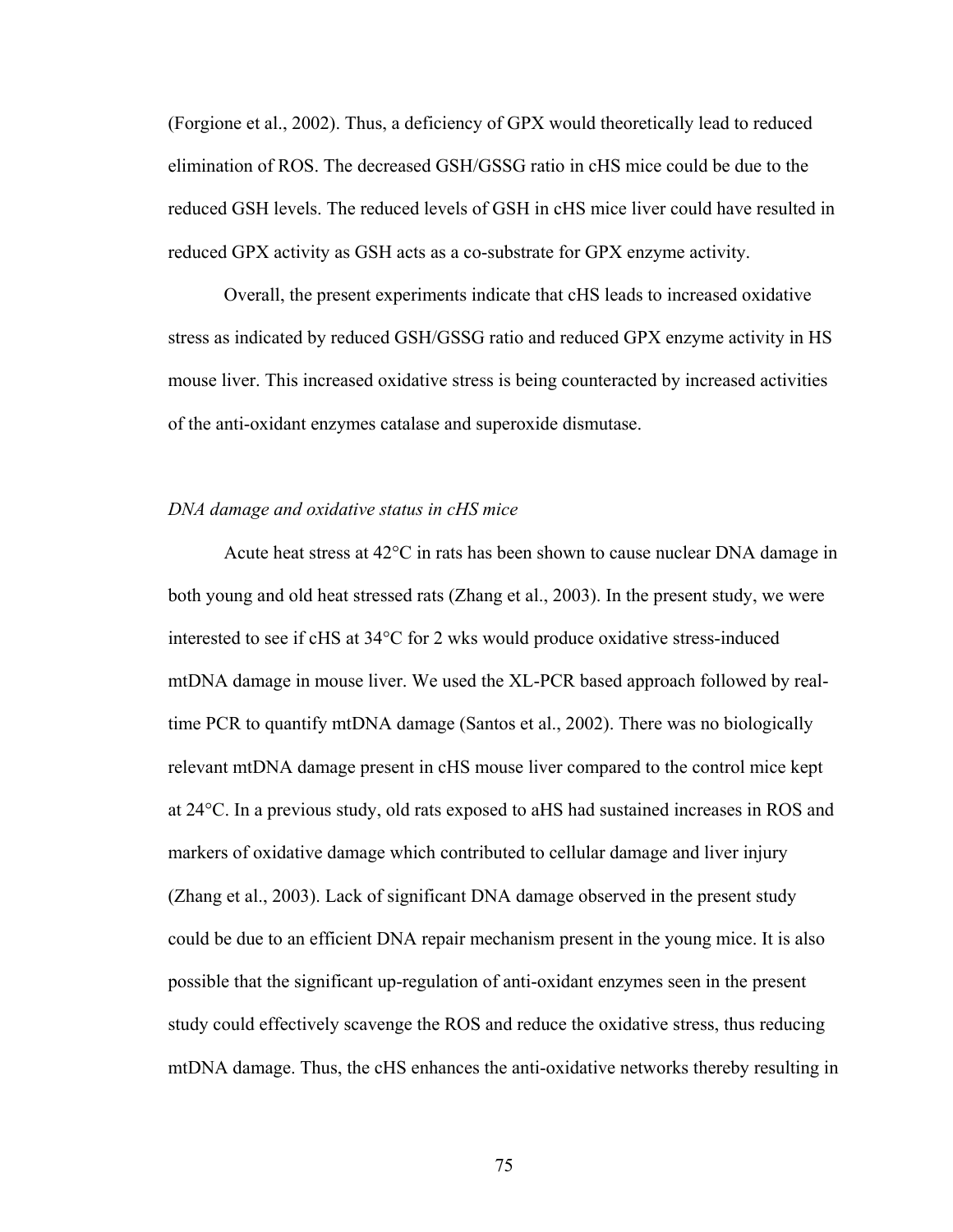(Forgione et al., 2002). Thus, a deficiency of GPX would theoretically lead to reduced elimination of ROS. The decreased GSH/GSSG ratio in cHS mice could be due to the reduced GSH levels. The reduced levels of GSH in cHS mice liver could have resulted in reduced GPX activity as GSH acts as a co-substrate for GPX enzyme activity.

 Overall, the present experiments indicate that cHS leads to increased oxidative stress as indicated by reduced GSH/GSSG ratio and reduced GPX enzyme activity in HS mouse liver. This increased oxidative stress is being counteracted by increased activities of the anti-oxidant enzymes catalase and superoxide dismutase.

#### *DNA damage and oxidative status in cHS mice*

Acute heat stress at 42°C in rats has been shown to cause nuclear DNA damage in both young and old heat stressed rats (Zhang et al., 2003). In the present study, we were interested to see if cHS at 34°C for 2 wks would produce oxidative stress-induced mtDNA damage in mouse liver. We used the XL-PCR based approach followed by realtime PCR to quantify mtDNA damage (Santos et al., 2002). There was no biologically relevant mtDNA damage present in cHS mouse liver compared to the control mice kept at 24°C. In a previous study, old rats exposed to aHS had sustained increases in ROS and markers of oxidative damage which contributed to cellular damage and liver injury (Zhang et al., 2003). Lack of significant DNA damage observed in the present study could be due to an efficient DNA repair mechanism present in the young mice. It is also possible that the significant up-regulation of anti-oxidant enzymes seen in the present study could effectively scavenge the ROS and reduce the oxidative stress, thus reducing mtDNA damage. Thus, the cHS enhances the anti-oxidative networks thereby resulting in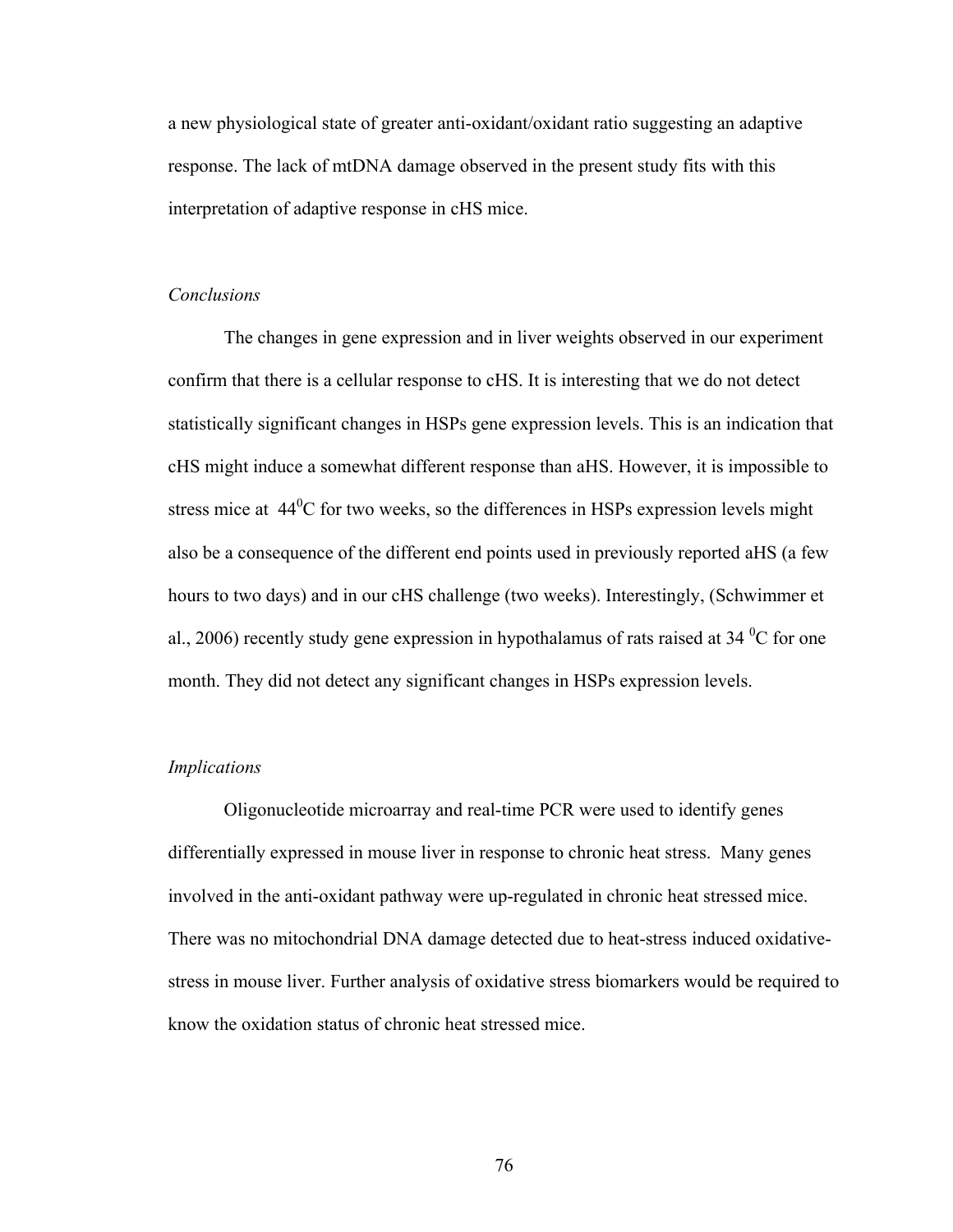a new physiological state of greater anti-oxidant/oxidant ratio suggesting an adaptive response. The lack of mtDNA damage observed in the present study fits with this interpretation of adaptive response in cHS mice.

# *Conclusions*

The changes in gene expression and in liver weights observed in our experiment confirm that there is a cellular response to cHS. It is interesting that we do not detect statistically significant changes in HSPs gene expression levels. This is an indication that cHS might induce a somewhat different response than aHS. However, it is impossible to stress mice at  $44<sup>0</sup>C$  for two weeks, so the differences in HSPs expression levels might also be a consequence of the different end points used in previously reported aHS (a few hours to two days) and in our cHS challenge (two weeks). Interestingly, (Schwimmer et al., 2006) recently study gene expression in hypothalamus of rats raised at 34  $\rm{^0C}$  for one month. They did not detect any significant changes in HSPs expression levels.

#### *Implications*

Oligonucleotide microarray and real-time PCR were used to identify genes differentially expressed in mouse liver in response to chronic heat stress. Many genes involved in the anti-oxidant pathway were up-regulated in chronic heat stressed mice. There was no mitochondrial DNA damage detected due to heat-stress induced oxidativestress in mouse liver. Further analysis of oxidative stress biomarkers would be required to know the oxidation status of chronic heat stressed mice.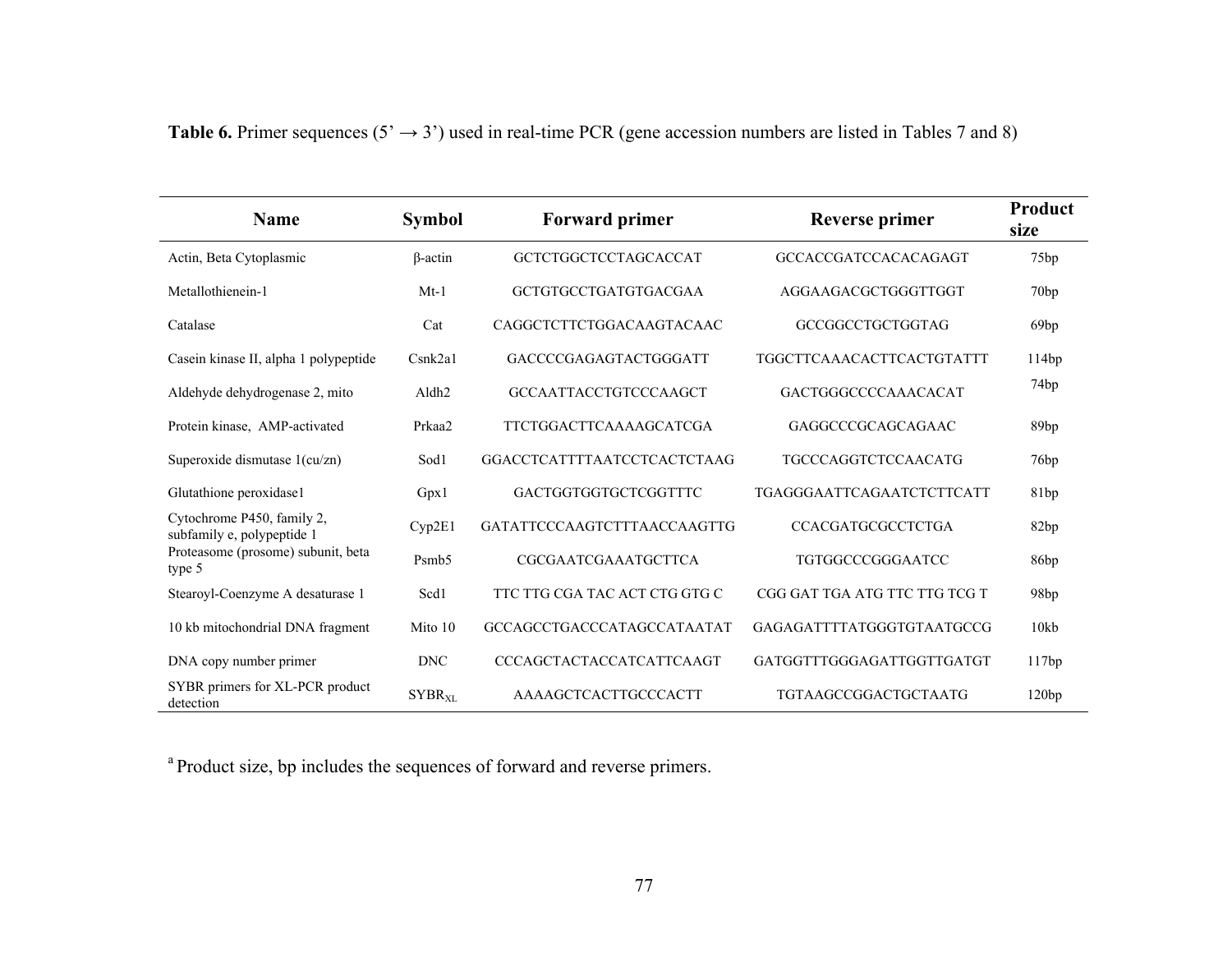| <b>Name</b>                                              | <b>Symbol</b>     | <b>Forward primer</b>           | <b>Reverse primer</b>            | Product<br>size  |
|----------------------------------------------------------|-------------------|---------------------------------|----------------------------------|------------------|
| Actin, Beta Cytoplasmic                                  | $\beta$ -actin    | GCTCTGGCTCCTAGCACCAT            | <b>GCCACCGATCCACACAGAGT</b>      | 75 <sub>bp</sub> |
| Metallothienein-1                                        | $Mt-1$            | <b>GCTGTGCCTGATGTGACGAA</b>     | AGGAAGACGCTGGGTTGGT              | 70bp             |
| Catalase                                                 | Cat               | CAGGCTCTTCTGGACAAGTACAAC        | GCCGGCCTGCTGGTAG                 | 69 <sub>bp</sub> |
| Casein kinase II, alpha 1 polypeptide                    | Csnk2a1           | GACCCCGAGAGTACTGGGATT           | <b>TGGCTTCAAACACTTCACTGTATTT</b> | 114bp            |
| Aldehyde dehydrogenase 2, mito                           | Aldh <sub>2</sub> | <b>GCCAATTACCTGTCCCAAGCT</b>    | <b>GACTGGGCCCCAAACACAT</b>       | 74 <sub>bp</sub> |
| Protein kinase, AMP-activated                            | Prkaa2            | <b>TTCTGGACTTCAAAAGCATCGA</b>   | GAGGCCCGCAGCAGAAC                | 89bp             |
| Superoxide dismutase $1$ (cu/zn)                         | Sod1              | GGACCTCATTTTAATCCTCACTCTAAG     | <b>TGCCCAGGTCTCCAACATG</b>       | 76bp             |
| Glutathione peroxidase1                                  | Gpx1              | GACTGGTGGTGCTCGGTTTC            | <b>TGAGGGAATTCAGAATCTCTTCATT</b> | 81bp             |
| Cytochrome P450, family 2,<br>subfamily e, polypeptide 1 | Cyp2E1            | GATATTCCCAAGTCTTTAACCAAGTTG     | <b>CCACGATGCGCCTCTGA</b>         | 82bp             |
| Proteasome (prosome) subunit, beta<br>type 5             | Psmb5             | CGCGAATCGAAATGCTTCA             | <b>TGTGGCCCGGGAATCC</b>          | 86bp             |
| Stearoyl-Coenzyme A desaturase 1                         | Scd1              | TTC TTG CGA TAC ACT CTG GTG C   | CGG GAT TGA ATG TTC TTG TCG T    | 98bp             |
| 10 kb mitochondrial DNA fragment                         | Mito 10           | GCCAGCCTGACCCATAGCCATAATAT      | GAGAGATTTTATGGGTGTAATGCCG        | 10kb             |
| DNA copy number primer                                   | <b>DNC</b>        | <b>CCCAGCTACTACCATCATTCAAGT</b> | GATGGTTTGGGAGATTGGTTGATGT        | 117bp            |
| SYBR primers for XL-PCR product<br>detection             | $SYBR_{XL}$       | AAAAGCTCACTTGCCCACTT            | TGTAAGCCGGACTGCTAATG             | 120bp            |

# **Table 6.** Primer sequences ( $5' \rightarrow 3'$ ) used in real-time PCR (gene accession numbers are listed in Tables 7 and 8)

a Product size, bp includes the sequences of forward and reverse primers.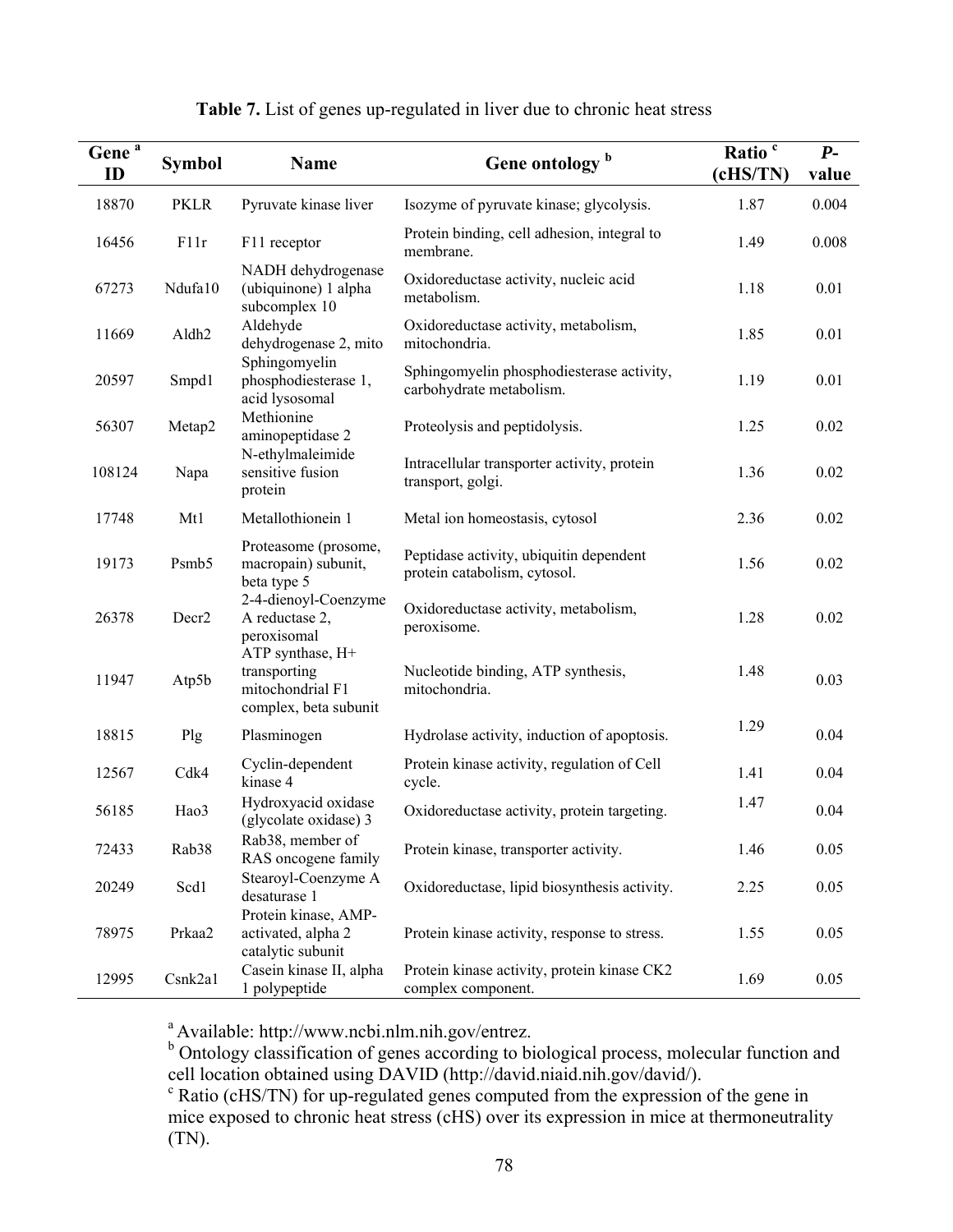| Gene <sup>a</sup><br>ID | <b>Symbol</b>     | <b>Name</b>                                                                   | Gene ontology <sup>b</sup>                                              | Ratio <sup>c</sup><br>(cHS/TN) | $P-$<br>value |
|-------------------------|-------------------|-------------------------------------------------------------------------------|-------------------------------------------------------------------------|--------------------------------|---------------|
| 18870                   | <b>PKLR</b>       | Pyruvate kinase liver                                                         | Isozyme of pyruvate kinase; glycolysis.                                 | 1.87                           | 0.004         |
| 16456                   | F11r              | F11 receptor                                                                  | Protein binding, cell adhesion, integral to<br>membrane.                | 1.49                           | 0.008         |
| 67273                   | Ndufa10           | NADH dehydrogenase<br>(ubiquinone) 1 alpha<br>subcomplex 10                   | Oxidoreductase activity, nucleic acid<br>metabolism.                    | 1.18                           | 0.01          |
| 11669                   | Aldh <sub>2</sub> | Aldehyde<br>dehydrogenase 2, mito                                             | Oxidoreductase activity, metabolism,<br>mitochondria.                   | 1.85                           | 0.01          |
| 20597                   | Smpd1             | Sphingomyelin<br>phosphodiesterase 1,<br>acid lysosomal                       | Sphingomyelin phosphodiesterase activity,<br>carbohydrate metabolism.   | 1.19                           | 0.01          |
| 56307                   | Metap2            | Methionine<br>aminopeptidase 2                                                | Proteolysis and peptidolysis.                                           | 1.25                           | 0.02          |
| 108124                  | Napa              | N-ethylmaleimide<br>sensitive fusion<br>protein                               | Intracellular transporter activity, protein<br>transport, golgi.        | 1.36                           | 0.02          |
| 17748                   | Mt1               | Metallothionein 1                                                             | Metal ion homeostasis, cytosol                                          | 2.36                           | 0.02          |
| 19173                   | Psmb5             | Proteasome (prosome,<br>macropain) subunit,<br>beta type 5                    | Peptidase activity, ubiquitin dependent<br>protein catabolism, cytosol. | 1.56                           | 0.02          |
| 26378                   | Decr <sub>2</sub> | 2-4-dienoyl-Coenzyme<br>A reductase 2,<br>peroxisomal                         | Oxidoreductase activity, metabolism,<br>peroxisome.                     | 1.28                           | 0.02          |
| 11947                   | Atp5b             | ATP synthase, H+<br>transporting<br>mitochondrial F1<br>complex, beta subunit | Nucleotide binding, ATP synthesis,<br>mitochondria.                     | 1.48                           | 0.03          |
| 18815                   | Plg               | Plasminogen                                                                   | Hydrolase activity, induction of apoptosis.                             | 1.29                           | 0.04          |
| 12567                   | Cdk4              | Cyclin-dependent<br>kinase 4                                                  | Protein kinase activity, regulation of Cell<br>cycle.                   | 1.41                           | 0.04          |
| 56185                   | Hao3              | Hydroxyacid oxidase<br>(glycolate oxidase) 3                                  | Oxidoreductase activity, protein targeting.                             | 1.47                           | 0.04          |
| 72433                   | Rab <sub>38</sub> | Rab38, member of<br>RAS oncogene family                                       | Protein kinase, transporter activity.                                   | 1.46                           | 0.05          |
| 20249                   | Scd1              | Stearoyl-Coenzyme A<br>desaturase 1                                           | Oxidoreductase, lipid biosynthesis activity.                            | 2.25                           | 0.05          |
| 78975                   | Prkaa2            | Protein kinase, AMP-<br>activated, alpha 2<br>catalytic subunit               | Protein kinase activity, response to stress.                            | 1.55                           | 0.05          |
| 12995                   | Csnk2a1           | Casein kinase II, alpha<br>1 polypeptide                                      | Protein kinase activity, protein kinase CK2<br>complex component.       | 1.69                           | 0.05          |

# **Table 7.** List of genes up-regulated in liver due to chronic heat stress

<sup>a</sup> Available: http://www.ncbi.nlm.nih.gov/entrez.<br><sup>b</sup> Ontology classification of genes according to biological process, molecular function and cell location obtained using DAVID (http://david.niaid.nih.gov/david/).

c Ratio (cHS/TN) for up-regulated genes computed from the expression of the gene in mice exposed to chronic heat stress (cHS) over its expression in mice at thermoneutrality (TN).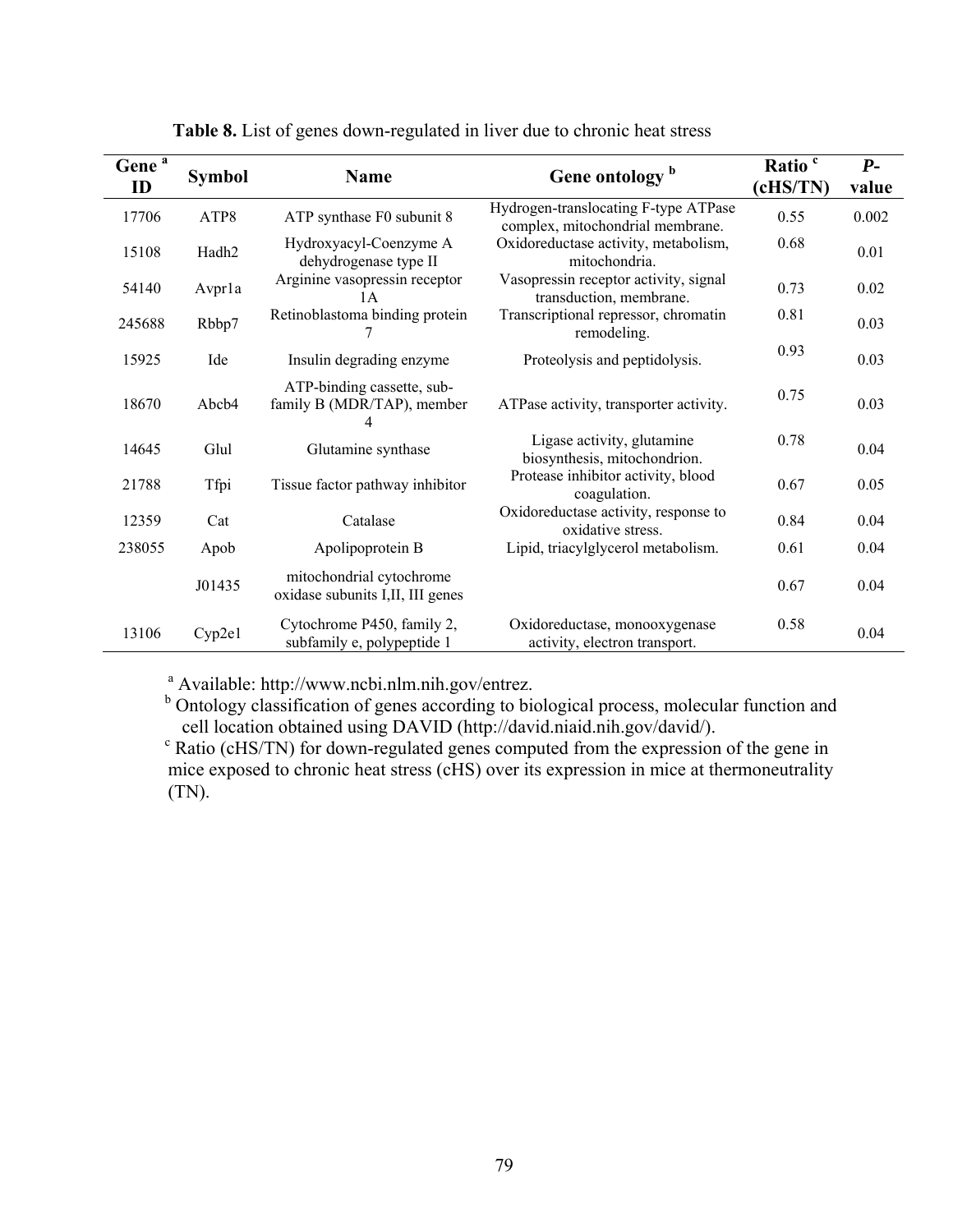| Gene <sup>a</sup><br>ID | <b>Symbol</b> | <b>Name</b>                                                   | Gene ontology <sup>b</sup>                                               | Ratio <sup>c</sup><br>(cHS/TN) | $P-$<br>value |
|-------------------------|---------------|---------------------------------------------------------------|--------------------------------------------------------------------------|--------------------------------|---------------|
| 17706                   | ATP8          | ATP synthase F0 subunit 8                                     | Hydrogen-translocating F-type ATPase<br>complex, mitochondrial membrane. | 0.55                           | 0.002         |
| 15108                   | Hadh2         | Hydroxyacyl-Coenzyme A<br>dehydrogenase type II               | Oxidoreductase activity, metabolism,<br>mitochondria.                    | 0.68                           | 0.01          |
| 54140                   | Avprla        | Arginine vasopressin receptor<br>1A                           | Vasopressin receptor activity, signal<br>transduction, membrane.         | 0.73                           | 0.02          |
| 245688                  | Rbbp7         | Retinoblastoma binding protein                                | Transcriptional repressor, chromatin<br>remodeling.                      | 0.81                           | 0.03          |
| 15925                   | Ide           | Insulin degrading enzyme                                      | Proteolysis and peptidolysis.                                            | 0.93                           | 0.03          |
| 18670                   | Abcb4         | ATP-binding cassette, sub-<br>family B (MDR/TAP), member      | ATPase activity, transporter activity.                                   | 0.75                           | 0.03          |
| 14645                   | Glul          | Glutamine synthase                                            | Ligase activity, glutamine<br>biosynthesis, mitochondrion.               | 0.78                           | 0.04          |
| 21788                   | Tfpi          | Tissue factor pathway inhibitor                               | Protease inhibitor activity, blood<br>coagulation.                       | 0.67                           | 0.05          |
| 12359                   | Cat           | Catalase                                                      | Oxidoreductase activity, response to<br>oxidative stress.                | 0.84                           | 0.04          |
| 238055                  | Apob          | Apolipoprotein B                                              | Lipid, triacylglycerol metabolism.                                       | 0.61                           | 0.04          |
|                         | J01435        | mitochondrial cytochrome<br>oxidase subunits I, II, III genes |                                                                          | 0.67                           | 0.04          |
| 13106                   | Cyp2e1        | Cytochrome P450, family 2,<br>subfamily e, polypeptide 1      | Oxidoreductase, monooxygenase<br>activity, electron transport.           | 0.58                           | 0.04          |

 **Table 8.** List of genes down-regulated in liver due to chronic heat stress

<sup>a</sup> Available: http://www.ncbi.nlm.nih.gov/entrez.

<sup>b</sup> Ontology classification of genes according to biological process, molecular function and cell location obtained using DAVID (http://david.niaid.nih.gov/david/).

 $\overrightarrow{c}$  Ratio (cHS/TN) for down-regulated genes computed from the expression of the gene in mice exposed to chronic heat stress (cHS) over its expression in mice at thermoneutrality (TN).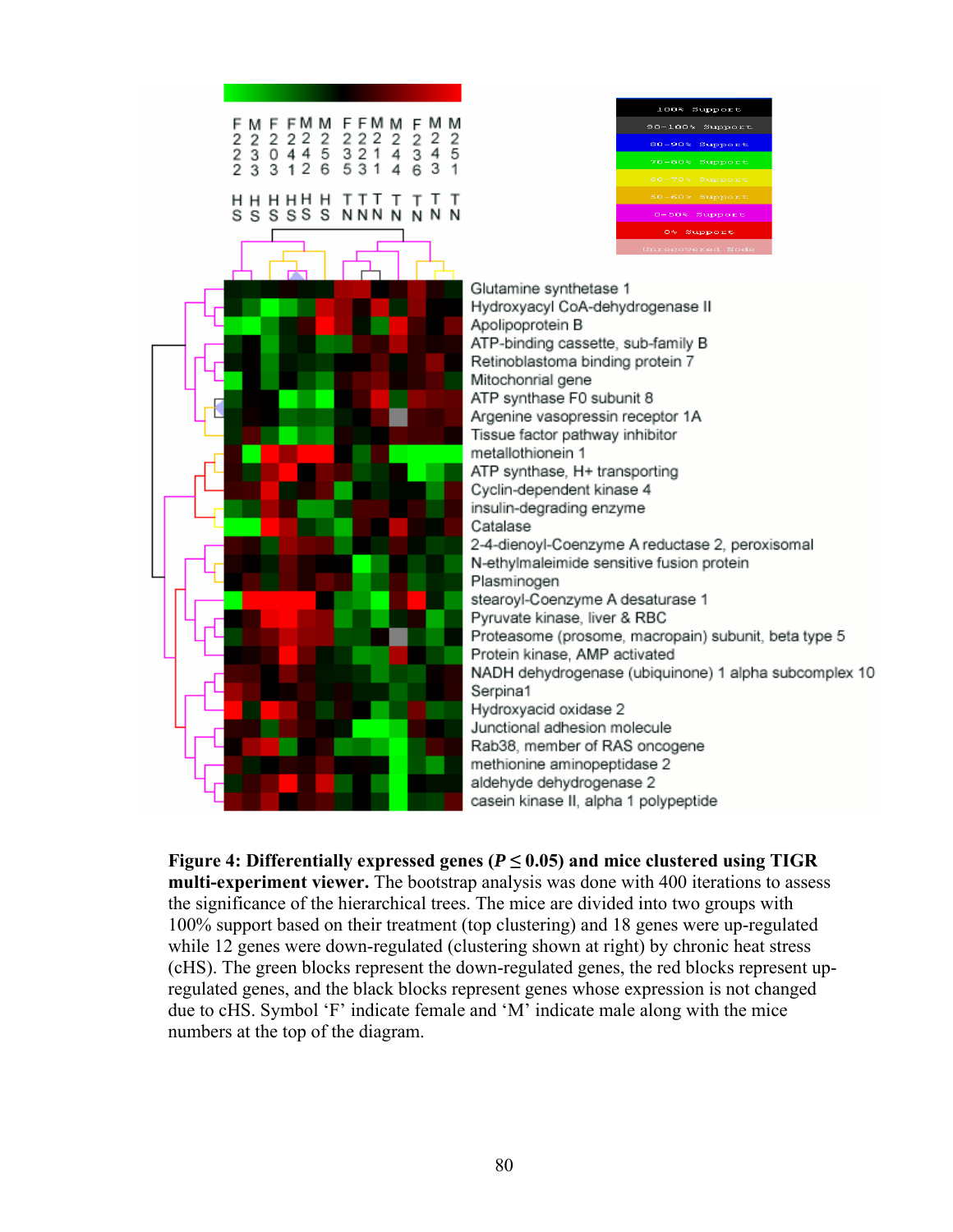

**Figure 4: Differentially expressed genes (** $P \le 0.05$ **) and mice clustered using TIGR** 

**multi-experiment viewer.** The bootstrap analysis was done with 400 iterations to assess the significance of the hierarchical trees. The mice are divided into two groups with 100% support based on their treatment (top clustering) and 18 genes were up-regulated while 12 genes were down-regulated (clustering shown at right) by chronic heat stress (cHS). The green blocks represent the down-regulated genes, the red blocks represent upregulated genes, and the black blocks represent genes whose expression is not changed due to cHS. Symbol 'F' indicate female and 'M' indicate male along with the mice numbers at the top of the diagram.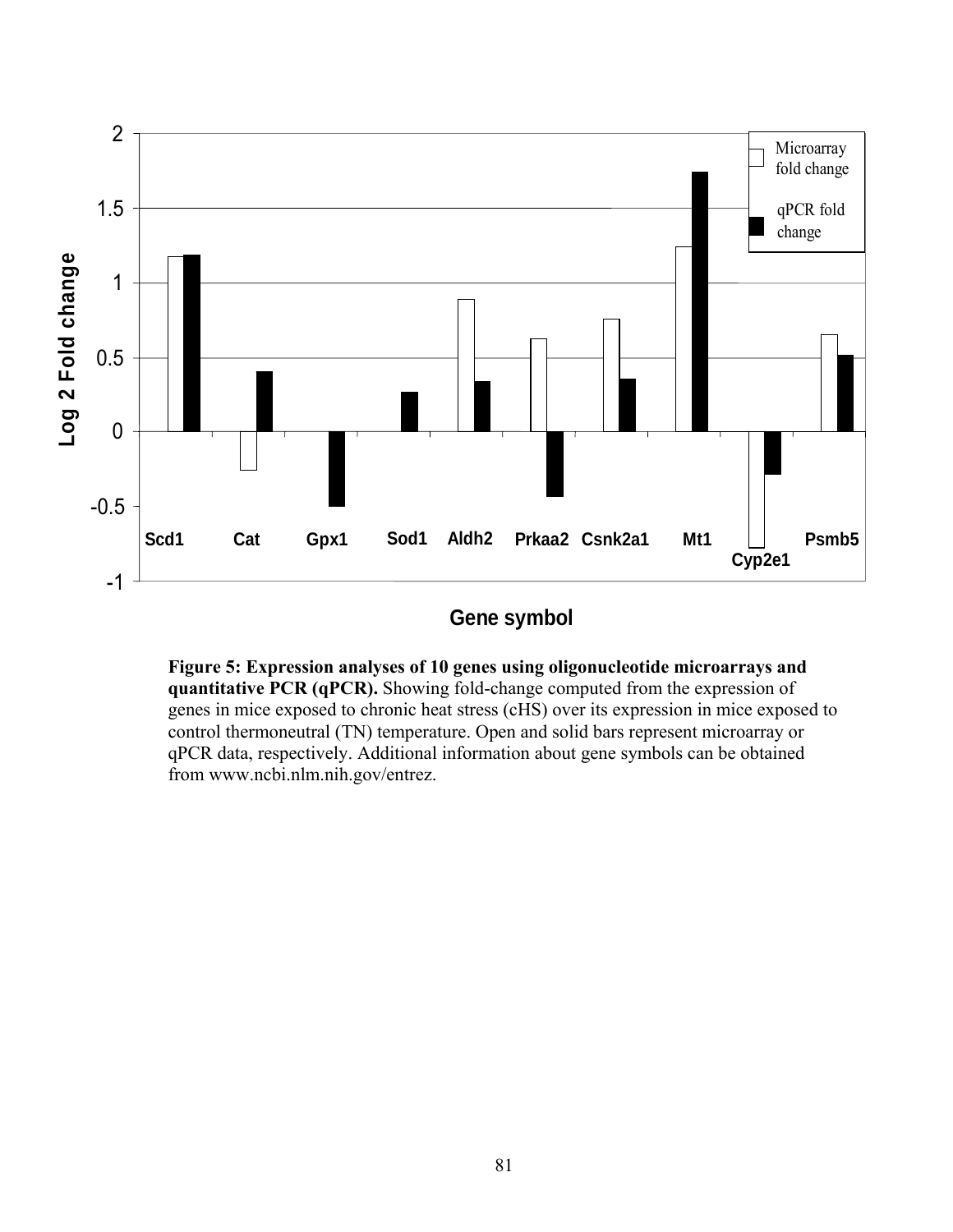

**Gene symbol**

**Figure 5: Expression analyses of 10 genes using oligonucleotide microarrays and quantitative PCR (qPCR).** Showing fold-change computed from the expression of genes in mice exposed to chronic heat stress (cHS) over its expression in mice exposed to control thermoneutral (TN) temperature. Open and solid bars represent microarray or qPCR data, respectively. Additional information about gene symbols can be obtained from www.ncbi.nlm.nih.gov/entrez.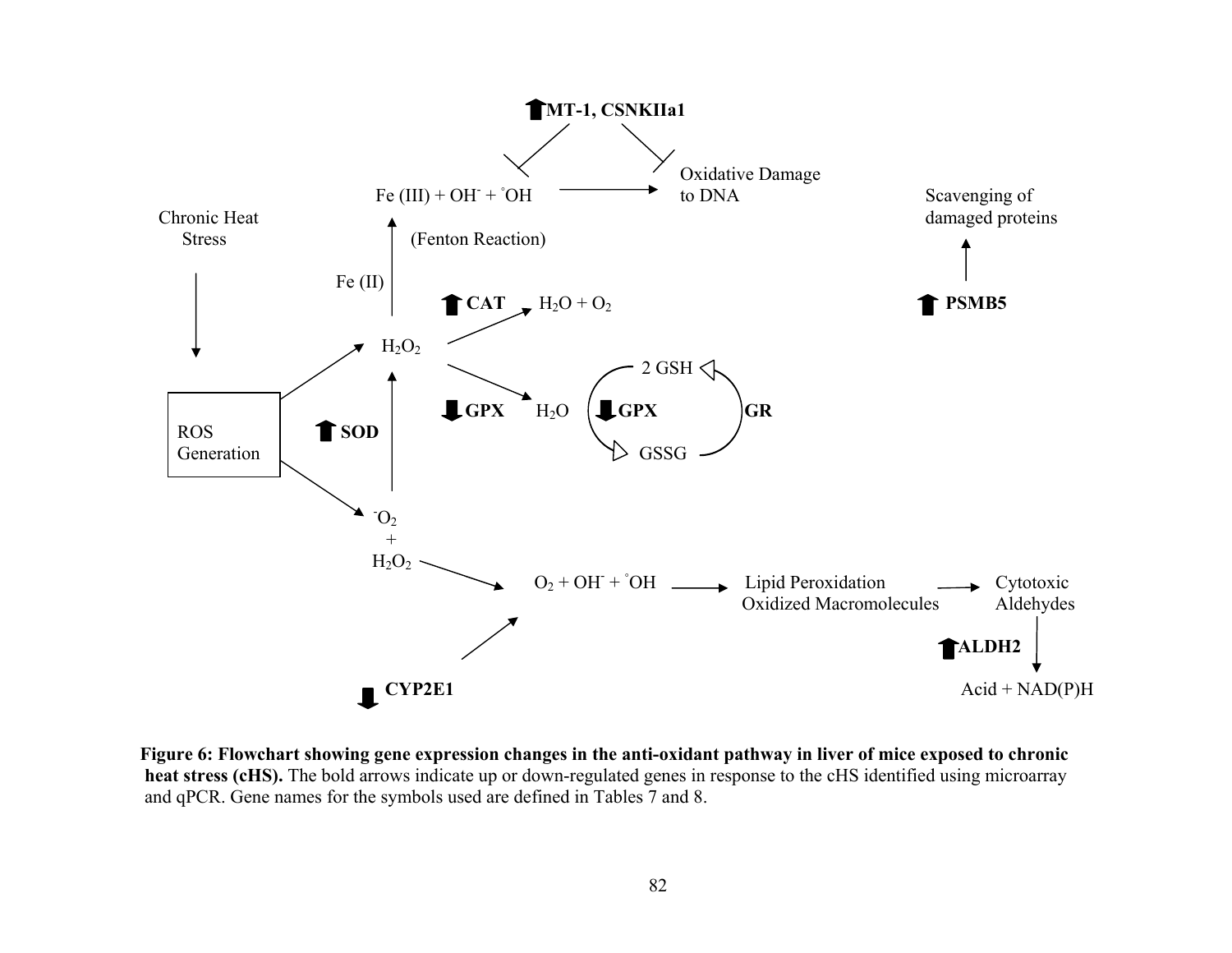

**Figure 6: Flowchart showing gene expression changes in the anti-oxidant pathway in liver of mice exposed to chronic heat stress (cHS).** The bold arrows indicate up or down-regulated genes in response to the cHS identified using microarray and qPCR. Gene names for the symbols used are defined in Tables 7 and 8.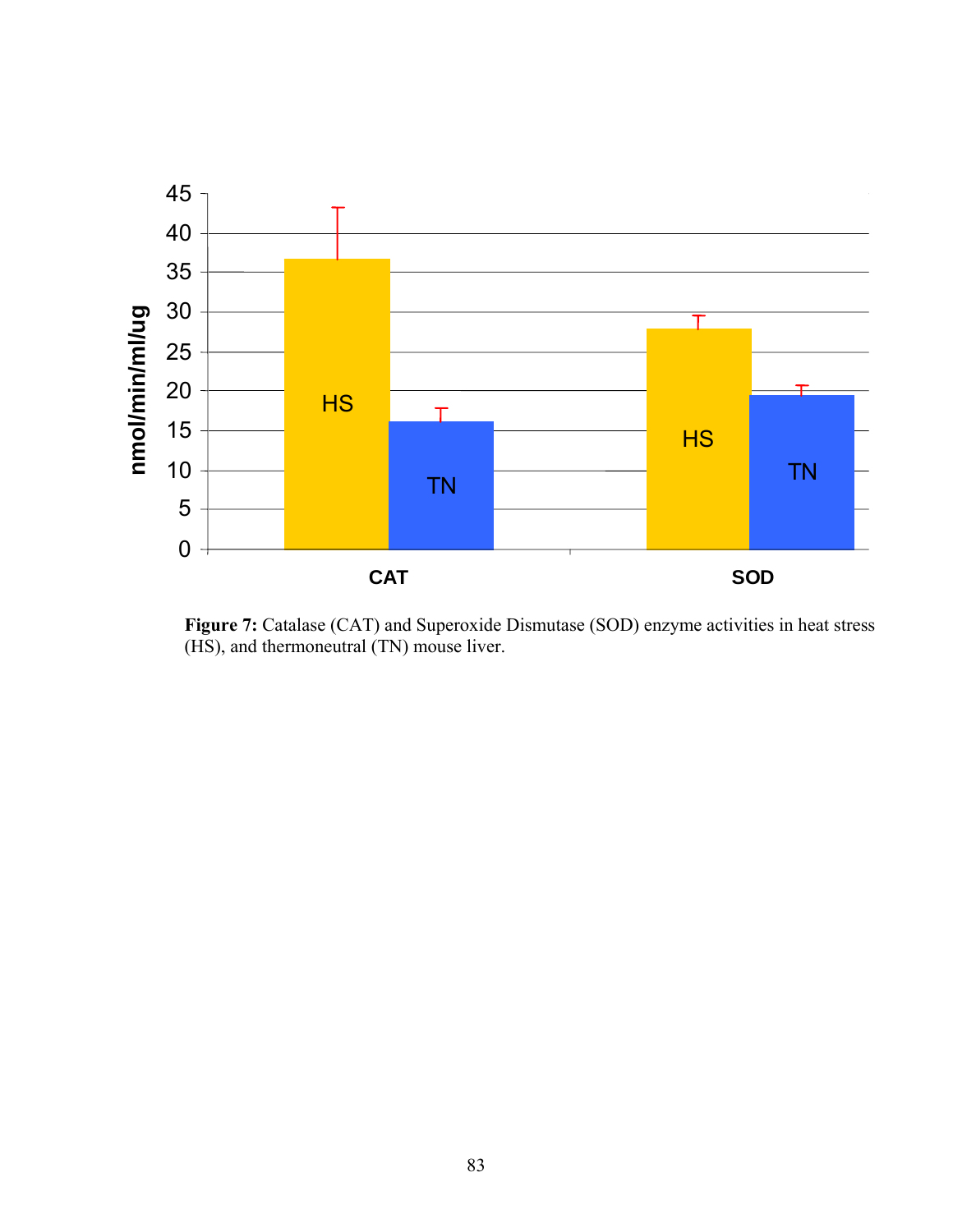

Figure 7: Catalase (CAT) and Superoxide Dismutase (SOD) enzyme activities in heat stress (HS), and thermoneutral (TN) mouse liver.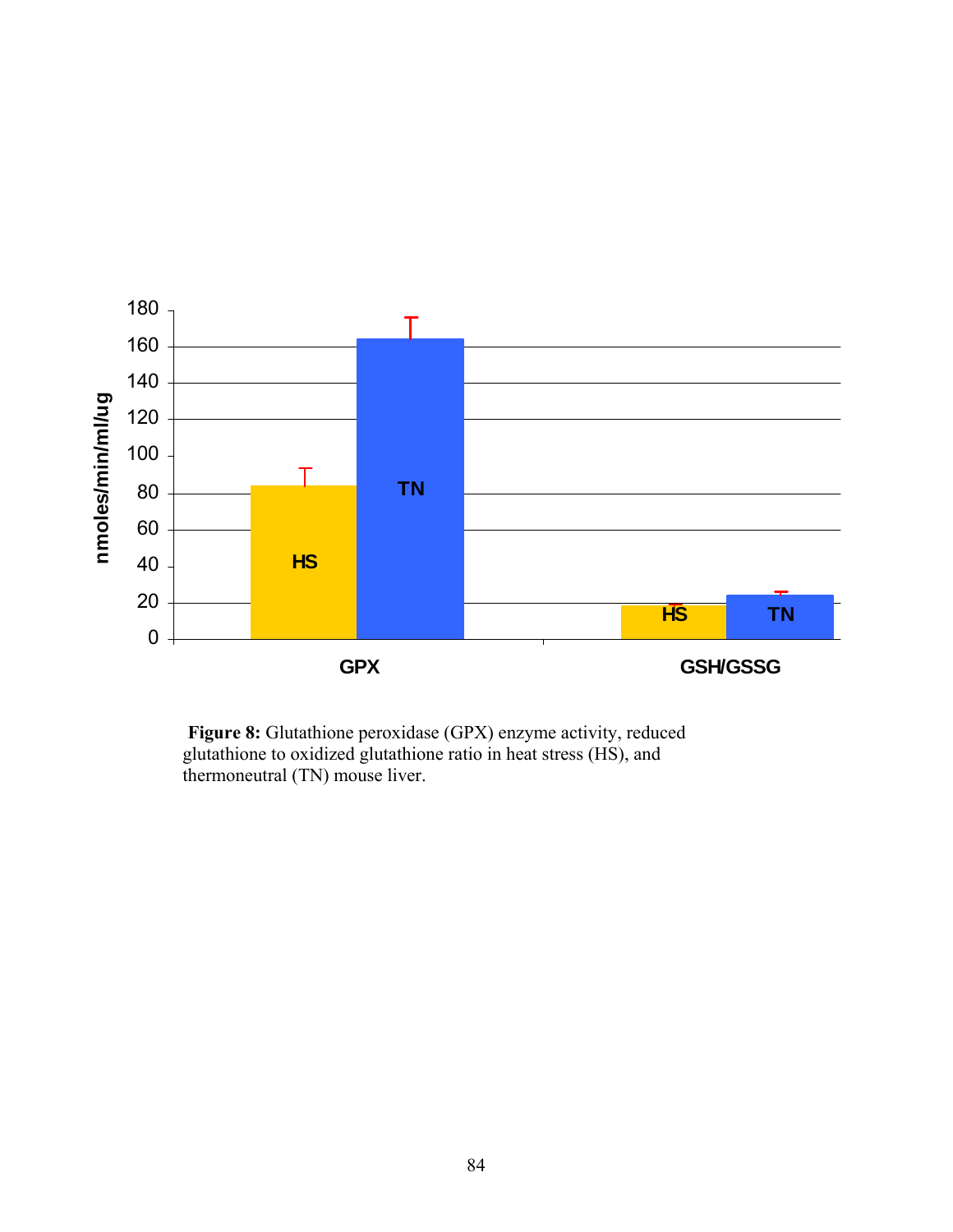

Figure 8: Glutathione peroxidase (GPX) enzyme activity, reduced glutathione to oxidized glutathione ratio in heat stress (HS), and thermoneutral (TN) mouse liver.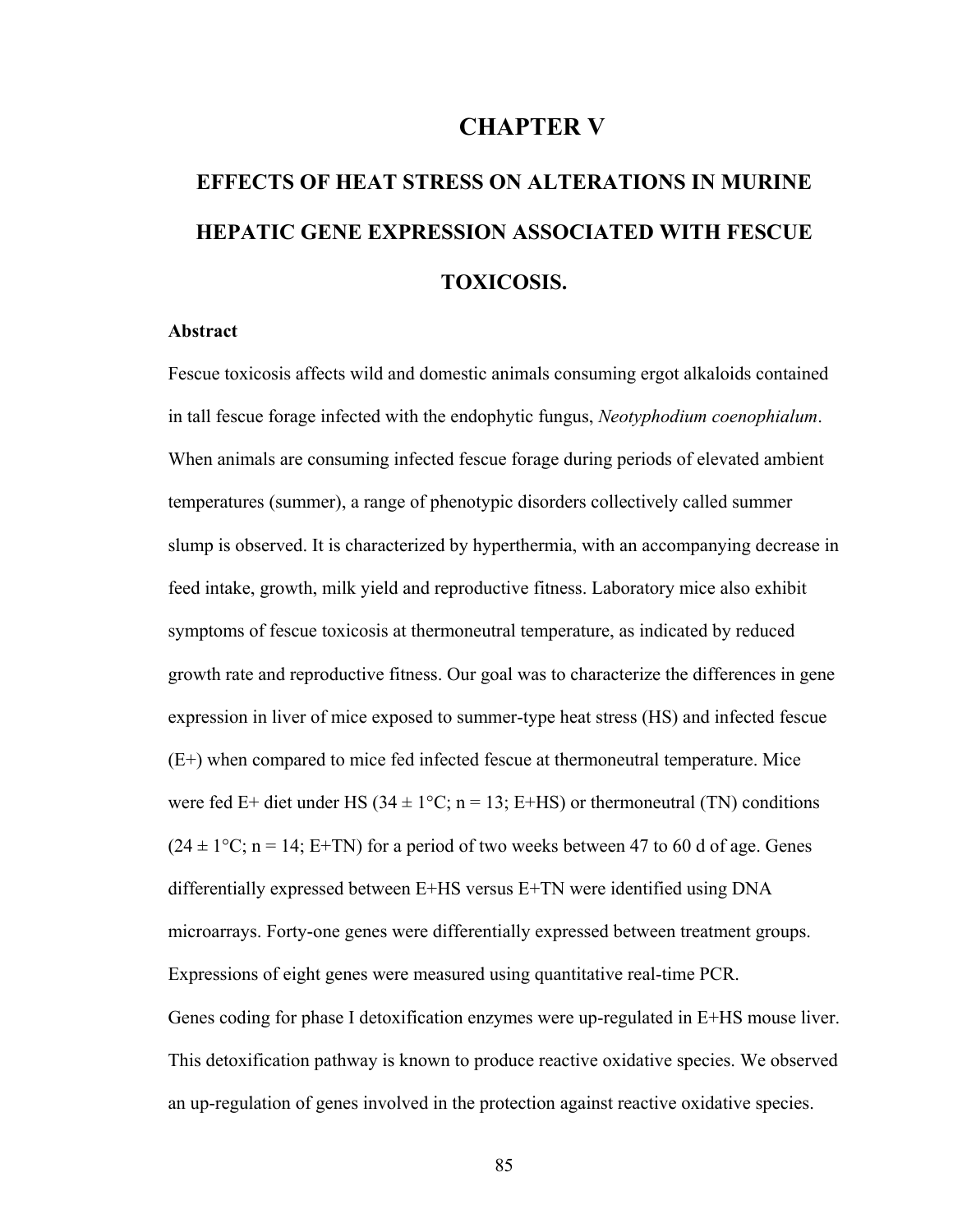# **CHAPTER V**

# **EFFECTS OF HEAT STRESS ON ALTERATIONS IN MURINE HEPATIC GENE EXPRESSION ASSOCIATED WITH FESCUE TOXICOSIS.**

#### **Abstract**

Fescue toxicosis affects wild and domestic animals consuming ergot alkaloids contained in tall fescue forage infected with the endophytic fungus, *Neotyphodium coenophialum*. When animals are consuming infected fescue forage during periods of elevated ambient temperatures (summer), a range of phenotypic disorders collectively called summer slump is observed. It is characterized by hyperthermia, with an accompanying decrease in feed intake, growth, milk yield and reproductive fitness. Laboratory mice also exhibit symptoms of fescue toxicosis at thermoneutral temperature, as indicated by reduced growth rate and reproductive fitness. Our goal was to characterize the differences in gene expression in liver of mice exposed to summer-type heat stress (HS) and infected fescue (E+) when compared to mice fed infected fescue at thermoneutral temperature. Mice were fed E+ diet under HS ( $34 \pm 1$ °C; n = 13; E+HS) or thermoneutral (TN) conditions  $(24 \pm 1\degree C; n = 14; E+TN)$  for a period of two weeks between 47 to 60 d of age. Genes differentially expressed between E+HS versus E+TN were identified using DNA microarrays. Forty-one genes were differentially expressed between treatment groups. Expressions of eight genes were measured using quantitative real-time PCR. Genes coding for phase I detoxification enzymes were up-regulated in E+HS mouse liver. This detoxification pathway is known to produce reactive oxidative species. We observed an up-regulation of genes involved in the protection against reactive oxidative species.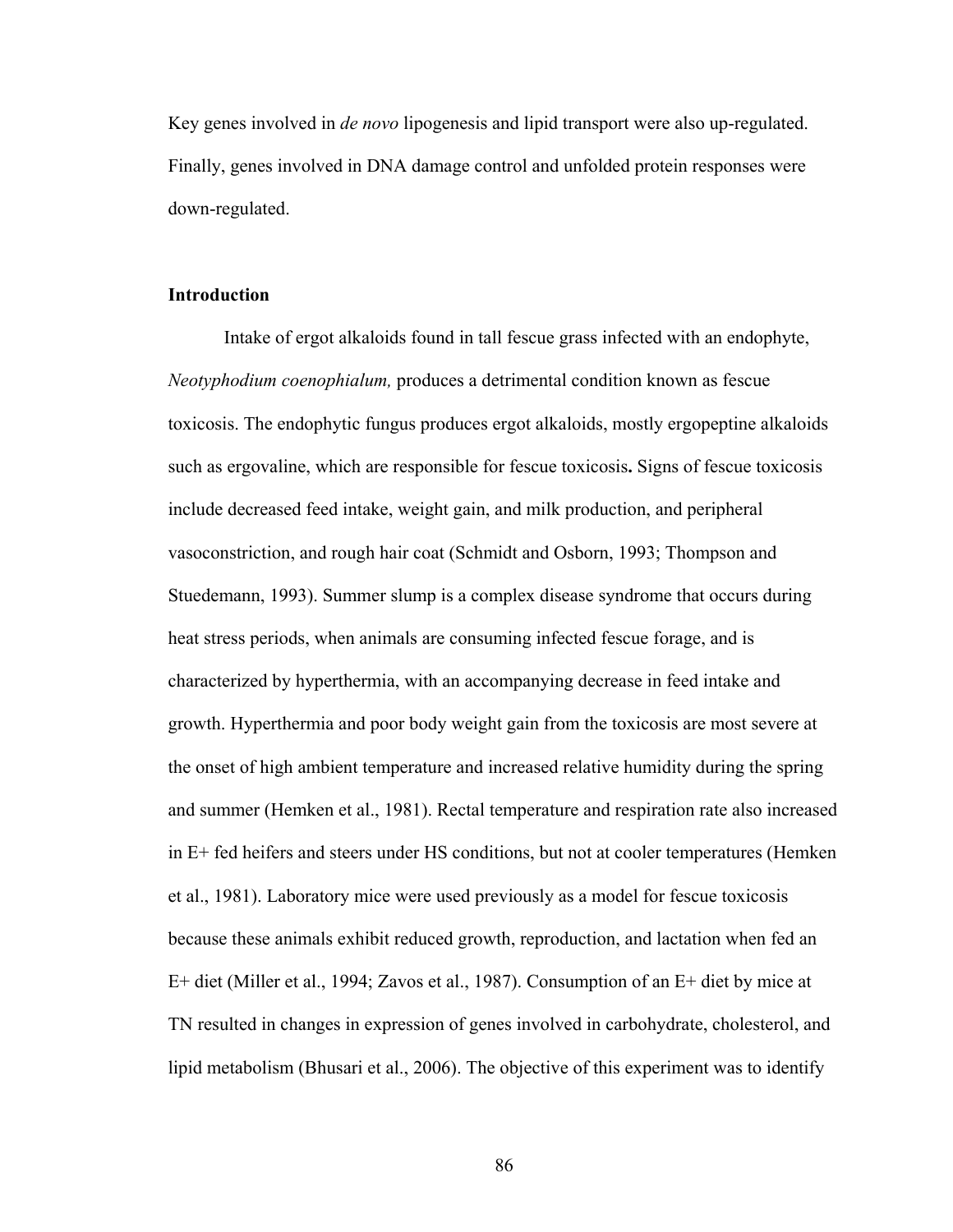Key genes involved in *de novo* lipogenesis and lipid transport were also up-regulated. Finally, genes involved in DNA damage control and unfolded protein responses were down-regulated.

# **Introduction**

 Intake of ergot alkaloids found in tall fescue grass infected with an endophyte, *Neotyphodium coenophialum,* produces a detrimental condition known as fescue toxicosis. The endophytic fungus produces ergot alkaloids, mostly ergopeptine alkaloids such as ergovaline, which are responsible for fescue toxicosis**.** Signs of fescue toxicosis include decreased feed intake, weight gain, and milk production, and peripheral vasoconstriction, and rough hair coat (Schmidt and Osborn, 1993; Thompson and Stuedemann, 1993). Summer slump is a complex disease syndrome that occurs during heat stress periods, when animals are consuming infected fescue forage, and is characterized by hyperthermia, with an accompanying decrease in feed intake and growth. Hyperthermia and poor body weight gain from the toxicosis are most severe at the onset of high ambient temperature and increased relative humidity during the spring and summer (Hemken et al., 1981). Rectal temperature and respiration rate also increased in E+ fed heifers and steers under HS conditions, but not at cooler temperatures (Hemken et al., 1981). Laboratory mice were used previously as a model for fescue toxicosis because these animals exhibit reduced growth, reproduction, and lactation when fed an E+ diet (Miller et al., 1994; Zavos et al., 1987). Consumption of an E+ diet by mice at TN resulted in changes in expression of genes involved in carbohydrate, cholesterol, and lipid metabolism (Bhusari et al., 2006). The objective of this experiment was to identify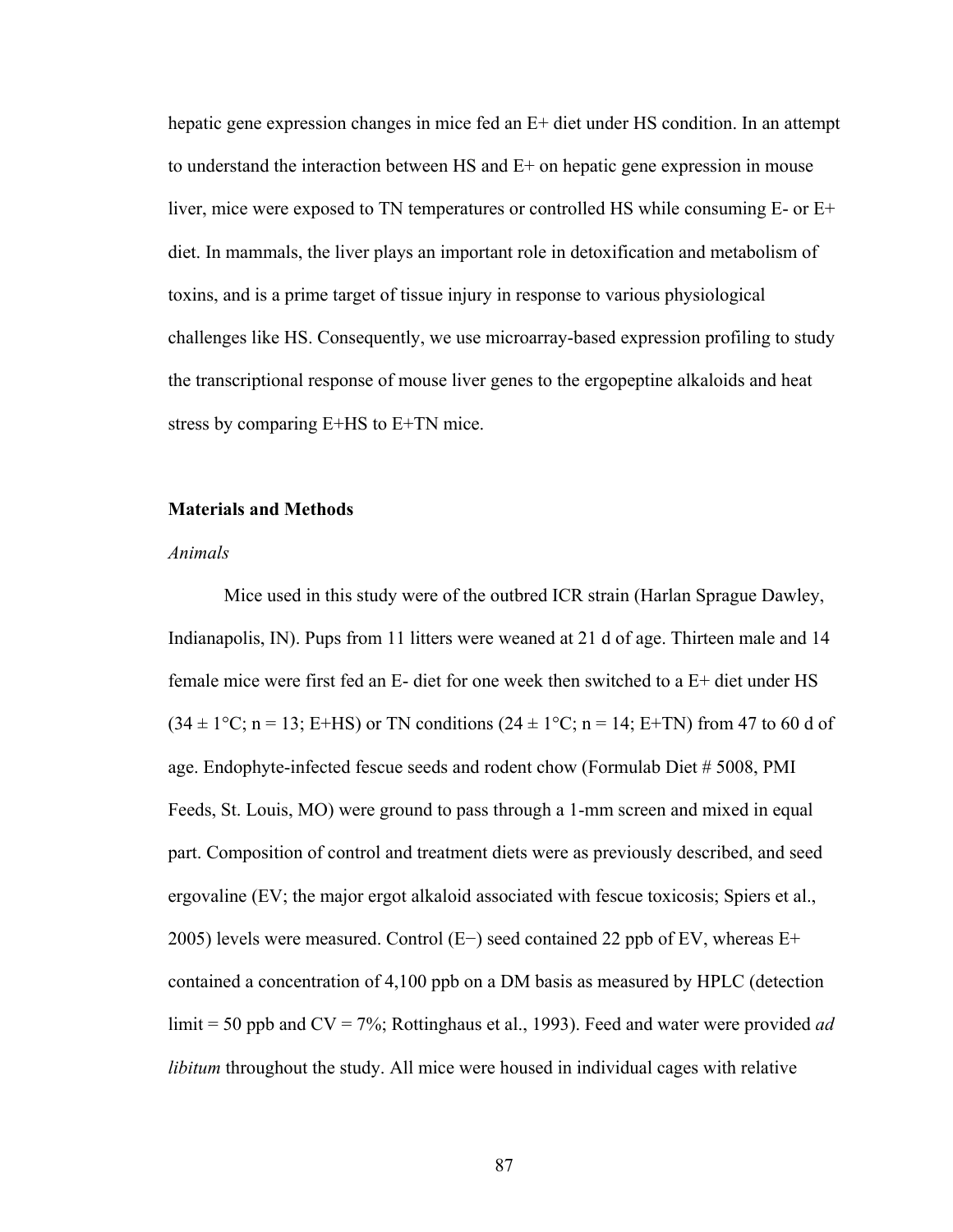hepatic gene expression changes in mice fed an E+ diet under HS condition. In an attempt to understand the interaction between HS and E+ on hepatic gene expression in mouse liver, mice were exposed to TN temperatures or controlled HS while consuming E- or E+ diet. In mammals, the liver plays an important role in detoxification and metabolism of toxins, and is a prime target of tissue injury in response to various physiological challenges like HS. Consequently, we use microarray-based expression profiling to study the transcriptional response of mouse liver genes to the ergopeptine alkaloids and heat stress by comparing E+HS to E+TN mice.

# **Materials and Methods**

#### *Animals*

Mice used in this study were of the outbred ICR strain (Harlan Sprague Dawley, Indianapolis, IN). Pups from 11 litters were weaned at 21 d of age. Thirteen male and 14 female mice were first fed an E- diet for one week then switched to a E+ diet under HS  $(34 \pm 1\degree C; n = 13; E+HS)$  or TN conditions  $(24 \pm 1\degree C; n = 14; E+TN)$  from 47 to 60 d of age. Endophyte-infected fescue seeds and rodent chow (Formulab Diet # 5008, PMI Feeds, St. Louis, MO) were ground to pass through a 1-mm screen and mixed in equal part. Composition of control and treatment diets were as previously described, and seed ergovaline (EV; the major ergot alkaloid associated with fescue toxicosis; Spiers et al., 2005) levels were measured. Control (E−) seed contained 22 ppb of EV, whereas E+ contained a concentration of 4,100 ppb on a DM basis as measured by HPLC (detection limit = 50 ppb and CV = 7%; Rottinghaus et al., 1993). Feed and water were provided *ad libitum* throughout the study. All mice were housed in individual cages with relative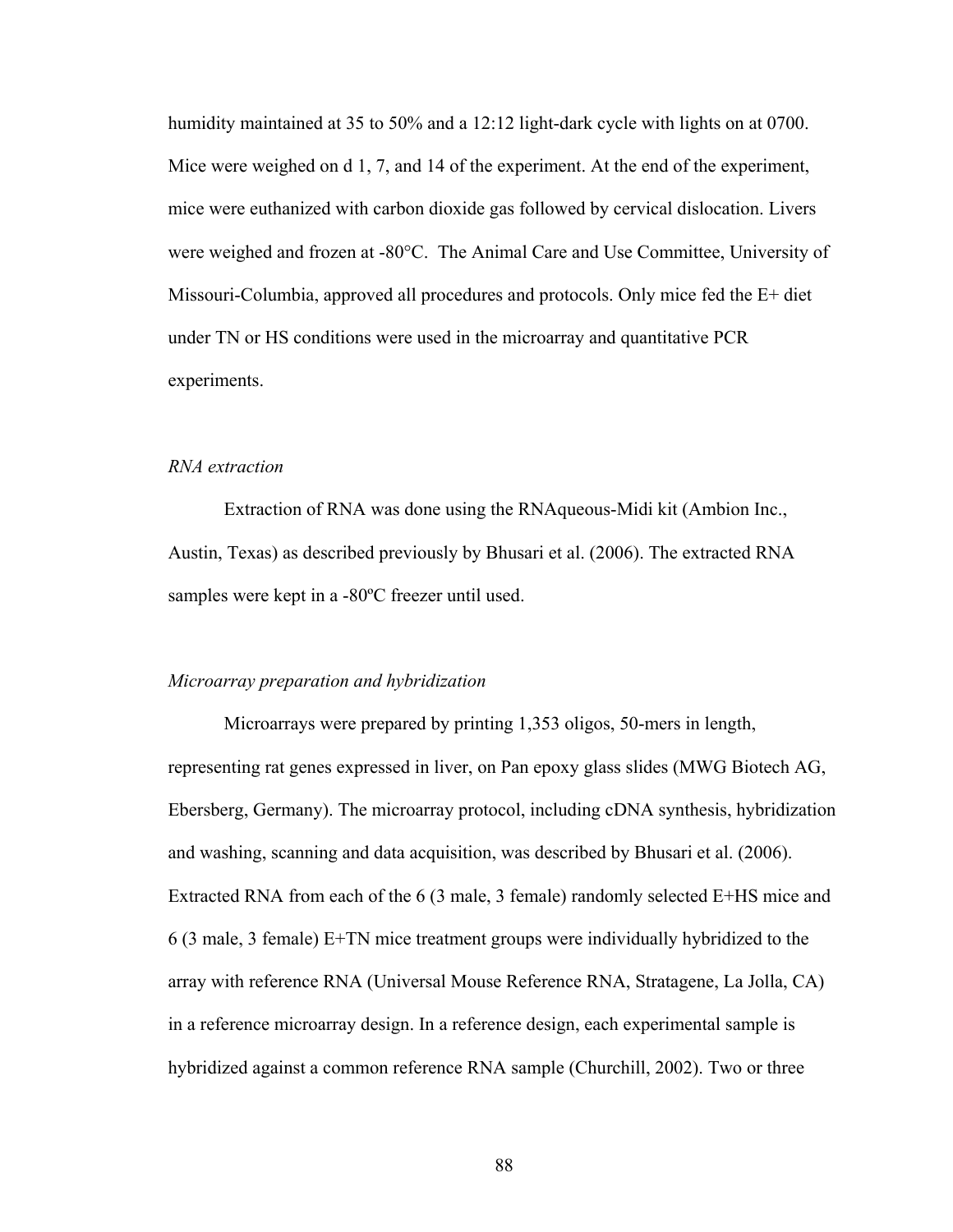humidity maintained at 35 to 50% and a 12:12 light-dark cycle with lights on at 0700. Mice were weighed on d 1, 7, and 14 of the experiment. At the end of the experiment, mice were euthanized with carbon dioxide gas followed by cervical dislocation. Livers were weighed and frozen at -80°C. The Animal Care and Use Committee, University of Missouri-Columbia, approved all procedures and protocols. Only mice fed the E+ diet under TN or HS conditions were used in the microarray and quantitative PCR experiments.

# *RNA extraction*

Extraction of RNA was done using the RNAqueous-Midi kit (Ambion Inc., Austin, Texas) as described previously by Bhusari et al. (2006). The extracted RNA samples were kept in a -80ºC freezer until used.

#### *Microarray preparation and hybridization*

Microarrays were prepared by printing 1,353 oligos, 50-mers in length, representing rat genes expressed in liver, on Pan epoxy glass slides (MWG Biotech AG, Ebersberg, Germany). The microarray protocol, including cDNA synthesis, hybridization and washing, scanning and data acquisition, was described by Bhusari et al. (2006). Extracted RNA from each of the 6 (3 male, 3 female) randomly selected E+HS mice and 6 (3 male, 3 female) E+TN mice treatment groups were individually hybridized to the array with reference RNA (Universal Mouse Reference RNA, Stratagene, La Jolla, CA) in a reference microarray design. In a reference design, each experimental sample is hybridized against a common reference RNA sample (Churchill, 2002). Two or three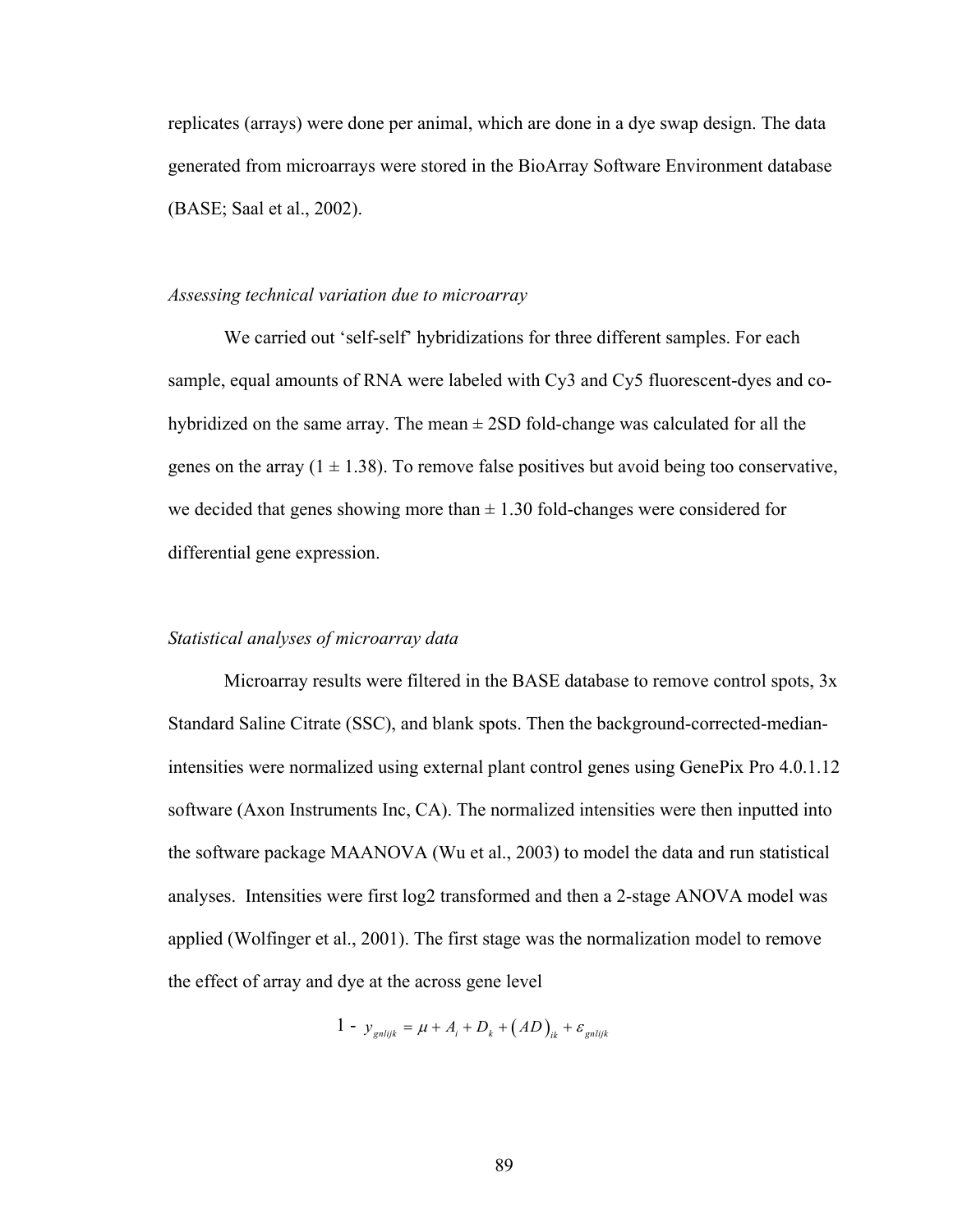replicates (arrays) were done per animal, which are done in a dye swap design. The data generated from microarrays were stored in the BioArray Software Environment database (BASE; Saal et al., 2002).

#### *Assessing technical variation due to microarray*

We carried out 'self-self' hybridizations for three different samples. For each sample, equal amounts of RNA were labeled with Cy3 and Cy5 fluorescent-dyes and cohybridized on the same array. The mean  $\pm$  2SD fold-change was calculated for all the genes on the array  $(1 \pm 1.38)$ . To remove false positives but avoid being too conservative, we decided that genes showing more than  $\pm$  1.30 fold-changes were considered for differential gene expression.

# *Statistical analyses of microarray data*

Microarray results were filtered in the BASE database to remove control spots, 3x Standard Saline Citrate (SSC), and blank spots. Then the background-corrected-medianintensities were normalized using external plant control genes using GenePix Pro 4.0.1.12 software (Axon Instruments Inc, CA). The normalized intensities were then inputted into the software package MAANOVA (Wu et al., 2003) to model the data and run statistical analyses. Intensities were first log2 transformed and then a 2-stage ANOVA model was applied (Wolfinger et al., 2001). The first stage was the normalization model to remove the effect of array and dye at the across gene level

$$
1 - y_{\text{gnlijk}} = \mu + A_i + D_k + (AD)_{ik} + \varepsilon_{\text{gnlijk}}
$$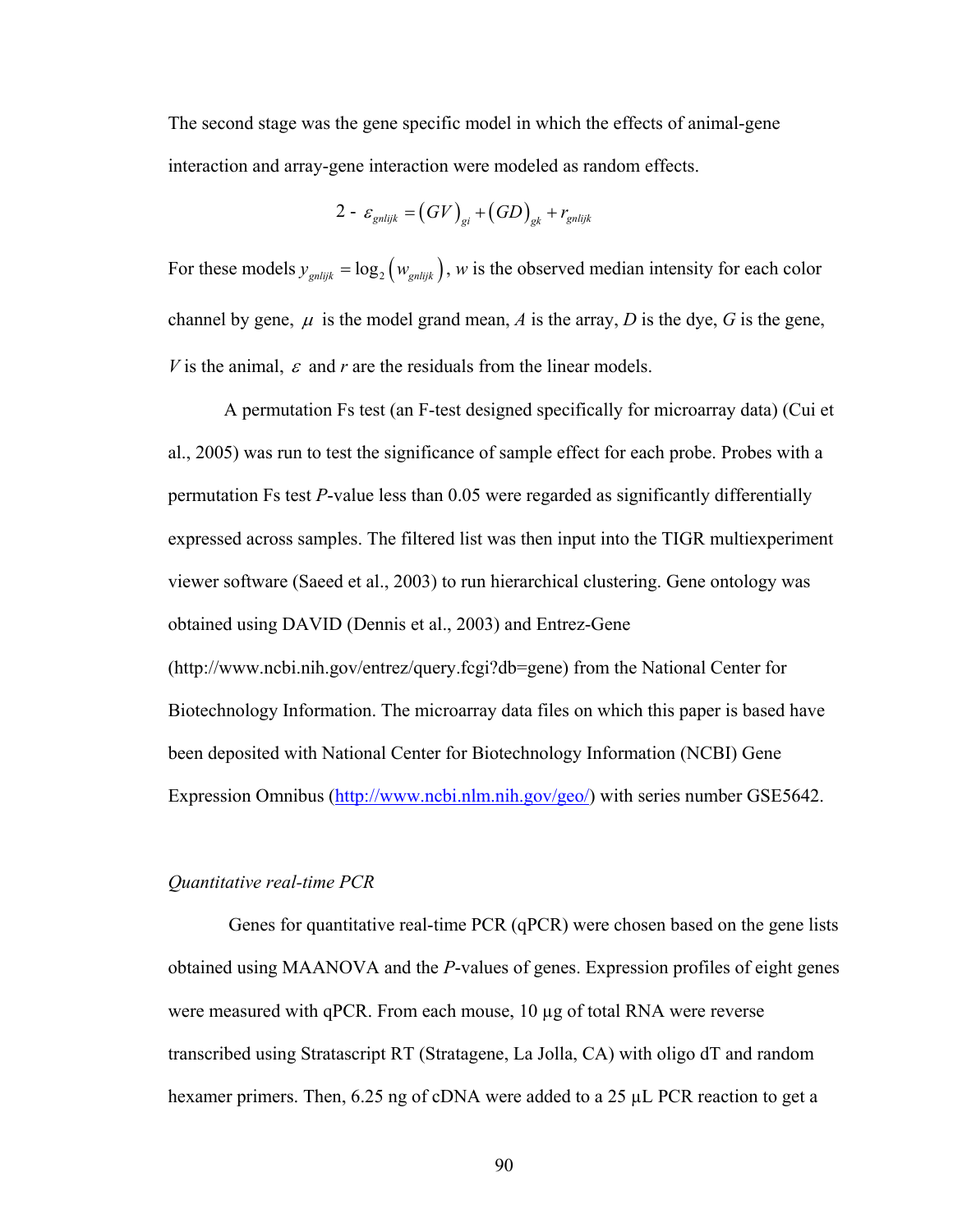The second stage was the gene specific model in which the effects of animal-gene interaction and array-gene interaction were modeled as random effects.

$$
2 - \varepsilon_{\text{gnlijk}} = (GV)_{\text{gi}} + (GD)_{\text{g}k} + r_{\text{gnlijk}}
$$

For these models  $y_{\text{gnlijk}} = \log_2 (w_{\text{gnlijk}})$ , *w* is the observed median intensity for each color channel by gene,  $\mu$  is the model grand mean, *A* is the array, *D* is the dye, *G* is the gene, *V* is the animal,  $\varepsilon$  and  $r$  are the residuals from the linear models.

A permutation Fs test (an F-test designed specifically for microarray data) (Cui et al., 2005) was run to test the significance of sample effect for each probe. Probes with a permutation Fs test *P*-value less than 0.05 were regarded as significantly differentially expressed across samples. The filtered list was then input into the TIGR multiexperiment viewer software (Saeed et al., 2003) to run hierarchical clustering. Gene ontology was obtained using DAVID (Dennis et al., 2003) and Entrez-Gene (http://www.ncbi.nih.gov/entrez/query.fcgi?db=gene) from the National Center for Biotechnology Information. The microarray data files on which this paper is based have been deposited with National Center for Biotechnology Information (NCBI) Gene Expression Omnibus [\(http://www.ncbi.nlm.nih.gov/geo/\)](http://www.ncbi.nlm.nih.gov/geo/) with series number GSE5642.

# *Quantitative real-time PCR*

Genes for quantitative real-time PCR (qPCR) were chosen based on the gene lists obtained using MAANOVA and the *P*-values of genes. Expression profiles of eight genes were measured with qPCR. From each mouse,  $10 \mu$ g of total RNA were reverse transcribed using Stratascript RT (Stratagene, La Jolla, CA) with oligo dT and random hexamer primers. Then, 6.25 ng of cDNA were added to a 25 µL PCR reaction to get a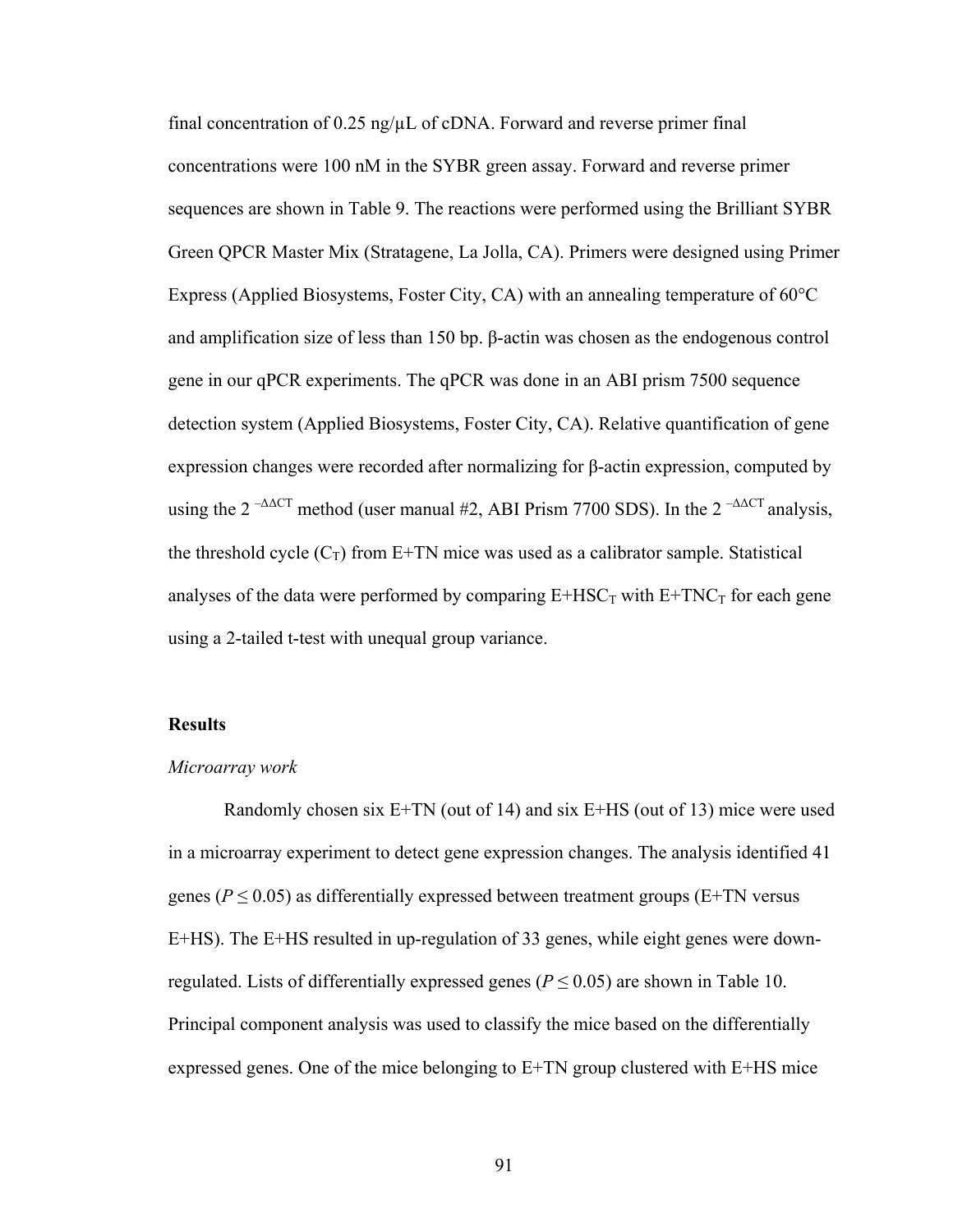final concentration of  $0.25$  ng/ $\mu$ L of cDNA. Forward and reverse primer final concentrations were 100 nM in the SYBR green assay. Forward and reverse primer sequences are shown in Table 9. The reactions were performed using the Brilliant SYBR Green QPCR Master Mix (Stratagene, La Jolla, CA). Primers were designed using Primer Express (Applied Biosystems, Foster City, CA) with an annealing temperature of 60°C and amplification size of less than 150 bp. β-actin was chosen as the endogenous control gene in our qPCR experiments. The qPCR was done in an ABI prism 7500 sequence detection system (Applied Biosystems, Foster City, CA). Relative quantification of gene expression changes were recorded after normalizing for β-actin expression, computed by using the 2<sup>- $\triangle$  $\triangle$ CT method (user manual #2, ABI Prism 7700 SDS). In the 2<sup>- $\triangle$  $\triangle$ CT analysis,</sup></sup> the threshold cycle  $(C_T)$  from E+TN mice was used as a calibrator sample. Statistical analyses of the data were performed by comparing  $E+HSC_T$  with  $E+TNC_T$  for each gene using a 2-tailed t-test with unequal group variance.

# **Results**

#### *Microarray work*

Randomly chosen six E+TN (out of 14) and six E+HS (out of 13) mice were used in a microarray experiment to detect gene expression changes. The analysis identified 41 genes ( $P \le 0.05$ ) as differentially expressed between treatment groups (E+TN versus E+HS). The E+HS resulted in up-regulation of 33 genes, while eight genes were downregulated. Lists of differentially expressed genes ( $P \le 0.05$ ) are shown in Table 10. Principal component analysis was used to classify the mice based on the differentially expressed genes. One of the mice belonging to E+TN group clustered with E+HS mice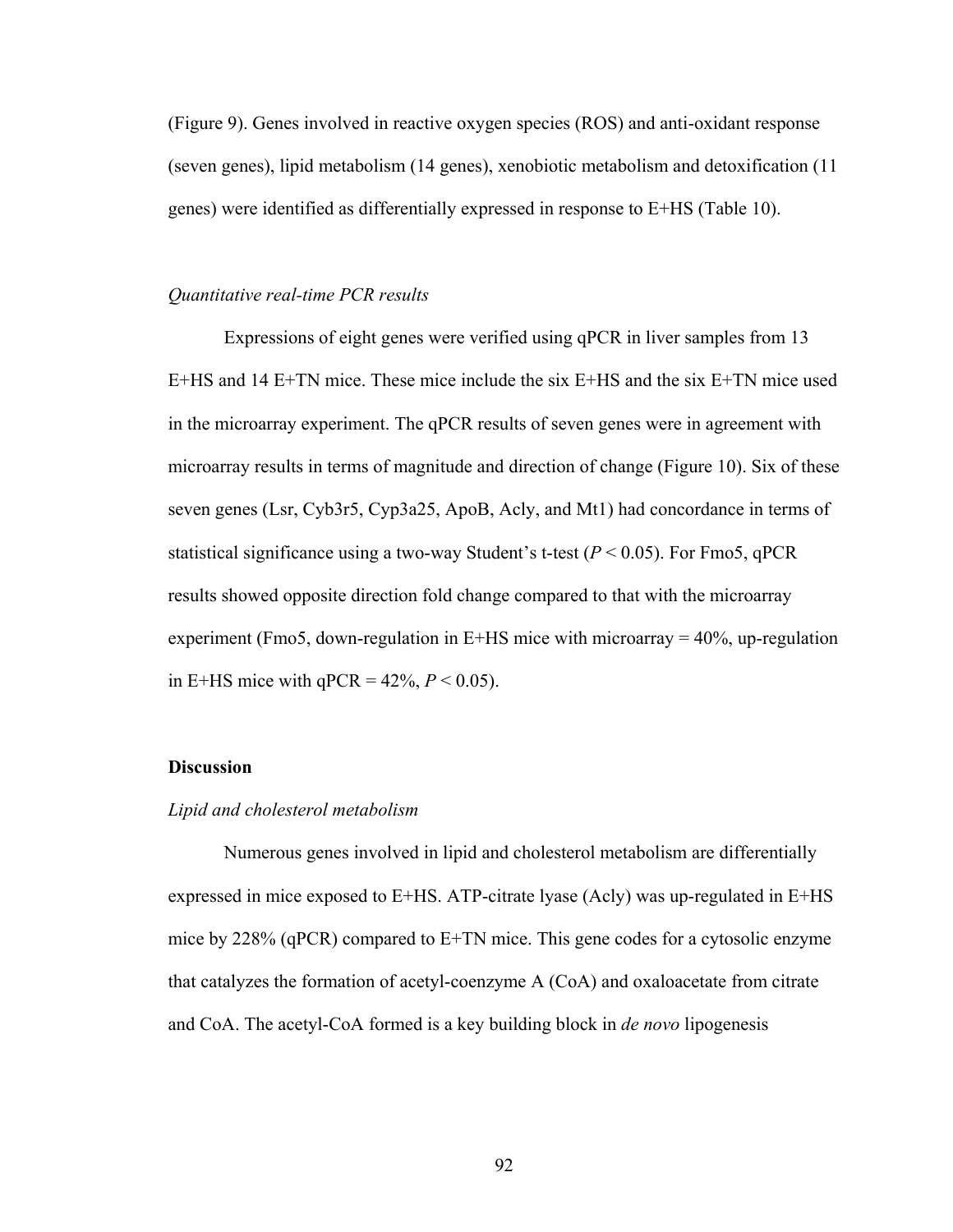(Figure 9). Genes involved in reactive oxygen species (ROS) and anti-oxidant response (seven genes), lipid metabolism (14 genes), xenobiotic metabolism and detoxification (11 genes) were identified as differentially expressed in response to E+HS (Table 10).

# *Quantitative real-time PCR results*

Expressions of eight genes were verified using qPCR in liver samples from 13 E+HS and 14 E+TN mice. These mice include the six E+HS and the six E+TN mice used in the microarray experiment. The qPCR results of seven genes were in agreement with microarray results in terms of magnitude and direction of change (Figure 10). Six of these seven genes (Lsr, Cyb3r5, Cyp3a25, ApoB, Acly, and Mt1) had concordance in terms of statistical significance using a two-way Student's t-test ( $P < 0.05$ ). For Fmo5, qPCR results showed opposite direction fold change compared to that with the microarray experiment (Fmo5, down-regulation in E+HS mice with microarray  $= 40\%$ , up-regulation in E+HS mice with  $qPCR = 42\%, P < 0.05$ ).

#### **Discussion**

# *Lipid and cholesterol metabolism*

Numerous genes involved in lipid and cholesterol metabolism are differentially expressed in mice exposed to E+HS. ATP-citrate lyase (Acly) was up-regulated in E+HS mice by 228% (qPCR) compared to E+TN mice. This gene codes for a cytosolic enzyme that catalyzes the formation of acetyl-coenzyme A (CoA) and oxaloacetate from citrate and CoA. The acetyl-CoA formed is a key building block in *de novo* lipogenesis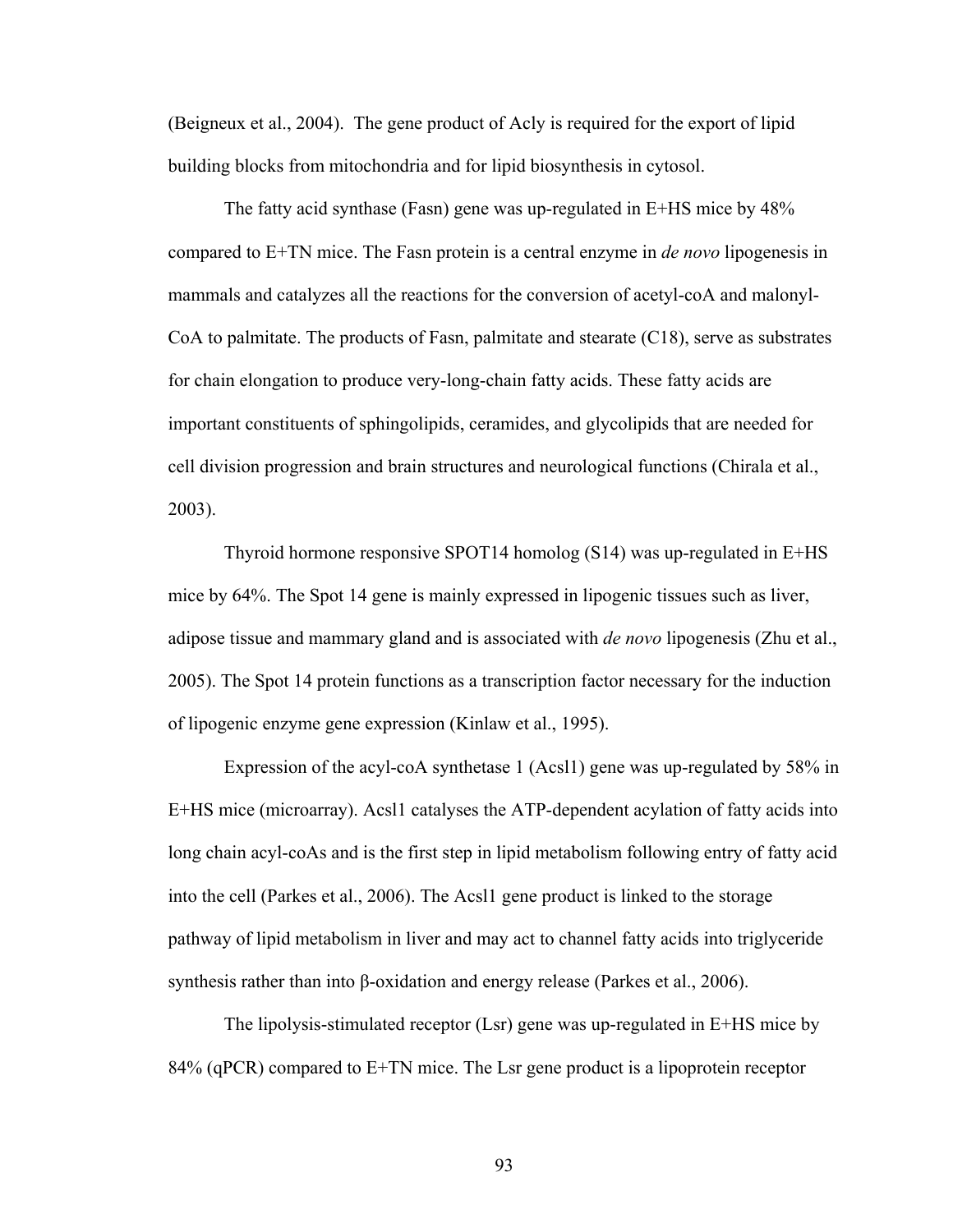(Beigneux et al., 2004). The gene product of Acly is required for the export of lipid building blocks from mitochondria and for lipid biosynthesis in cytosol.

The fatty acid synthase (Fasn) gene was up-regulated in E+HS mice by 48% compared to E+TN mice. The Fasn protein is a central enzyme in *de novo* lipogenesis in mammals and catalyzes all the reactions for the conversion of acetyl-coA and malonyl-CoA to palmitate. The products of Fasn, palmitate and stearate (C18), serve as substrates for chain elongation to produce very-long-chain fatty acids. These fatty acids are important constituents of sphingolipids, ceramides, and glycolipids that are needed for cell division progression and brain structures and neurological functions (Chirala et al., 2003).

Thyroid hormone responsive SPOT14 homolog (S14) was up-regulated in E+HS mice by 64%. The Spot 14 gene is mainly expressed in lipogenic tissues such as liver, adipose tissue and mammary gland and is associated with *de novo* lipogenesis (Zhu et al., 2005). The Spot 14 protein functions as a transcription factor necessary for the induction of lipogenic enzyme gene expression (Kinlaw et al., 1995).

Expression of the acyl-coA synthetase 1 (Acsl1) gene was up-regulated by 58% in E+HS mice (microarray). Acsl1 catalyses the ATP-dependent acylation of fatty acids into long chain acyl-coAs and is the first step in lipid metabolism following entry of fatty acid into the cell (Parkes et al., 2006). The Acsl1 gene product is linked to the storage pathway of lipid metabolism in liver and may act to channel fatty acids into triglyceride synthesis rather than into β-oxidation and energy release (Parkes et al., 2006).

 The lipolysis-stimulated receptor (Lsr) gene was up-regulated in E+HS mice by 84% (qPCR) compared to E+TN mice. The Lsr gene product is a lipoprotein receptor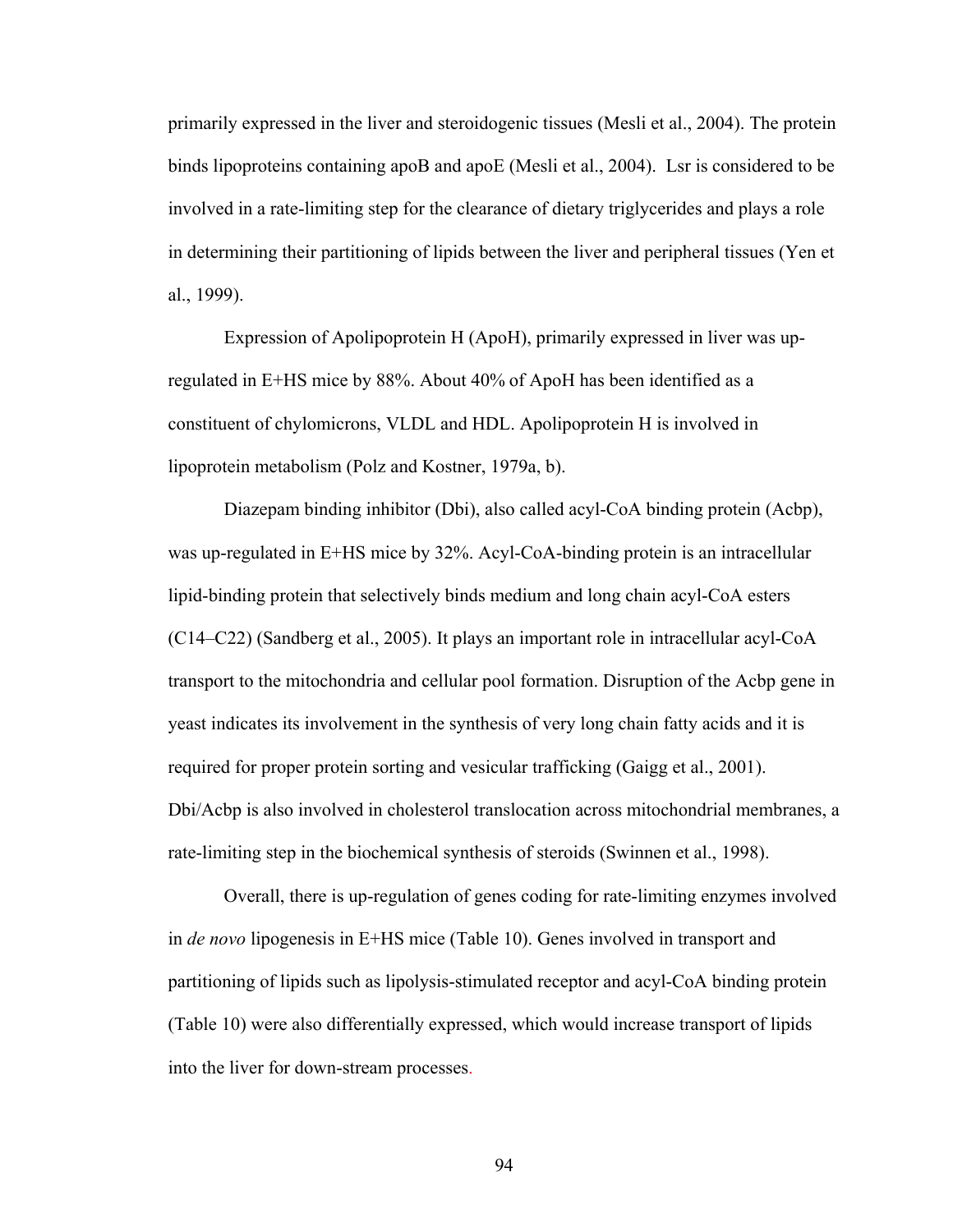primarily expressed in the liver and steroidogenic tissues (Mesli et al., 2004). The protein binds lipoproteins containing apoB and apoE (Mesli et al., 2004). Lsr is considered to be involved in a rate-limiting step for the clearance of dietary triglycerides and plays a role in determining their partitioning of lipids between the liver and peripheral tissues (Yen et al., 1999).

 Expression of Apolipoprotein H (ApoH), primarily expressed in liver was upregulated in E+HS mice by 88%. About 40% of ApoH has been identified as a constituent of chylomicrons, VLDL and HDL. Apolipoprotein H is involved in lipoprotein metabolism (Polz and Kostner, 1979a, b).

Diazepam binding inhibitor (Dbi), also called acyl-CoA binding protein (Acbp), was up-regulated in E+HS mice by 32%. Acyl-CoA-binding protein is an intracellular lipid-binding protein that selectively binds medium and long chain acyl-CoA esters (C14–C22) (Sandberg et al., 2005). It plays an important role in intracellular acyl-CoA transport to the mitochondria and cellular pool formation. Disruption of the Acbp gene in yeast indicates its involvement in the synthesis of very long chain fatty acids and it is required for proper protein sorting and vesicular trafficking (Gaigg et al., 2001). Dbi/Acbp is also involved in cholesterol translocation across mitochondrial membranes, a rate-limiting step in the biochemical synthesis of steroids (Swinnen et al., 1998).

 Overall, there is up-regulation of genes coding for rate-limiting enzymes involved in *de novo* lipogenesis in E+HS mice (Table 10). Genes involved in transport and partitioning of lipids such as lipolysis-stimulated receptor and acyl-CoA binding protein (Table 10) were also differentially expressed, which would increase transport of lipids into the liver for down-stream processes.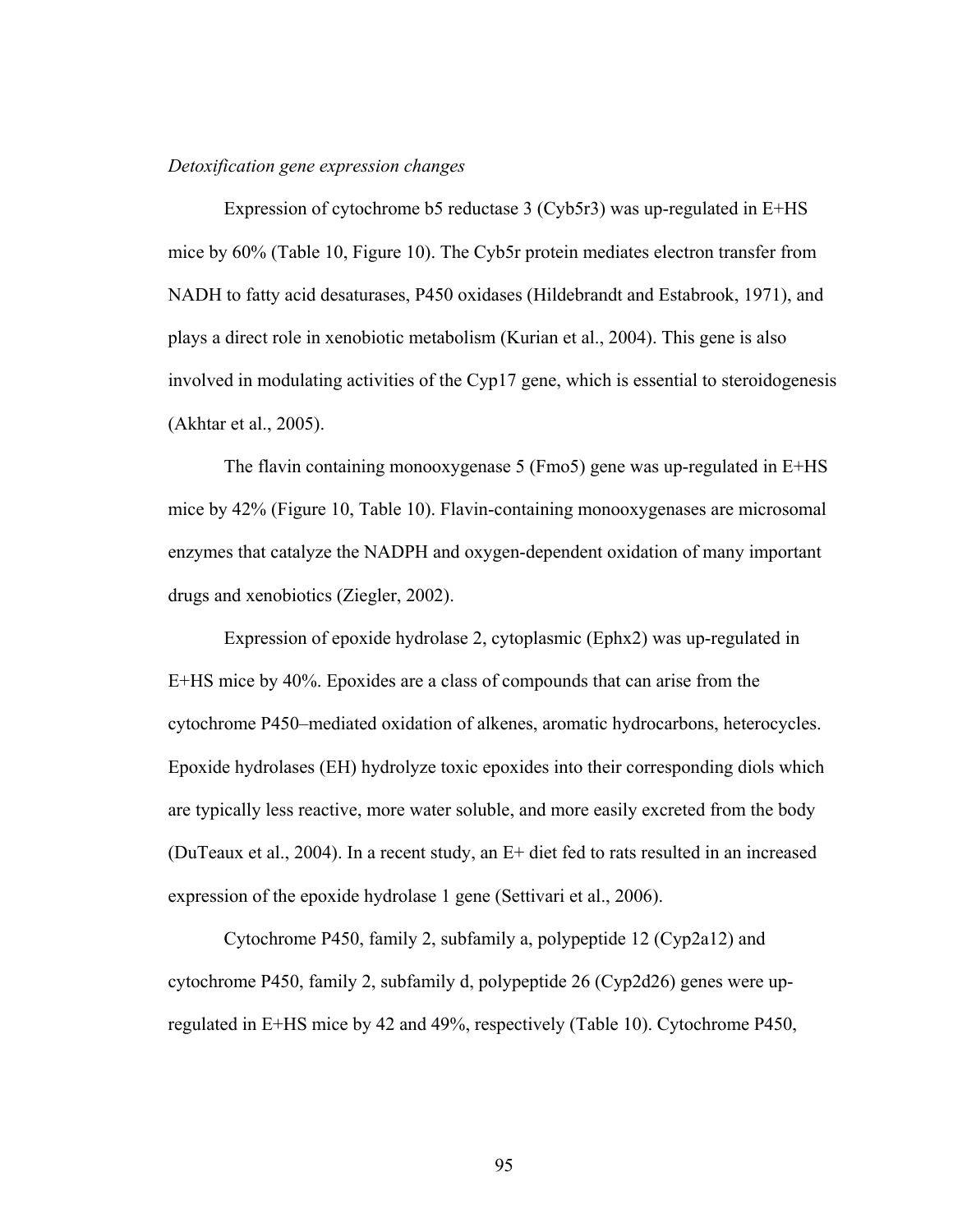# *Detoxification gene expression changes*

 Expression of cytochrome b5 reductase 3 (Cyb5r3) was up-regulated in E+HS mice by 60% (Table 10, Figure 10). The Cyb5r protein mediates electron transfer from NADH to fatty acid desaturases, P450 oxidases (Hildebrandt and Estabrook, 1971), and plays a direct role in xenobiotic metabolism (Kurian et al., 2004). This gene is also involved in modulating activities of the Cyp17 gene, which is essential to steroidogenesis (Akhtar et al., 2005).

 The flavin containing monooxygenase 5 (Fmo5) gene was up-regulated in E+HS mice by 42% (Figure 10, Table 10). Flavin-containing monooxygenases are microsomal enzymes that catalyze the NADPH and oxygen-dependent oxidation of many important drugs and xenobiotics (Ziegler, 2002).

 Expression of epoxide hydrolase 2, cytoplasmic (Ephx2) was up-regulated in E+HS mice by 40%. Epoxides are a class of compounds that can arise from the cytochrome P450–mediated oxidation of alkenes, aromatic hydrocarbons, heterocycles. Epoxide hydrolases (EH) hydrolyze toxic epoxides into their corresponding diols which are typically less reactive, more water soluble, and more easily excreted from the body (DuTeaux et al., 2004). In a recent study, an E+ diet fed to rats resulted in an increased expression of the epoxide hydrolase 1 gene (Settivari et al., 2006).

 Cytochrome P450, family 2, subfamily a, polypeptide 12 (Cyp2a12) and cytochrome P450, family 2, subfamily d, polypeptide 26 (Cyp2d26) genes were upregulated in E+HS mice by 42 and 49%, respectively (Table 10). Cytochrome P450,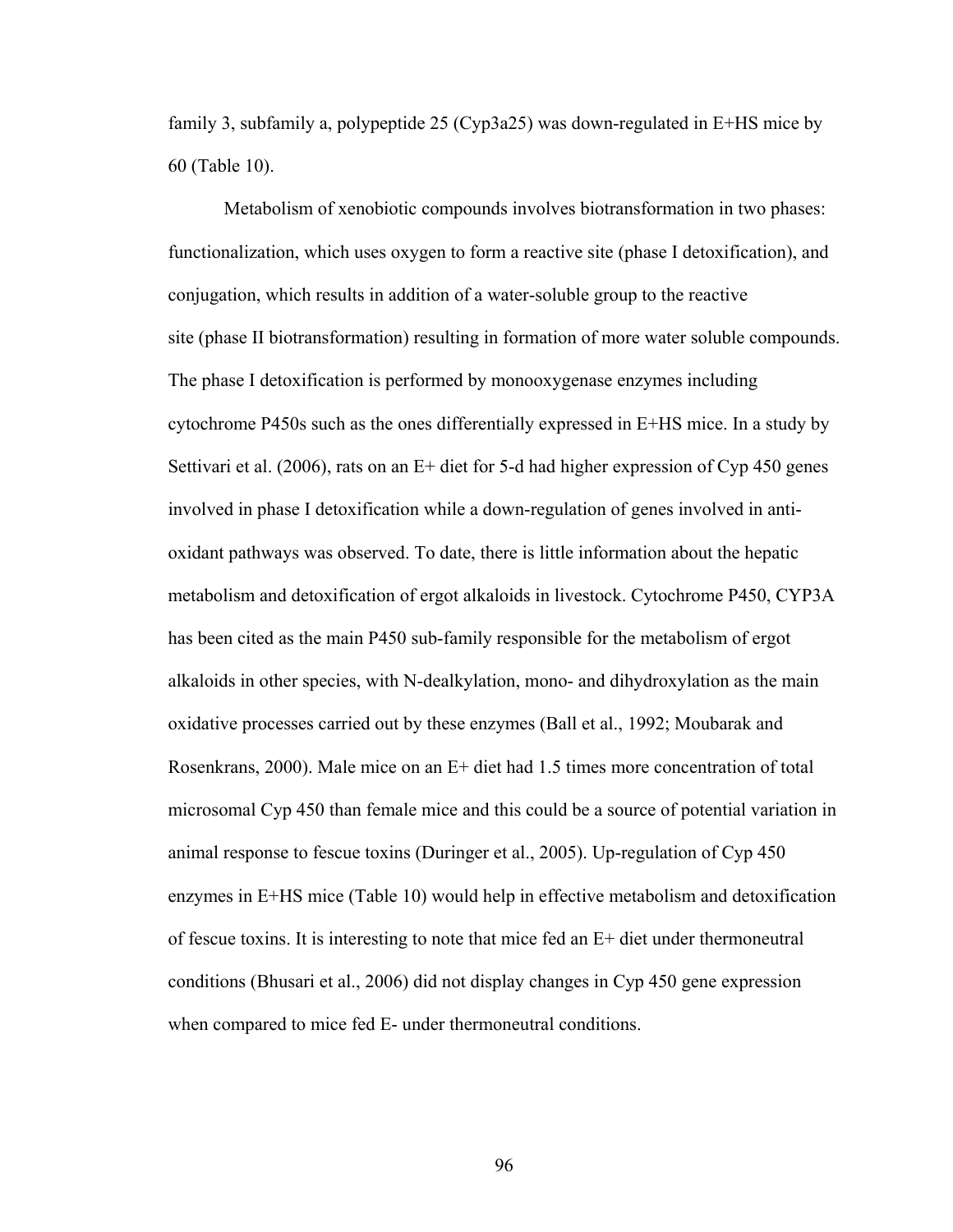family 3, subfamily a, polypeptide 25 (Cyp3a25) was down-regulated in E+HS mice by 60 (Table 10).

 Metabolism of xenobiotic compounds involves biotransformation in two phases: functionalization, which uses oxygen to form a reactive site (phase I detoxification), and conjugation, which results in addition of a water-soluble group to the reactive site (phase II biotransformation) resulting in formation of more water soluble compounds. The phase I detoxification is performed by monooxygenase enzymes including cytochrome P450s such as the ones differentially expressed in E+HS mice. In a study by Settivari et al. (2006), rats on an E+ diet for 5-d had higher expression of Cyp 450 genes involved in phase I detoxification while a down-regulation of genes involved in antioxidant pathways was observed. To date, there is little information about the hepatic metabolism and detoxification of ergot alkaloids in livestock. Cytochrome P450, CYP3A has been cited as the main P450 sub-family responsible for the metabolism of ergot alkaloids in other species, with N-dealkylation, mono- and dihydroxylation as the main oxidative processes carried out by these enzymes (Ball et al., 1992; Moubarak and Rosenkrans, 2000). Male mice on an E+ diet had 1.5 times more concentration of total microsomal Cyp 450 than female mice and this could be a source of potential variation in animal response to fescue toxins (Duringer et al., 2005). Up-regulation of Cyp 450 enzymes in E+HS mice (Table 10) would help in effective metabolism and detoxification of fescue toxins. It is interesting to note that mice fed an E+ diet under thermoneutral conditions (Bhusari et al., 2006) did not display changes in Cyp 450 gene expression when compared to mice fed E- under thermoneutral conditions.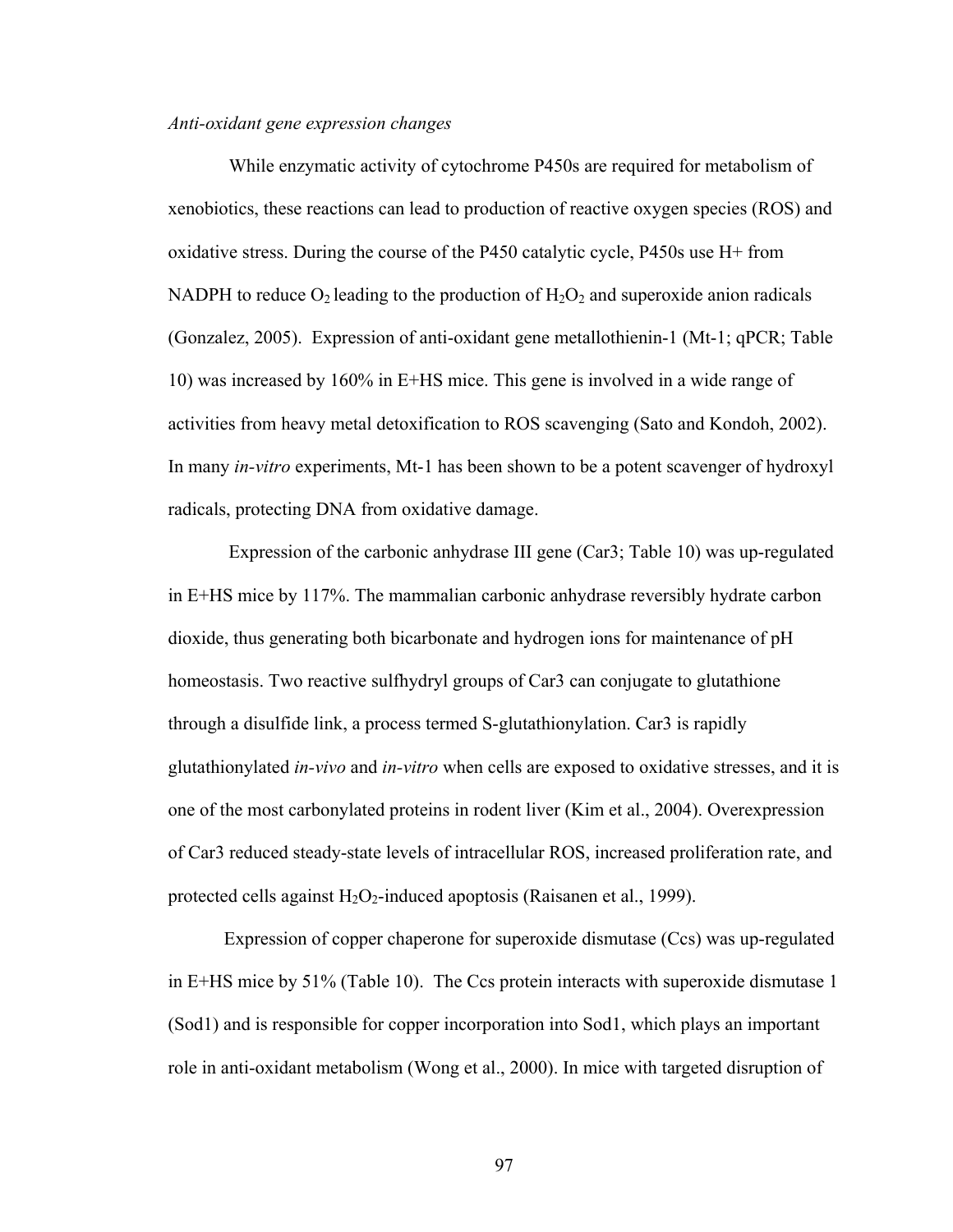#### *Anti-oxidant gene expression changes*

While enzymatic activity of cytochrome P450s are required for metabolism of xenobiotics, these reactions can lead to production of reactive oxygen species (ROS) and oxidative stress. During the course of the P450 catalytic cycle, P450s use H+ from NADPH to reduce  $O_2$  leading to the production of  $H_2O_2$  and superoxide anion radicals (Gonzalez, 2005). Expression of anti-oxidant gene metallothienin-1 (Mt-1; qPCR; Table 10) was increased by 160% in E+HS mice. This gene is involved in a wide range of activities from heavy metal detoxification to ROS scavenging (Sato and Kondoh, 2002). In many *in-vitro* experiments, Mt-1 has been shown to be a potent scavenger of hydroxyl radicals, protecting DNA from oxidative damage.

 Expression of the carbonic anhydrase III gene (Car3; Table 10) was up-regulated in E+HS mice by 117%. The mammalian carbonic anhydrase reversibly hydrate carbon dioxide, thus generating both bicarbonate and hydrogen ions for maintenance of pH homeostasis. Two reactive sulfhydryl groups of Car3 can conjugate to glutathione through a disulfide link, a process termed S-glutathionylation. Car3 is rapidly glutathionylated *in-vivo* and *in-vitro* when cells are exposed to oxidative stresses, and it is one of the most carbonylated proteins in rodent liver (Kim et al., 2004). Overexpression of Car3 reduced steady-state levels of intracellular ROS, increased proliferation rate, and protected cells against  $H_2O_2$ -induced apoptosis (Raisanen et al., 1999).

Expression of copper chaperone for superoxide dismutase (Ccs) was up-regulated in E+HS mice by 51% (Table 10). The Ccs protein interacts with superoxide dismutase 1 (Sod1) and is responsible for copper incorporation into Sod1, which plays an important role in anti-oxidant metabolism (Wong et al., 2000). In mice with targeted disruption of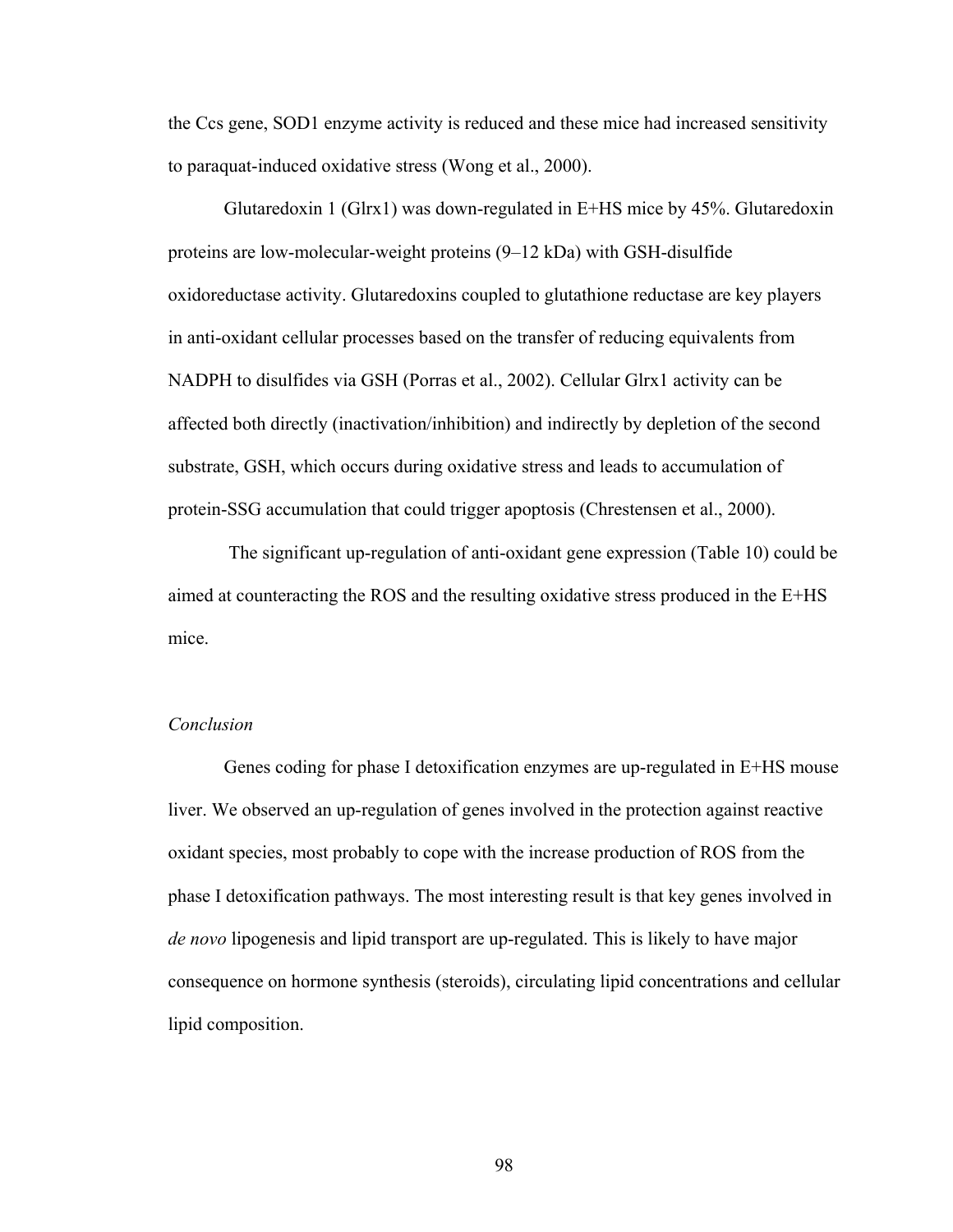the Ccs gene, SOD1 enzyme activity is reduced and these mice had increased sensitivity to paraquat-induced oxidative stress (Wong et al., 2000).

Glutaredoxin 1 (Glrx1) was down-regulated in E+HS mice by 45%. Glutaredoxin proteins are low-molecular-weight proteins (9–12 kDa) with GSH-disulfide oxidoreductase activity. Glutaredoxins coupled to glutathione reductase are key players in anti-oxidant cellular processes based on the transfer of reducing equivalents from NADPH to disulfides via GSH (Porras et al., 2002). Cellular Glrx1 activity can be affected both directly (inactivation/inhibition) and indirectly by depletion of the second substrate, GSH, which occurs during oxidative stress and leads to accumulation of protein-SSG accumulation that could trigger apoptosis (Chrestensen et al., 2000).

 The significant up-regulation of anti-oxidant gene expression (Table 10) could be aimed at counteracting the ROS and the resulting oxidative stress produced in the E+HS mice.

# *Conclusion*

Genes coding for phase I detoxification enzymes are up-regulated in E+HS mouse liver. We observed an up-regulation of genes involved in the protection against reactive oxidant species, most probably to cope with the increase production of ROS from the phase I detoxification pathways. The most interesting result is that key genes involved in *de novo* lipogenesis and lipid transport are up-regulated. This is likely to have major consequence on hormone synthesis (steroids), circulating lipid concentrations and cellular lipid composition.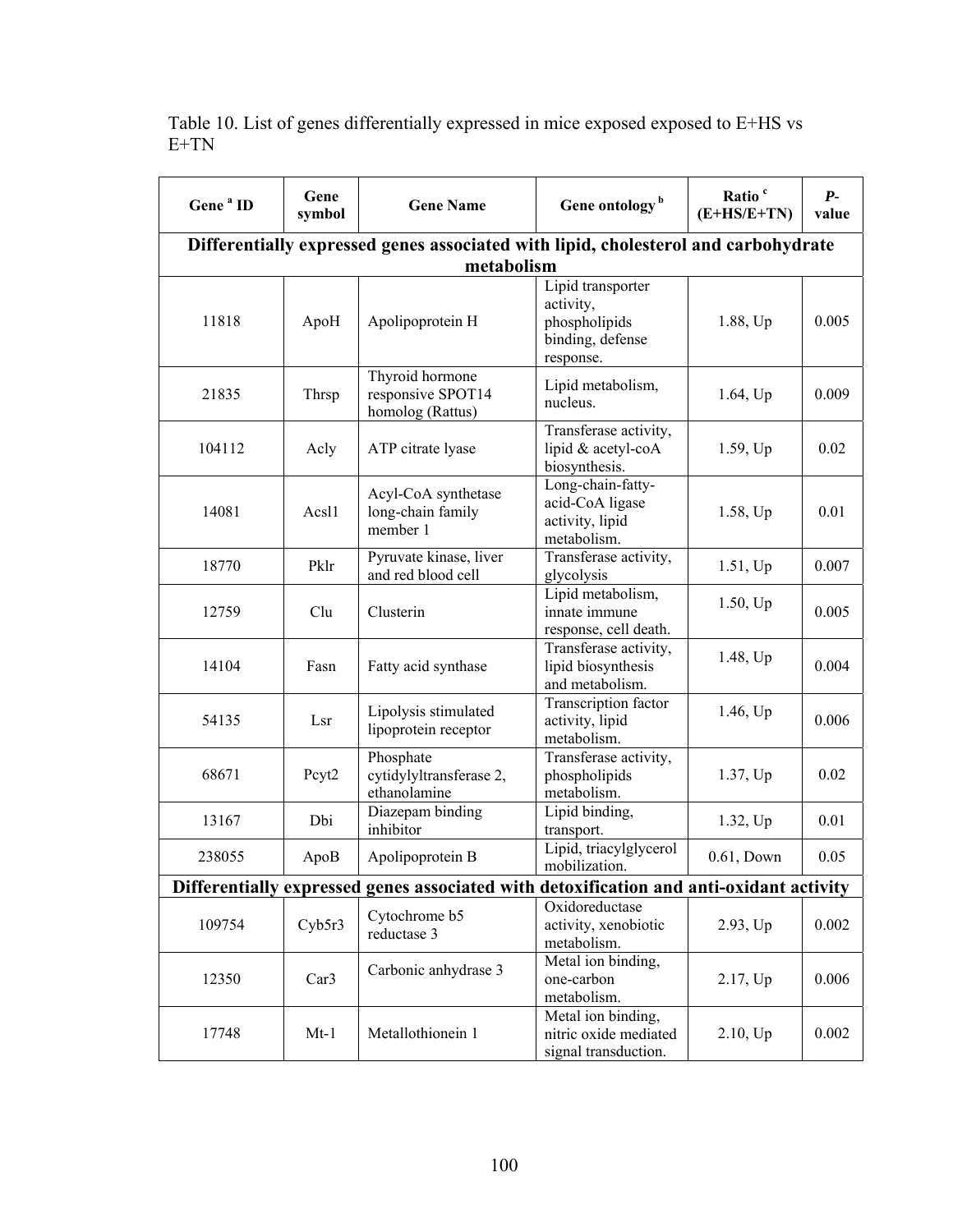| Gene <sup>a</sup> ID                                                               | Gene<br>symbol    | <b>Gene Name</b>                                                                        | Gene ontology <sup>b</sup>                                                       | Ratio <sup>c</sup><br>$(E+HS/E+TN)$ | $P-$<br>value |
|------------------------------------------------------------------------------------|-------------------|-----------------------------------------------------------------------------------------|----------------------------------------------------------------------------------|-------------------------------------|---------------|
| Differentially expressed genes associated with lipid, cholesterol and carbohydrate |                   |                                                                                         |                                                                                  |                                     |               |
|                                                                                    |                   | metabolism                                                                              |                                                                                  |                                     |               |
| 11818                                                                              | ApoH              | Apolipoprotein H                                                                        | Lipid transporter<br>activity,<br>phospholipids<br>binding, defense<br>response. | 1.88, Up                            | 0.005         |
| 21835                                                                              | Thrsp             | Thyroid hormone<br>responsive SPOT14<br>homolog (Rattus)                                | Lipid metabolism,<br>nucleus.                                                    | $1.64$ , Up                         | 0.009         |
| 104112                                                                             | Acly              | ATP citrate lyase                                                                       | Transferase activity,<br>lipid & acetyl-coA<br>biosynthesis.                     | 1.59, Up                            | 0.02          |
| 14081                                                                              | Acsl1             | Acyl-CoA synthetase<br>long-chain family<br>member 1                                    | Long-chain-fatty-<br>acid-CoA ligase<br>activity, lipid<br>metabolism.           | 1.58, Up                            | 0.01          |
| 18770                                                                              | Pklr              | Pyruvate kinase, liver<br>and red blood cell                                            | Transferase activity,<br>glycolysis                                              | 1.51, Up                            | 0.007         |
| 12759                                                                              | Clu               | Clusterin                                                                               | Lipid metabolism,<br>innate immune<br>response, cell death.                      | 1.50, Up                            | 0.005         |
| 14104                                                                              | Fasn              | Fatty acid synthase                                                                     | Transferase activity,<br>lipid biosynthesis<br>and metabolism.                   | 1.48, Up                            | 0.004         |
| 54135                                                                              | Lsr               | Lipolysis stimulated<br>lipoprotein receptor                                            | Transcription factor<br>activity, lipid<br>metabolism.                           | 1.46, Up                            | 0.006         |
| 68671                                                                              | Pcyt <sub>2</sub> | Phosphate<br>cytidylyltransferase 2,<br>ethanolamine                                    | Transferase activity,<br>phospholipids<br>metabolism.                            | 1.37, Up                            | 0.02          |
| 13167                                                                              | Dbi               | Diazepam binding<br>inhibitor                                                           | Lipid binding,<br>transport.                                                     | 1.32, Up                            | 0.01          |
| 238055                                                                             | ApoB              | Apolipoprotein B                                                                        | Lipid, triacylglycerol<br>mobilization.                                          | $0.61,$ Down                        | 0.05          |
|                                                                                    |                   | Differentially expressed genes associated with detoxification and anti-oxidant activity |                                                                                  |                                     |               |
| 109754                                                                             | Cyb5r3            | Cytochrome b5<br>reductase 3                                                            | Oxidoreductase<br>activity, xenobiotic<br>metabolism.                            | 2.93, Up                            | 0.002         |
| 12350                                                                              | Car <sub>3</sub>  | Carbonic anhydrase 3                                                                    | Metal ion binding,<br>one-carbon<br>metabolism.                                  | 2.17, Up                            | 0.006         |
| 17748                                                                              | $Mt-1$            | Metallothionein 1                                                                       | Metal ion binding,<br>nitric oxide mediated<br>signal transduction.              | 2.10, Up                            | 0.002         |

Table 10. List of genes differentially expressed in mice exposed exposed to E+HS vs E+TN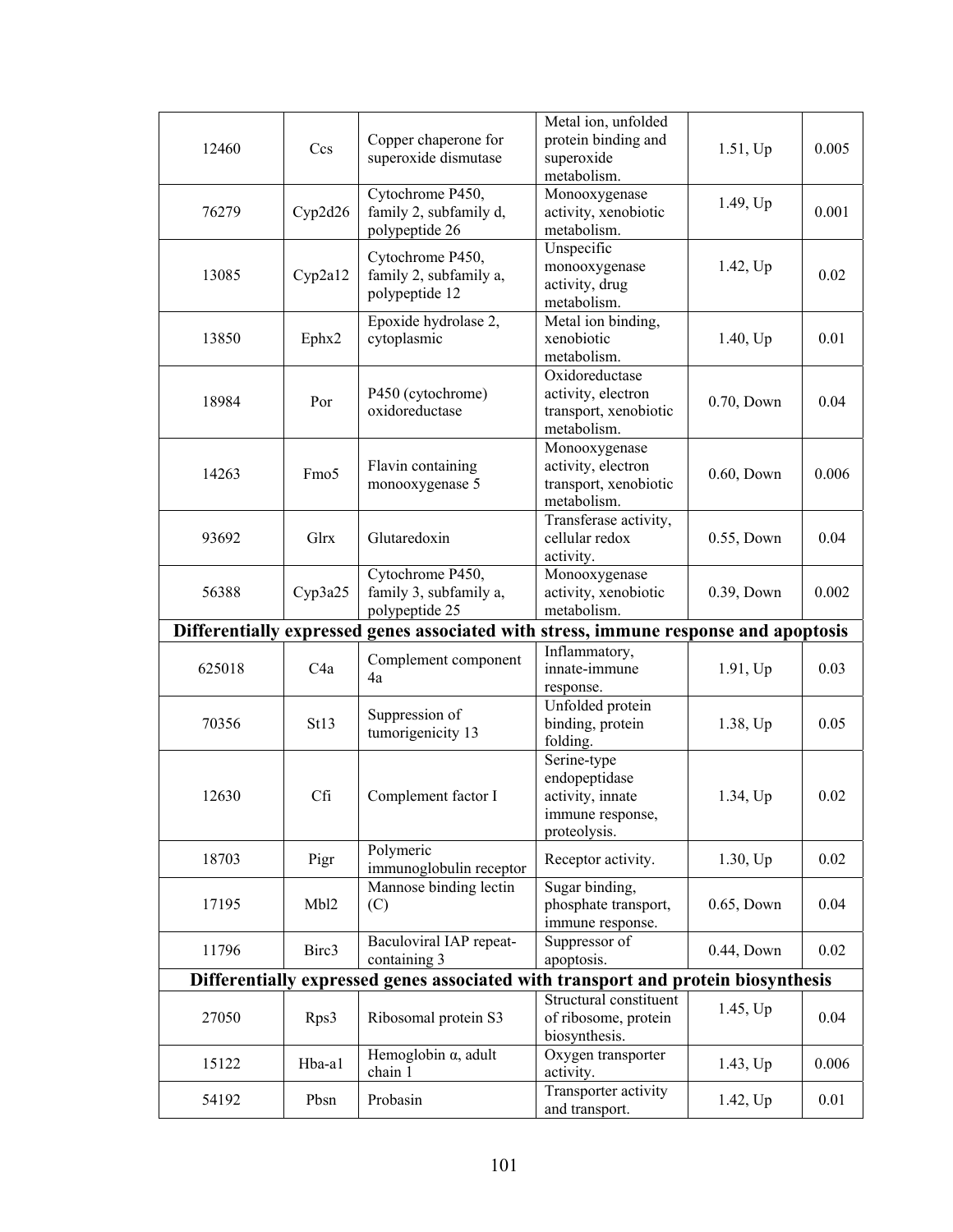| 12460  | Ccs              | Copper chaperone for<br>superoxide dismutase                                         | Metal ion, unfolded<br>protein binding and<br>superoxide<br>metabolism.              | 1.51, Up     | 0.005 |
|--------|------------------|--------------------------------------------------------------------------------------|--------------------------------------------------------------------------------------|--------------|-------|
| 76279  | Cyp2d26          | Cytochrome P450,<br>family 2, subfamily d,<br>polypeptide 26                         | Monooxygenase<br>activity, xenobiotic<br>metabolism.                                 | 1.49, Up     | 0.001 |
| 13085  | Cyp2a12          | Cytochrome P450,<br>family 2, subfamily a,<br>polypeptide 12                         | Unspecific<br>monooxygenase<br>activity, drug<br>metabolism.                         | 1.42, Up     | 0.02  |
| 13850  | Ephx2            | Epoxide hydrolase 2,<br>cytoplasmic                                                  | Metal ion binding,<br>xenobiotic<br>metabolism.                                      | 1.40, Up     | 0.01  |
| 18984  | Por              | P450 (cytochrome)<br>oxidoreductase                                                  | Oxidoreductase<br>activity, electron<br>transport, xenobiotic<br>metabolism.         | 0.70, Down   | 0.04  |
| 14263  | Fmo <sub>5</sub> | Flavin containing<br>monooxygenase 5                                                 | Monooxygenase<br>activity, electron<br>transport, xenobiotic<br>metabolism.          | $0.60,$ Down | 0.006 |
| 93692  | Glrx             | Glutaredoxin                                                                         | Transferase activity,<br>cellular redox<br>activity.                                 | 0.55, Down   | 0.04  |
| 56388  | Cyp3a25          | Cytochrome P450,<br>family 3, subfamily a,<br>polypeptide 25                         | Monooxygenase<br>activity, xenobiotic<br>metabolism.                                 | 0.39, Down   | 0.002 |
|        |                  |                                                                                      |                                                                                      |              |       |
|        |                  | Differentially expressed genes associated with stress, immune response and apoptosis |                                                                                      |              |       |
| 625018 | C <sub>4</sub> a | Complement component<br>4a                                                           | Inflammatory,<br>innate-immune<br>response.                                          | 1.91, Up     | 0.03  |
| 70356  | St13             | Suppression of<br>tumorigenicity 13                                                  | Unfolded protein<br>binding, protein<br>folding.                                     | 1.38, Up     | 0.05  |
| 12630  | Cfi              | Complement factor I                                                                  | Serine-type<br>endopeptidase<br>activity, innate<br>immune response,<br>proteolysis. | 1.34, Up     | 0.02  |
| 18703  | Pigr             | Polymeric                                                                            | Receptor activity.                                                                   | 1.30, Up     | 0.02  |
| 17195  | Mbl2             | immunoglobulin receptor<br>Mannose binding lectin<br>(C)                             | Sugar binding,<br>phosphate transport,                                               | 0.65, Down   | 0.04  |
| 11796  | Birc3            | Baculoviral IAP repeat-<br>containing 3                                              | immune response.<br>Suppressor of<br>apoptosis.                                      | 0.44, Down   | 0.02  |
|        |                  | Differentially expressed genes associated with transport and protein biosynthesis    |                                                                                      |              |       |
| 27050  | Rps3             | Ribosomal protein S3                                                                 | Structural constituent<br>of ribosome, protein<br>biosynthesis.                      | 1.45, Up     | 0.04  |
| 15122  | Hba-al           | Hemoglobin $\alpha$ , adult<br>chain 1                                               | Oxygen transporter<br>activity.                                                      | 1.43, Up     | 0.006 |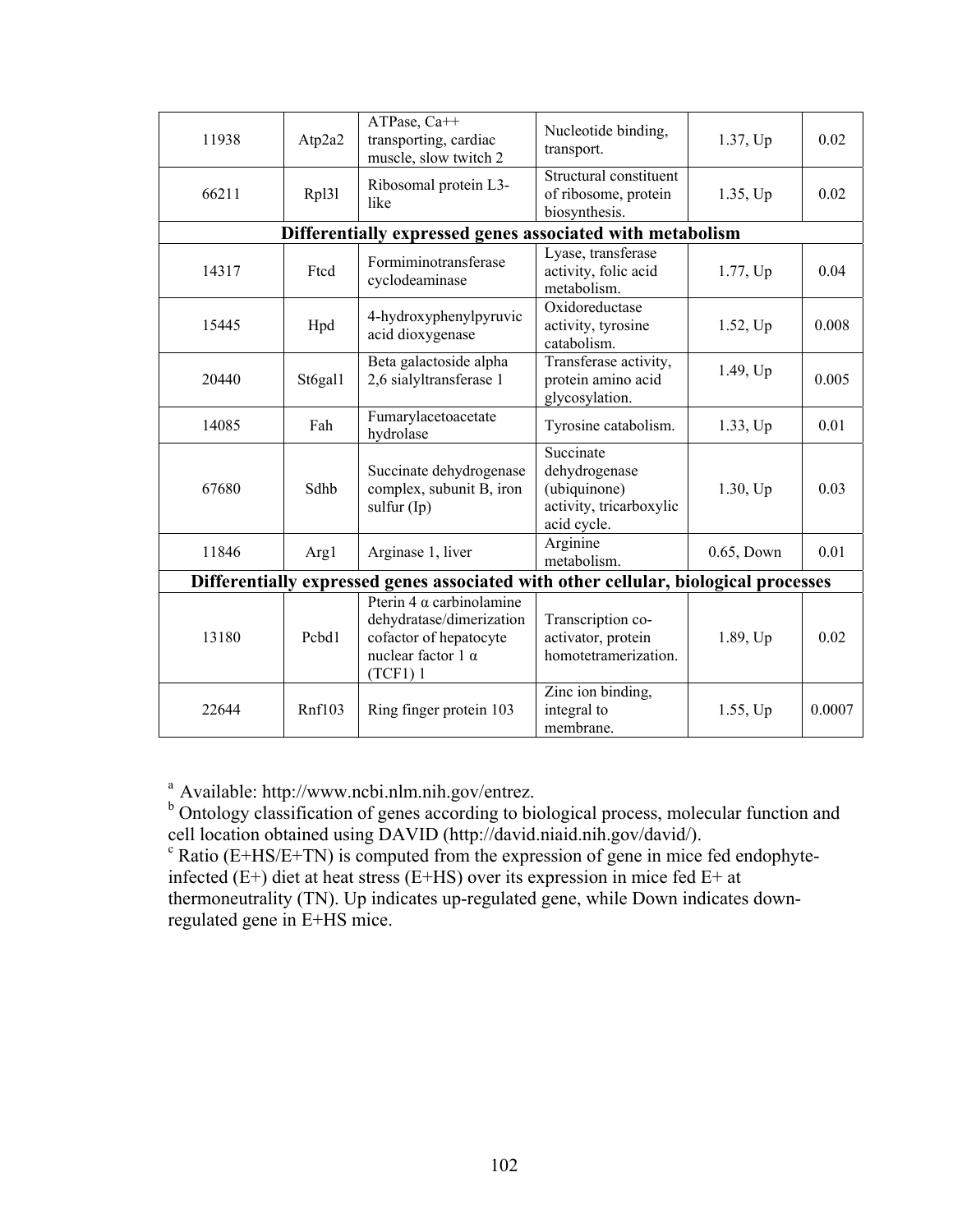| 11938                                                                               | Atp2a2  | ATPase, Ca++<br>transporting, cardiac<br>muscle, slow twitch 2                                                         | Nucleotide binding,<br>transport.                                                    | 1.37, Up    | 0.02   |
|-------------------------------------------------------------------------------------|---------|------------------------------------------------------------------------------------------------------------------------|--------------------------------------------------------------------------------------|-------------|--------|
| 66211                                                                               | Rpl31   | Ribosomal protein L3-<br>like                                                                                          | Structural constituent<br>of ribosome, protein<br>biosynthesis.                      | 1.35, Up    | 0.02   |
| Differentially expressed genes associated with metabolism                           |         |                                                                                                                        |                                                                                      |             |        |
| 14317                                                                               | Ftcd    | Formiminotransferase<br>cyclodeaminase                                                                                 | Lyase, transferase<br>activity, folic acid<br>metabolism.                            | 1.77, Up    | 0.04   |
| 15445                                                                               | Hpd     | 4-hydroxyphenylpyruvic<br>acid dioxygenase                                                                             | Oxidoreductase<br>activity, tyrosine<br>catabolism.                                  | 1.52, Up    | 0.008  |
| 20440                                                                               | St6gal1 | Beta galactoside alpha<br>2,6 sialyltransferase 1                                                                      | Transferase activity,<br>protein amino acid<br>glycosylation.                        | 1.49, Up    | 0.005  |
| 14085                                                                               | Fah     | Fumarylacetoacetate<br>hydrolase                                                                                       | Tyrosine catabolism.                                                                 | 1.33, Up    | 0.01   |
| 67680                                                                               | Sdhb    | Succinate dehydrogenase<br>complex, subunit B, iron<br>sulfur $(Ip)$                                                   | Succinate<br>dehydrogenase<br>(ubiquinone)<br>activity, tricarboxylic<br>acid cycle. | $1.30$ , Up | 0.03   |
| 11846                                                                               | Arg1    | Arginase 1, liver                                                                                                      | Arginine<br>metabolism.                                                              | 0.65, Down  | 0.01   |
| Differentially expressed genes associated with other cellular, biological processes |         |                                                                                                                        |                                                                                      |             |        |
| 13180                                                                               | Pcbd1   | Pterin 4 $\alpha$ carbinolamine<br>dehydratase/dimerization<br>cofactor of hepatocyte<br>nuclear factor 1 α<br>(TCF1)1 | Transcription co-<br>activator, protein<br>homotetramerization.                      | 1.89, Up    | 0.02   |
| 22644                                                                               | Rnf103  | Ring finger protein 103                                                                                                | Zinc ion binding,<br>integral to<br>membrane.                                        | 1.55, Up    | 0.0007 |

<sup>a</sup> Available: http://www.ncbi.nlm.nih.gov/entrez.<br><sup>b</sup> Ontology classification of genes according to biological process, molecular function and cell location obtained using DAVID (http://david.niaid.nih.gov/david/).

 $\rm c$  Ratio (E+HS/E+TN) is computed from the expression of gene in mice fed endophyteinfected (E+) diet at heat stress (E+HS) over its expression in mice fed E+ at thermoneutrality (TN). Up indicates up-regulated gene, while Down indicates downregulated gene in E+HS mice.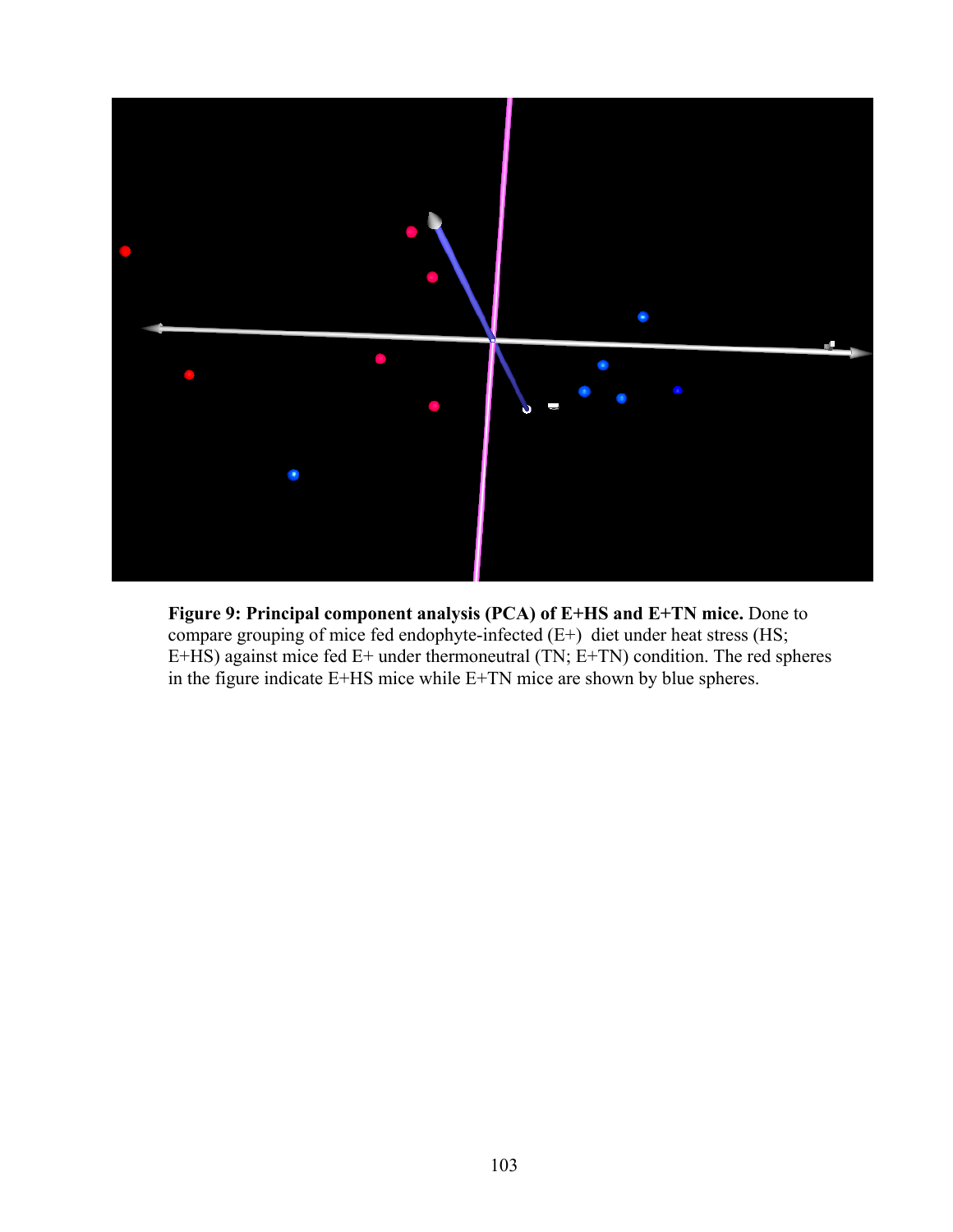

**Figure 9: Principal component analysis (PCA) of E+HS and E+TN mice.** Done to compare grouping of mice fed endophyte-infected (E+) diet under heat stress (HS; E+HS) against mice fed E+ under thermoneutral (TN; E+TN) condition. The red spheres in the figure indicate E+HS mice while E+TN mice are shown by blue spheres.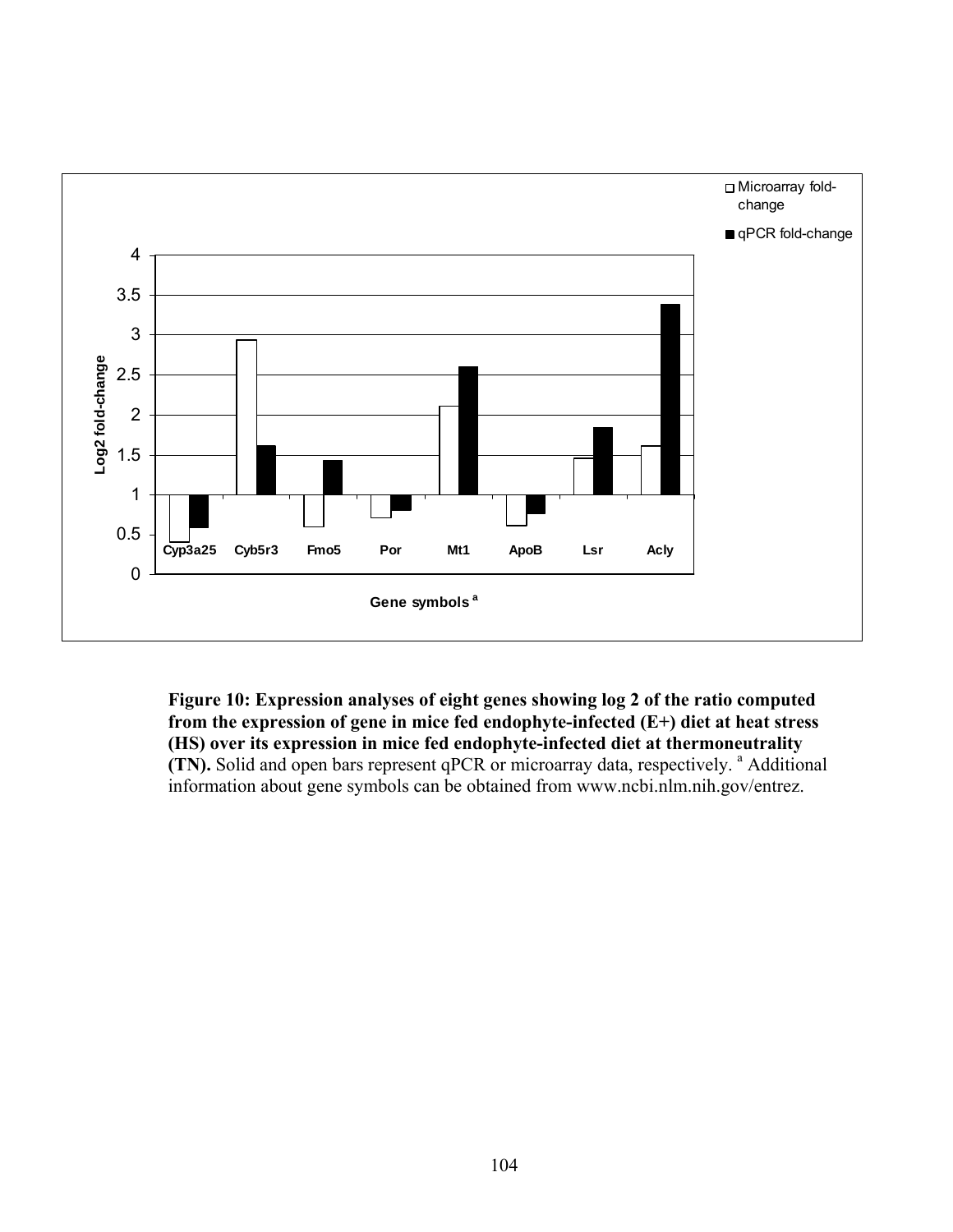

**Figure 10: Expression analyses of eight genes showing log 2 of the ratio computed from the expression of gene in mice fed endophyte-infected (E+) diet at heat stress (HS) over its expression in mice fed endophyte-infected diet at thermoneutrality (TN).** Solid and open bars represent qPCR or microarray data, respectively. <sup>a</sup> Additional information about gene symbols can be obtained from www.ncbi.nlm.nih.gov/entrez.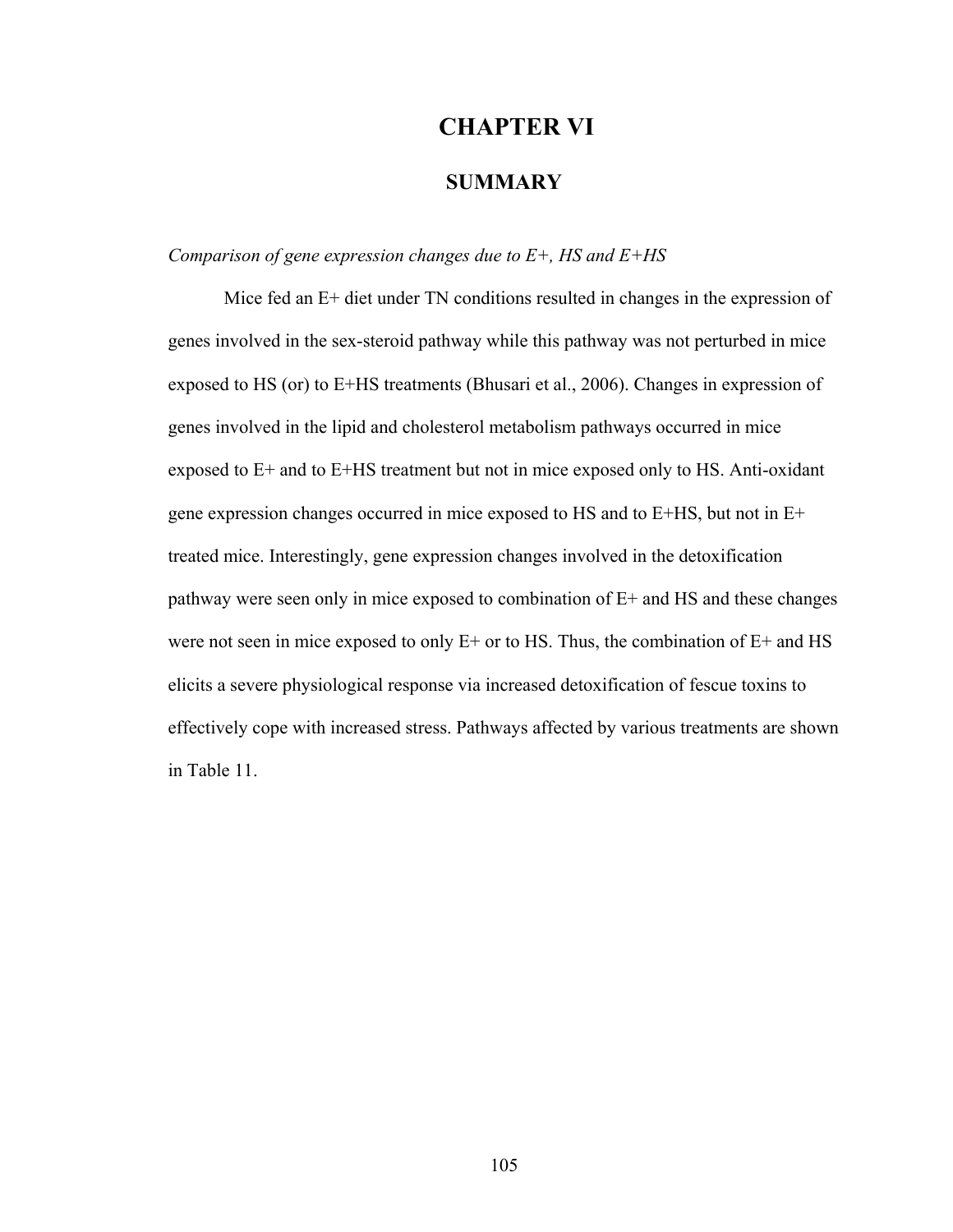## **CHAPTER VI**

## **SUMMARY**

## *Comparison of gene expression changes due to E+, HS and E+HS*

Mice fed an E+ diet under TN conditions resulted in changes in the expression of genes involved in the sex-steroid pathway while this pathway was not perturbed in mice exposed to HS (or) to E+HS treatments (Bhusari et al., 2006). Changes in expression of genes involved in the lipid and cholesterol metabolism pathways occurred in mice exposed to E+ and to E+HS treatment but not in mice exposed only to HS. Anti-oxidant gene expression changes occurred in mice exposed to HS and to E+HS, but not in E+ treated mice. Interestingly, gene expression changes involved in the detoxification pathway were seen only in mice exposed to combination of E+ and HS and these changes were not seen in mice exposed to only  $E<sup>+</sup>$  or to HS. Thus, the combination of  $E<sup>+</sup>$  and HS elicits a severe physiological response via increased detoxification of fescue toxins to effectively cope with increased stress. Pathways affected by various treatments are shown in Table 11.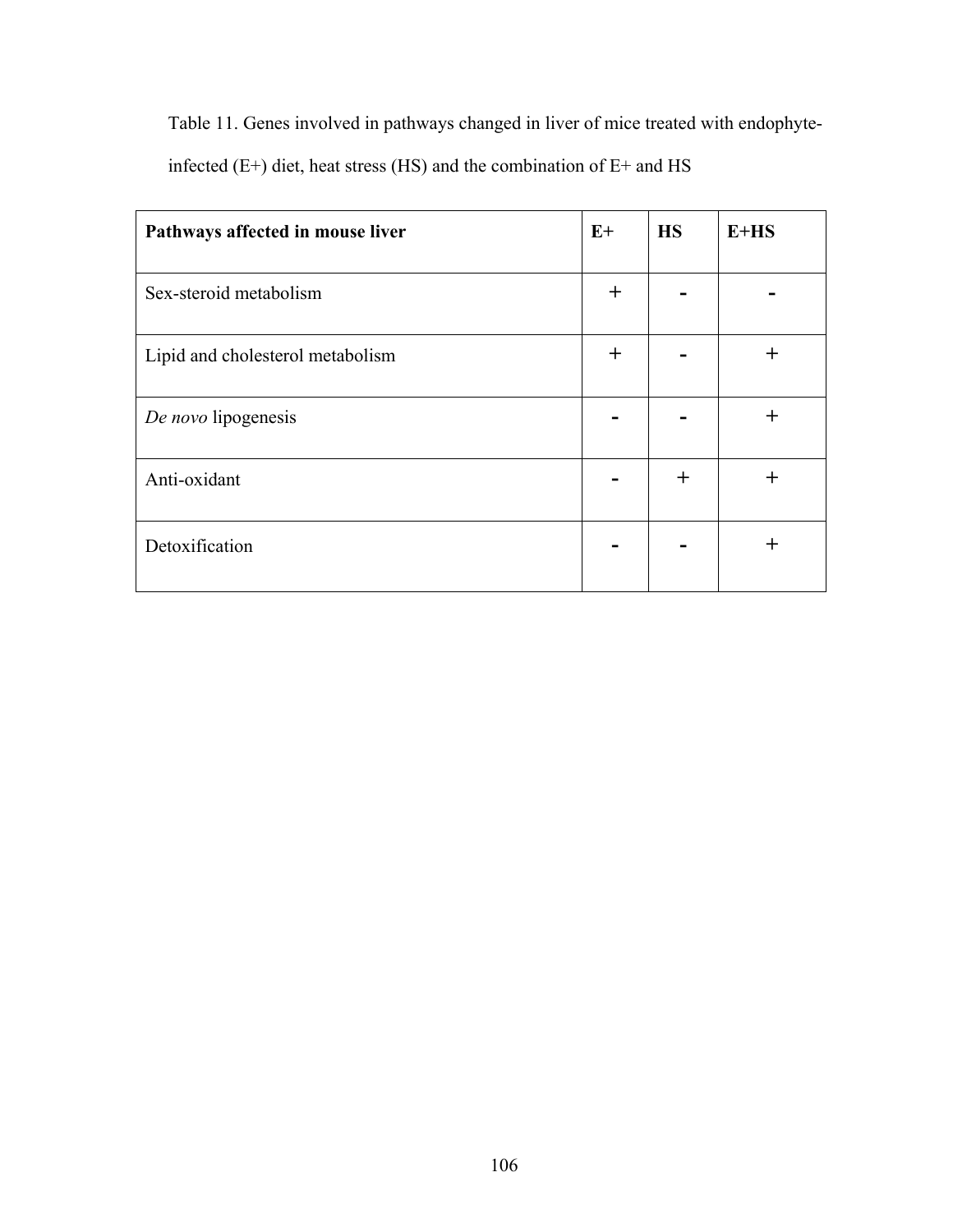Table 11. Genes involved in pathways changed in liver of mice treated with endophyte-

infected (E+) diet, heat stress (HS) and the combination of E+ and HS

| Pathways affected in mouse liver | $E+$  | <b>HS</b> | $E+HS$ |
|----------------------------------|-------|-----------|--------|
| Sex-steroid metabolism           | $\pm$ |           |        |
| Lipid and cholesterol metabolism | $\pm$ |           | $\div$ |
| De novo lipogenesis              |       |           | $^{+}$ |
| Anti-oxidant                     |       | $\pm$     | $\div$ |
| Detoxification                   |       |           | ┿      |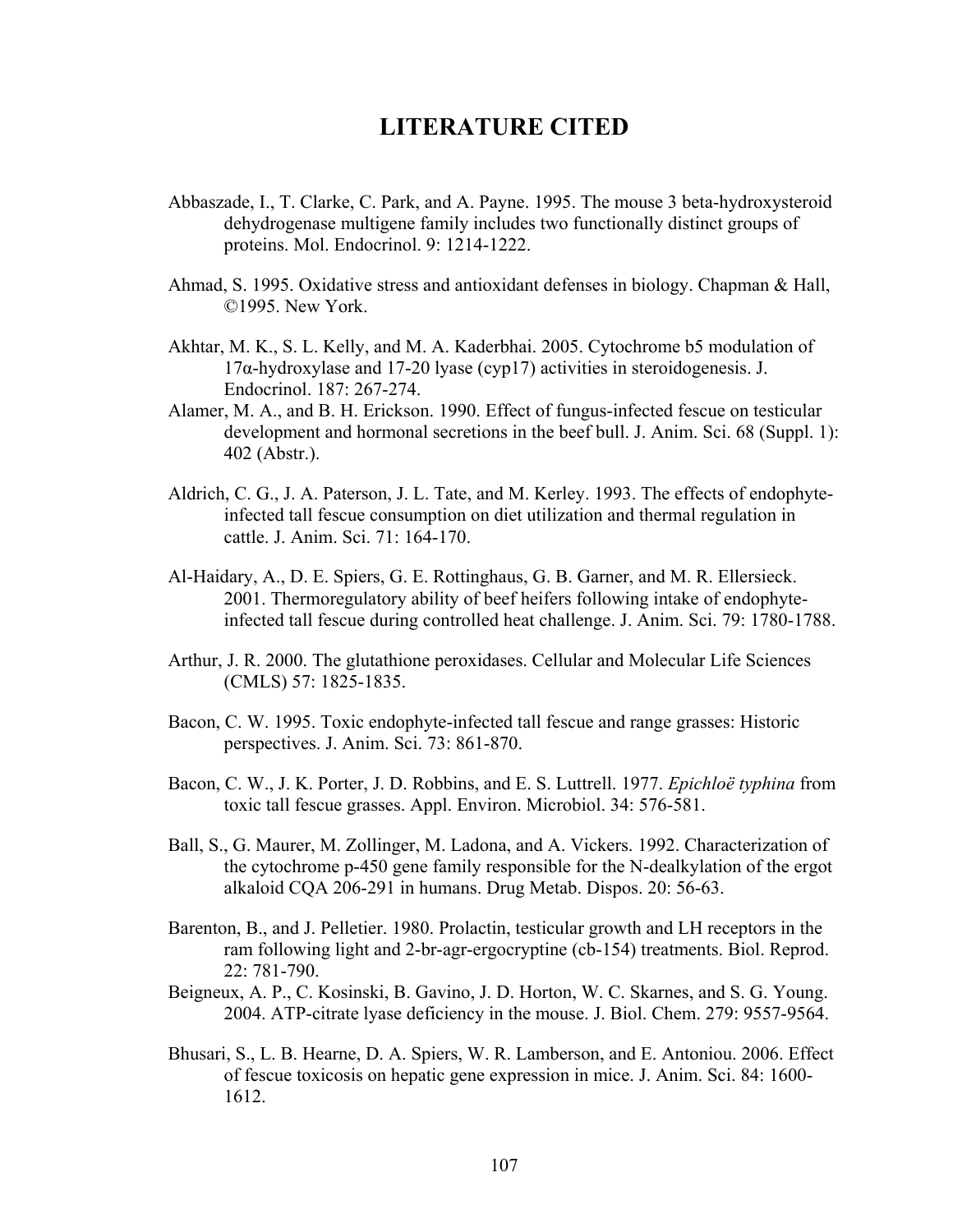## **LITERATURE CITED**

- Abbaszade, I., T. Clarke, C. Park, and A. Payne. 1995. The mouse 3 beta-hydroxysteroid dehydrogenase multigene family includes two functionally distinct groups of proteins. Mol. Endocrinol. 9: 1214-1222.
- Ahmad, S. 1995. Oxidative stress and antioxidant defenses in biology. Chapman & Hall, ©1995. New York.
- Akhtar, M. K., S. L. Kelly, and M. A. Kaderbhai. 2005. Cytochrome b5 modulation of 17α-hydroxylase and 17-20 lyase (cyp17) activities in steroidogenesis. J. Endocrinol. 187: 267-274.
- Alamer, M. A., and B. H. Erickson. 1990. Effect of fungus-infected fescue on testicular development and hormonal secretions in the beef bull. J. Anim. Sci. 68 (Suppl. 1): 402 (Abstr.).
- Aldrich, C. G., J. A. Paterson, J. L. Tate, and M. Kerley. 1993. The effects of endophyteinfected tall fescue consumption on diet utilization and thermal regulation in cattle. J. Anim. Sci. 71: 164-170.
- Al-Haidary, A., D. E. Spiers, G. E. Rottinghaus, G. B. Garner, and M. R. Ellersieck. 2001. Thermoregulatory ability of beef heifers following intake of endophyteinfected tall fescue during controlled heat challenge. J. Anim. Sci. 79: 1780-1788.
- Arthur, J. R. 2000. The glutathione peroxidases. Cellular and Molecular Life Sciences (CMLS) 57: 1825-1835.
- Bacon, C. W. 1995. Toxic endophyte-infected tall fescue and range grasses: Historic perspectives. J. Anim. Sci. 73: 861-870.
- Bacon, C. W., J. K. Porter, J. D. Robbins, and E. S. Luttrell. 1977. *Epichloë typhina* from toxic tall fescue grasses. Appl. Environ. Microbiol. 34: 576-581.
- Ball, S., G. Maurer, M. Zollinger, M. Ladona, and A. Vickers. 1992. Characterization of the cytochrome p-450 gene family responsible for the N-dealkylation of the ergot alkaloid CQA 206-291 in humans. Drug Metab. Dispos. 20: 56-63.
- Barenton, B., and J. Pelletier. 1980. Prolactin, testicular growth and LH receptors in the ram following light and 2-br-agr-ergocryptine (cb-154) treatments. Biol. Reprod. 22: 781-790.
- Beigneux, A. P., C. Kosinski, B. Gavino, J. D. Horton, W. C. Skarnes, and S. G. Young. 2004. ATP-citrate lyase deficiency in the mouse. J. Biol. Chem. 279: 9557-9564.
- Bhusari, S., L. B. Hearne, D. A. Spiers, W. R. Lamberson, and E. Antoniou. 2006. Effect of fescue toxicosis on hepatic gene expression in mice. J. Anim. Sci. 84: 1600- 1612.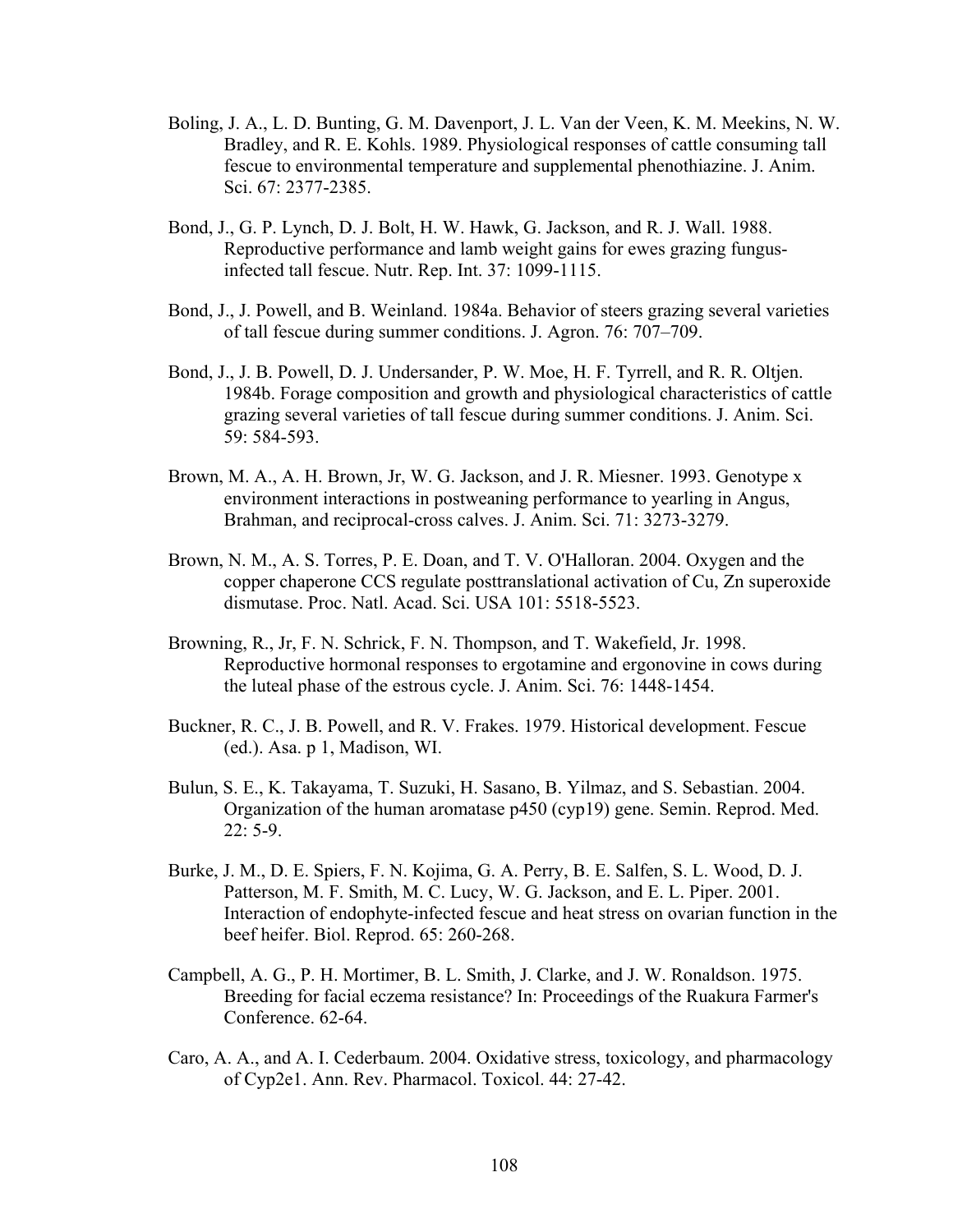- Boling, J. A., L. D. Bunting, G. M. Davenport, J. L. Van der Veen, K. M. Meekins, N. W. Bradley, and R. E. Kohls. 1989. Physiological responses of cattle consuming tall fescue to environmental temperature and supplemental phenothiazine. J. Anim. Sci. 67: 2377-2385.
- Bond, J., G. P. Lynch, D. J. Bolt, H. W. Hawk, G. Jackson, and R. J. Wall. 1988. Reproductive performance and lamb weight gains for ewes grazing fungusinfected tall fescue. Nutr. Rep. Int. 37: 1099-1115.
- Bond, J., J. Powell, and B. Weinland. 1984a. Behavior of steers grazing several varieties of tall fescue during summer conditions. J. Agron. 76: 707–709.
- Bond, J., J. B. Powell, D. J. Undersander, P. W. Moe, H. F. Tyrrell, and R. R. Oltjen. 1984b. Forage composition and growth and physiological characteristics of cattle grazing several varieties of tall fescue during summer conditions. J. Anim. Sci. 59: 584-593.
- Brown, M. A., A. H. Brown, Jr, W. G. Jackson, and J. R. Miesner. 1993. Genotype x environment interactions in postweaning performance to yearling in Angus, Brahman, and reciprocal-cross calves. J. Anim. Sci. 71: 3273-3279.
- Brown, N. M., A. S. Torres, P. E. Doan, and T. V. O'Halloran. 2004. Oxygen and the copper chaperone CCS regulate posttranslational activation of Cu, Zn superoxide dismutase. Proc. Natl. Acad. Sci. USA 101: 5518-5523.
- Browning, R., Jr, F. N. Schrick, F. N. Thompson, and T. Wakefield, Jr. 1998. Reproductive hormonal responses to ergotamine and ergonovine in cows during the luteal phase of the estrous cycle. J. Anim. Sci. 76: 1448-1454.
- Buckner, R. C., J. B. Powell, and R. V. Frakes. 1979. Historical development. Fescue (ed.). Asa. p 1, Madison, WI.
- Bulun, S. E., K. Takayama, T. Suzuki, H. Sasano, B. Yilmaz, and S. Sebastian. 2004. Organization of the human aromatase p450 (cyp19) gene. Semin. Reprod. Med. 22: 5-9.
- Burke, J. M., D. E. Spiers, F. N. Kojima, G. A. Perry, B. E. Salfen, S. L. Wood, D. J. Patterson, M. F. Smith, M. C. Lucy, W. G. Jackson, and E. L. Piper. 2001. Interaction of endophyte-infected fescue and heat stress on ovarian function in the beef heifer. Biol. Reprod. 65: 260-268.
- Campbell, A. G., P. H. Mortimer, B. L. Smith, J. Clarke, and J. W. Ronaldson. 1975. Breeding for facial eczema resistance? In: Proceedings of the Ruakura Farmer's Conference. 62-64.
- Caro, A. A., and A. I. Cederbaum. 2004. Oxidative stress, toxicology, and pharmacology of Cyp2e1. Ann. Rev. Pharmacol. Toxicol. 44: 27-42.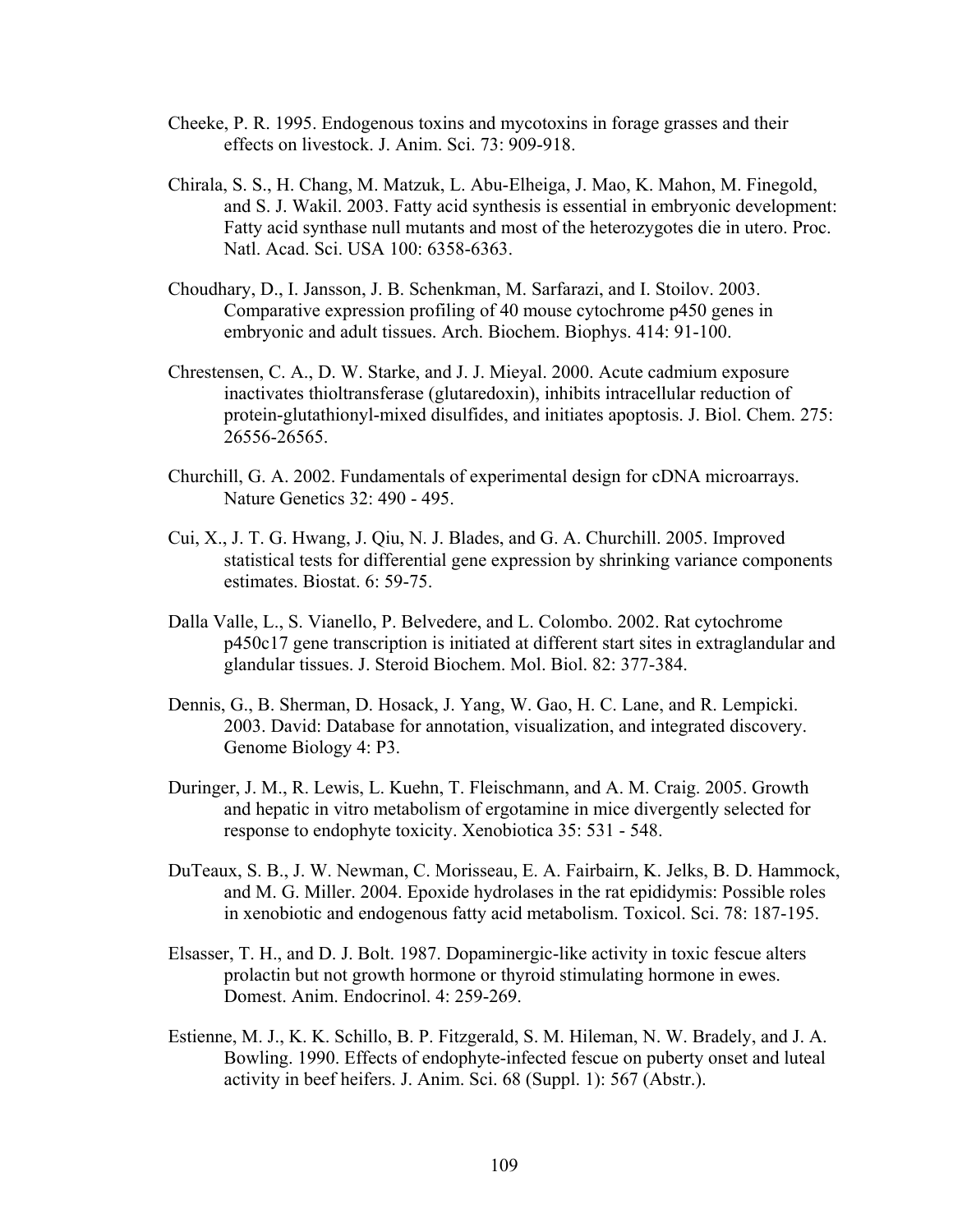- Cheeke, P. R. 1995. Endogenous toxins and mycotoxins in forage grasses and their effects on livestock. J. Anim. Sci. 73: 909-918.
- Chirala, S. S., H. Chang, M. Matzuk, L. Abu-Elheiga, J. Mao, K. Mahon, M. Finegold, and S. J. Wakil. 2003. Fatty acid synthesis is essential in embryonic development: Fatty acid synthase null mutants and most of the heterozygotes die in utero. Proc. Natl. Acad. Sci. USA 100: 6358-6363.
- Choudhary, D., I. Jansson, J. B. Schenkman, M. Sarfarazi, and I. Stoilov. 2003. Comparative expression profiling of 40 mouse cytochrome p450 genes in embryonic and adult tissues. Arch. Biochem. Biophys. 414: 91-100.
- Chrestensen, C. A., D. W. Starke, and J. J. Mieyal. 2000. Acute cadmium exposure inactivates thioltransferase (glutaredoxin), inhibits intracellular reduction of protein-glutathionyl-mixed disulfides, and initiates apoptosis. J. Biol. Chem. 275: 26556-26565.
- Churchill, G. A. 2002. Fundamentals of experimental design for cDNA microarrays. Nature Genetics 32: 490 - 495.
- Cui, X., J. T. G. Hwang, J. Qiu, N. J. Blades, and G. A. Churchill. 2005. Improved statistical tests for differential gene expression by shrinking variance components estimates. Biostat. 6: 59-75.
- Dalla Valle, L., S. Vianello, P. Belvedere, and L. Colombo. 2002. Rat cytochrome p450c17 gene transcription is initiated at different start sites in extraglandular and glandular tissues. J. Steroid Biochem. Mol. Biol. 82: 377-384.
- Dennis, G., B. Sherman, D. Hosack, J. Yang, W. Gao, H. C. Lane, and R. Lempicki. 2003. David: Database for annotation, visualization, and integrated discovery. Genome Biology 4: P3.
- Duringer, J. M., R. Lewis, L. Kuehn, T. Fleischmann, and A. M. Craig. 2005. Growth and hepatic in vitro metabolism of ergotamine in mice divergently selected for response to endophyte toxicity. Xenobiotica 35: 531 - 548.
- DuTeaux, S. B., J. W. Newman, C. Morisseau, E. A. Fairbairn, K. Jelks, B. D. Hammock, and M. G. Miller. 2004. Epoxide hydrolases in the rat epididymis: Possible roles in xenobiotic and endogenous fatty acid metabolism. Toxicol. Sci. 78: 187-195.
- Elsasser, T. H., and D. J. Bolt. 1987. Dopaminergic-like activity in toxic fescue alters prolactin but not growth hormone or thyroid stimulating hormone in ewes. Domest. Anim. Endocrinol. 4: 259-269.
- Estienne, M. J., K. K. Schillo, B. P. Fitzgerald, S. M. Hileman, N. W. Bradely, and J. A. Bowling. 1990. Effects of endophyte-infected fescue on puberty onset and luteal activity in beef heifers. J. Anim. Sci. 68 (Suppl. 1): 567 (Abstr.).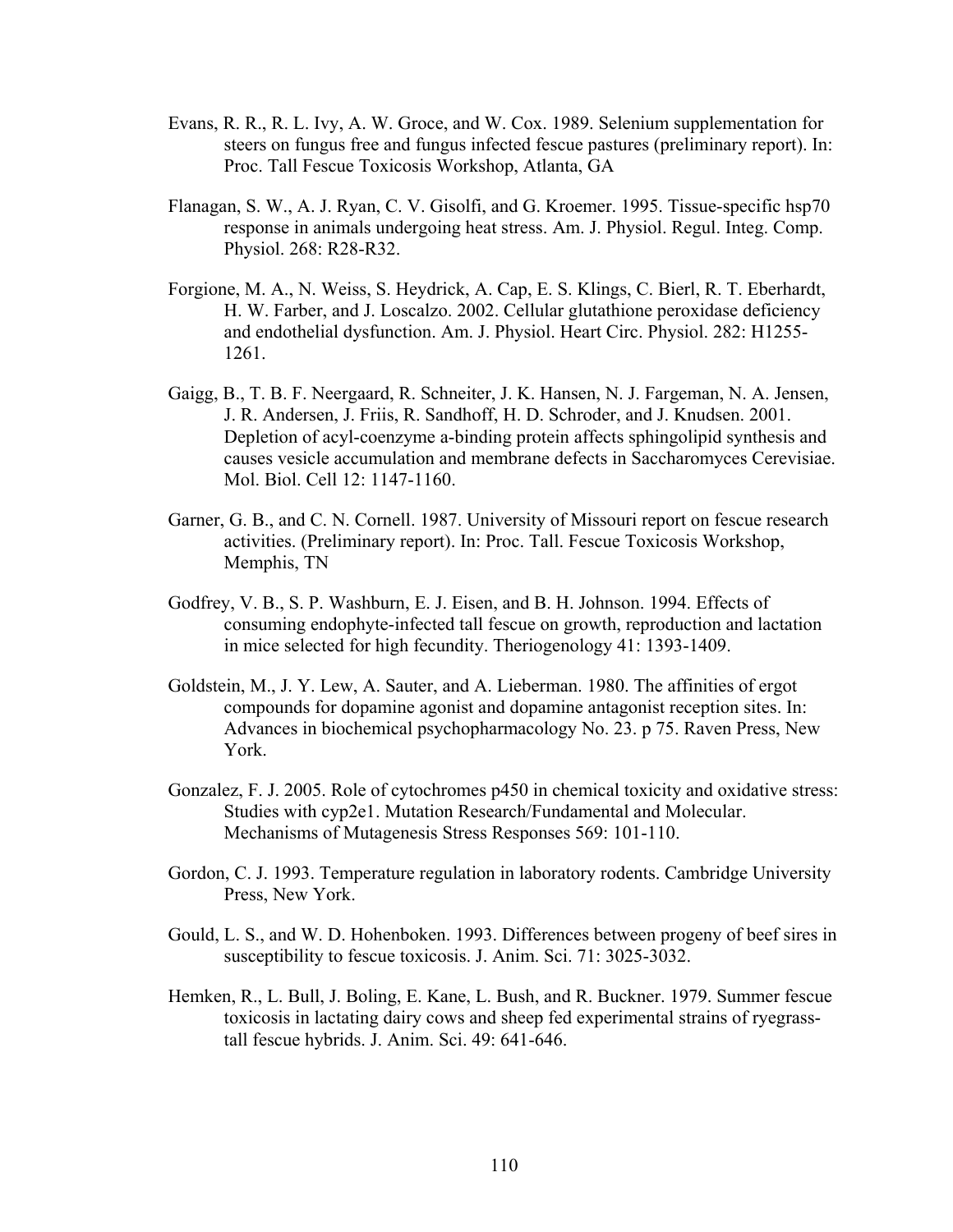- Evans, R. R., R. L. Ivy, A. W. Groce, and W. Cox. 1989. Selenium supplementation for steers on fungus free and fungus infected fescue pastures (preliminary report). In: Proc. Tall Fescue Toxicosis Workshop, Atlanta, GA
- Flanagan, S. W., A. J. Ryan, C. V. Gisolfi, and G. Kroemer. 1995. Tissue-specific hsp70 response in animals undergoing heat stress. Am. J. Physiol. Regul. Integ. Comp. Physiol. 268: R28-R32.
- Forgione, M. A., N. Weiss, S. Heydrick, A. Cap, E. S. Klings, C. Bierl, R. T. Eberhardt, H. W. Farber, and J. Loscalzo. 2002. Cellular glutathione peroxidase deficiency and endothelial dysfunction. Am. J. Physiol. Heart Circ. Physiol. 282: H1255- 1261.
- Gaigg, B., T. B. F. Neergaard, R. Schneiter, J. K. Hansen, N. J. Fargeman, N. A. Jensen, J. R. Andersen, J. Friis, R. Sandhoff, H. D. Schroder, and J. Knudsen. 2001. Depletion of acyl-coenzyme a-binding protein affects sphingolipid synthesis and causes vesicle accumulation and membrane defects in Saccharomyces Cerevisiae. Mol. Biol. Cell 12: 1147-1160.
- Garner, G. B., and C. N. Cornell. 1987. University of Missouri report on fescue research activities. (Preliminary report). In: Proc. Tall. Fescue Toxicosis Workshop, Memphis, TN
- Godfrey, V. B., S. P. Washburn, E. J. Eisen, and B. H. Johnson. 1994. Effects of consuming endophyte-infected tall fescue on growth, reproduction and lactation in mice selected for high fecundity. Theriogenology 41: 1393-1409.
- Goldstein, M., J. Y. Lew, A. Sauter, and A. Lieberman. 1980. The affinities of ergot compounds for dopamine agonist and dopamine antagonist reception sites. In: Advances in biochemical psychopharmacology No. 23. p 75. Raven Press, New York.
- Gonzalez, F. J. 2005. Role of cytochromes p450 in chemical toxicity and oxidative stress: Studies with cyp2e1. Mutation Research/Fundamental and Molecular. Mechanisms of Mutagenesis Stress Responses 569: 101-110.
- Gordon, C. J. 1993. Temperature regulation in laboratory rodents. Cambridge University Press, New York.
- Gould, L. S., and W. D. Hohenboken. 1993. Differences between progeny of beef sires in susceptibility to fescue toxicosis. J. Anim. Sci. 71: 3025-3032.
- Hemken, R., L. Bull, J. Boling, E. Kane, L. Bush, and R. Buckner. 1979. Summer fescue toxicosis in lactating dairy cows and sheep fed experimental strains of ryegrasstall fescue hybrids. J. Anim. Sci. 49: 641-646.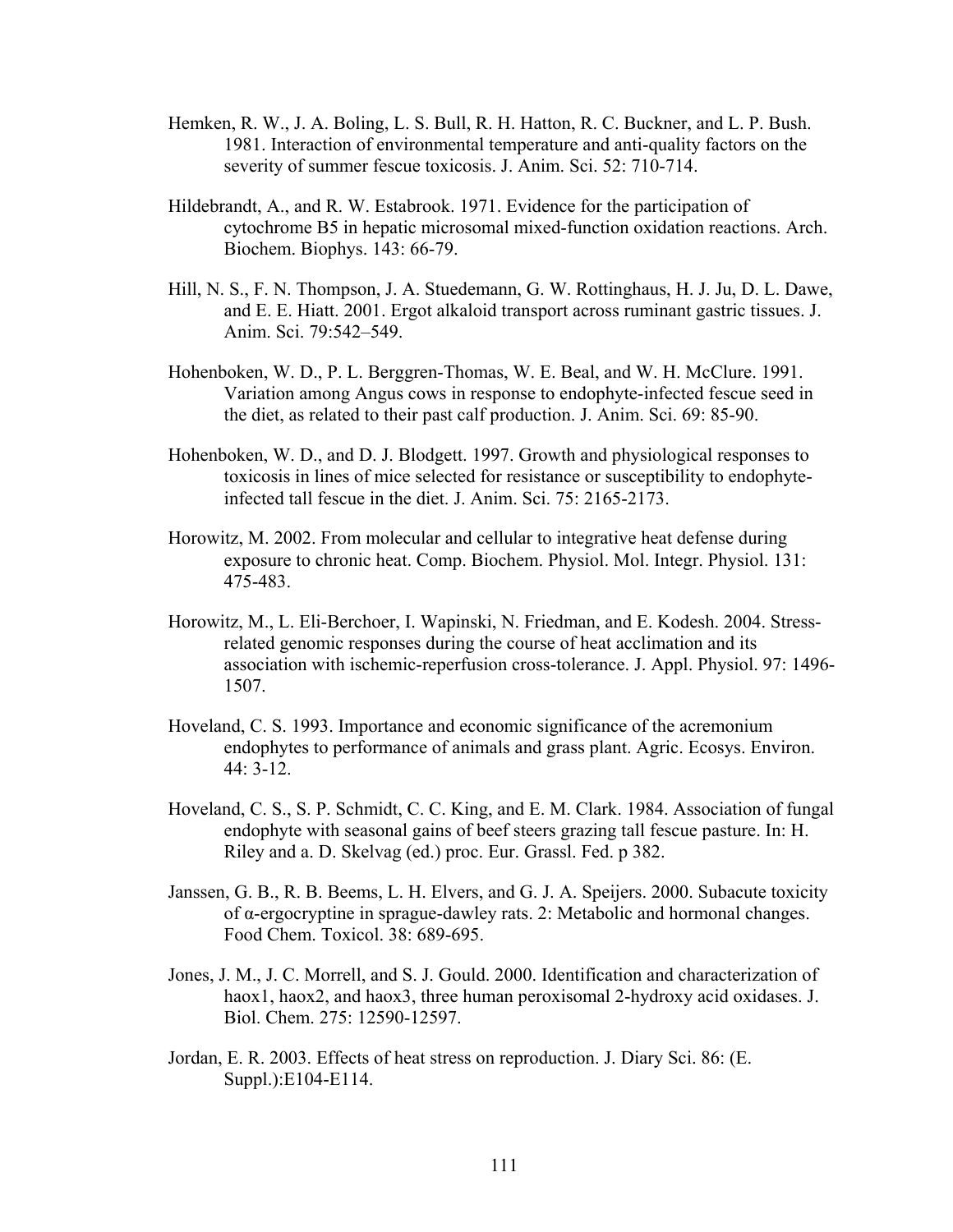- Hemken, R. W., J. A. Boling, L. S. Bull, R. H. Hatton, R. C. Buckner, and L. P. Bush. 1981. Interaction of environmental temperature and anti-quality factors on the severity of summer fescue toxicosis. J. Anim. Sci. 52: 710-714.
- Hildebrandt, A., and R. W. Estabrook. 1971. Evidence for the participation of cytochrome B5 in hepatic microsomal mixed-function oxidation reactions. Arch. Biochem. Biophys. 143: 66-79.
- Hill, N. S., F. N. Thompson, J. A. Stuedemann, G. W. Rottinghaus, H. J. Ju, D. L. Dawe, and E. E. Hiatt. 2001. Ergot alkaloid transport across ruminant gastric tissues. J. Anim. Sci. 79:542–549.
- Hohenboken, W. D., P. L. Berggren-Thomas, W. E. Beal, and W. H. McClure. 1991. Variation among Angus cows in response to endophyte-infected fescue seed in the diet, as related to their past calf production. J. Anim. Sci. 69: 85-90.
- Hohenboken, W. D., and D. J. Blodgett. 1997. Growth and physiological responses to toxicosis in lines of mice selected for resistance or susceptibility to endophyteinfected tall fescue in the diet. J. Anim. Sci. 75: 2165-2173.
- Horowitz, M. 2002. From molecular and cellular to integrative heat defense during exposure to chronic heat. Comp. Biochem. Physiol. Mol. Integr. Physiol. 131: 475-483.
- Horowitz, M., L. Eli-Berchoer, I. Wapinski, N. Friedman, and E. Kodesh. 2004. Stressrelated genomic responses during the course of heat acclimation and its association with ischemic-reperfusion cross-tolerance. J. Appl. Physiol. 97: 1496- 1507.
- Hoveland, C. S. 1993. Importance and economic significance of the acremonium endophytes to performance of animals and grass plant. Agric. Ecosys. Environ. 44: 3-12.
- Hoveland, C. S., S. P. Schmidt, C. C. King, and E. M. Clark. 1984. Association of fungal endophyte with seasonal gains of beef steers grazing tall fescue pasture. In: H. Riley and a. D. Skelvag (ed.) proc. Eur. Grassl. Fed. p 382.
- Janssen, G. B., R. B. Beems, L. H. Elvers, and G. J. A. Speijers. 2000. Subacute toxicity of α-ergocryptine in sprague-dawley rats. 2: Metabolic and hormonal changes. Food Chem. Toxicol. 38: 689-695.
- Jones, J. M., J. C. Morrell, and S. J. Gould. 2000. Identification and characterization of haox1, haox2, and haox3, three human peroxisomal 2-hydroxy acid oxidases. J. Biol. Chem. 275: 12590-12597.
- Jordan, E. R. 2003. Effects of heat stress on reproduction. J. Diary Sci. 86: (E. Suppl.):E104-E114.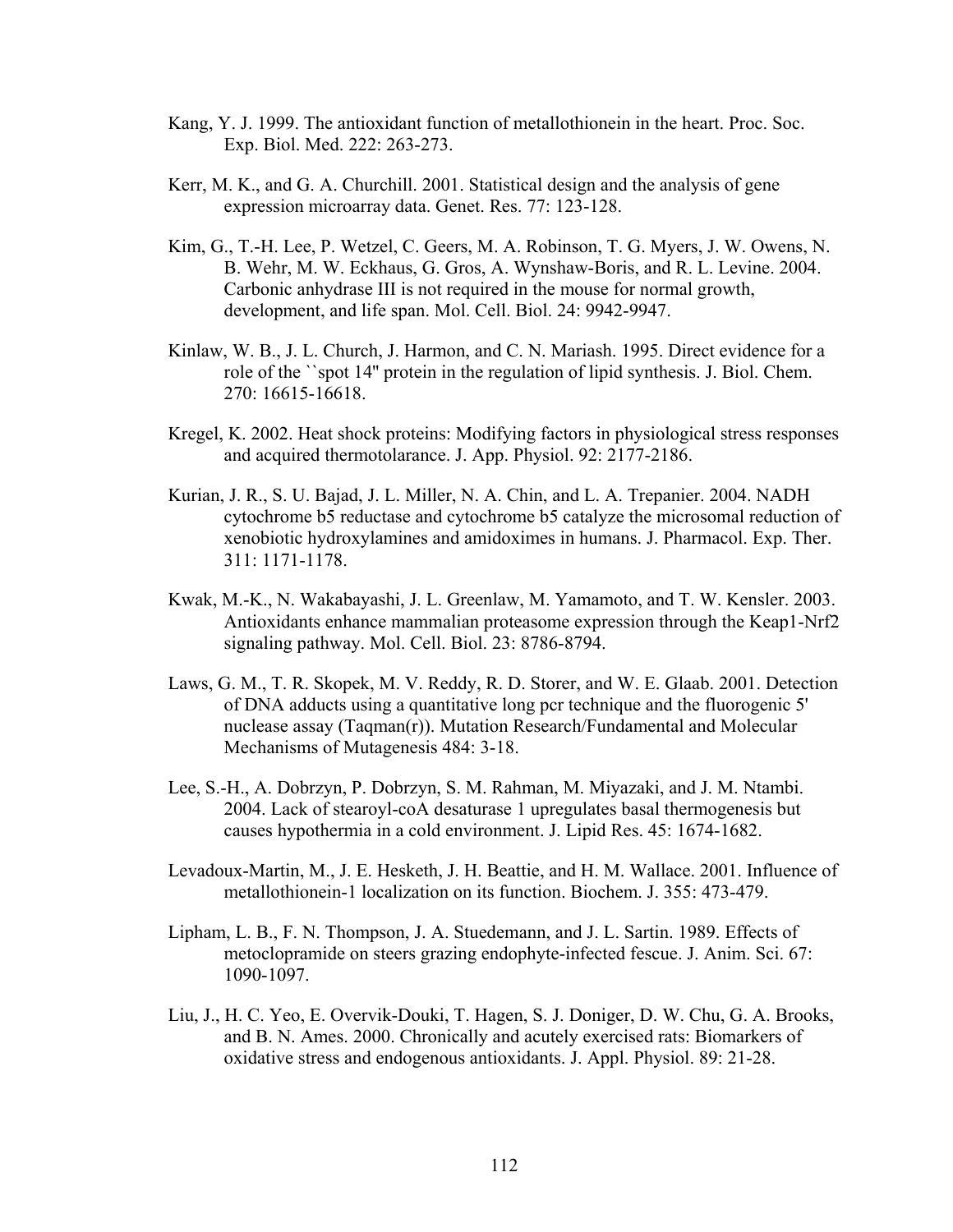- Kang, Y. J. 1999. The antioxidant function of metallothionein in the heart. Proc. Soc. Exp. Biol. Med. 222: 263-273.
- Kerr, M. K., and G. A. Churchill. 2001. Statistical design and the analysis of gene expression microarray data. Genet. Res. 77: 123-128.
- Kim, G., T.-H. Lee, P. Wetzel, C. Geers, M. A. Robinson, T. G. Myers, J. W. Owens, N. B. Wehr, M. W. Eckhaus, G. Gros, A. Wynshaw-Boris, and R. L. Levine. 2004. Carbonic anhydrase III is not required in the mouse for normal growth, development, and life span. Mol. Cell. Biol. 24: 9942-9947.
- Kinlaw, W. B., J. L. Church, J. Harmon, and C. N. Mariash. 1995. Direct evidence for a role of the ``spot 14'' protein in the regulation of lipid synthesis. J. Biol. Chem. 270: 16615-16618.
- Kregel, K. 2002. Heat shock proteins: Modifying factors in physiological stress responses and acquired thermotolarance. J. App. Physiol. 92: 2177-2186.
- Kurian, J. R., S. U. Bajad, J. L. Miller, N. A. Chin, and L. A. Trepanier. 2004. NADH cytochrome b5 reductase and cytochrome b5 catalyze the microsomal reduction of xenobiotic hydroxylamines and amidoximes in humans. J. Pharmacol. Exp. Ther. 311: 1171-1178.
- Kwak, M.-K., N. Wakabayashi, J. L. Greenlaw, M. Yamamoto, and T. W. Kensler. 2003. Antioxidants enhance mammalian proteasome expression through the Keap1-Nrf2 signaling pathway. Mol. Cell. Biol. 23: 8786-8794.
- Laws, G. M., T. R. Skopek, M. V. Reddy, R. D. Storer, and W. E. Glaab. 2001. Detection of DNA adducts using a quantitative long pcr technique and the fluorogenic 5' nuclease assay (Taqman(r)). Mutation Research/Fundamental and Molecular Mechanisms of Mutagenesis 484: 3-18.
- Lee, S.-H., A. Dobrzyn, P. Dobrzyn, S. M. Rahman, M. Miyazaki, and J. M. Ntambi. 2004. Lack of stearoyl-coA desaturase 1 upregulates basal thermogenesis but causes hypothermia in a cold environment. J. Lipid Res. 45: 1674-1682.
- Levadoux-Martin, M., J. E. Hesketh, J. H. Beattie, and H. M. Wallace. 2001. Influence of metallothionein-1 localization on its function. Biochem. J. 355: 473-479.
- Lipham, L. B., F. N. Thompson, J. A. Stuedemann, and J. L. Sartin. 1989. Effects of metoclopramide on steers grazing endophyte-infected fescue. J. Anim. Sci. 67: 1090-1097.
- Liu, J., H. C. Yeo, E. Overvik-Douki, T. Hagen, S. J. Doniger, D. W. Chu, G. A. Brooks, and B. N. Ames. 2000. Chronically and acutely exercised rats: Biomarkers of oxidative stress and endogenous antioxidants. J. Appl. Physiol. 89: 21-28.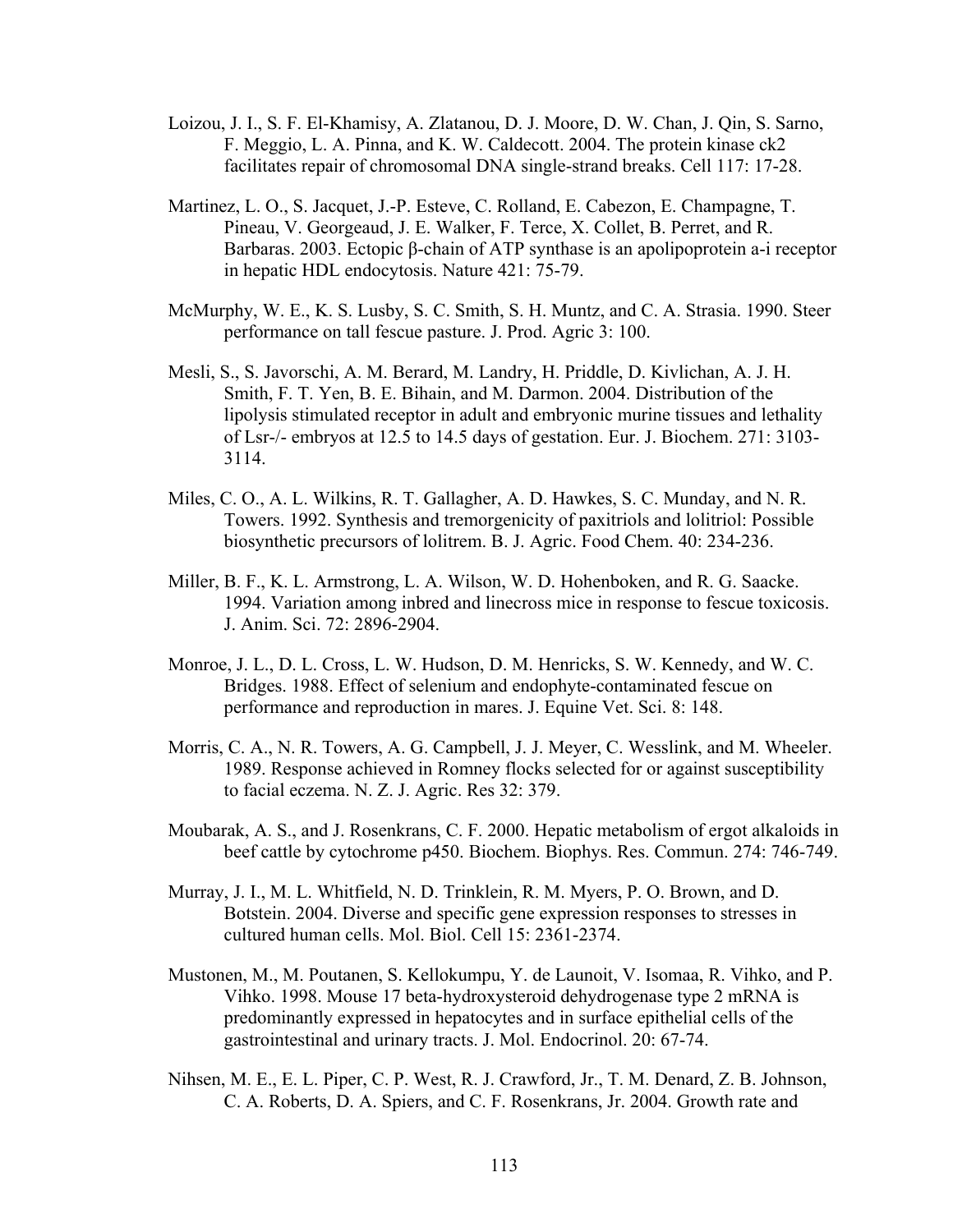- Loizou, J. I., S. F. El-Khamisy, A. Zlatanou, D. J. Moore, D. W. Chan, J. Qin, S. Sarno, F. Meggio, L. A. Pinna, and K. W. Caldecott. 2004. The protein kinase ck2 facilitates repair of chromosomal DNA single-strand breaks. Cell 117: 17-28.
- Martinez, L. O., S. Jacquet, J.-P. Esteve, C. Rolland, E. Cabezon, E. Champagne, T. Pineau, V. Georgeaud, J. E. Walker, F. Terce, X. Collet, B. Perret, and R. Barbaras. 2003. Ectopic β-chain of ATP synthase is an apolipoprotein a-i receptor in hepatic HDL endocytosis. Nature 421: 75-79.
- McMurphy, W. E., K. S. Lusby, S. C. Smith, S. H. Muntz, and C. A. Strasia. 1990. Steer performance on tall fescue pasture. J. Prod. Agric 3: 100.
- Mesli, S., S. Javorschi, A. M. Berard, M. Landry, H. Priddle, D. Kivlichan, A. J. H. Smith, F. T. Yen, B. E. Bihain, and M. Darmon. 2004. Distribution of the lipolysis stimulated receptor in adult and embryonic murine tissues and lethality of Lsr-/- embryos at 12.5 to 14.5 days of gestation. Eur. J. Biochem. 271: 3103- 3114.
- Miles, C. O., A. L. Wilkins, R. T. Gallagher, A. D. Hawkes, S. C. Munday, and N. R. Towers. 1992. Synthesis and tremorgenicity of paxitriols and lolitriol: Possible biosynthetic precursors of lolitrem. B. J. Agric. Food Chem. 40: 234-236.
- Miller, B. F., K. L. Armstrong, L. A. Wilson, W. D. Hohenboken, and R. G. Saacke. 1994. Variation among inbred and linecross mice in response to fescue toxicosis. J. Anim. Sci. 72: 2896-2904.
- Monroe, J. L., D. L. Cross, L. W. Hudson, D. M. Henricks, S. W. Kennedy, and W. C. Bridges. 1988. Effect of selenium and endophyte-contaminated fescue on performance and reproduction in mares. J. Equine Vet. Sci. 8: 148.
- Morris, C. A., N. R. Towers, A. G. Campbell, J. J. Meyer, C. Wesslink, and M. Wheeler. 1989. Response achieved in Romney flocks selected for or against susceptibility to facial eczema. N. Z. J. Agric. Res 32: 379.
- Moubarak, A. S., and J. Rosenkrans, C. F. 2000. Hepatic metabolism of ergot alkaloids in beef cattle by cytochrome p450. Biochem. Biophys. Res. Commun. 274: 746-749.
- Murray, J. I., M. L. Whitfield, N. D. Trinklein, R. M. Myers, P. O. Brown, and D. Botstein. 2004. Diverse and specific gene expression responses to stresses in cultured human cells. Mol. Biol. Cell 15: 2361-2374.
- Mustonen, M., M. Poutanen, S. Kellokumpu, Y. de Launoit, V. Isomaa, R. Vihko, and P. Vihko. 1998. Mouse 17 beta-hydroxysteroid dehydrogenase type 2 mRNA is predominantly expressed in hepatocytes and in surface epithelial cells of the gastrointestinal and urinary tracts. J. Mol. Endocrinol. 20: 67-74.
- Nihsen, M. E., E. L. Piper, C. P. West, R. J. Crawford, Jr., T. M. Denard, Z. B. Johnson, C. A. Roberts, D. A. Spiers, and C. F. Rosenkrans, Jr. 2004. Growth rate and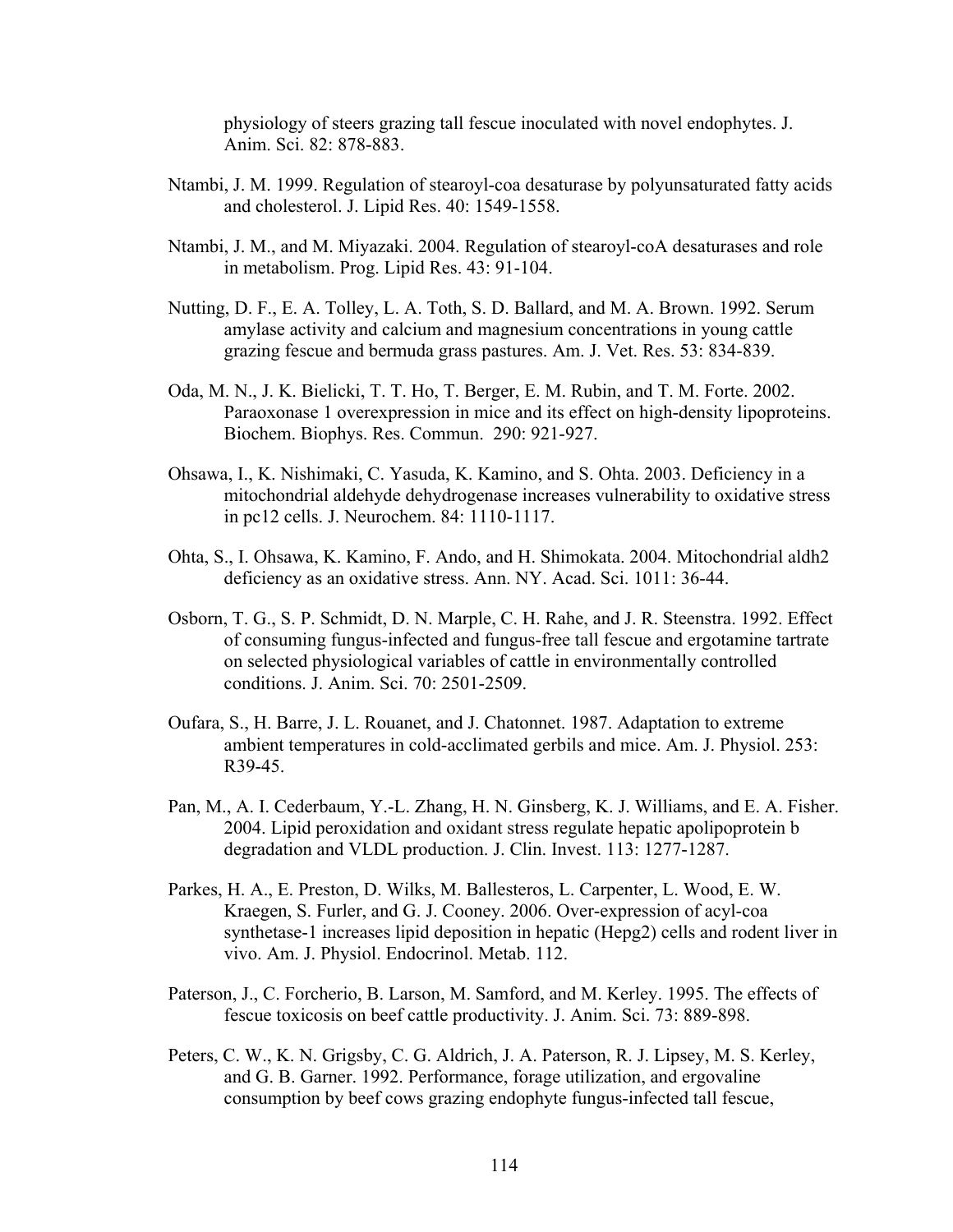physiology of steers grazing tall fescue inoculated with novel endophytes. J. Anim. Sci. 82: 878-883.

- Ntambi, J. M. 1999. Regulation of stearoyl-coa desaturase by polyunsaturated fatty acids and cholesterol. J. Lipid Res. 40: 1549-1558.
- Ntambi, J. M., and M. Miyazaki. 2004. Regulation of stearoyl-coA desaturases and role in metabolism. Prog. Lipid Res. 43: 91-104.
- Nutting, D. F., E. A. Tolley, L. A. Toth, S. D. Ballard, and M. A. Brown. 1992. Serum amylase activity and calcium and magnesium concentrations in young cattle grazing fescue and bermuda grass pastures. Am. J. Vet. Res. 53: 834-839.
- Oda, M. N., J. K. Bielicki, T. T. Ho, T. Berger, E. M. Rubin, and T. M. Forte. 2002. Paraoxonase 1 overexpression in mice and its effect on high-density lipoproteins. Biochem. Biophys. Res. Commun. 290: 921-927.
- Ohsawa, I., K. Nishimaki, C. Yasuda, K. Kamino, and S. Ohta. 2003. Deficiency in a mitochondrial aldehyde dehydrogenase increases vulnerability to oxidative stress in pc12 cells. J. Neurochem. 84: 1110-1117.
- Ohta, S., I. Ohsawa, K. Kamino, F. Ando, and H. Shimokata. 2004. Mitochondrial aldh2 deficiency as an oxidative stress. Ann. NY. Acad. Sci. 1011: 36-44.
- Osborn, T. G., S. P. Schmidt, D. N. Marple, C. H. Rahe, and J. R. Steenstra. 1992. Effect of consuming fungus-infected and fungus-free tall fescue and ergotamine tartrate on selected physiological variables of cattle in environmentally controlled conditions. J. Anim. Sci. 70: 2501-2509.
- Oufara, S., H. Barre, J. L. Rouanet, and J. Chatonnet. 1987. Adaptation to extreme ambient temperatures in cold-acclimated gerbils and mice. Am. J. Physiol. 253: R39-45.
- Pan, M., A. I. Cederbaum, Y.-L. Zhang, H. N. Ginsberg, K. J. Williams, and E. A. Fisher. 2004. Lipid peroxidation and oxidant stress regulate hepatic apolipoprotein b degradation and VLDL production. J. Clin. Invest. 113: 1277-1287.
- Parkes, H. A., E. Preston, D. Wilks, M. Ballesteros, L. Carpenter, L. Wood, E. W. Kraegen, S. Furler, and G. J. Cooney. 2006. Over-expression of acyl-coa synthetase-1 increases lipid deposition in hepatic (Hepg2) cells and rodent liver in vivo. Am. J. Physiol. Endocrinol. Metab. 112.
- Paterson, J., C. Forcherio, B. Larson, M. Samford, and M. Kerley. 1995. The effects of fescue toxicosis on beef cattle productivity. J. Anim. Sci. 73: 889-898.
- Peters, C. W., K. N. Grigsby, C. G. Aldrich, J. A. Paterson, R. J. Lipsey, M. S. Kerley, and G. B. Garner. 1992. Performance, forage utilization, and ergovaline consumption by beef cows grazing endophyte fungus-infected tall fescue,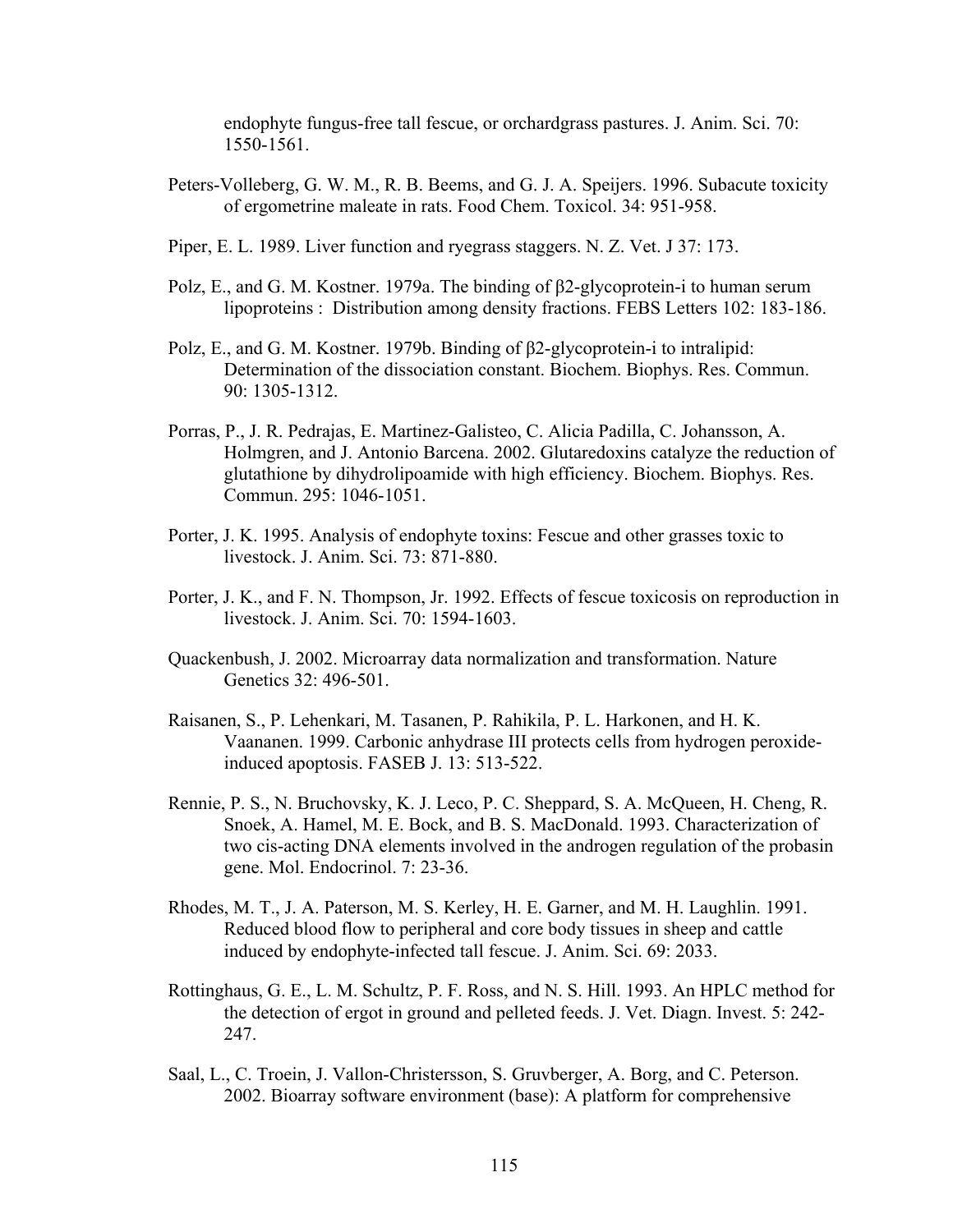endophyte fungus-free tall fescue, or orchardgrass pastures. J. Anim. Sci. 70: 1550-1561.

- Peters-Volleberg, G. W. M., R. B. Beems, and G. J. A. Speijers. 1996. Subacute toxicity of ergometrine maleate in rats. Food Chem. Toxicol. 34: 951-958.
- Piper, E. L. 1989. Liver function and ryegrass staggers. N. Z. Vet. J 37: 173.
- Polz, E., and G. M. Kostner. 1979a. The binding of β2-glycoprotein-i to human serum lipoproteins : Distribution among density fractions. FEBS Letters 102: 183-186.
- Polz, E., and G. M. Kostner. 1979b. Binding of β2-glycoprotein-i to intralipid: Determination of the dissociation constant. Biochem. Biophys. Res. Commun. 90: 1305-1312.
- Porras, P., J. R. Pedrajas, E. Martinez-Galisteo, C. Alicia Padilla, C. Johansson, A. Holmgren, and J. Antonio Barcena. 2002. Glutaredoxins catalyze the reduction of glutathione by dihydrolipoamide with high efficiency. Biochem. Biophys. Res. Commun. 295: 1046-1051.
- Porter, J. K. 1995. Analysis of endophyte toxins: Fescue and other grasses toxic to livestock. J. Anim. Sci. 73: 871-880.
- Porter, J. K., and F. N. Thompson, Jr. 1992. Effects of fescue toxicosis on reproduction in livestock. J. Anim. Sci. 70: 1594-1603.
- Quackenbush, J. 2002. Microarray data normalization and transformation. Nature Genetics 32: 496-501.
- Raisanen, S., P. Lehenkari, M. Tasanen, P. Rahikila, P. L. Harkonen, and H. K. Vaananen. 1999. Carbonic anhydrase III protects cells from hydrogen peroxideinduced apoptosis. FASEB J. 13: 513-522.
- Rennie, P. S., N. Bruchovsky, K. J. Leco, P. C. Sheppard, S. A. McQueen, H. Cheng, R. Snoek, A. Hamel, M. E. Bock, and B. S. MacDonald. 1993. Characterization of two cis-acting DNA elements involved in the androgen regulation of the probasin gene. Mol. Endocrinol. 7: 23-36.
- Rhodes, M. T., J. A. Paterson, M. S. Kerley, H. E. Garner, and M. H. Laughlin. 1991. Reduced blood flow to peripheral and core body tissues in sheep and cattle induced by endophyte-infected tall fescue. J. Anim. Sci. 69: 2033.
- Rottinghaus, G. E., L. M. Schultz, P. F. Ross, and N. S. Hill. 1993. An HPLC method for the detection of ergot in ground and pelleted feeds. J. Vet. Diagn. Invest. 5: 242- 247.
- Saal, L., C. Troein, J. Vallon-Christersson, S. Gruvberger, A. Borg, and C. Peterson. 2002. Bioarray software environment (base): A platform for comprehensive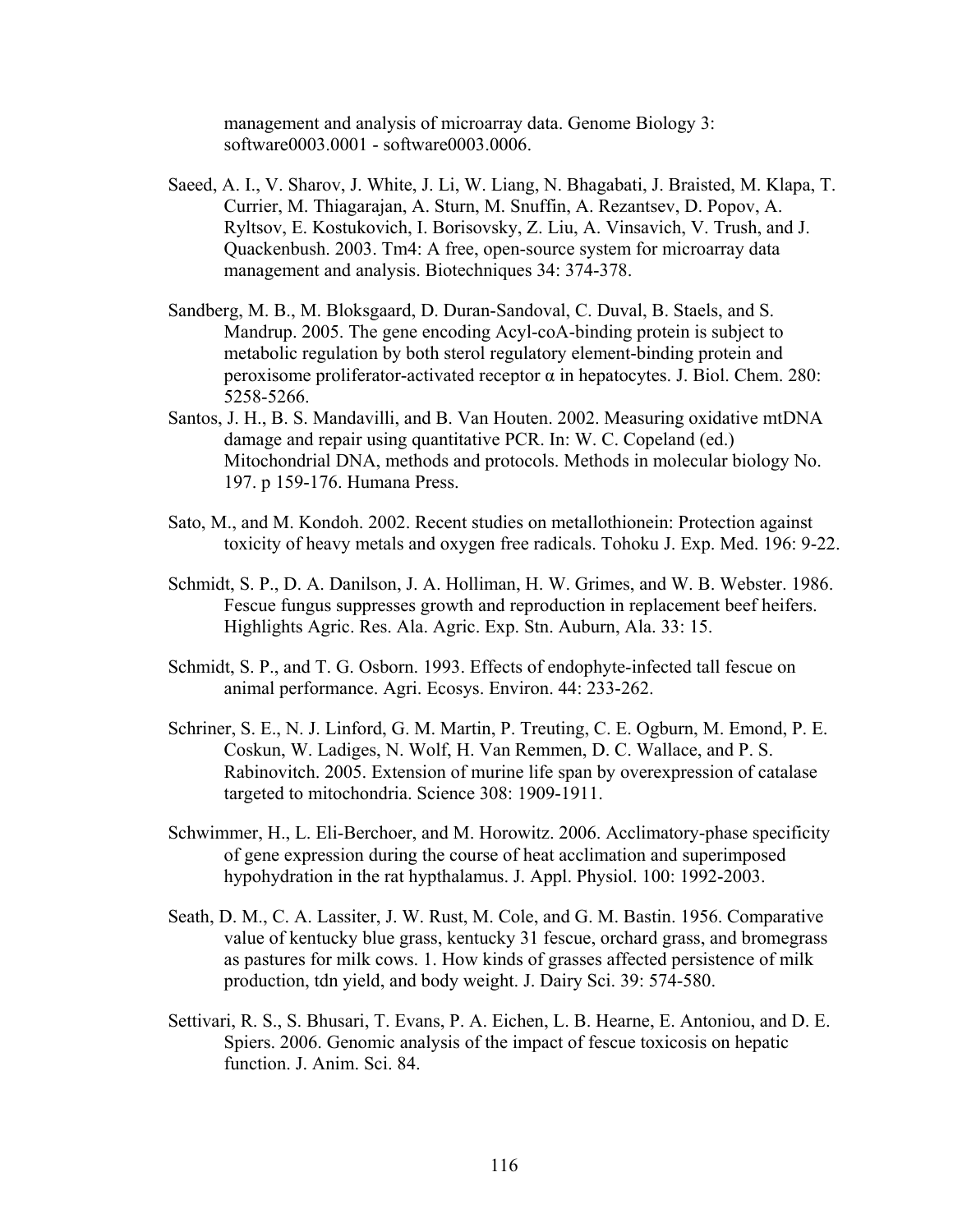management and analysis of microarray data. Genome Biology 3: software0003.0001 - software0003.0006.

- Saeed, A. I., V. Sharov, J. White, J. Li, W. Liang, N. Bhagabati, J. Braisted, M. Klapa, T. Currier, M. Thiagarajan, A. Sturn, M. Snuffin, A. Rezantsev, D. Popov, A. Ryltsov, E. Kostukovich, I. Borisovsky, Z. Liu, A. Vinsavich, V. Trush, and J. Quackenbush. 2003. Tm4: A free, open-source system for microarray data management and analysis. Biotechniques 34: 374-378.
- Sandberg, M. B., M. Bloksgaard, D. Duran-Sandoval, C. Duval, B. Staels, and S. Mandrup. 2005. The gene encoding Acyl-coA-binding protein is subject to metabolic regulation by both sterol regulatory element-binding protein and peroxisome proliferator-activated receptor α in hepatocytes. J. Biol. Chem. 280: 5258-5266.
- Santos, J. H., B. S. Mandavilli, and B. Van Houten. 2002. Measuring oxidative mtDNA damage and repair using quantitative PCR. In: W. C. Copeland (ed.) Mitochondrial DNA, methods and protocols. Methods in molecular biology No. 197. p 159-176. Humana Press.
- Sato, M., and M. Kondoh. 2002. Recent studies on metallothionein: Protection against toxicity of heavy metals and oxygen free radicals. Tohoku J. Exp. Med. 196: 9-22.
- Schmidt, S. P., D. A. Danilson, J. A. Holliman, H. W. Grimes, and W. B. Webster. 1986. Fescue fungus suppresses growth and reproduction in replacement beef heifers. Highlights Agric. Res. Ala. Agric. Exp. Stn. Auburn, Ala. 33: 15.
- Schmidt, S. P., and T. G. Osborn. 1993. Effects of endophyte-infected tall fescue on animal performance. Agri. Ecosys. Environ. 44: 233-262.
- Schriner, S. E., N. J. Linford, G. M. Martin, P. Treuting, C. E. Ogburn, M. Emond, P. E. Coskun, W. Ladiges, N. Wolf, H. Van Remmen, D. C. Wallace, and P. S. Rabinovitch. 2005. Extension of murine life span by overexpression of catalase targeted to mitochondria. Science 308: 1909-1911.
- Schwimmer, H., L. Eli-Berchoer, and M. Horowitz. 2006. Acclimatory-phase specificity of gene expression during the course of heat acclimation and superimposed hypohydration in the rat hypthalamus. J. Appl. Physiol. 100: 1992-2003.
- Seath, D. M., C. A. Lassiter, J. W. Rust, M. Cole, and G. M. Bastin. 1956. Comparative value of kentucky blue grass, kentucky 31 fescue, orchard grass, and bromegrass as pastures for milk cows. 1. How kinds of grasses affected persistence of milk production, tdn yield, and body weight. J. Dairy Sci. 39: 574-580.
- Settivari, R. S., S. Bhusari, T. Evans, P. A. Eichen, L. B. Hearne, E. Antoniou, and D. E. Spiers. 2006. Genomic analysis of the impact of fescue toxicosis on hepatic function. J. Anim. Sci. 84.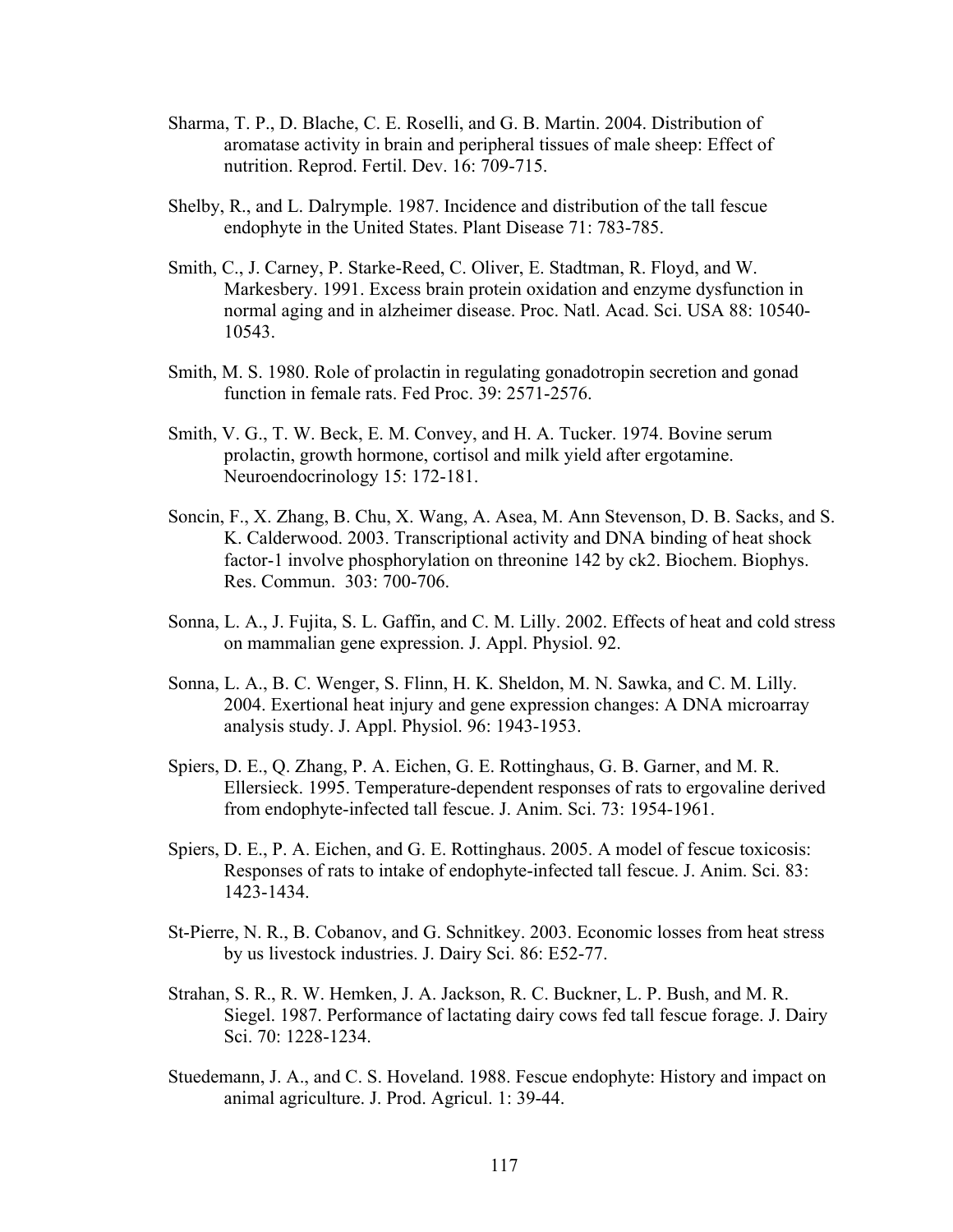- Sharma, T. P., D. Blache, C. E. Roselli, and G. B. Martin. 2004. Distribution of aromatase activity in brain and peripheral tissues of male sheep: Effect of nutrition. Reprod. Fertil. Dev. 16: 709-715.
- Shelby, R., and L. Dalrymple. 1987. Incidence and distribution of the tall fescue endophyte in the United States. Plant Disease 71: 783-785.
- Smith, C., J. Carney, P. Starke-Reed, C. Oliver, E. Stadtman, R. Floyd, and W. Markesbery. 1991. Excess brain protein oxidation and enzyme dysfunction in normal aging and in alzheimer disease. Proc. Natl. Acad. Sci. USA 88: 10540- 10543.
- Smith, M. S. 1980. Role of prolactin in regulating gonadotropin secretion and gonad function in female rats. Fed Proc. 39: 2571-2576.
- Smith, V. G., T. W. Beck, E. M. Convey, and H. A. Tucker. 1974. Bovine serum prolactin, growth hormone, cortisol and milk yield after ergotamine. Neuroendocrinology 15: 172-181.
- Soncin, F., X. Zhang, B. Chu, X. Wang, A. Asea, M. Ann Stevenson, D. B. Sacks, and S. K. Calderwood. 2003. Transcriptional activity and DNA binding of heat shock factor-1 involve phosphorylation on threonine 142 by ck2. Biochem. Biophys. Res. Commun. 303: 700-706.
- Sonna, L. A., J. Fujita, S. L. Gaffin, and C. M. Lilly. 2002. Effects of heat and cold stress on mammalian gene expression. J. Appl. Physiol. 92.
- Sonna, L. A., B. C. Wenger, S. Flinn, H. K. Sheldon, M. N. Sawka, and C. M. Lilly. 2004. Exertional heat injury and gene expression changes: A DNA microarray analysis study. J. Appl. Physiol. 96: 1943-1953.
- Spiers, D. E., Q. Zhang, P. A. Eichen, G. E. Rottinghaus, G. B. Garner, and M. R. Ellersieck. 1995. Temperature-dependent responses of rats to ergovaline derived from endophyte-infected tall fescue. J. Anim. Sci. 73: 1954-1961.
- Spiers, D. E., P. A. Eichen, and G. E. Rottinghaus. 2005. A model of fescue toxicosis: Responses of rats to intake of endophyte-infected tall fescue. J. Anim. Sci. 83: 1423-1434.
- St-Pierre, N. R., B. Cobanov, and G. Schnitkey. 2003. Economic losses from heat stress by us livestock industries. J. Dairy Sci. 86: E52-77.
- Strahan, S. R., R. W. Hemken, J. A. Jackson, R. C. Buckner, L. P. Bush, and M. R. Siegel. 1987. Performance of lactating dairy cows fed tall fescue forage. J. Dairy Sci. 70: 1228-1234.
- Stuedemann, J. A., and C. S. Hoveland. 1988. Fescue endophyte: History and impact on animal agriculture. J. Prod. Agricul. 1: 39-44.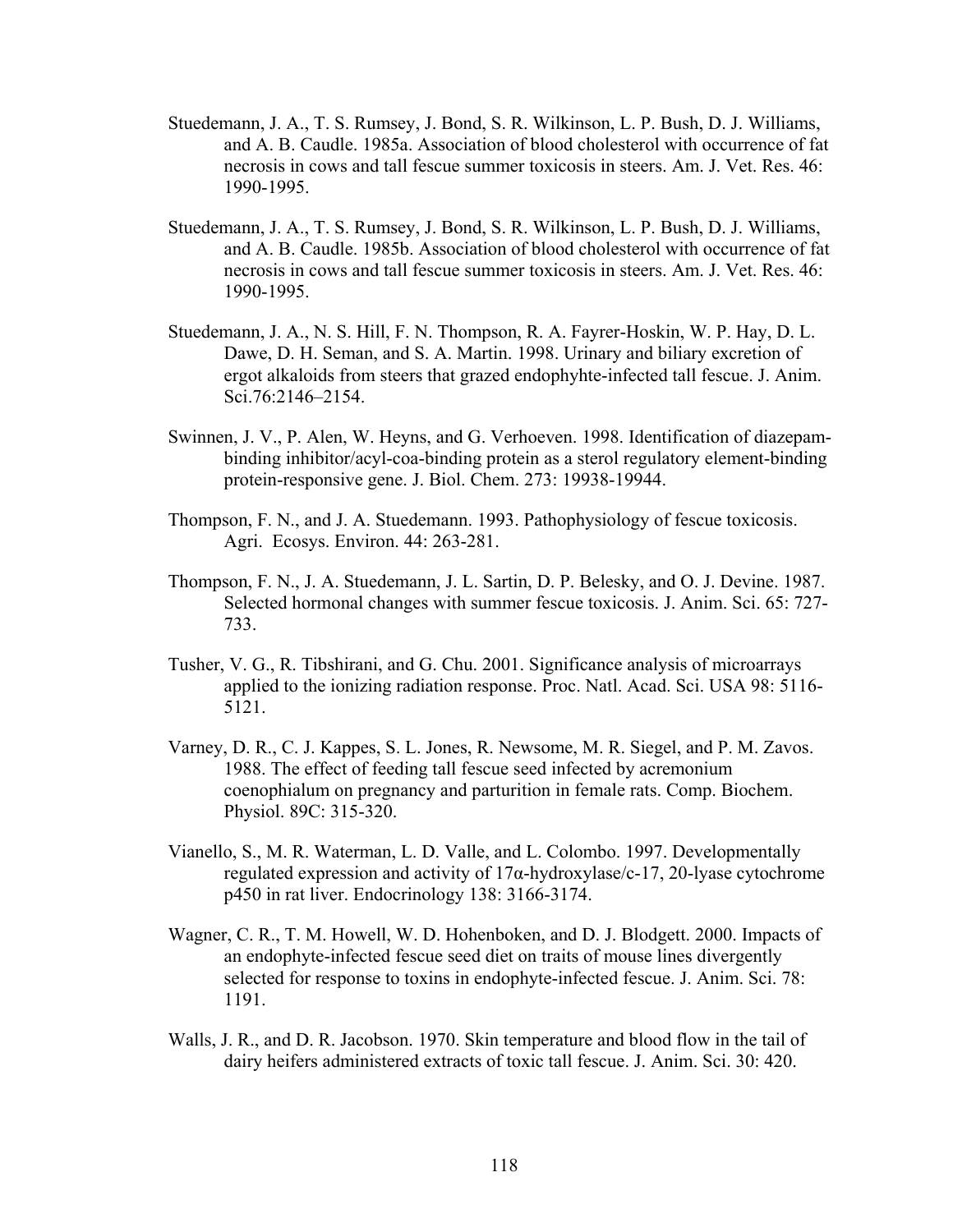- Stuedemann, J. A., T. S. Rumsey, J. Bond, S. R. Wilkinson, L. P. Bush, D. J. Williams, and A. B. Caudle. 1985a. Association of blood cholesterol with occurrence of fat necrosis in cows and tall fescue summer toxicosis in steers. Am. J. Vet. Res. 46: 1990-1995.
- Stuedemann, J. A., T. S. Rumsey, J. Bond, S. R. Wilkinson, L. P. Bush, D. J. Williams, and A. B. Caudle. 1985b. Association of blood cholesterol with occurrence of fat necrosis in cows and tall fescue summer toxicosis in steers. Am. J. Vet. Res. 46: 1990-1995.
- Stuedemann, J. A., N. S. Hill, F. N. Thompson, R. A. Fayrer-Hoskin, W. P. Hay, D. L. Dawe, D. H. Seman, and S. A. Martin. 1998. Urinary and biliary excretion of ergot alkaloids from steers that grazed endophyhte-infected tall fescue. J. Anim. Sci.76:2146–2154.
- Swinnen, J. V., P. Alen, W. Heyns, and G. Verhoeven. 1998. Identification of diazepambinding inhibitor/acyl-coa-binding protein as a sterol regulatory element-binding protein-responsive gene. J. Biol. Chem. 273: 19938-19944.
- Thompson, F. N., and J. A. Stuedemann. 1993. Pathophysiology of fescue toxicosis. Agri. Ecosys. Environ. 44: 263-281.
- Thompson, F. N., J. A. Stuedemann, J. L. Sartin, D. P. Belesky, and O. J. Devine. 1987. Selected hormonal changes with summer fescue toxicosis. J. Anim. Sci. 65: 727- 733.
- Tusher, V. G., R. Tibshirani, and G. Chu. 2001. Significance analysis of microarrays applied to the ionizing radiation response. Proc. Natl. Acad. Sci. USA 98: 5116- 5121.
- Varney, D. R., C. J. Kappes, S. L. Jones, R. Newsome, M. R. Siegel, and P. M. Zavos. 1988. The effect of feeding tall fescue seed infected by acremonium coenophialum on pregnancy and parturition in female rats. Comp. Biochem. Physiol. 89C: 315-320.
- Vianello, S., M. R. Waterman, L. D. Valle, and L. Colombo. 1997. Developmentally regulated expression and activity of 17α-hydroxylase/c-17, 20-lyase cytochrome p450 in rat liver. Endocrinology 138: 3166-3174.
- Wagner, C. R., T. M. Howell, W. D. Hohenboken, and D. J. Blodgett. 2000. Impacts of an endophyte-infected fescue seed diet on traits of mouse lines divergently selected for response to toxins in endophyte-infected fescue. J. Anim. Sci. 78: 1191.
- Walls, J. R., and D. R. Jacobson. 1970. Skin temperature and blood flow in the tail of dairy heifers administered extracts of toxic tall fescue. J. Anim. Sci. 30: 420.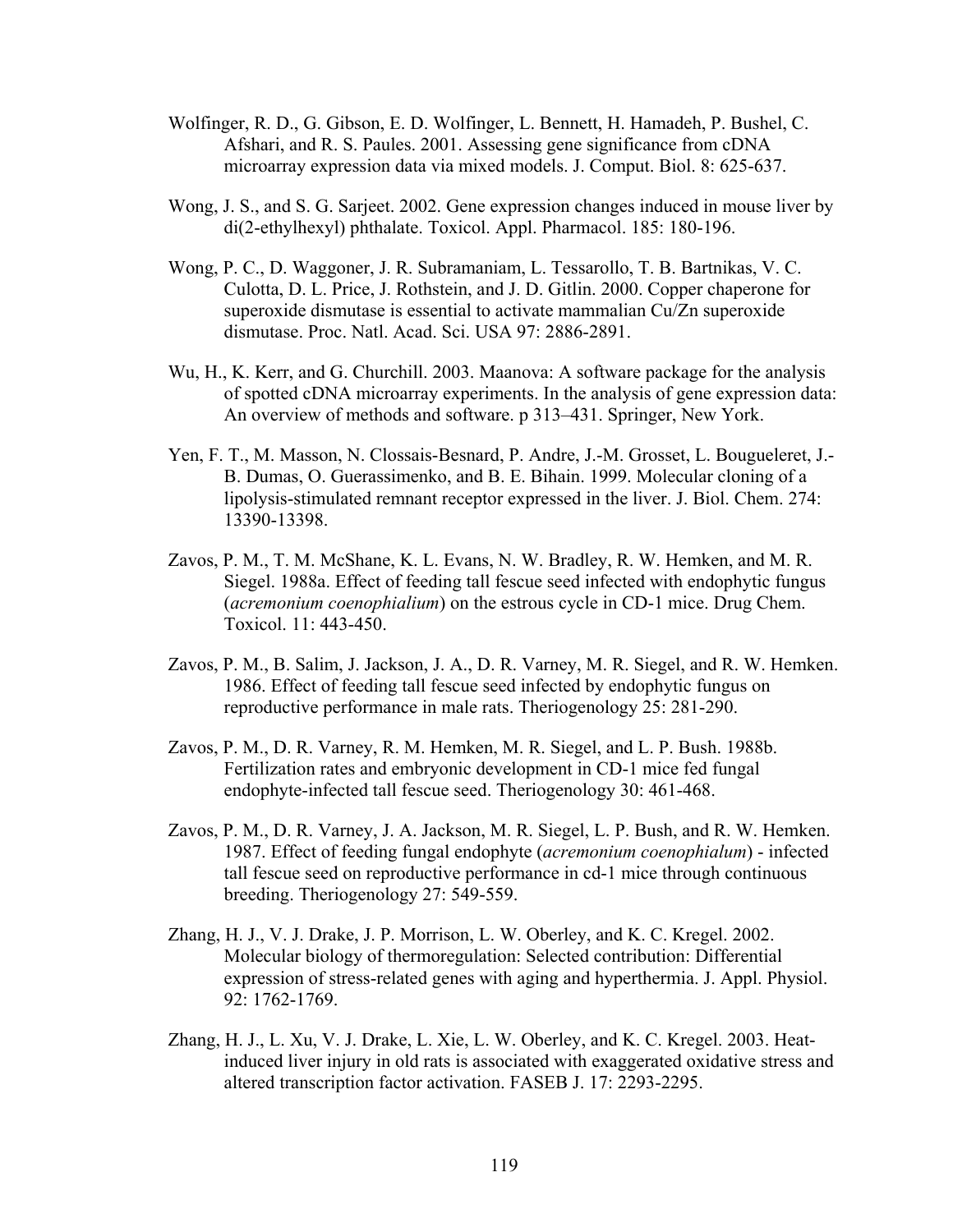- Wolfinger, R. D., G. Gibson, E. D. Wolfinger, L. Bennett, H. Hamadeh, P. Bushel, C. Afshari, and R. S. Paules. 2001. Assessing gene significance from cDNA microarray expression data via mixed models. J. Comput. Biol. 8: 625-637.
- Wong, J. S., and S. G. Sarjeet. 2002. Gene expression changes induced in mouse liver by di(2-ethylhexyl) phthalate. Toxicol. Appl. Pharmacol. 185: 180-196.
- Wong, P. C., D. Waggoner, J. R. Subramaniam, L. Tessarollo, T. B. Bartnikas, V. C. Culotta, D. L. Price, J. Rothstein, and J. D. Gitlin. 2000. Copper chaperone for superoxide dismutase is essential to activate mammalian Cu/Zn superoxide dismutase. Proc. Natl. Acad. Sci. USA 97: 2886-2891.
- Wu, H., K. Kerr, and G. Churchill. 2003. Maanova: A software package for the analysis of spotted cDNA microarray experiments. In the analysis of gene expression data: An overview of methods and software. p 313–431. Springer, New York.
- Yen, F. T., M. Masson, N. Clossais-Besnard, P. Andre, J.-M. Grosset, L. Bougueleret, J.- B. Dumas, O. Guerassimenko, and B. E. Bihain. 1999. Molecular cloning of a lipolysis-stimulated remnant receptor expressed in the liver. J. Biol. Chem. 274: 13390-13398.
- Zavos, P. M., T. M. McShane, K. L. Evans, N. W. Bradley, R. W. Hemken, and M. R. Siegel. 1988a. Effect of feeding tall fescue seed infected with endophytic fungus (*acremonium coenophialium*) on the estrous cycle in CD-1 mice. Drug Chem. Toxicol. 11: 443-450.
- Zavos, P. M., B. Salim, J. Jackson, J. A., D. R. Varney, M. R. Siegel, and R. W. Hemken. 1986. Effect of feeding tall fescue seed infected by endophytic fungus on reproductive performance in male rats. Theriogenology 25: 281-290.
- Zavos, P. M., D. R. Varney, R. M. Hemken, M. R. Siegel, and L. P. Bush. 1988b. Fertilization rates and embryonic development in CD-1 mice fed fungal endophyte-infected tall fescue seed. Theriogenology 30: 461-468.
- Zavos, P. M., D. R. Varney, J. A. Jackson, M. R. Siegel, L. P. Bush, and R. W. Hemken. 1987. Effect of feeding fungal endophyte (*acremonium coenophialum*) - infected tall fescue seed on reproductive performance in cd-1 mice through continuous breeding. Theriogenology 27: 549-559.
- Zhang, H. J., V. J. Drake, J. P. Morrison, L. W. Oberley, and K. C. Kregel. 2002. Molecular biology of thermoregulation: Selected contribution: Differential expression of stress-related genes with aging and hyperthermia. J. Appl. Physiol. 92: 1762-1769.
- Zhang, H. J., L. Xu, V. J. Drake, L. Xie, L. W. Oberley, and K. C. Kregel. 2003. Heatinduced liver injury in old rats is associated with exaggerated oxidative stress and altered transcription factor activation. FASEB J. 17: 2293-2295.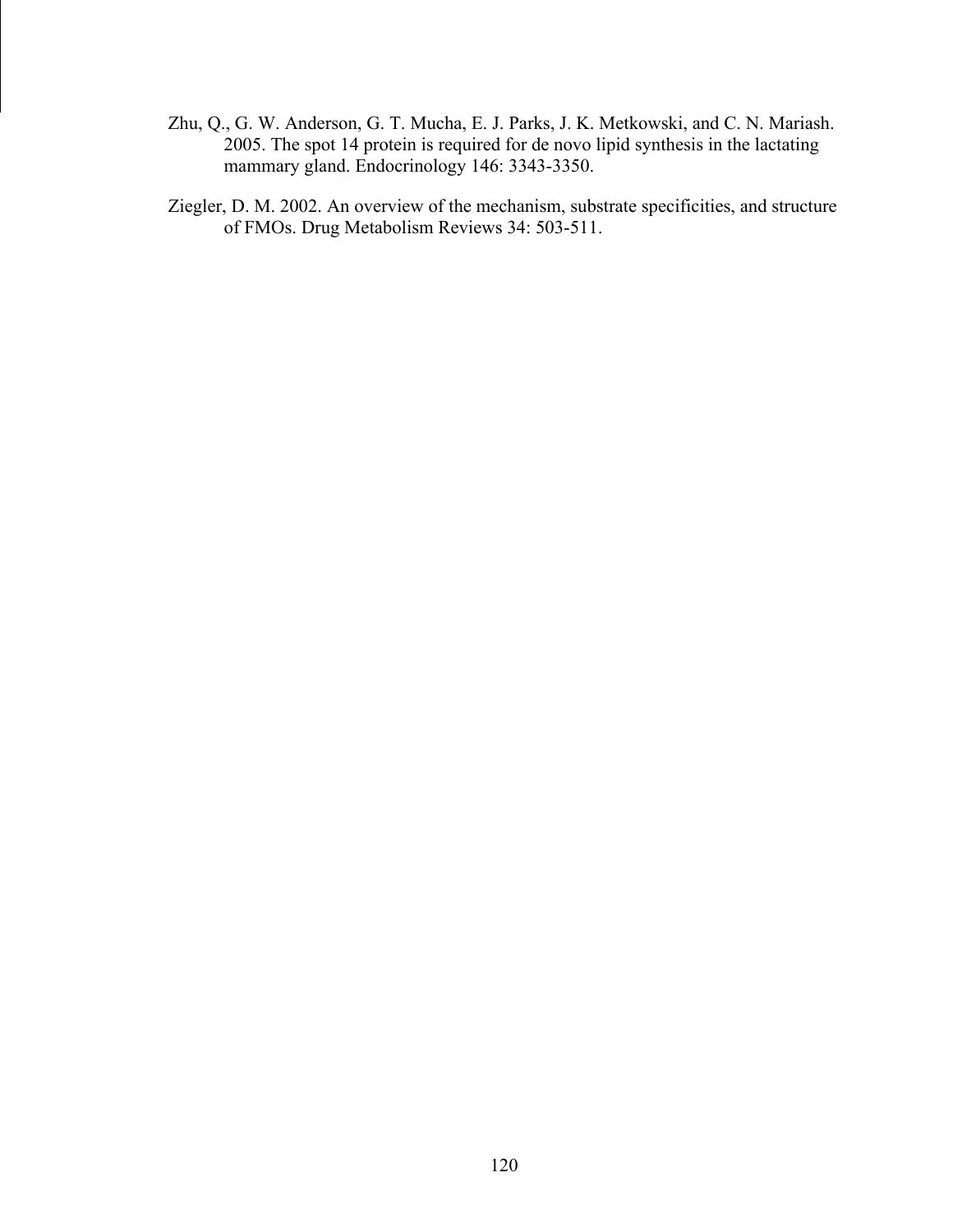- Zhu, Q., G. W. Anderson, G. T. Mucha, E. J. Parks, J. K. Metkowski, and C. N. Mariash. 2005. The spot 14 protein is required for de novo lipid synthesis in the lactating mammary gland. Endocrinology 146: 3343-3350.
- Ziegler, D. M. 2002. An overview of the mechanism, substrate specificities, and structure of FMOs. Drug Metabolism Reviews 34: 503-511.